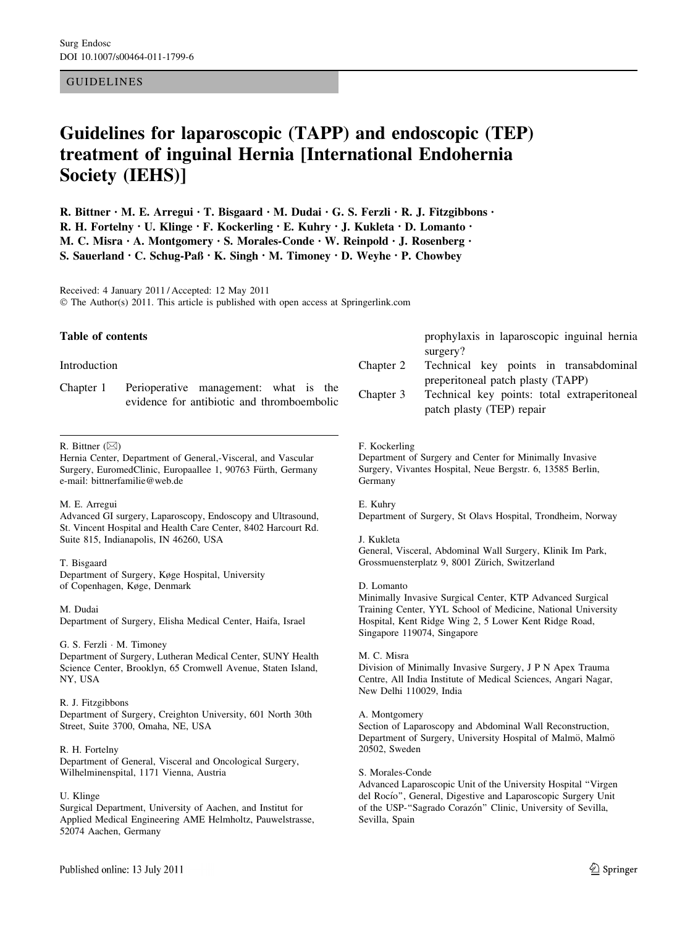### GUIDELINES

# Guidelines for laparoscopic (TAPP) and endoscopic (TEP) treatment of inguinal Hernia [International Endohernia Society (IEHS)]

R. Bittner • M. E. Arregui • T. Bisgaard • M. Dudai • G. S. Ferzli • R. J. Fitzgibbons • R. H. Fortelny • U. Klinge • F. Kockerling • E. Kuhry • J. Kukleta • D. Lomanto • M. C. Misra • A. Montgomery • S. Morales-Conde • W. Reinpold • J. Rosenberg • S. Sauerland • C. Schug-Paß • K. Singh • M. Timoney • D. Weyhe • P. Chowbey

Received: 4 January 2011 / Accepted: 12 May 2011 © The Author(s) 2011. This article is published with open access at Springerlink.com

### Table of contents

### Introduction

Chapter 1 Perioperative management: what is the evidence for antibiotic and thromboembolic

#### R. Bittner  $(\boxtimes)$

Hernia Center, Department of General,-Visceral, and Vascular Surgery, EuromedClinic, Europaallee 1, 90763 Fürth, Germany e-mail: bittnerfamilie@web.de

### M. E. Arregui

Advanced GI surgery, Laparoscopy, Endoscopy and Ultrasound, St. Vincent Hospital and Health Care Center, 8402 Harcourt Rd. Suite 815, Indianapolis, IN 46260, USA

### T. Bisgaard

Department of Surgery, Køge Hospital, University of Copenhagen, Køge, Denmark

M. Dudai Department of Surgery, Elisha Medical Center, Haifa, Israel

G. S. Ferzli - M. Timoney Department of Surgery, Lutheran Medical Center, SUNY Health Science Center, Brooklyn, 65 Cromwell Avenue, Staten Island, NY, USA

### R. J. Fitzgibbons

Department of Surgery, Creighton University, 601 North 30th Street, Suite 3700, Omaha, NE, USA

### R. H. Fortelny

Department of General, Visceral and Oncological Surgery, Wilhelminenspital, 1171 Vienna, Austria

### U. Klinge

Surgical Department, University of Aachen, and Institut for Applied Medical Engineering AME Helmholtz, Pauwelstrasse, 52074 Aachen, Germany

|           | prophylaxis in laparoscopic inguinal hernia |
|-----------|---------------------------------------------|
|           | surgery?                                    |
| Chapter 2 | Technical key points in transabdominal      |
|           | preperitoneal patch plasty (TAPP)           |
| Chapter 3 | Technical key points: total extraperitoneal |
|           | patch plasty (TEP) repair                   |

### F. Kockerling

Department of Surgery and Center for Minimally Invasive Surgery, Vivantes Hospital, Neue Bergstr. 6, 13585 Berlin, Germany

### E. Kuhry

Department of Surgery, St Olavs Hospital, Trondheim, Norway

### J. Kukleta

General, Visceral, Abdominal Wall Surgery, Klinik Im Park, Grossmuensterplatz 9, 8001 Zürich, Switzerland

### D. Lomanto

Minimally Invasive Surgical Center, KTP Advanced Surgical Training Center, YYL School of Medicine, National University Hospital, Kent Ridge Wing 2, 5 Lower Kent Ridge Road, Singapore 119074, Singapore

### M. C. Misra

Division of Minimally Invasive Surgery, J P N Apex Trauma Centre, All India Institute of Medical Sciences, Angari Nagar, New Delhi 110029, India

### A. Montgomery

Section of Laparoscopy and Abdominal Wall Reconstruction, Department of Surgery, University Hospital of Malmö, Malmö 20502, Sweden

### S. Morales-Conde

Advanced Laparoscopic Unit of the University Hospital ''Virgen del Rocío", General, Digestive and Laparoscopic Surgery Unit of the USP-"Sagrado Corazón" Clinic, University of Sevilla, Sevilla, Spain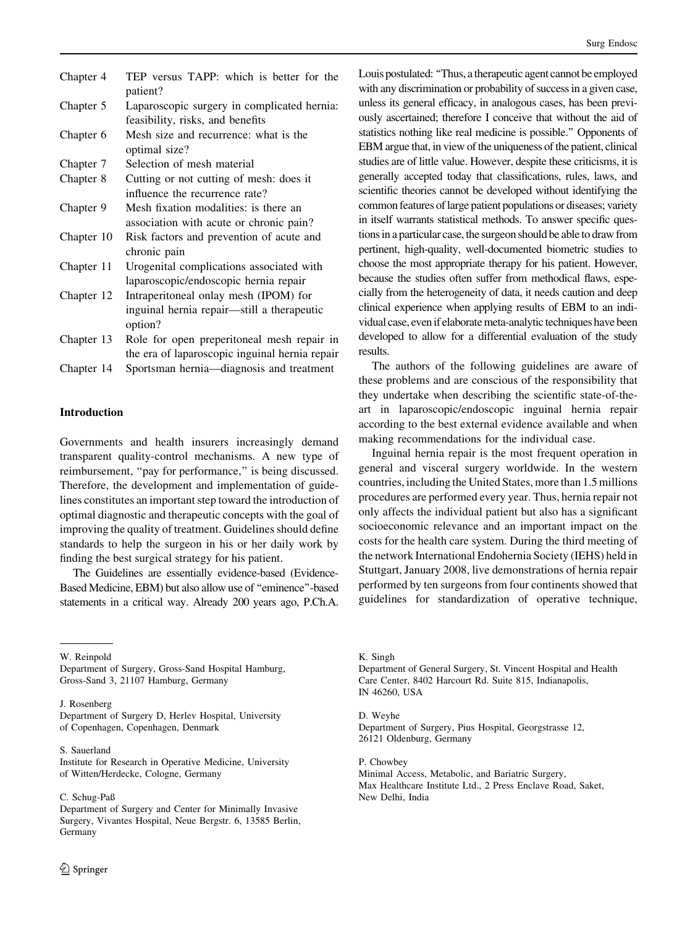| Chapter 4  | TEP versus TAPP: which is better for the<br>patient?                                         |
|------------|----------------------------------------------------------------------------------------------|
| Chapter 5  | Laparoscopic surgery in complicated hernia:<br>feasibility, risks, and benefits              |
| Chapter 6  | Mesh size and recurrence: what is the<br>optimal size?                                       |
| Chapter 7  | Selection of mesh material                                                                   |
| Chapter 8  | Cutting or not cutting of mesh: does it                                                      |
| Chapter 9  | influence the recurrence rate?<br>Mesh fixation modalities: is there an                      |
| Chapter 10 | association with acute or chronic pain?<br>Risk factors and prevention of acute and          |
| Chapter 11 | chronic pain<br>Urogenital complications associated with                                     |
|            | laparoscopic/endoscopic hernia repair                                                        |
| Chapter 12 | Intraperitoneal onlay mesh (IPOM) for<br>inguinal hernia repair—still a therapeutic          |
|            | option?                                                                                      |
| Chapter 13 | Role for open preperitoneal mesh repair in<br>the era of laparoscopic inguinal hernia repair |

Chapter 14 Sportsman hernia—diagnosis and treatment

## Introduction

Governments and health insurers increasingly demand transparent quality-control mechanisms. A new type of reimbursement, "pay for performance," is being discussed. Therefore, the development and implementation of guidelines constitutes an important step toward the introduction of optimal diagnostic and therapeutic concepts with the goal of improving the quality of treatment. Guidelines should define standards to help the surgeon in his or her daily work by finding the best surgical strategy for his patient.

The Guidelines are essentially evidence-based (Evidence-Based Medicine, EBM) but also allow use of ''eminence''-based statements in a critical way. Already 200 years ago, P.Ch.A.

W. Reinpold

Department of Surgery, Gross-Sand Hospital Hamburg, Gross-Sand 3, 21107 Hamburg, Germany

J. Rosenberg

Department of Surgery D, Herlev Hospital, University of Copenhagen, Copenhagen, Denmark

S. Sauerland Institute for Research in Operative Medicine, University of Witten/Herdecke, Cologne, Germany

C. Schug-Paß

Department of Surgery and Center for Minimally Invasive Surgery, Vivantes Hospital, Neue Bergstr. 6, 13585 Berlin, Germany

Louis postulated: ''Thus, a therapeutic agent cannot be employed with any discrimination or probability of success in a given case, unless its general efficacy, in analogous cases, has been previously ascertained; therefore I conceive that without the aid of statistics nothing like real medicine is possible.'' Opponents of EBM argue that, in view of the uniqueness of the patient, clinical studies are of little value. However, despite these criticisms, it is generally accepted today that classifications, rules, laws, and scientific theories cannot be developed without identifying the common features of large patient populations or diseases; variety in itself warrants statistical methods. To answer specific questions in a particular case, the surgeon should be able to draw from pertinent, high-quality, well-documented biometric studies to choose the most appropriate therapy for his patient. However, because the studies often suffer from methodical flaws, especially from the heterogeneity of data, it needs caution and deep clinical experience when applying results of EBM to an individual case, even if elaborate meta-analytic techniques have been developed to allow for a differential evaluation of the study results.

The authors of the following guidelines are aware of these problems and are conscious of the responsibility that they undertake when describing the scientific state-of-theart in laparoscopic/endoscopic inguinal hernia repair according to the best external evidence available and when making recommendations for the individual case.

Inguinal hernia repair is the most frequent operation in general and visceral surgery worldwide. In the western countries, including the United States, more than 1.5 millions procedures are performed every year. Thus, hernia repair not only affects the individual patient but also has a significant socioeconomic relevance and an important impact on the costs for the health care system. During the third meeting of the network International Endohernia Society (IEHS) held in Stuttgart, January 2008, live demonstrations of hernia repair performed by ten surgeons from four continents showed that guidelines for standardization of operative technique,

K. Singh

Department of General Surgery, St. Vincent Hospital and Health Care Center, 8402 Harcourt Rd. Suite 815, Indianapolis, IN 46260, USA

D. Weyhe Department of Surgery, Pius Hospital, Georgstrasse 12, 26121 Oldenburg, Germany

P. Chowbey Minimal Access, Metabolic, and Bariatric Surgery, Max Healthcare Institute Ltd., 2 Press Enclave Road, Saket, New Delhi, India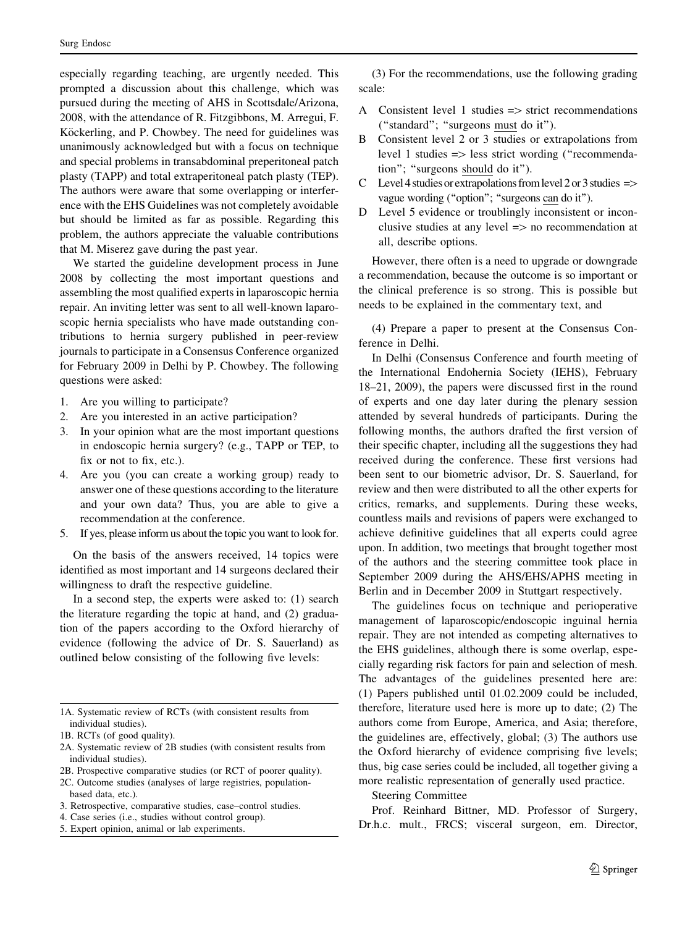especially regarding teaching, are urgently needed. This prompted a discussion about this challenge, which was pursued during the meeting of AHS in Scottsdale/Arizona, 2008, with the attendance of R. Fitzgibbons, M. Arregui, F. Köckerling, and P. Chowbey. The need for guidelines was unanimously acknowledged but with a focus on technique and special problems in transabdominal preperitoneal patch plasty (TAPP) and total extraperitoneal patch plasty (TEP). The authors were aware that some overlapping or interference with the EHS Guidelines was not completely avoidable but should be limited as far as possible. Regarding this problem, the authors appreciate the valuable contributions that M. Miserez gave during the past year.

We started the guideline development process in June 2008 by collecting the most important questions and assembling the most qualified experts in laparoscopic hernia repair. An inviting letter was sent to all well-known laparoscopic hernia specialists who have made outstanding contributions to hernia surgery published in peer-review journals to participate in a Consensus Conference organized for February 2009 in Delhi by P. Chowbey. The following questions were asked:

- 1. Are you willing to participate?
- 2. Are you interested in an active participation?
- 3. In your opinion what are the most important questions in endoscopic hernia surgery? (e.g., TAPP or TEP, to fix or not to fix, etc.).
- 4. Are you (you can create a working group) ready to answer one of these questions according to the literature and your own data? Thus, you are able to give a recommendation at the conference.
- 5. If yes, please inform us about the topic you want to look for.

On the basis of the answers received, 14 topics were identified as most important and 14 surgeons declared their willingness to draft the respective guideline.

In a second step, the experts were asked to: (1) search the literature regarding the topic at hand, and (2) graduation of the papers according to the Oxford hierarchy of evidence (following the advice of Dr. S. Sauerland) as outlined below consisting of the following five levels:

- 2B. Prospective comparative studies (or RCT of poorer quality). 2C. Outcome studies (analyses of large registries, population-
- based data, etc.).
- 3. Retrospective, comparative studies, case–control studies.
- 4. Case series (i.e., studies without control group).
- 5. Expert opinion, animal or lab experiments.

(3) For the recommendations, use the following grading scale:

- A Consistent level 1 studies  $\Rightarrow$  strict recommendations (''standard''; ''surgeons must do it'').
- B Consistent level 2 or 3 studies or extrapolations from level 1 studies  $\Rightarrow$  less strict wording ("recommendation"; "surgeons should do it").
- C Level 4 studies or extrapolations from level 2 or 3 studies  $\Rightarrow$ vague wording ("option"; "surgeons can do it").
- D Level 5 evidence or troublingly inconsistent or inconclusive studies at any level  $\Rightarrow$  no recommendation at all, describe options.

However, there often is a need to upgrade or downgrade a recommendation, because the outcome is so important or the clinical preference is so strong. This is possible but needs to be explained in the commentary text, and

(4) Prepare a paper to present at the Consensus Conference in Delhi.

In Delhi (Consensus Conference and fourth meeting of the International Endohernia Society (IEHS), February 18–21, 2009), the papers were discussed first in the round of experts and one day later during the plenary session attended by several hundreds of participants. During the following months, the authors drafted the first version of their specific chapter, including all the suggestions they had received during the conference. These first versions had been sent to our biometric advisor, Dr. S. Sauerland, for review and then were distributed to all the other experts for critics, remarks, and supplements. During these weeks, countless mails and revisions of papers were exchanged to achieve definitive guidelines that all experts could agree upon. In addition, two meetings that brought together most of the authors and the steering committee took place in September 2009 during the AHS/EHS/APHS meeting in Berlin and in December 2009 in Stuttgart respectively.

The guidelines focus on technique and perioperative management of laparoscopic/endoscopic inguinal hernia repair. They are not intended as competing alternatives to the EHS guidelines, although there is some overlap, especially regarding risk factors for pain and selection of mesh. The advantages of the guidelines presented here are: (1) Papers published until 01.02.2009 could be included, therefore, literature used here is more up to date; (2) The authors come from Europe, America, and Asia; therefore, the guidelines are, effectively, global; (3) The authors use the Oxford hierarchy of evidence comprising five levels; thus, big case series could be included, all together giving a more realistic representation of generally used practice.

Steering Committee

Prof. Reinhard Bittner, MD. Professor of Surgery, Dr.h.c. mult., FRCS; visceral surgeon, em. Director,

<sup>1</sup>A. Systematic review of RCTs (with consistent results from individual studies).

<sup>1</sup>B. RCTs (of good quality).

<sup>2</sup>A. Systematic review of 2B studies (with consistent results from individual studies).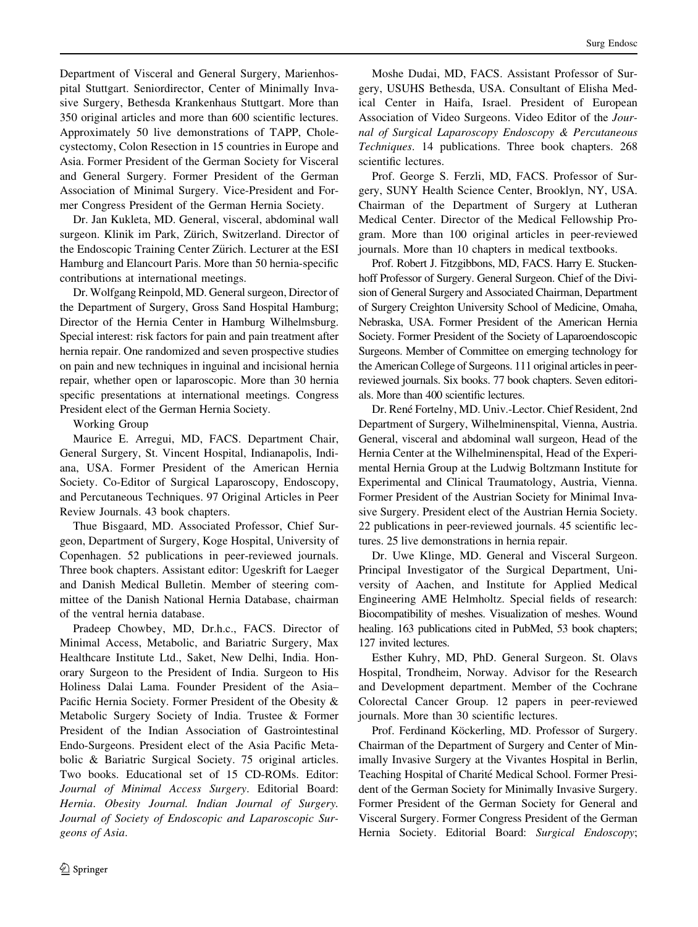Department of Visceral and General Surgery, Marienhospital Stuttgart. Seniordirector, Center of Minimally Invasive Surgery, Bethesda Krankenhaus Stuttgart. More than 350 original articles and more than 600 scientific lectures. Approximately 50 live demonstrations of TAPP, Cholecystectomy, Colon Resection in 15 countries in Europe and Asia. Former President of the German Society for Visceral and General Surgery. Former President of the German Association of Minimal Surgery. Vice-President and Former Congress President of the German Hernia Society.

Dr. Jan Kukleta, MD. General, visceral, abdominal wall surgeon. Klinik im Park, Zürich, Switzerland. Director of the Endoscopic Training Center Zürich. Lecturer at the ESI Hamburg and Elancourt Paris. More than 50 hernia-specific contributions at international meetings.

Dr. Wolfgang Reinpold, MD. General surgeon, Director of the Department of Surgery, Gross Sand Hospital Hamburg; Director of the Hernia Center in Hamburg Wilhelmsburg. Special interest: risk factors for pain and pain treatment after hernia repair. One randomized and seven prospective studies on pain and new techniques in inguinal and incisional hernia repair, whether open or laparoscopic. More than 30 hernia specific presentations at international meetings. Congress President elect of the German Hernia Society.

Working Group

Maurice E. Arregui, MD, FACS. Department Chair, General Surgery, St. Vincent Hospital, Indianapolis, Indiana, USA. Former President of the American Hernia Society. Co-Editor of Surgical Laparoscopy, Endoscopy, and Percutaneous Techniques. 97 Original Articles in Peer Review Journals. 43 book chapters.

Thue Bisgaard, MD. Associated Professor, Chief Surgeon, Department of Surgery, Koge Hospital, University of Copenhagen. 52 publications in peer-reviewed journals. Three book chapters. Assistant editor: Ugeskrift for Laeger and Danish Medical Bulletin. Member of steering committee of the Danish National Hernia Database, chairman of the ventral hernia database.

Pradeep Chowbey, MD, Dr.h.c., FACS. Director of Minimal Access, Metabolic, and Bariatric Surgery, Max Healthcare Institute Ltd., Saket, New Delhi, India. Honorary Surgeon to the President of India. Surgeon to His Holiness Dalai Lama. Founder President of the Asia– Pacific Hernia Society. Former President of the Obesity & Metabolic Surgery Society of India. Trustee & Former President of the Indian Association of Gastrointestinal Endo-Surgeons. President elect of the Asia Pacific Metabolic & Bariatric Surgical Society. 75 original articles. Two books. Educational set of 15 CD-ROMs. Editor: Journal of Minimal Access Surgery. Editorial Board: Hernia. Obesity Journal. Indian Journal of Surgery. Journal of Society of Endoscopic and Laparoscopic Surgeons of Asia.

Moshe Dudai, MD, FACS. Assistant Professor of Surgery, USUHS Bethesda, USA. Consultant of Elisha Medical Center in Haifa, Israel. President of European Association of Video Surgeons. Video Editor of the Journal of Surgical Laparoscopy Endoscopy & Percutaneous Techniques. 14 publications. Three book chapters. 268 scientific lectures.

Prof. George S. Ferzli, MD, FACS. Professor of Surgery, SUNY Health Science Center, Brooklyn, NY, USA. Chairman of the Department of Surgery at Lutheran Medical Center. Director of the Medical Fellowship Program. More than 100 original articles in peer-reviewed journals. More than 10 chapters in medical textbooks.

Prof. Robert J. Fitzgibbons, MD, FACS. Harry E. Stuckenhoff Professor of Surgery. General Surgeon. Chief of the Division of General Surgery and Associated Chairman, Department of Surgery Creighton University School of Medicine, Omaha, Nebraska, USA. Former President of the American Hernia Society. Former President of the Society of Laparoendoscopic Surgeons. Member of Committee on emerging technology for the American College of Surgeons. 111 original articles in peerreviewed journals. Six books. 77 book chapters. Seven editorials. More than 400 scientific lectures.

Dr. René Fortelny, MD. Univ.-Lector. Chief Resident, 2nd Department of Surgery, Wilhelminenspital, Vienna, Austria. General, visceral and abdominal wall surgeon, Head of the Hernia Center at the Wilhelminenspital, Head of the Experimental Hernia Group at the Ludwig Boltzmann Institute for Experimental and Clinical Traumatology, Austria, Vienna. Former President of the Austrian Society for Minimal Invasive Surgery. President elect of the Austrian Hernia Society. 22 publications in peer-reviewed journals. 45 scientific lectures. 25 live demonstrations in hernia repair.

Dr. Uwe Klinge, MD. General and Visceral Surgeon. Principal Investigator of the Surgical Department, University of Aachen, and Institute for Applied Medical Engineering AME Helmholtz. Special fields of research: Biocompatibility of meshes. Visualization of meshes. Wound healing. 163 publications cited in PubMed, 53 book chapters; 127 invited lectures.

Esther Kuhry, MD, PhD. General Surgeon. St. Olavs Hospital, Trondheim, Norway. Advisor for the Research and Development department. Member of the Cochrane Colorectal Cancer Group. 12 papers in peer-reviewed journals. More than 30 scientific lectures.

Prof. Ferdinand Köckerling, MD. Professor of Surgery. Chairman of the Department of Surgery and Center of Minimally Invasive Surgery at the Vivantes Hospital in Berlin, Teaching Hospital of Charité Medical School. Former President of the German Society for Minimally Invasive Surgery. Former President of the German Society for General and Visceral Surgery. Former Congress President of the German Hernia Society. Editorial Board: Surgical Endoscopy;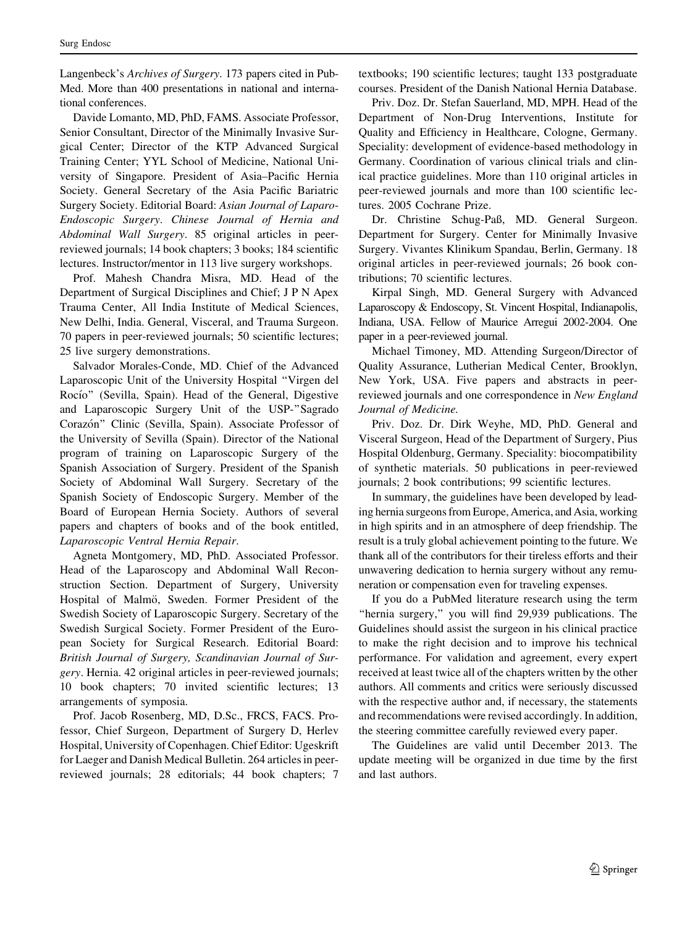Langenbeck's Archives of Surgery. 173 papers cited in Pub-Med. More than 400 presentations in national and international conferences.

Davide Lomanto, MD, PhD, FAMS. Associate Professor, Senior Consultant, Director of the Minimally Invasive Surgical Center; Director of the KTP Advanced Surgical Training Center; YYL School of Medicine, National University of Singapore. President of Asia–Pacific Hernia Society. General Secretary of the Asia Pacific Bariatric Surgery Society. Editorial Board: Asian Journal of Laparo-Endoscopic Surgery. Chinese Journal of Hernia and Abdominal Wall Surgery. 85 original articles in peerreviewed journals; 14 book chapters; 3 books; 184 scientific lectures. Instructor/mentor in 113 live surgery workshops.

Prof. Mahesh Chandra Misra, MD. Head of the Department of Surgical Disciplines and Chief; J P N Apex Trauma Center, All India Institute of Medical Sciences, New Delhi, India. General, Visceral, and Trauma Surgeon. 70 papers in peer-reviewed journals; 50 scientific lectures; 25 live surgery demonstrations.

Salvador Morales-Conde, MD. Chief of the Advanced Laparoscopic Unit of the University Hospital ''Virgen del Rocío" (Sevilla, Spain). Head of the General, Digestive and Laparoscopic Surgery Unit of the USP-''Sagrado Corazón" Clinic (Sevilla, Spain). Associate Professor of the University of Sevilla (Spain). Director of the National program of training on Laparoscopic Surgery of the Spanish Association of Surgery. President of the Spanish Society of Abdominal Wall Surgery. Secretary of the Spanish Society of Endoscopic Surgery. Member of the Board of European Hernia Society. Authors of several papers and chapters of books and of the book entitled, Laparoscopic Ventral Hernia Repair.

Agneta Montgomery, MD, PhD. Associated Professor. Head of the Laparoscopy and Abdominal Wall Reconstruction Section. Department of Surgery, University Hospital of Malmö, Sweden. Former President of the Swedish Society of Laparoscopic Surgery. Secretary of the Swedish Surgical Society. Former President of the European Society for Surgical Research. Editorial Board: British Journal of Surgery, Scandinavian Journal of Surgery. Hernia. 42 original articles in peer-reviewed journals; 10 book chapters; 70 invited scientific lectures; 13 arrangements of symposia.

Prof. Jacob Rosenberg, MD, D.Sc., FRCS, FACS. Professor, Chief Surgeon, Department of Surgery D, Herlev Hospital, University of Copenhagen. Chief Editor: Ugeskrift for Laeger and Danish Medical Bulletin. 264 articles in peerreviewed journals; 28 editorials; 44 book chapters; 7

textbooks; 190 scientific lectures; taught 133 postgraduate courses. President of the Danish National Hernia Database.

Priv. Doz. Dr. Stefan Sauerland, MD, MPH. Head of the Department of Non-Drug Interventions, Institute for Quality and Efficiency in Healthcare, Cologne, Germany. Speciality: development of evidence-based methodology in Germany. Coordination of various clinical trials and clinical practice guidelines. More than 110 original articles in peer-reviewed journals and more than 100 scientific lectures. 2005 Cochrane Prize.

Dr. Christine Schug-Paß, MD. General Surgeon. Department for Surgery. Center for Minimally Invasive Surgery. Vivantes Klinikum Spandau, Berlin, Germany. 18 original articles in peer-reviewed journals; 26 book contributions; 70 scientific lectures.

Kirpal Singh, MD. General Surgery with Advanced Laparoscopy & Endoscopy, St. Vincent Hospital, Indianapolis, Indiana, USA. Fellow of Maurice Arregui 2002-2004. One paper in a peer-reviewed journal.

Michael Timoney, MD. Attending Surgeon/Director of Quality Assurance, Lutherian Medical Center, Brooklyn, New York, USA. Five papers and abstracts in peerreviewed journals and one correspondence in New England Journal of Medicine.

Priv. Doz. Dr. Dirk Weyhe, MD, PhD. General and Visceral Surgeon, Head of the Department of Surgery, Pius Hospital Oldenburg, Germany. Speciality: biocompatibility of synthetic materials. 50 publications in peer-reviewed journals; 2 book contributions; 99 scientific lectures.

In summary, the guidelines have been developed by leading hernia surgeons from Europe, America, and Asia, working in high spirits and in an atmosphere of deep friendship. The result is a truly global achievement pointing to the future. We thank all of the contributors for their tireless efforts and their unwavering dedication to hernia surgery without any remuneration or compensation even for traveling expenses.

If you do a PubMed literature research using the term "hernia surgery," you will find 29,939 publications. The Guidelines should assist the surgeon in his clinical practice to make the right decision and to improve his technical performance. For validation and agreement, every expert received at least twice all of the chapters written by the other authors. All comments and critics were seriously discussed with the respective author and, if necessary, the statements and recommendations were revised accordingly. In addition, the steering committee carefully reviewed every paper.

The Guidelines are valid until December 2013. The update meeting will be organized in due time by the first and last authors.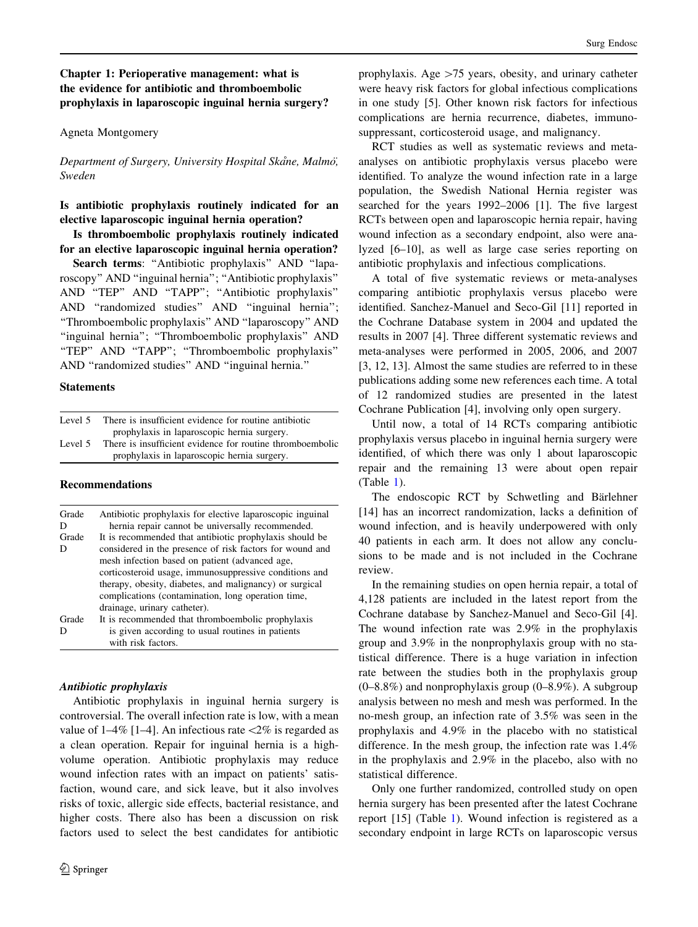### Agneta Montgomery

Department of Surgery, University Hospital Skåne, Malmö, Sweden

Is antibiotic prophylaxis routinely indicated for an elective laparoscopic inguinal hernia operation?

Is thromboembolic prophylaxis routinely indicated for an elective laparoscopic inguinal hernia operation? Search terms: "Antibiotic prophylaxis" AND "laparoscopy'' AND ''inguinal hernia''; ''Antibiotic prophylaxis'' AND ''TEP'' AND ''TAPP''; ''Antibiotic prophylaxis'' AND ''randomized studies'' AND ''inguinal hernia''; ''Thromboembolic prophylaxis'' AND ''laparoscopy'' AND ''inguinal hernia''; ''Thromboembolic prophylaxis'' AND "TEP" AND "TAPP"; "Thromboembolic prophylaxis" AND ''randomized studies'' AND ''inguinal hernia.''

### **Statements**

| Level 5 | There is insufficient evidence for routine antibiotic     |
|---------|-----------------------------------------------------------|
|         | prophylaxis in laparoscopic hernia surgery.               |
| Level 5 | There is insufficient evidence for routine thromboembolic |
|         | prophylaxis in laparoscopic hernia surgery.               |

### Recommendations

| Grade<br>Ð | Antibiotic prophylaxis for elective laparoscopic inguinal<br>hernia repair cannot be universally recommended. |
|------------|---------------------------------------------------------------------------------------------------------------|
| Grade      | It is recommended that antibiotic prophylaxis should be                                                       |
| Ð          | considered in the presence of risk factors for wound and                                                      |
|            | mesh infection based on patient (advanced age,                                                                |
|            | corticosteroid usage, immunosuppressive conditions and                                                        |
|            | therapy, obesity, diabetes, and malignancy) or surgical                                                       |
|            | complications (contamination, long operation time,                                                            |
|            | drainage, urinary catheter).                                                                                  |
| Grade      | It is recommended that thromboembolic prophylaxis                                                             |
| D          | is given according to usual routines in patients                                                              |
|            | with risk factors.                                                                                            |

### Antibiotic prophylaxis

Antibiotic prophylaxis in inguinal hernia surgery is controversial. The overall infection rate is low, with a mean value of  $1-4\%$  [1-4]. An infectious rate  $\langle 2\%$  is regarded as a clean operation. Repair for inguinal hernia is a highvolume operation. Antibiotic prophylaxis may reduce wound infection rates with an impact on patients' satisfaction, wound care, and sick leave, but it also involves risks of toxic, allergic side effects, bacterial resistance, and higher costs. There also has been a discussion on risk factors used to select the best candidates for antibiotic prophylaxis. Age  $>75$  years, obesity, and urinary catheter were heavy risk factors for global infectious complications in one study [5]. Other known risk factors for infectious complications are hernia recurrence, diabetes, immunosuppressant, corticosteroid usage, and malignancy.

RCT studies as well as systematic reviews and metaanalyses on antibiotic prophylaxis versus placebo were identified. To analyze the wound infection rate in a large population, the Swedish National Hernia register was searched for the years 1992–2006 [1]. The five largest RCTs between open and laparoscopic hernia repair, having wound infection as a secondary endpoint, also were analyzed [6–10], as well as large case series reporting on antibiotic prophylaxis and infectious complications.

A total of five systematic reviews or meta-analyses comparing antibiotic prophylaxis versus placebo were identified. Sanchez-Manuel and Seco-Gil [11] reported in the Cochrane Database system in 2004 and updated the results in 2007 [4]. Three different systematic reviews and meta-analyses were performed in 2005, 2006, and 2007 [3, 12, 13]. Almost the same studies are referred to in these publications adding some new references each time. A total of 12 randomized studies are presented in the latest Cochrane Publication [4], involving only open surgery.

Until now, a total of 14 RCTs comparing antibiotic prophylaxis versus placebo in inguinal hernia surgery were identified, of which there was only 1 about laparoscopic repair and the remaining 13 were about open repair (Table [1\)](#page-6-0).

The endoscopic RCT by Schwetling and Bärlehner [14] has an incorrect randomization, lacks a definition of wound infection, and is heavily underpowered with only 40 patients in each arm. It does not allow any conclusions to be made and is not included in the Cochrane review.

In the remaining studies on open hernia repair, a total of 4,128 patients are included in the latest report from the Cochrane database by Sanchez-Manuel and Seco-Gil [4]. The wound infection rate was 2.9% in the prophylaxis group and 3.9% in the nonprophylaxis group with no statistical difference. There is a huge variation in infection rate between the studies both in the prophylaxis group (0–8.8%) and nonprophylaxis group (0–8.9%). A subgroup analysis between no mesh and mesh was performed. In the no-mesh group, an infection rate of 3.5% was seen in the prophylaxis and 4.9% in the placebo with no statistical difference. In the mesh group, the infection rate was 1.4% in the prophylaxis and 2.9% in the placebo, also with no statistical difference.

Only one further randomized, controlled study on open hernia surgery has been presented after the latest Cochrane report [15] (Table [1](#page-6-0)). Wound infection is registered as a secondary endpoint in large RCTs on laparoscopic versus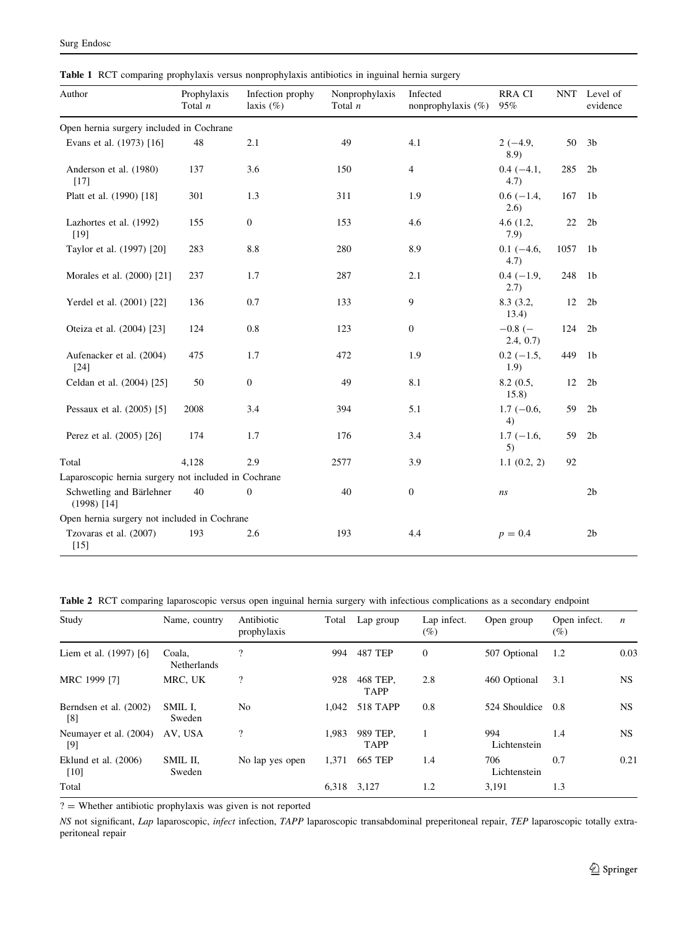| Author                                               | Prophylaxis<br>Total $n$ | Infection prophy<br>laxis $(\%)$ | Nonprophylaxis<br>Total $n$ | Infected<br>nonprophylaxis $(\%)$ | <b>RRA CI</b><br>95%   | <b>NNT</b> | Level of<br>evidence |
|------------------------------------------------------|--------------------------|----------------------------------|-----------------------------|-----------------------------------|------------------------|------------|----------------------|
| Open hernia surgery included in Cochrane             |                          |                                  |                             |                                   |                        |            |                      |
| Evans et al. (1973) [16]                             | 48                       | 2.1                              | 49                          | 4.1                               | $2(-4.9,$<br>8.9)      | 50         | 3 <sub>b</sub>       |
| Anderson et al. (1980)<br>$[17]$                     | 137                      | 3.6                              | 150                         | $\overline{4}$                    | $0.4(-4.1,$<br>4.7)    | 285        | 2 <sub>b</sub>       |
| Platt et al. (1990) [18]                             | 301                      | 1.3                              | 311                         | 1.9                               | $0.6(-1.4,$<br>2.6)    | 167        | 1 <sub>b</sub>       |
| Lazhortes et al. (1992)<br>[19]                      | 155                      | $\boldsymbol{0}$                 | 153                         | 4.6                               | 4.6(1.2,<br>7.9)       | 22         | 2 <sub>b</sub>       |
| Taylor et al. (1997) [20]                            | 283                      | 8.8                              | 280                         | 8.9                               | $0.1$ $(-4.6,$<br>4.7) | 1057       | 1 <sub>b</sub>       |
| Morales et al. (2000) [21]                           | 237                      | 1.7                              | 287                         | 2.1                               | $0.4 (-1.9,$<br>(2.7)  | 248        | 1 <sub>b</sub>       |
| Yerdel et al. (2001) [22]                            | 136                      | 0.7                              | 133                         | 9                                 | 8.3 (3.2,<br>13.4)     | 12         | 2 <sub>b</sub>       |
| Oteiza et al. (2004) [23]                            | 124                      | $0.8\,$                          | 123                         | $\boldsymbol{0}$                  | $-0.8$ (-<br>2.4, 0.7  | 124        | 2 <sub>b</sub>       |
| Aufenacker et al. (2004)<br>$[24]$                   | 475                      | 1.7                              | 472                         | 1.9                               | $0.2(-1.5,$<br>1.9)    | 449        | 1 <sub>b</sub>       |
| Celdan et al. (2004) [25]                            | 50                       | $\boldsymbol{0}$                 | 49                          | 8.1                               | 8.2(0.5,<br>15.8)      | 12         | 2 <sub>b</sub>       |
| Pessaux et al. (2005) [5]                            | 2008                     | 3.4                              | 394                         | 5.1                               | $1.7(-0.6,$<br>4)      | 59         | 2 <sub>b</sub>       |
| Perez et al. (2005) [26]                             | 174                      | 1.7                              | 176                         | 3.4                               | $1.7(-1.6,$<br>5)      | 59         | 2 <sub>b</sub>       |
| Total                                                | 4,128                    | 2.9                              | 2577                        | 3.9                               | 1.1(0.2, 2)            | 92         |                      |
| Laparoscopic hernia surgery not included in Cochrane |                          |                                  |                             |                                   |                        |            |                      |
| Schwetling and Bärlehner<br>$(1998)$ [14]            | 40                       | $\boldsymbol{0}$                 | 40                          | $\boldsymbol{0}$                  | ns                     |            | 2 <sub>b</sub>       |
| Open hernia surgery not included in Cochrane         |                          |                                  |                             |                                   |                        |            |                      |
| Tzovaras et al. (2007)<br>$[15]$                     | 193                      | 2.6                              | 193                         | 4.4                               | $p = 0.4$              |            | 2 <sub>b</sub>       |

<span id="page-6-0"></span>Table 1 RCT comparing prophylaxis versus nonprophylaxis antibiotics in inguinal hernia surgery

Table 2 RCT comparing laparoscopic versus open inguinal hernia surgery with infectious complications as a secondary endpoint

| Study                          | Name, country         | Antibiotic<br>prophylaxis | Total | Lap group               | Lap infect.<br>$(\%)$ | Open group          | Open infect.<br>$(\%)$ | $\boldsymbol{n}$ |
|--------------------------------|-----------------------|---------------------------|-------|-------------------------|-----------------------|---------------------|------------------------|------------------|
| Liem et al. (1997) [6]         | Coala,<br>Netherlands | $\overline{\cdot}$        | 994   | 487 TEP                 | $\mathbf{0}$          | 507 Optional        | 1.2                    | 0.03             |
| MRC 1999 [7]                   | MRC, UK               | $\overline{\cdot}$        | 928   | 468 TEP.<br><b>TAPP</b> | 2.8                   | 460 Optional        | 3.1                    | <b>NS</b>        |
| Berndsen et al. (2002)<br>[8]  | SMIL I.<br>Sweden     | N <sub>0</sub>            | 1.042 | 518 TAPP                | 0.8                   | 524 Shouldice       | 0.8                    | <b>NS</b>        |
| Neumayer et al. (2004)<br>[9]  | AV, USA               | $\overline{\cdot}$        | 1.983 | 989 TEP.<br><b>TAPP</b> |                       | 994<br>Lichtenstein | 1.4                    | <b>NS</b>        |
| Eklund et al. $(2006)$<br>[10] | SMIL II,<br>Sweden    | No lap yes open           | 1,371 | 665 TEP                 | 1.4                   | 706<br>Lichtenstein | 0.7                    | 0.21             |
| Total                          |                       |                           |       | 6,318 3,127             | 1.2                   | 3.191               | 1.3                    |                  |

? = Whether antibiotic prophylaxis was given is not reported

NS not significant, Lap laparoscopic, infect infection, TAPP laparoscopic transabdominal preperitoneal repair, TEP laparoscopic totally extraperitoneal repair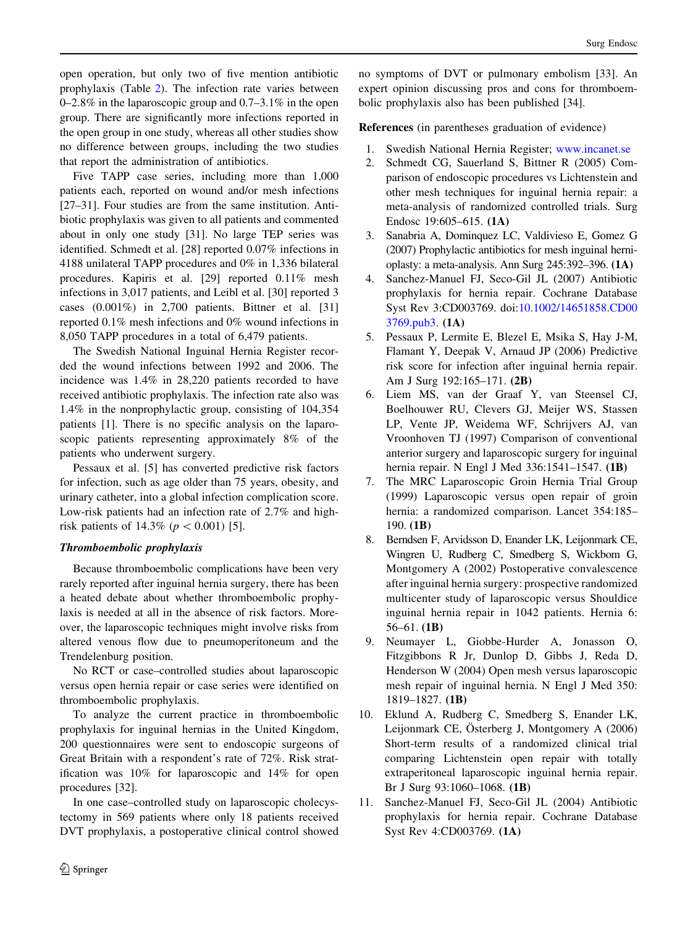open operation, but only two of five mention antibiotic prophylaxis (Table [2](#page-6-0)). The infection rate varies between 0–2.8% in the laparoscopic group and 0.7–3.1% in the open group. There are significantly more infections reported in the open group in one study, whereas all other studies show no difference between groups, including the two studies that report the administration of antibiotics.

Five TAPP case series, including more than 1,000 patients each, reported on wound and/or mesh infections [27–31]. Four studies are from the same institution. Antibiotic prophylaxis was given to all patients and commented about in only one study [31]. No large TEP series was identified. Schmedt et al. [28] reported 0.07% infections in 4188 unilateral TAPP procedures and 0% in 1,336 bilateral procedures. Kapiris et al. [29] reported 0.11% mesh infections in 3,017 patients, and Leibl et al. [30] reported 3 cases (0.001%) in 2,700 patients. Bittner et al. [31] reported 0.1% mesh infections and 0% wound infections in 8,050 TAPP procedures in a total of 6,479 patients.

The Swedish National Inguinal Hernia Register recorded the wound infections between 1992 and 2006. The incidence was 1.4% in 28,220 patients recorded to have received antibiotic prophylaxis. The infection rate also was 1.4% in the nonprophylactic group, consisting of 104,354 patients [1]. There is no specific analysis on the laparoscopic patients representing approximately 8% of the patients who underwent surgery.

Pessaux et al. [5] has converted predictive risk factors for infection, such as age older than 75 years, obesity, and urinary catheter, into a global infection complication score. Low-risk patients had an infection rate of 2.7% and highrisk patients of  $14.3\%$  ( $p < 0.001$ ) [5].

## Thromboembolic prophylaxis

Because thromboembolic complications have been very rarely reported after inguinal hernia surgery, there has been a heated debate about whether thromboembolic prophylaxis is needed at all in the absence of risk factors. Moreover, the laparoscopic techniques might involve risks from altered venous flow due to pneumoperitoneum and the Trendelenburg position.

No RCT or case–controlled studies about laparoscopic versus open hernia repair or case series were identified on thromboembolic prophylaxis.

To analyze the current practice in thromboembolic prophylaxis for inguinal hernias in the United Kingdom, 200 questionnaires were sent to endoscopic surgeons of Great Britain with a respondent's rate of 72%. Risk stratification was 10% for laparoscopic and 14% for open procedures [32].

In one case–controlled study on laparoscopic cholecystectomy in 569 patients where only 18 patients received DVT prophylaxis, a postoperative clinical control showed

no symptoms of DVT or pulmonary embolism [33]. An expert opinion discussing pros and cons for thromboembolic prophylaxis also has been published [34].

References (in parentheses graduation of evidence)

- 1. Swedish National Hernia Register; [www.incanet.se](http://www.incanet.se)
- 2. Schmedt CG, Sauerland S, Bittner R (2005) Comparison of endoscopic procedures vs Lichtenstein and other mesh techniques for inguinal hernia repair: a meta-analysis of randomized controlled trials. Surg Endosc 19:605–615. (1A)
- 3. Sanabria A, Dominquez LC, Valdivieso E, Gomez G (2007) Prophylactic antibiotics for mesh inguinal hernioplasty: a meta-analysis. Ann Surg 245:392–396. (1A)
- 4. Sanchez-Manuel FJ, Seco-Gil JL (2007) Antibiotic prophylaxis for hernia repair. Cochrane Database Syst Rev 3:CD003769. doi:[10.1002/14651858.CD00](http://dx.doi.org/10.1002/14651858.CD003769.pub3) [3769.pub3](http://dx.doi.org/10.1002/14651858.CD003769.pub3). (1A)
- 5. Pessaux P, Lermite E, Blezel E, Msika S, Hay J-M, Flamant Y, Deepak V, Arnaud JP (2006) Predictive risk score for infection after inguinal hernia repair. Am J Surg 192:165–171. (2B)
- 6. Liem MS, van der Graaf Y, van Steensel CJ, Boelhouwer RU, Clevers GJ, Meijer WS, Stassen LP, Vente JP, Weidema WF, Schrijvers AJ, van Vroonhoven TJ (1997) Comparison of conventional anterior surgery and laparoscopic surgery for inguinal hernia repair. N Engl J Med 336:1541–1547. (1B)
- 7. The MRC Laparoscopic Groin Hernia Trial Group (1999) Laparoscopic versus open repair of groin hernia: a randomized comparison. Lancet 354:185– 190. (1B)
- 8. Berndsen F, Arvidsson D, Enander LK, Leijonmark CE, Wingren U, Rudberg C, Smedberg S, Wickbom G, Montgomery A (2002) Postoperative convalescence after inguinal hernia surgery: prospective randomized multicenter study of laparoscopic versus Shouldice inguinal hernia repair in 1042 patients. Hernia 6: 56–61. (1B)
- 9. Neumayer L, Giobbe-Hurder A, Jonasson O, Fitzgibbons R Jr, Dunlop D, Gibbs J, Reda D, Henderson W (2004) Open mesh versus laparoscopic mesh repair of inguinal hernia. N Engl J Med 350: 1819–1827. (1B)
- 10. Eklund A, Rudberg C, Smedberg S, Enander LK, Leijonmark CE, Österberg J, Montgomery A (2006) Short-term results of a randomized clinical trial comparing Lichtenstein open repair with totally extraperitoneal laparoscopic inguinal hernia repair. Br J Surg 93:1060–1068. (1B)
- 11. Sanchez-Manuel FJ, Seco-Gil JL (2004) Antibiotic prophylaxis for hernia repair. Cochrane Database Syst Rev 4:CD003769. (1A)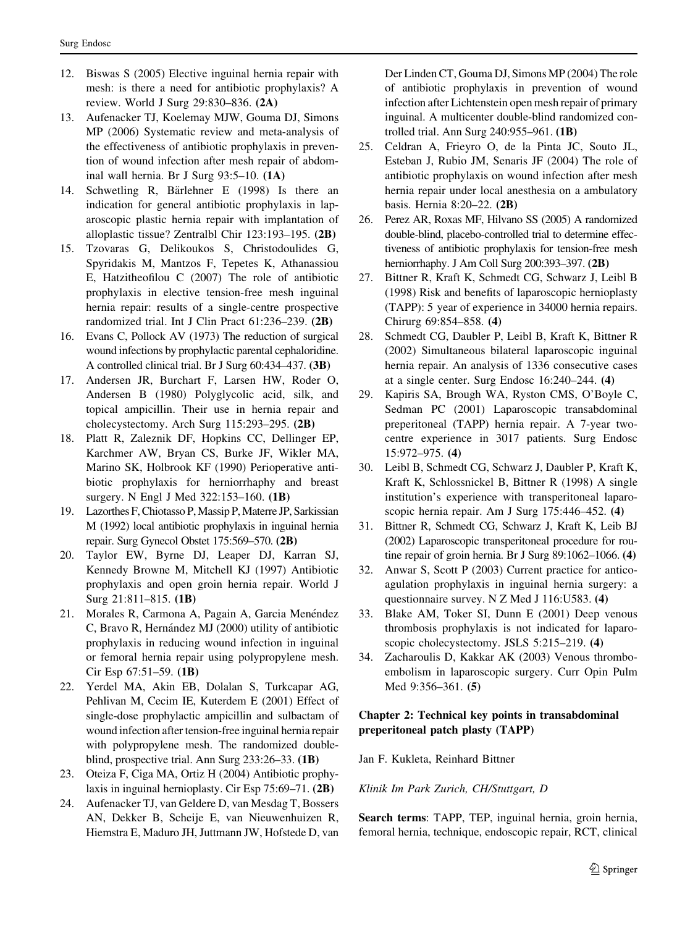- 12. Biswas S (2005) Elective inguinal hernia repair with mesh: is there a need for antibiotic prophylaxis? A review. World J Surg 29:830–836. (2A)
- 13. Aufenacker TJ, Koelemay MJW, Gouma DJ, Simons MP (2006) Systematic review and meta-analysis of the effectiveness of antibiotic prophylaxis in prevention of wound infection after mesh repair of abdominal wall hernia. Br J Surg 93:5–10. (1A)
- 14. Schwetling R, Bärlehner E (1998) Is there an indication for general antibiotic prophylaxis in laparoscopic plastic hernia repair with implantation of alloplastic tissue? Zentralbl Chir 123:193–195. (2B)
- 15. Tzovaras G, Delikoukos S, Christodoulides G, Spyridakis M, Mantzos F, Tepetes K, Athanassiou E, Hatzitheofilou C (2007) The role of antibiotic prophylaxis in elective tension-free mesh inguinal hernia repair: results of a single-centre prospective randomized trial. Int J Clin Pract 61:236–239. (2B)
- 16. Evans C, Pollock AV (1973) The reduction of surgical wound infections by prophylactic parental cephaloridine. A controlled clinical trial. Br J Surg 60:434–437. (3B)
- 17. Andersen JR, Burchart F, Larsen HW, Roder O, Andersen B (1980) Polyglycolic acid, silk, and topical ampicillin. Their use in hernia repair and cholecystectomy. Arch Surg 115:293–295. (2B)
- 18. Platt R, Zaleznik DF, Hopkins CC, Dellinger EP, Karchmer AW, Bryan CS, Burke JF, Wikler MA, Marino SK, Holbrook KF (1990) Perioperative antibiotic prophylaxis for herniorrhaphy and breast surgery. N Engl J Med 322:153–160. (1B)
- 19. Lazorthes F, Chiotasso P, Massip P, Materre JP, Sarkissian M (1992) local antibiotic prophylaxis in inguinal hernia repair. Surg Gynecol Obstet 175:569–570. (2B)
- 20. Taylor EW, Byrne DJ, Leaper DJ, Karran SJ, Kennedy Browne M, Mitchell KJ (1997) Antibiotic prophylaxis and open groin hernia repair. World J Surg 21:811–815. (1B)
- 21. Morales R, Carmona A, Pagain A, Garcia Menéndez C, Bravo R, Hernández MJ (2000) utility of antibiotic prophylaxis in reducing wound infection in inguinal or femoral hernia repair using polypropylene mesh. Cir Esp 67:51–59. (1B)
- 22. Yerdel MA, Akin EB, Dolalan S, Turkcapar AG, Pehlivan M, Cecim IE, Kuterdem E (2001) Effect of single-dose prophylactic ampicillin and sulbactam of wound infection after tension-free inguinal hernia repair with polypropylene mesh. The randomized doubleblind, prospective trial. Ann Surg 233:26–33. (1B)
- 23. Oteiza F, Ciga MA, Ortiz H (2004) Antibiotic prophylaxis in inguinal hernioplasty. Cir Esp 75:69–71. (2B)
- 24. Aufenacker TJ, van Geldere D, van Mesdag T, Bossers AN, Dekker B, Scheije E, van Nieuwenhuizen R, Hiemstra E, Maduro JH, Juttmann JW, Hofstede D, van

Der Linden CT, Gouma DJ, Simons MP (2004) The role of antibiotic prophylaxis in prevention of wound infection after Lichtenstein open mesh repair of primary inguinal. A multicenter double-blind randomized controlled trial. Ann Surg 240:955–961. (1B)

- 25. Celdran A, Frieyro O, de la Pinta JC, Souto JL, Esteban J, Rubio JM, Senaris JF (2004) The role of antibiotic prophylaxis on wound infection after mesh hernia repair under local anesthesia on a ambulatory basis. Hernia 8:20–22. (2B)
- 26. Perez AR, Roxas MF, Hilvano SS (2005) A randomized double-blind, placebo-controlled trial to determine effectiveness of antibiotic prophylaxis for tension-free mesh herniorrhaphy. J Am Coll Surg 200:393–397. (2B)
- 27. Bittner R, Kraft K, Schmedt CG, Schwarz J, Leibl B (1998) Risk and benefits of laparoscopic hernioplasty (TAPP): 5 year of experience in 34000 hernia repairs. Chirurg 69:854–858. (4)
- 28. Schmedt CG, Daubler P, Leibl B, Kraft K, Bittner R (2002) Simultaneous bilateral laparoscopic inguinal hernia repair. An analysis of 1336 consecutive cases at a single center. Surg Endosc 16:240–244. (4)
- 29. Kapiris SA, Brough WA, Ryston CMS, O'Boyle C, Sedman PC (2001) Laparoscopic transabdominal preperitoneal (TAPP) hernia repair. A 7-year twocentre experience in 3017 patients. Surg Endosc 15:972–975. (4)
- 30. Leibl B, Schmedt CG, Schwarz J, Daubler P, Kraft K, Kraft K, Schlossnickel B, Bittner R (1998) A single institution's experience with transperitoneal laparoscopic hernia repair. Am J Surg 175:446–452. (4)
- 31. Bittner R, Schmedt CG, Schwarz J, Kraft K, Leib BJ (2002) Laparoscopic transperitoneal procedure for routine repair of groin hernia. Br J Surg 89:1062–1066. (4)
- 32. Anwar S, Scott P (2003) Current practice for anticoagulation prophylaxis in inguinal hernia surgery: a questionnaire survey. N Z Med J 116:U583. (4)
- 33. Blake AM, Toker SI, Dunn E (2001) Deep venous thrombosis prophylaxis is not indicated for laparoscopic cholecystectomy. JSLS 5:215–219. (4)
- 34. Zacharoulis D, Kakkar AK (2003) Venous thromboembolism in laparoscopic surgery. Curr Opin Pulm Med 9:356–361. (5)

# Chapter 2: Technical key points in transabdominal preperitoneal patch plasty (TAPP)

Jan F. Kukleta, Reinhard Bittner

# Klinik Im Park Zurich, CH/Stuttgart, D

Search terms: TAPP, TEP, inguinal hernia, groin hernia, femoral hernia, technique, endoscopic repair, RCT, clinical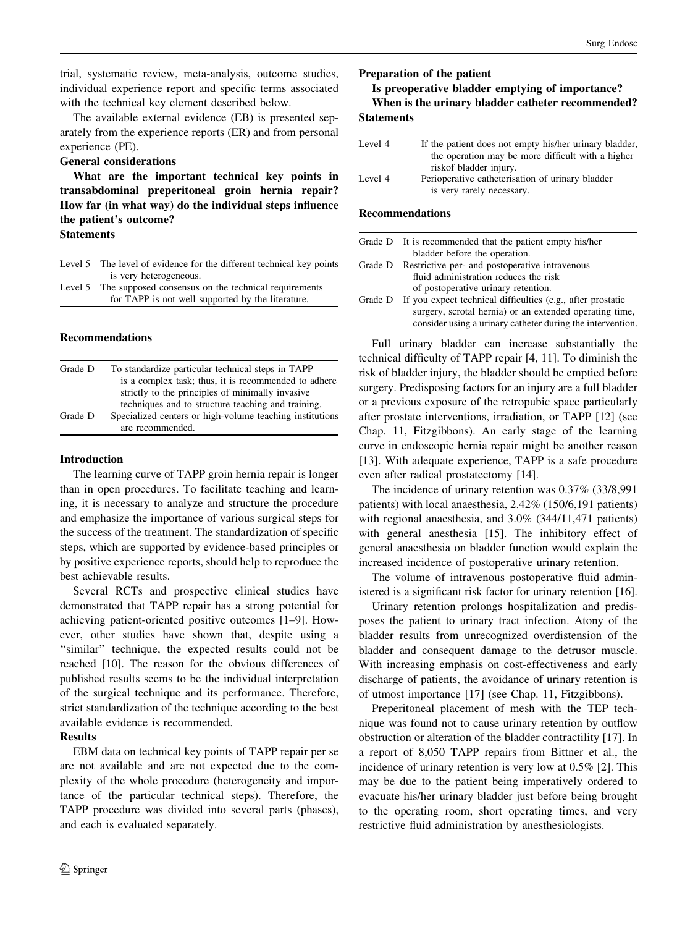trial, systematic review, meta-analysis, outcome studies, individual experience report and specific terms associated with the technical key element described below.

The available external evidence (EB) is presented separately from the experience reports (ER) and from personal experience (PE).

## General considerations

What are the important technical key points in transabdominal preperitoneal groin hernia repair? How far (in what way) do the individual steps influence the patient's outcome? **Statements** 

| Level 5 | The level of evidence for the different technical key points |
|---------|--------------------------------------------------------------|
|         | is very heterogeneous.                                       |
| Level 5 | The supposed consensus on the technical requirements         |
|         | for TAPP is not well supported by the literature.            |
|         |                                                              |

### Recommendations

| Grade D | To standardize particular technical steps in TAPP        |
|---------|----------------------------------------------------------|
|         | is a complex task; thus, it is recommended to adhere     |
|         | strictly to the principles of minimally invasive         |
|         | techniques and to structure teaching and training.       |
| Grade D | Specialized centers or high-volume teaching institutions |
|         | are recommended.                                         |

### Introduction

The learning curve of TAPP groin hernia repair is longer than in open procedures. To facilitate teaching and learning, it is necessary to analyze and structure the procedure and emphasize the importance of various surgical steps for the success of the treatment. The standardization of specific steps, which are supported by evidence-based principles or by positive experience reports, should help to reproduce the best achievable results.

Several RCTs and prospective clinical studies have demonstrated that TAPP repair has a strong potential for achieving patient-oriented positive outcomes [1–9]. However, other studies have shown that, despite using a "similar" technique, the expected results could not be reached [10]. The reason for the obvious differences of published results seems to be the individual interpretation of the surgical technique and its performance. Therefore, strict standardization of the technique according to the best available evidence is recommended.

## Results

EBM data on technical key points of TAPP repair per se are not available and are not expected due to the complexity of the whole procedure (heterogeneity and importance of the particular technical steps). Therefore, the TAPP procedure was divided into several parts (phases), and each is evaluated separately.

### Preparation of the patient

## Is preoperative bladder emptying of importance? When is the urinary bladder catheter recommended? Statements

| Level 4 | If the patient does not empty his/her urinary bladder,<br>the operation may be more difficult with a higher |
|---------|-------------------------------------------------------------------------------------------------------------|
|         | riskof bladder injury.                                                                                      |
| Level 4 | Perioperative catheterisation of urinary bladder                                                            |
|         | is very rarely necessary.                                                                                   |

### Recommendations

| Grade D It is recommended that the patient empty his/her            |
|---------------------------------------------------------------------|
| bladder before the operation.                                       |
| Grade D Restrictive per- and postoperative intravenous              |
| fluid administration reduces the risk                               |
| of postoperative urinary retention.                                 |
| Grade D If you expect technical difficulties (e.g., after prostatic |
| surgery, scrotal hernia) or an extended operating time,             |
| consider using a urinary catheter during the intervention.          |
|                                                                     |

Full urinary bladder can increase substantially the technical difficulty of TAPP repair [4, 11]. To diminish the risk of bladder injury, the bladder should be emptied before surgery. Predisposing factors for an injury are a full bladder or a previous exposure of the retropubic space particularly after prostate interventions, irradiation, or TAPP [12] (see Chap. 11, Fitzgibbons). An early stage of the learning curve in endoscopic hernia repair might be another reason [13]. With adequate experience, TAPP is a safe procedure even after radical prostatectomy [14].

The incidence of urinary retention was 0.37% (33/8,991 patients) with local anaesthesia, 2.42% (150/6,191 patients) with regional anaesthesia, and 3.0% (344/11,471 patients) with general anesthesia [15]. The inhibitory effect of general anaesthesia on bladder function would explain the increased incidence of postoperative urinary retention.

The volume of intravenous postoperative fluid administered is a significant risk factor for urinary retention [16].

Urinary retention prolongs hospitalization and predisposes the patient to urinary tract infection. Atony of the bladder results from unrecognized overdistension of the bladder and consequent damage to the detrusor muscle. With increasing emphasis on cost-effectiveness and early discharge of patients, the avoidance of urinary retention is of utmost importance [17] (see Chap. 11, Fitzgibbons).

Preperitoneal placement of mesh with the TEP technique was found not to cause urinary retention by outflow obstruction or alteration of the bladder contractility [17]. In a report of 8,050 TAPP repairs from Bittner et al., the incidence of urinary retention is very low at 0.5% [2]. This may be due to the patient being imperatively ordered to evacuate his/her urinary bladder just before being brought to the operating room, short operating times, and very restrictive fluid administration by anesthesiologists.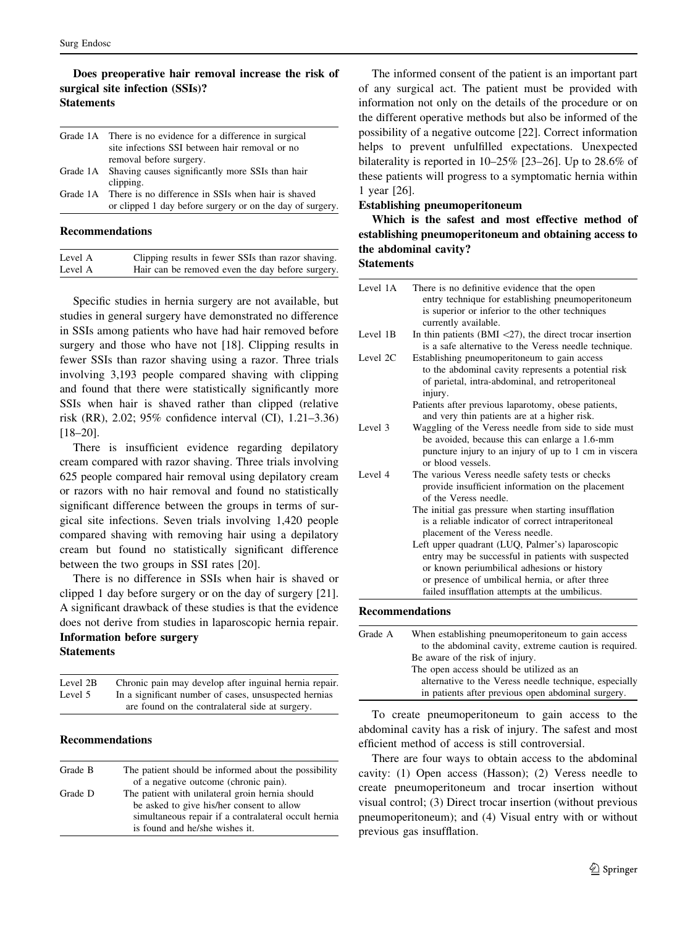## Does preoperative hair removal increase the risk of surgical site infection (SSIs)? **Statements**

| Grade 1A There is no evidence for a difference in surgical                                                               |
|--------------------------------------------------------------------------------------------------------------------------|
| site infections SSI between hair removal or no                                                                           |
| removal before surgery.                                                                                                  |
| Grade 1A Shaving causes significantly more SSIs than hair<br>clipping.                                                   |
| Grade 1A There is no difference in SSIs when hair is shaved<br>or clipped 1 day before surgery or on the day of surgery. |
|                                                                                                                          |

### Recommendations

| Level A | Clipping results in fewer SSIs than razor shaving. |
|---------|----------------------------------------------------|
| Level A | Hair can be removed even the day before surgery.   |

Specific studies in hernia surgery are not available, but studies in general surgery have demonstrated no difference in SSIs among patients who have had hair removed before surgery and those who have not [18]. Clipping results in fewer SSIs than razor shaving using a razor. Three trials involving 3,193 people compared shaving with clipping and found that there were statistically significantly more SSIs when hair is shaved rather than clipped (relative risk (RR), 2.02; 95% confidence interval (CI), 1.21–3.36) [18–20].

There is insufficient evidence regarding depilatory cream compared with razor shaving. Three trials involving 625 people compared hair removal using depilatory cream or razors with no hair removal and found no statistically significant difference between the groups in terms of surgical site infections. Seven trials involving 1,420 people compared shaving with removing hair using a depilatory cream but found no statistically significant difference between the two groups in SSI rates [20].

There is no difference in SSIs when hair is shaved or clipped 1 day before surgery or on the day of surgery [21]. A significant drawback of these studies is that the evidence does not derive from studies in laparoscopic hernia repair. Information before surgery **Statements** 

| Level 2B | Chronic pain may develop after inguinal hernia repair. |
|----------|--------------------------------------------------------|
| Level 5  | In a significant number of cases, unsuspected hernias  |
|          | are found on the contralateral side at surgery.        |

### Recommendations

| Grade B | The patient should be informed about the possibility |
|---------|------------------------------------------------------|
|         | of a negative outcome (chronic pain).                |
| Grade D | The patient with unilateral groin hernia should      |
|         | be asked to give his/her consent to allow            |
|         | simultaneous repair if a contralateral occult hernia |
|         | is found and he/she wishes it.                       |

The informed consent of the patient is an important part of any surgical act. The patient must be provided with information not only on the details of the procedure or on the different operative methods but also be informed of the possibility of a negative outcome [22]. Correct information helps to prevent unfulfilled expectations. Unexpected bilaterality is reported in 10–25% [23–26]. Up to 28.6% of these patients will progress to a symptomatic hernia within 1 year [26].

## Establishing pneumoperitoneum

Which is the safest and most effective method of establishing pneumoperitoneum and obtaining access to the abdominal cavity? **Statements** 

| Level 1A   | There is no definitive evidence that the open                                                                                      |
|------------|------------------------------------------------------------------------------------------------------------------------------------|
|            | entry technique for establishing pneumoperitoneum                                                                                  |
|            | is superior or inferior to the other techniques                                                                                    |
|            | currently available.                                                                                                               |
| Level 1B   | In thin patients (BMI $\langle 27 \rangle$ ), the direct trocar insertion<br>is a safe alternative to the Veress needle technique. |
| Level $2C$ | Establishing pneumoperitoneum to gain access                                                                                       |
|            | to the abdominal cavity represents a potential risk                                                                                |
|            | of parietal, intra-abdominal, and retroperitoneal                                                                                  |
|            | injury.                                                                                                                            |
|            | Patients after previous laparotomy, obese patients,                                                                                |
|            | and very thin patients are at a higher risk.                                                                                       |
| Level 3    | Waggling of the Veress needle from side to side must                                                                               |
|            | be avoided, because this can enlarge a 1.6-mm                                                                                      |
|            | puncture injury to an injury of up to 1 cm in viscera                                                                              |
|            | or blood vessels.                                                                                                                  |
| Level 4    | The various Veress needle safety tests or checks                                                                                   |
|            | provide insufficient information on the placement                                                                                  |
|            | of the Veress needle.                                                                                                              |
|            | The initial gas pressure when starting insufflation                                                                                |
|            | is a reliable indicator of correct intraperitoneal                                                                                 |
|            | placement of the Veress needle.                                                                                                    |
|            | Left upper quadrant (LUQ, Palmer's) laparoscopic                                                                                   |
|            | entry may be successful in patients with suspected                                                                                 |
|            | or known periumbilical adhesions or history                                                                                        |
|            | or presence of umbilical hernia, or after three                                                                                    |
|            | failed insufflation attempts at the umbilicus.                                                                                     |
|            |                                                                                                                                    |
|            | <b>Recommendations</b>                                                                                                             |

| Grade A | When establishing pneumoperitoneum to gain access<br>to the abdominal cavity, extreme caution is required. |
|---------|------------------------------------------------------------------------------------------------------------|
|         | Be aware of the risk of injury.                                                                            |
|         | The open access should be utilized as an                                                                   |
|         | alternative to the Veress needle technique, especially                                                     |
|         | in patients after previous open abdominal surgery.                                                         |

To create pneumoperitoneum to gain access to the abdominal cavity has a risk of injury. The safest and most efficient method of access is still controversial.

There are four ways to obtain access to the abdominal cavity: (1) Open access (Hasson); (2) Veress needle to create pneumoperitoneum and trocar insertion without visual control; (3) Direct trocar insertion (without previous pneumoperitoneum); and (4) Visual entry with or without previous gas insufflation.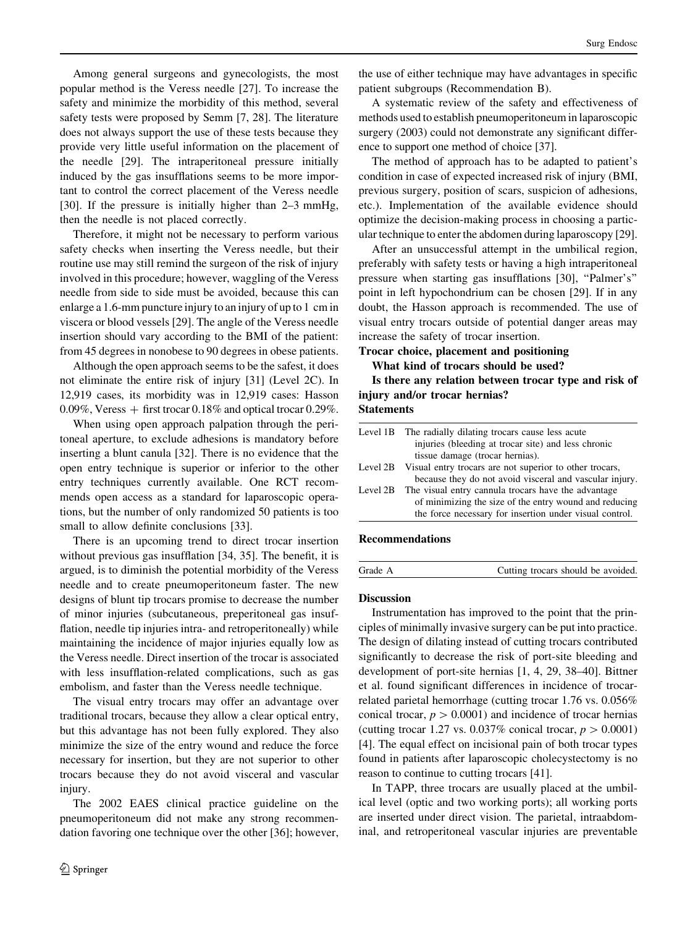Surg Endosc

Among general surgeons and gynecologists, the most popular method is the Veress needle [27]. To increase the safety and minimize the morbidity of this method, several safety tests were proposed by Semm [7, 28]. The literature does not always support the use of these tests because they provide very little useful information on the placement of the needle [29]. The intraperitoneal pressure initially induced by the gas insufflations seems to be more important to control the correct placement of the Veress needle [30]. If the pressure is initially higher than 2–3 mmHg, then the needle is not placed correctly.

Therefore, it might not be necessary to perform various safety checks when inserting the Veress needle, but their routine use may still remind the surgeon of the risk of injury involved in this procedure; however, waggling of the Veress needle from side to side must be avoided, because this can enlarge a 1.6-mm puncture injury to an injury of up to 1 cm in viscera or blood vessels [29]. The angle of the Veress needle insertion should vary according to the BMI of the patient: from 45 degrees in nonobese to 90 degrees in obese patients.

Although the open approach seems to be the safest, it does not eliminate the entire risk of injury [31] (Level 2C). In 12,919 cases, its morbidity was in 12,919 cases: Hasson  $0.09\%$ , Veress  $+$  first trocar  $0.18\%$  and optical trocar  $0.29\%$ .

When using open approach palpation through the peritoneal aperture, to exclude adhesions is mandatory before inserting a blunt canula [32]. There is no evidence that the open entry technique is superior or inferior to the other entry techniques currently available. One RCT recommends open access as a standard for laparoscopic operations, but the number of only randomized 50 patients is too small to allow definite conclusions [33].

There is an upcoming trend to direct trocar insertion without previous gas insufflation [34, 35]. The benefit, it is argued, is to diminish the potential morbidity of the Veress needle and to create pneumoperitoneum faster. The new designs of blunt tip trocars promise to decrease the number of minor injuries (subcutaneous, preperitoneal gas insufflation, needle tip injuries intra- and retroperitoneally) while maintaining the incidence of major injuries equally low as the Veress needle. Direct insertion of the trocar is associated with less insufflation-related complications, such as gas embolism, and faster than the Veress needle technique.

The visual entry trocars may offer an advantage over traditional trocars, because they allow a clear optical entry, but this advantage has not been fully explored. They also minimize the size of the entry wound and reduce the force necessary for insertion, but they are not superior to other trocars because they do not avoid visceral and vascular injury.

The 2002 EAES clinical practice guideline on the pneumoperitoneum did not make any strong recommendation favoring one technique over the other [36]; however, the use of either technique may have advantages in specific patient subgroups (Recommendation B).

A systematic review of the safety and effectiveness of methods used to establish pneumoperitoneum in laparoscopic surgery (2003) could not demonstrate any significant difference to support one method of choice [37].

The method of approach has to be adapted to patient's condition in case of expected increased risk of injury (BMI, previous surgery, position of scars, suspicion of adhesions, etc.). Implementation of the available evidence should optimize the decision-making process in choosing a particular technique to enter the abdomen during laparoscopy [29].

After an unsuccessful attempt in the umbilical region, preferably with safety tests or having a high intraperitoneal pressure when starting gas insufflations [30], ''Palmer's'' point in left hypochondrium can be chosen [29]. If in any doubt, the Hasson approach is recommended. The use of visual entry trocars outside of potential danger areas may increase the safety of trocar insertion.

Trocar choice, placement and positioning

What kind of trocars should be used?

Is there any relation between trocar type and risk of injury and/or trocar hernias? Statements

| Level 1B | The radially dilating trocars cause less acute                   |
|----------|------------------------------------------------------------------|
|          | injuries (bleeding at trocar site) and less chronic              |
|          | tissue damage (trocar hernias).                                  |
|          | Level 2B Visual entry trocars are not superior to other trocars, |
|          | because they do not avoid visceral and vascular injury.          |
|          | Level 2B The visual entry cannula trocars have the advantage     |
|          | of minimizing the size of the entry wound and reducing           |
|          | the force necessary for insertion under visual control.          |

### Recommendations

Grade A Cutting trocars should be avoided.

### **Discussion**

Instrumentation has improved to the point that the principles of minimally invasive surgery can be put into practice. The design of dilating instead of cutting trocars contributed significantly to decrease the risk of port-site bleeding and development of port-site hernias [1, 4, 29, 38–40]. Bittner et al. found significant differences in incidence of trocarrelated parietal hemorrhage (cutting trocar 1.76 vs. 0.056% conical trocar,  $p > 0.0001$ ) and incidence of trocar hernias (cutting trocar 1.27 vs. 0.037% conical trocar,  $p > 0.0001$ ) [4]. The equal effect on incisional pain of both trocar types found in patients after laparoscopic cholecystectomy is no reason to continue to cutting trocars [41].

In TAPP, three trocars are usually placed at the umbilical level (optic and two working ports); all working ports are inserted under direct vision. The parietal, intraabdominal, and retroperitoneal vascular injuries are preventable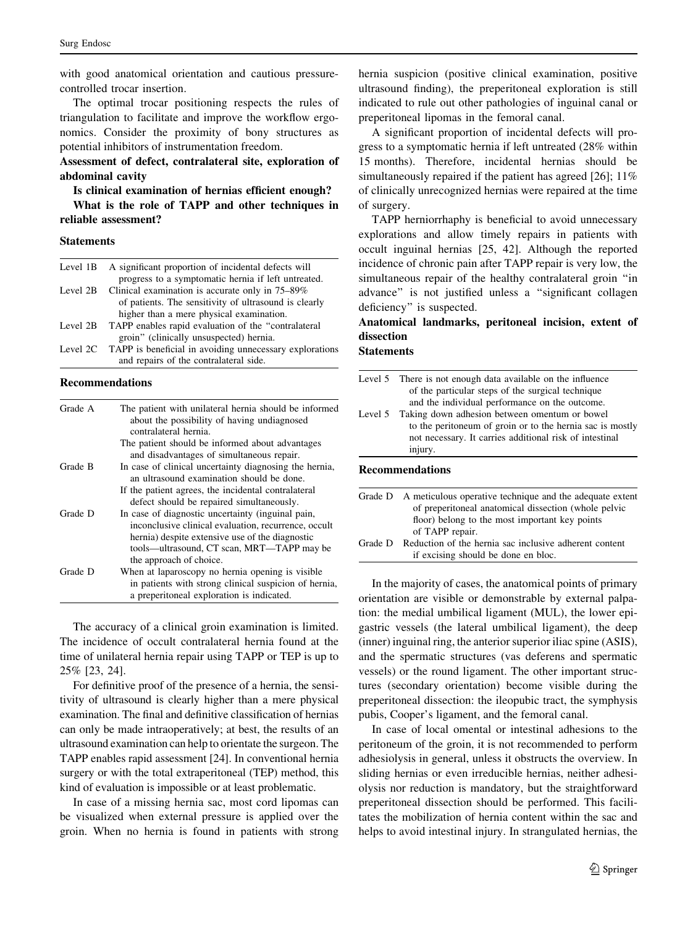with good anatomical orientation and cautious pressurecontrolled trocar insertion.

The optimal trocar positioning respects the rules of triangulation to facilitate and improve the workflow ergonomics. Consider the proximity of bony structures as potential inhibitors of instrumentation freedom.

Assessment of defect, contralateral site, exploration of abdominal cavity

Is clinical examination of hernias efficient enough?

What is the role of TAPP and other techniques in reliable assessment?

### Statements

| Level 1B | A significant proportion of incidental defects will              |
|----------|------------------------------------------------------------------|
|          | progress to a symptomatic hernia if left untreated.              |
| Level 2B | Clinical examination is accurate only in 75–89%                  |
|          | of patients. The sensitivity of ultrasound is clearly            |
|          | higher than a mere physical examination.                         |
| Level 2B | TAPP enables rapid evaluation of the "contralateral"             |
|          | groin" (clinically unsuspected) hernia.                          |
|          | Level 2C TAPP is beneficial in avoiding unnecessary explorations |
|          | and repairs of the contralateral side.                           |

### Recommendations

| Grade A | The patient with unilateral hernia should be informed<br>about the possibility of having undiagnosed<br>contralateral hernia. |
|---------|-------------------------------------------------------------------------------------------------------------------------------|
|         | The patient should be informed about advantages                                                                               |
|         | and disadvantages of simultaneous repair.                                                                                     |
| Grade B | In case of clinical uncertainty diagnosing the hernia,                                                                        |
|         | an ultrasound examination should be done.                                                                                     |
|         | If the patient agrees, the incidental contralateral                                                                           |
|         | defect should be repaired simultaneously.                                                                                     |
| Grade D | In case of diagnostic uncertainty (inguinal pain,                                                                             |
|         | inconclusive clinical evaluation, recurrence, occult                                                                          |
|         | hernia) despite extensive use of the diagnostic                                                                               |
|         | tools—ultrasound, CT scan, MRT—TAPP may be                                                                                    |
|         | the approach of choice.                                                                                                       |
| Grade D | When at laparoscopy no hernia opening is visible.                                                                             |
|         | in patients with strong clinical suspicion of hernia,                                                                         |
|         | a preperitoneal exploration is indicated.                                                                                     |

The accuracy of a clinical groin examination is limited. The incidence of occult contralateral hernia found at the time of unilateral hernia repair using TAPP or TEP is up to 25% [23, 24].

For definitive proof of the presence of a hernia, the sensitivity of ultrasound is clearly higher than a mere physical examination. The final and definitive classification of hernias can only be made intraoperatively; at best, the results of an ultrasound examination can help to orientate the surgeon. The TAPP enables rapid assessment [24]. In conventional hernia surgery or with the total extraperitoneal (TEP) method, this kind of evaluation is impossible or at least problematic.

In case of a missing hernia sac, most cord lipomas can be visualized when external pressure is applied over the groin. When no hernia is found in patients with strong hernia suspicion (positive clinical examination, positive ultrasound finding), the preperitoneal exploration is still indicated to rule out other pathologies of inguinal canal or preperitoneal lipomas in the femoral canal.

A significant proportion of incidental defects will progress to a symptomatic hernia if left untreated (28% within 15 months). Therefore, incidental hernias should be simultaneously repaired if the patient has agreed [26]; 11% of clinically unrecognized hernias were repaired at the time of surgery.

TAPP herniorrhaphy is beneficial to avoid unnecessary explorations and allow timely repairs in patients with occult inguinal hernias [25, 42]. Although the reported incidence of chronic pain after TAPP repair is very low, the simultaneous repair of the healthy contralateral groin ''in advance'' is not justified unless a ''significant collagen deficiency'' is suspected.

# Anatomical landmarks, peritoneal incision, extent of dissection

### Statements

| Level 5 There is not enough data available on the influence      |
|------------------------------------------------------------------|
| of the particular steps of the surgical technique                |
| and the individual performance on the outcome.                   |
| Level 5 Taking down adhesion between omentum or bowel            |
| to the peritoneum of groin or to the hernia sac is mostly        |
| not necessary. It carries additional risk of intestinal          |
| injury.                                                          |
| <b>Recommendations</b>                                           |
| Grade D A meticulous operative technique and the adequate extent |

|         | Orage D - A mencinous operative technique and the adequate extent |
|---------|-------------------------------------------------------------------|
|         | of preperitoneal anatomical dissection (whole pelvic              |
|         | floor) belong to the most important key points                    |
|         | of TAPP repair.                                                   |
| Grade D | Reduction of the hernia sac inclusive adherent content            |
|         | if excising should be done en bloc.                               |

In the majority of cases, the anatomical points of primary orientation are visible or demonstrable by external palpation: the medial umbilical ligament (MUL), the lower epigastric vessels (the lateral umbilical ligament), the deep (inner) inguinal ring, the anterior superior iliac spine (ASIS), and the spermatic structures (vas deferens and spermatic vessels) or the round ligament. The other important structures (secondary orientation) become visible during the preperitoneal dissection: the ileopubic tract, the symphysis pubis, Cooper's ligament, and the femoral canal.

In case of local omental or intestinal adhesions to the peritoneum of the groin, it is not recommended to perform adhesiolysis in general, unless it obstructs the overview. In sliding hernias or even irreducible hernias, neither adhesiolysis nor reduction is mandatory, but the straightforward preperitoneal dissection should be performed. This facilitates the mobilization of hernia content within the sac and helps to avoid intestinal injury. In strangulated hernias, the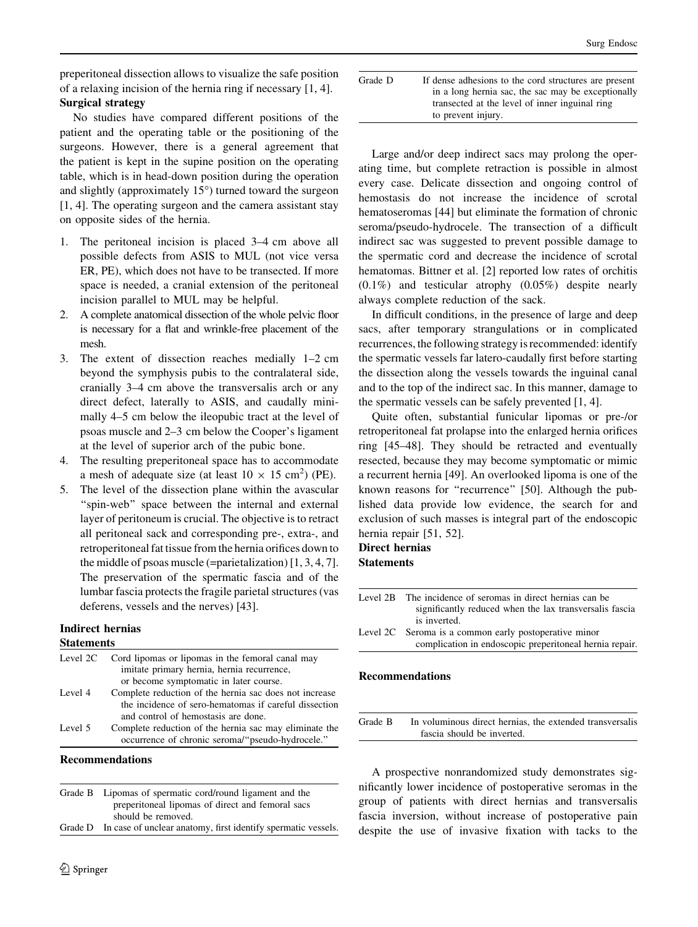preperitoneal dissection allows to visualize the safe position of a relaxing incision of the hernia ring if necessary [1, 4].

# Surgical strategy

No studies have compared different positions of the patient and the operating table or the positioning of the surgeons. However, there is a general agreement that the patient is kept in the supine position on the operating table, which is in head-down position during the operation and slightly (approximately  $15^{\circ}$ ) turned toward the surgeon [1, 4]. The operating surgeon and the camera assistant stay on opposite sides of the hernia.

- 1. The peritoneal incision is placed 3–4 cm above all possible defects from ASIS to MUL (not vice versa ER, PE), which does not have to be transected. If more space is needed, a cranial extension of the peritoneal incision parallel to MUL may be helpful.
- 2. A complete anatomical dissection of the whole pelvic floor is necessary for a flat and wrinkle-free placement of the mesh.
- 3. The extent of dissection reaches medially 1–2 cm beyond the symphysis pubis to the contralateral side, cranially 3–4 cm above the transversalis arch or any direct defect, laterally to ASIS, and caudally minimally 4–5 cm below the ileopubic tract at the level of psoas muscle and 2–3 cm below the Cooper's ligament at the level of superior arch of the pubic bone.
- 4. The resulting preperitoneal space has to accommodate a mesh of adequate size (at least  $10 \times 15$  cm<sup>2</sup>) (PE).
- 5. The level of the dissection plane within the avascular "spin-web" space between the internal and external layer of peritoneum is crucial. The objective is to retract all peritoneal sack and corresponding pre-, extra-, and retroperitoneal fat tissue from the hernia orifices down to the middle of psoas muscle (=parietalization) [1, 3, 4, 7]. The preservation of the spermatic fascia and of the lumbar fascia protects the fragile parietal structures (vas deferens, vessels and the nerves) [43].

#### Indirect hernias Statements

| маниения |                                                                                                            |  |
|----------|------------------------------------------------------------------------------------------------------------|--|
| Level 2C | Cord lipomas or lipomas in the femoral canal may<br>imitate primary hernia, hernia recurrence,             |  |
|          | or become symptomatic in later course.                                                                     |  |
| Level 4  | Complete reduction of the hernia sac does not increase                                                     |  |
|          | the incidence of sero-hematomas if careful dissection<br>and control of hemostasis are done.               |  |
| Level 5  | Complete reduction of the hernia sac may eliminate the<br>occurrence of chronic seroma/"pseudo-hydrocele." |  |
|          |                                                                                                            |  |

## Recommendations

| Grade B Lipomas of spermatic cord/round ligament and the              |
|-----------------------------------------------------------------------|
| preperitoneal lipomas of direct and femoral sacs                      |
| should be removed.                                                    |
| Grade D In case of unclear anatomy, first identify spermatic vessels. |

| Grade D | If dense adhesions to the cord structures are present |
|---------|-------------------------------------------------------|
|         | in a long hernia sac, the sac may be exceptionally    |
|         | transected at the level of inner inguinal ring        |
|         | to prevent injury.                                    |

Large and/or deep indirect sacs may prolong the operating time, but complete retraction is possible in almost every case. Delicate dissection and ongoing control of hemostasis do not increase the incidence of scrotal hematoseromas [44] but eliminate the formation of chronic seroma/pseudo-hydrocele. The transection of a difficult indirect sac was suggested to prevent possible damage to the spermatic cord and decrease the incidence of scrotal hematomas. Bittner et al. [2] reported low rates of orchitis (0.1%) and testicular atrophy (0.05%) despite nearly always complete reduction of the sack.

In difficult conditions, in the presence of large and deep sacs, after temporary strangulations or in complicated recurrences, the following strategy is recommended: identify the spermatic vessels far latero-caudally first before starting the dissection along the vessels towards the inguinal canal and to the top of the indirect sac. In this manner, damage to the spermatic vessels can be safely prevented [1, 4].

Quite often, substantial funicular lipomas or pre-/or retroperitoneal fat prolapse into the enlarged hernia orifices ring [45–48]. They should be retracted and eventually resected, because they may become symptomatic or mimic a recurrent hernia [49]. An overlooked lipoma is one of the known reasons for "recurrence" [50]. Although the published data provide low evidence, the search for and exclusion of such masses is integral part of the endoscopic hernia repair [51, 52].

Direct hernias Statements

| is inverted.<br>Level 2C Seroma is a common early postoperative minor | Level 2B The incidence of seromas in direct hernias can be |
|-----------------------------------------------------------------------|------------------------------------------------------------|
|                                                                       | significantly reduced when the lax transversalis fascia    |
|                                                                       | complication in endoscopic preperitoneal hernia repair.    |

## Recommendations

Grade B In voluminous direct hernias, the extended transversalis fascia should be inverted.

A prospective nonrandomized study demonstrates significantly lower incidence of postoperative seromas in the group of patients with direct hernias and transversalis fascia inversion, without increase of postoperative pain despite the use of invasive fixation with tacks to the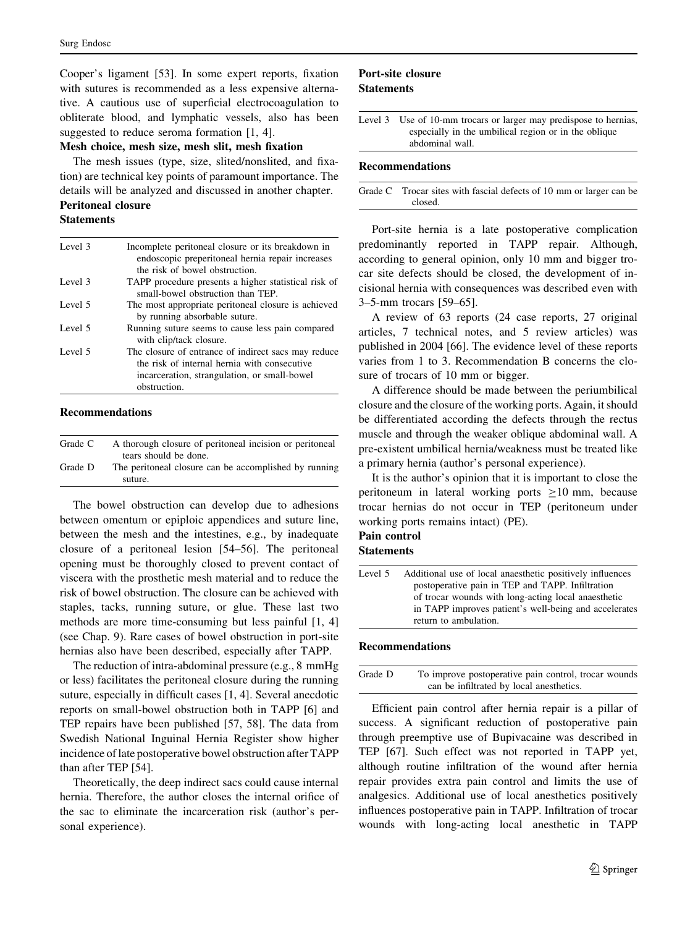Cooper's ligament [53]. In some expert reports, fixation with sutures is recommended as a less expensive alternative. A cautious use of superficial electrocoagulation to obliterate blood, and lymphatic vessels, also has been suggested to reduce seroma formation [1, 4].

# Mesh choice, mesh size, mesh slit, mesh fixation

The mesh issues (type, size, slited/nonslited, and fixation) are technical key points of paramount importance. The details will be analyzed and discussed in another chapter.

### Peritoneal closure **Statements**

| Level 3 | Incomplete peritoneal closure or its breakdown in<br>endoscopic preperitoneal hernia repair increases<br>the risk of bowel obstruction.                             |
|---------|---------------------------------------------------------------------------------------------------------------------------------------------------------------------|
| Level 3 | TAPP procedure presents a higher statistical risk of<br>small-bowel obstruction than TEP.                                                                           |
| Level 5 | The most appropriate peritoneal closure is achieved<br>by running absorbable suture.                                                                                |
| Level 5 | Running suture seems to cause less pain compared<br>with clip/tack closure.                                                                                         |
| Level 5 | The closure of entrance of indirect sacs may reduce<br>the risk of internal hernia with consecutive<br>incarceration, strangulation, or small-bowel<br>obstruction. |

## Recommendations

| Grade C | A thorough closure of peritoneal incision or peritoneal<br>tears should be done. |
|---------|----------------------------------------------------------------------------------|
| Grade D | The peritoneal closure can be accomplished by running<br>suture.                 |

The bowel obstruction can develop due to adhesions between omentum or epiploic appendices and suture line, between the mesh and the intestines, e.g., by inadequate closure of a peritoneal lesion [54–56]. The peritoneal opening must be thoroughly closed to prevent contact of viscera with the prosthetic mesh material and to reduce the risk of bowel obstruction. The closure can be achieved with staples, tacks, running suture, or glue. These last two methods are more time-consuming but less painful [1, 4] (see Chap. 9). Rare cases of bowel obstruction in port-site hernias also have been described, especially after TAPP.

The reduction of intra-abdominal pressure (e.g., 8 mmHg or less) facilitates the peritoneal closure during the running suture, especially in difficult cases [1, 4]. Several anecdotic reports on small-bowel obstruction both in TAPP [6] and TEP repairs have been published [57, 58]. The data from Swedish National Inguinal Hernia Register show higher incidence of late postoperative bowel obstruction after TAPP than after TEP [54].

Theoretically, the deep indirect sacs could cause internal hernia. Therefore, the author closes the internal orifice of the sac to eliminate the incarceration risk (author's personal experience).

## Port-site closure **Statements**

| Level 3 Use of 10-mm trocars or larger may predispose to hernias, |
|-------------------------------------------------------------------|
| especially in the umbilical region or in the oblique              |
| abdominal wall.                                                   |

### Recommendations

| Grade C Trocar sites with fascial defects of 10 mm or larger can be |  |  |  |  |
|---------------------------------------------------------------------|--|--|--|--|
| closed.                                                             |  |  |  |  |

Port-site hernia is a late postoperative complication predominantly reported in TAPP repair. Although, according to general opinion, only 10 mm and bigger trocar site defects should be closed, the development of incisional hernia with consequences was described even with 3–5-mm trocars [59–65].

A review of 63 reports (24 case reports, 27 original articles, 7 technical notes, and 5 review articles) was published in 2004 [66]. The evidence level of these reports varies from 1 to 3. Recommendation B concerns the closure of trocars of 10 mm or bigger.

A difference should be made between the periumbilical closure and the closure of the working ports. Again, it should be differentiated according the defects through the rectus muscle and through the weaker oblique abdominal wall. A pre-existent umbilical hernia/weakness must be treated like a primary hernia (author's personal experience).

It is the author's opinion that it is important to close the peritoneum in lateral working ports  $\geq 10$  mm, because trocar hernias do not occur in TEP (peritoneum under working ports remains intact) (PE).

# Pain control

### **Statements**

| Level 5 | Additional use of local anaesthetic positively influences |
|---------|-----------------------------------------------------------|
|         | postoperative pain in TEP and TAPP. Infiltration          |
|         | of trocar wounds with long-acting local anaesthetic       |
|         | in TAPP improves patient's well-being and accelerates     |
|         | return to ambulation.                                     |

## Recommendations

| Grade D | To improve postoperative pain control, trocar wounds |
|---------|------------------------------------------------------|
|         | can be infiltrated by local anesthetics.             |

Efficient pain control after hernia repair is a pillar of success. A significant reduction of postoperative pain through preemptive use of Bupivacaine was described in TEP [67]. Such effect was not reported in TAPP yet, although routine infiltration of the wound after hernia repair provides extra pain control and limits the use of analgesics. Additional use of local anesthetics positively influences postoperative pain in TAPP. Infiltration of trocar wounds with long-acting local anesthetic in TAPP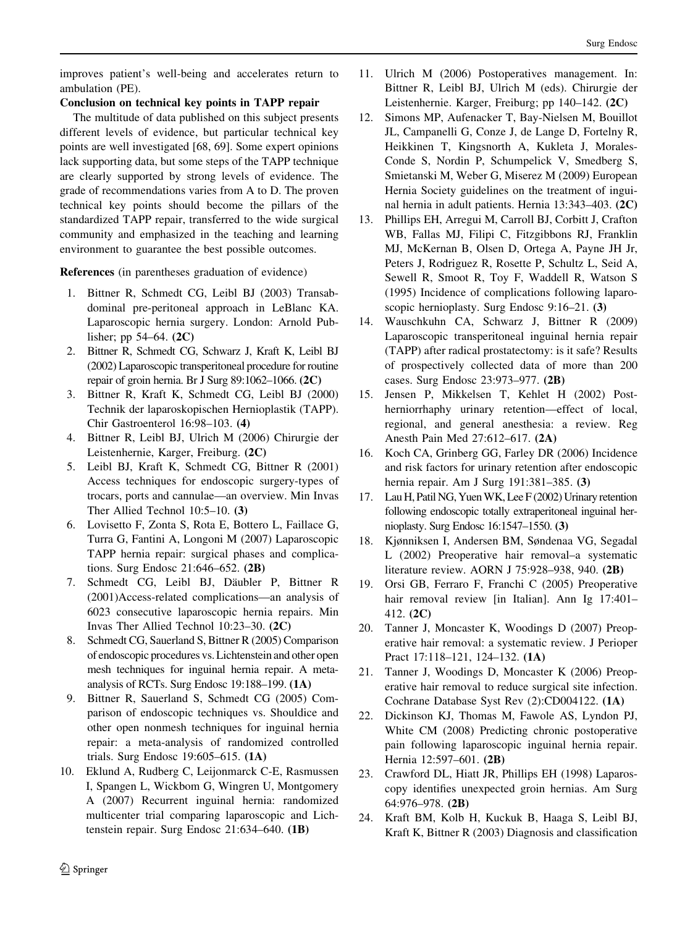improves patient's well-being and accelerates return to ambulation (PE).

## Conclusion on technical key points in TAPP repair

The multitude of data published on this subject presents different levels of evidence, but particular technical key points are well investigated [68, 69]. Some expert opinions lack supporting data, but some steps of the TAPP technique are clearly supported by strong levels of evidence. The grade of recommendations varies from A to D. The proven technical key points should become the pillars of the standardized TAPP repair, transferred to the wide surgical community and emphasized in the teaching and learning environment to guarantee the best possible outcomes.

# References (in parentheses graduation of evidence)

- 1. Bittner R, Schmedt CG, Leibl BJ (2003) Transabdominal pre-peritoneal approach in LeBlanc KA. Laparoscopic hernia surgery. London: Arnold Publisher; pp 54–64. (2C)
- 2. Bittner R, Schmedt CG, Schwarz J, Kraft K, Leibl BJ (2002) Laparoscopic transperitoneal procedure for routine repair of groin hernia. Br J Surg 89:1062–1066. (2C)
- 3. Bittner R, Kraft K, Schmedt CG, Leibl BJ (2000) Technik der laparoskopischen Hernioplastik (TAPP). Chir Gastroenterol 16:98–103. (4)
- 4. Bittner R, Leibl BJ, Ulrich M (2006) Chirurgie der Leistenhernie, Karger, Freiburg. (2C)
- 5. Leibl BJ, Kraft K, Schmedt CG, Bittner R (2001) Access techniques for endoscopic surgery-types of trocars, ports and cannulae—an overview. Min Invas Ther Allied Technol 10:5–10. (3)
- 6. Lovisetto F, Zonta S, Rota E, Bottero L, Faillace G, Turra G, Fantini A, Longoni M (2007) Laparoscopic TAPP hernia repair: surgical phases and complications. Surg Endosc 21:646–652. (2B)
- 7. Schmedt CG, Leibl BJ, Däubler P, Bittner R (2001)Access-related complications—an analysis of 6023 consecutive laparoscopic hernia repairs. Min Invas Ther Allied Technol 10:23–30. (2C)
- 8. Schmedt CG, Sauerland S, Bittner R (2005) Comparison of endoscopic procedures vs. Lichtenstein and other open mesh techniques for inguinal hernia repair. A metaanalysis of RCTs. Surg Endosc 19:188–199. (1A)
- 9. Bittner R, Sauerland S, Schmedt CG (2005) Comparison of endoscopic techniques vs. Shouldice and other open nonmesh techniques for inguinal hernia repair: a meta-analysis of randomized controlled trials. Surg Endosc 19:605–615. (1A)
- 10. Eklund A, Rudberg C, Leijonmarck C-E, Rasmussen I, Spangen L, Wickbom G, Wingren U, Montgomery A (2007) Recurrent inguinal hernia: randomized multicenter trial comparing laparoscopic and Lichtenstein repair. Surg Endosc 21:634–640. (1B)
- 11. Ulrich M (2006) Postoperatives management. In: Bittner R, Leibl BJ, Ulrich M (eds). Chirurgie der Leistenhernie. Karger, Freiburg; pp 140–142. (2C)
- 12. Simons MP, Aufenacker T, Bay-Nielsen M, Bouillot JL, Campanelli G, Conze J, de Lange D, Fortelny R, Heikkinen T, Kingsnorth A, Kukleta J, Morales-Conde S, Nordin P, Schumpelick V, Smedberg S, Smietanski M, Weber G, Miserez M (2009) European Hernia Society guidelines on the treatment of inguinal hernia in adult patients. Hernia 13:343–403. (2C)
- 13. Phillips EH, Arregui M, Carroll BJ, Corbitt J, Crafton WB, Fallas MJ, Filipi C, Fitzgibbons RJ, Franklin MJ, McKernan B, Olsen D, Ortega A, Payne JH Jr, Peters J, Rodriguez R, Rosette P, Schultz L, Seid A, Sewell R, Smoot R, Toy F, Waddell R, Watson S (1995) Incidence of complications following laparoscopic hernioplasty. Surg Endosc 9:16–21. (3)
- 14. Wauschkuhn CA, Schwarz J, Bittner R (2009) Laparoscopic transperitoneal inguinal hernia repair (TAPP) after radical prostatectomy: is it safe? Results of prospectively collected data of more than 200 cases. Surg Endosc 23:973–977. (2B)
- 15. Jensen P, Mikkelsen T, Kehlet H (2002) Postherniorrhaphy urinary retention—effect of local, regional, and general anesthesia: a review. Reg Anesth Pain Med 27:612–617. (2A)
- 16. Koch CA, Grinberg GG, Farley DR (2006) Incidence and risk factors for urinary retention after endoscopic hernia repair. Am J Surg 191:381–385. (3)
- 17. Lau H, Patil NG, Yuen WK, Lee F (2002) Urinary retention following endoscopic totally extraperitoneal inguinal hernioplasty. Surg Endosc 16:1547–1550. (3)
- 18. Kjønniksen I, Andersen BM, Søndenaa VG, Segadal L (2002) Preoperative hair removal–a systematic literature review. AORN J 75:928–938, 940. (2B)
- 19. Orsi GB, Ferraro F, Franchi C (2005) Preoperative hair removal review [in Italian]. Ann Ig 17:401– 412. (2C)
- 20. Tanner J, Moncaster K, Woodings D (2007) Preoperative hair removal: a systematic review. J Perioper Pract 17:118–121, 124–132. (1A)
- 21. Tanner J, Woodings D, Moncaster K (2006) Preoperative hair removal to reduce surgical site infection. Cochrane Database Syst Rev (2):CD004122. (1A)
- 22. Dickinson KJ, Thomas M, Fawole AS, Lyndon PJ, White CM (2008) Predicting chronic postoperative pain following laparoscopic inguinal hernia repair. Hernia 12:597–601. (2B)
- 23. Crawford DL, Hiatt JR, Phillips EH (1998) Laparoscopy identifies unexpected groin hernias. Am Surg 64:976–978. (2B)
- 24. Kraft BM, Kolb H, Kuckuk B, Haaga S, Leibl BJ, Kraft K, Bittner R (2003) Diagnosis and classification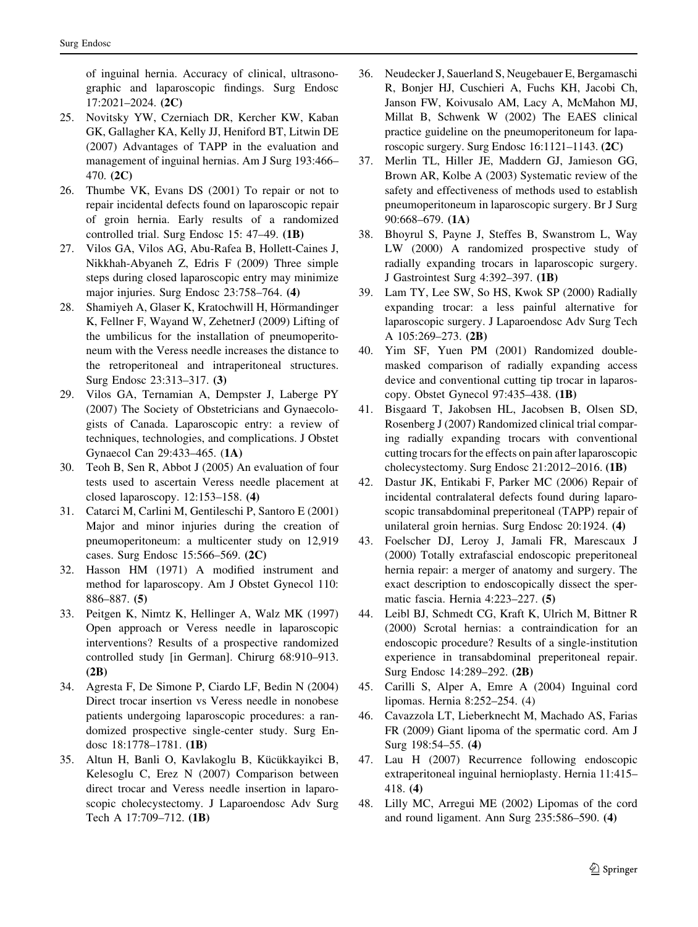of inguinal hernia. Accuracy of clinical, ultrasonographic and laparoscopic findings. Surg Endosc 17:2021–2024. (2C)

- 25. Novitsky YW, Czerniach DR, Kercher KW, Kaban GK, Gallagher KA, Kelly JJ, Heniford BT, Litwin DE (2007) Advantages of TAPP in the evaluation and management of inguinal hernias. Am J Surg 193:466– 470. (2C)
- 26. Thumbe VK, Evans DS (2001) To repair or not to repair incidental defects found on laparoscopic repair of groin hernia. Early results of a randomized controlled trial. Surg Endosc 15: 47–49. (1B)
- 27. Vilos GA, Vilos AG, Abu-Rafea B, Hollett-Caines J, Nikkhah-Abyaneh Z, Edris F (2009) Three simple steps during closed laparoscopic entry may minimize major injuries. Surg Endosc 23:758–764. (4)
- 28. Shamiyeh A, Glaser K, Kratochwill H, Hörmandinger K, Fellner F, Wayand W, ZehetnerJ (2009) Lifting of the umbilicus for the installation of pneumoperitoneum with the Veress needle increases the distance to the retroperitoneal and intraperitoneal structures. Surg Endosc 23:313–317. (3)
- 29. Vilos GA, Ternamian A, Dempster J, Laberge PY (2007) The Society of Obstetricians and Gynaecologists of Canada. Laparoscopic entry: a review of techniques, technologies, and complications. J Obstet Gynaecol Can 29:433–465. (1A)
- 30. Teoh B, Sen R, Abbot J (2005) An evaluation of four tests used to ascertain Veress needle placement at closed laparoscopy. 12:153–158. (4)
- 31. Catarci M, Carlini M, Gentileschi P, Santoro E (2001) Major and minor injuries during the creation of pneumoperitoneum: a multicenter study on 12,919 cases. Surg Endosc 15:566–569. (2C)
- 32. Hasson HM (1971) A modified instrument and method for laparoscopy. Am J Obstet Gynecol 110: 886–887. (5)
- 33. Peitgen K, Nimtz K, Hellinger A, Walz MK (1997) Open approach or Veress needle in laparoscopic interventions? Results of a prospective randomized controlled study [in German]. Chirurg 68:910–913. (2B)
- 34. Agresta F, De Simone P, Ciardo LF, Bedin N (2004) Direct trocar insertion vs Veress needle in nonobese patients undergoing laparoscopic procedures: a randomized prospective single-center study. Surg Endosc 18:1778–1781. (1B)
- 35. Altun H, Banli O, Kavlakoglu B, Kücükkayikci B, Kelesoglu C, Erez N (2007) Comparison between direct trocar and Veress needle insertion in laparoscopic cholecystectomy. J Laparoendosc Adv Surg Tech A 17:709–712. (1B)
- 36. Neudecker J, Sauerland S, Neugebauer E, Bergamaschi R, Bonjer HJ, Cuschieri A, Fuchs KH, Jacobi Ch, Janson FW, Koivusalo AM, Lacy A, McMahon MJ, Millat B, Schwenk W (2002) The EAES clinical practice guideline on the pneumoperitoneum for laparoscopic surgery. Surg Endosc 16:1121–1143. (2C)
- 37. Merlin TL, Hiller JE, Maddern GJ, Jamieson GG, Brown AR, Kolbe A (2003) Systematic review of the safety and effectiveness of methods used to establish pneumoperitoneum in laparoscopic surgery. Br J Surg 90:668–679. (1A)
- 38. Bhoyrul S, Payne J, Steffes B, Swanstrom L, Way LW (2000) A randomized prospective study of radially expanding trocars in laparoscopic surgery. J Gastrointest Surg 4:392–397. (1B)
- 39. Lam TY, Lee SW, So HS, Kwok SP (2000) Radially expanding trocar: a less painful alternative for laparoscopic surgery. J Laparoendosc Adv Surg Tech A 105:269–273. (2B)
- 40. Yim SF, Yuen PM (2001) Randomized doublemasked comparison of radially expanding access device and conventional cutting tip trocar in laparoscopy. Obstet Gynecol 97:435–438. (1B)
- 41. Bisgaard T, Jakobsen HL, Jacobsen B, Olsen SD, Rosenberg J (2007) Randomized clinical trial comparing radially expanding trocars with conventional cutting trocars for the effects on pain after laparoscopic cholecystectomy. Surg Endosc 21:2012–2016. (1B)
- 42. Dastur JK, Entikabi F, Parker MC (2006) Repair of incidental contralateral defects found during laparoscopic transabdominal preperitoneal (TAPP) repair of unilateral groin hernias. Surg Endosc 20:1924. (4)
- 43. Foelscher DJ, Leroy J, Jamali FR, Marescaux J (2000) Totally extrafascial endoscopic preperitoneal hernia repair: a merger of anatomy and surgery. The exact description to endoscopically dissect the spermatic fascia. Hernia 4:223–227. (5)
- 44. Leibl BJ, Schmedt CG, Kraft K, Ulrich M, Bittner R (2000) Scrotal hernias: a contraindication for an endoscopic procedure? Results of a single-institution experience in transabdominal preperitoneal repair. Surg Endosc 14:289–292. (2B)
- 45. Carilli S, Alper A, Emre A (2004) Inguinal cord lipomas. Hernia 8:252–254. (4)
- 46. Cavazzola LT, Lieberknecht M, Machado AS, Farias FR (2009) Giant lipoma of the spermatic cord. Am J Surg 198:54–55. (4)
- 47. Lau H (2007) Recurrence following endoscopic extraperitoneal inguinal hernioplasty. Hernia 11:415– 418. (4)
- 48. Lilly MC, Arregui ME (2002) Lipomas of the cord and round ligament. Ann Surg 235:586–590. (4)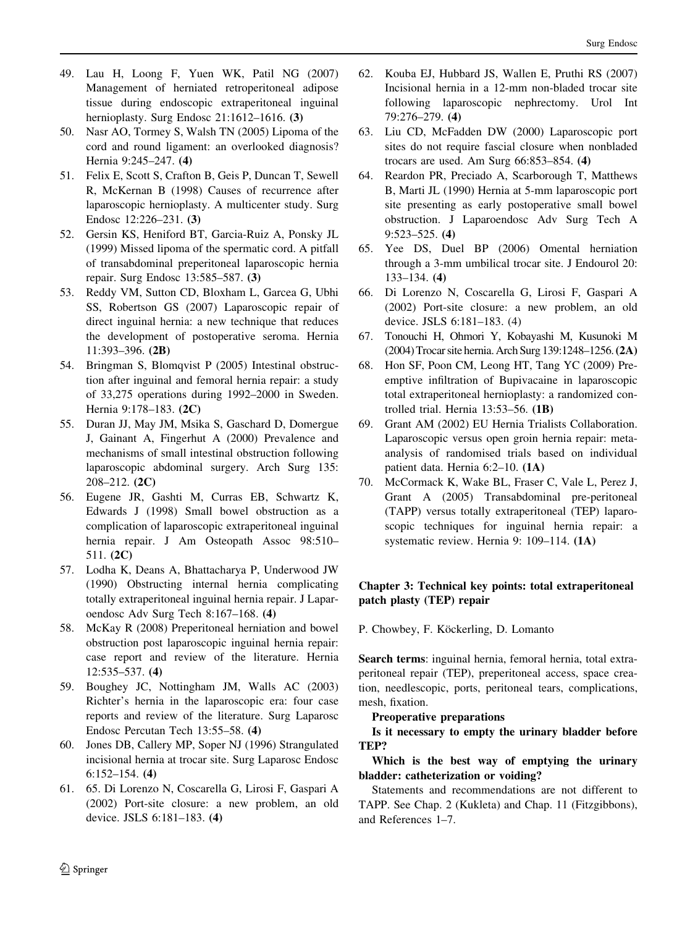- 49. Lau H, Loong F, Yuen WK, Patil NG (2007) Management of herniated retroperitoneal adipose tissue during endoscopic extraperitoneal inguinal hernioplasty. Surg Endosc 21:1612–1616. (3)
- 50. Nasr AO, Tormey S, Walsh TN (2005) Lipoma of the cord and round ligament: an overlooked diagnosis? Hernia 9:245–247. (4)
- 51. Felix E, Scott S, Crafton B, Geis P, Duncan T, Sewell R, McKernan B (1998) Causes of recurrence after laparoscopic hernioplasty. A multicenter study. Surg Endosc 12:226–231. (3)
- 52. Gersin KS, Heniford BT, Garcia-Ruiz A, Ponsky JL (1999) Missed lipoma of the spermatic cord. A pitfall of transabdominal preperitoneal laparoscopic hernia repair. Surg Endosc 13:585–587. (3)
- 53. Reddy VM, Sutton CD, Bloxham L, Garcea G, Ubhi SS, Robertson GS (2007) Laparoscopic repair of direct inguinal hernia: a new technique that reduces the development of postoperative seroma. Hernia 11:393–396. (2B)
- 54. Bringman S, Blomqvist P (2005) Intestinal obstruction after inguinal and femoral hernia repair: a study of 33,275 operations during 1992–2000 in Sweden. Hernia 9:178–183. (2C)
- 55. Duran JJ, May JM, Msika S, Gaschard D, Domergue J, Gainant A, Fingerhut A (2000) Prevalence and mechanisms of small intestinal obstruction following laparoscopic abdominal surgery. Arch Surg 135: 208–212. (2C)
- 56. Eugene JR, Gashti M, Curras EB, Schwartz K, Edwards J (1998) Small bowel obstruction as a complication of laparoscopic extraperitoneal inguinal hernia repair. J Am Osteopath Assoc 98:510– 511. (2C)
- 57. Lodha K, Deans A, Bhattacharya P, Underwood JW (1990) Obstructing internal hernia complicating totally extraperitoneal inguinal hernia repair. J Laparoendosc Adv Surg Tech 8:167–168. (4)
- 58. McKay R (2008) Preperitoneal herniation and bowel obstruction post laparoscopic inguinal hernia repair: case report and review of the literature. Hernia 12:535–537. (4)
- 59. Boughey JC, Nottingham JM, Walls AC (2003) Richter's hernia in the laparoscopic era: four case reports and review of the literature. Surg Laparosc Endosc Percutan Tech 13:55–58. (4)
- 60. Jones DB, Callery MP, Soper NJ (1996) Strangulated incisional hernia at trocar site. Surg Laparosc Endosc 6:152–154. (4)
- 61. 65. Di Lorenzo N, Coscarella G, Lirosi F, Gaspari A (2002) Port-site closure: a new problem, an old device. JSLS 6:181–183. (4)
- 62. Kouba EJ, Hubbard JS, Wallen E, Pruthi RS (2007) Incisional hernia in a 12-mm non-bladed trocar site following laparoscopic nephrectomy. Urol Int 79:276–279. (4)
- 63. Liu CD, McFadden DW (2000) Laparoscopic port sites do not require fascial closure when nonbladed trocars are used. Am Surg 66:853–854. (4)
- 64. Reardon PR, Preciado A, Scarborough T, Matthews B, Marti JL (1990) Hernia at 5-mm laparoscopic port site presenting as early postoperative small bowel obstruction. J Laparoendosc Adv Surg Tech A 9:523–525. (4)
- 65. Yee DS, Duel BP (2006) Omental herniation through a 3-mm umbilical trocar site. J Endourol 20: 133–134. (4)
- 66. Di Lorenzo N, Coscarella G, Lirosi F, Gaspari A (2002) Port-site closure: a new problem, an old device. JSLS 6:181–183. (4)
- 67. Tonouchi H, Ohmori Y, Kobayashi M, Kusunoki M (2004) Trocar site hernia. Arch Surg 139:1248–1256.(2A)
- 68. Hon SF, Poon CM, Leong HT, Tang YC (2009) Preemptive infiltration of Bupivacaine in laparoscopic total extraperitoneal hernioplasty: a randomized controlled trial. Hernia 13:53–56. (1B)
- 69. Grant AM (2002) EU Hernia Trialists Collaboration. Laparoscopic versus open groin hernia repair: metaanalysis of randomised trials based on individual patient data. Hernia 6:2–10. (1A)
- 70. McCormack K, Wake BL, Fraser C, Vale L, Perez J, Grant A (2005) Transabdominal pre-peritoneal (TAPP) versus totally extraperitoneal (TEP) laparoscopic techniques for inguinal hernia repair: a systematic review. Hernia 9: 109–114. (1A)

# Chapter 3: Technical key points: total extraperitoneal patch plasty (TEP) repair

P. Chowbey, F. Köckerling, D. Lomanto

Search terms: inguinal hernia, femoral hernia, total extraperitoneal repair (TEP), preperitoneal access, space creation, needlescopic, ports, peritoneal tears, complications, mesh, fixation.

## Preoperative preparations

Is it necessary to empty the urinary bladder before TEP?

# Which is the best way of emptying the urinary bladder: catheterization or voiding?

Statements and recommendations are not different to TAPP. See Chap. 2 (Kukleta) and Chap. 11 (Fitzgibbons), and References 1–7.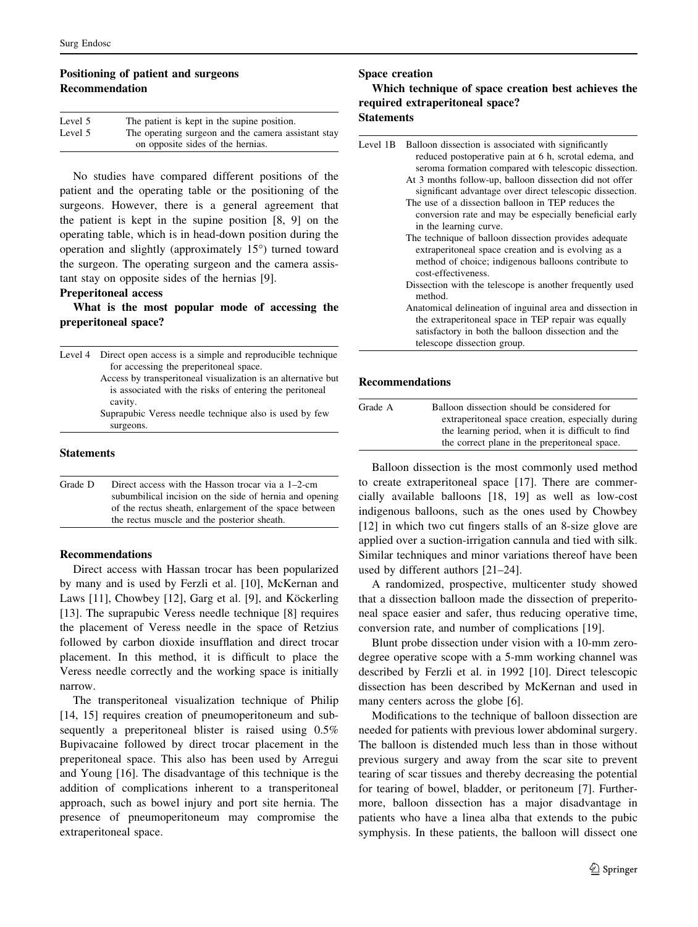# Positioning of patient and surgeons Recommendation

| Level 5 | The patient is kept in the supine position.         |
|---------|-----------------------------------------------------|
| Level 5 | The operating surgeon and the camera assistant stay |
|         | on opposite sides of the hernias.                   |

No studies have compared different positions of the patient and the operating table or the positioning of the surgeons. However, there is a general agreement that the patient is kept in the supine position [8, 9] on the operating table, which is in head-down position during the operation and slightly (approximately  $15^{\circ}$ ) turned toward the surgeon. The operating surgeon and the camera assistant stay on opposite sides of the hernias [9].

# Preperitoneal access

## What is the most popular mode of accessing the preperitoneal space?

| Level 4 | Direct open access is a simple and reproducible technique           |
|---------|---------------------------------------------------------------------|
|         | for accessing the preperitoneal space.                              |
|         | Access by transperitoneal visualization is an alternative but       |
|         | is associated with the risks of entering the peritoneal<br>cavity.  |
|         | Suprapubic Veress needle technique also is used by few<br>surgeons. |
|         |                                                                     |

## **Statements**

| Grade D- | Direct access with the Hasson trocar via a 1–2-cm       |
|----------|---------------------------------------------------------|
|          | subumbilical incision on the side of hernia and opening |
|          | of the rectus sheath, enlargement of the space between  |
|          | the rectus muscle and the posterior sheath.             |

## Recommendations

Direct access with Hassan trocar has been popularized by many and is used by Ferzli et al. [10], McKernan and Laws  $[11]$ , Chowbey  $[12]$ , Garg et al.  $[9]$ , and Köckerling [13]. The suprapubic Veress needle technique [8] requires the placement of Veress needle in the space of Retzius followed by carbon dioxide insufflation and direct trocar placement. In this method, it is difficult to place the Veress needle correctly and the working space is initially narrow.

The transperitoneal visualization technique of Philip [14, 15] requires creation of pneumoperitoneum and subsequently a preperitoneal blister is raised using 0.5% Bupivacaine followed by direct trocar placement in the preperitoneal space. This also has been used by Arregui and Young [16]. The disadvantage of this technique is the addition of complications inherent to a transperitoneal approach, such as bowel injury and port site hernia. The presence of pneumoperitoneum may compromise the extraperitoneal space.

# Space creation Which technique of space creation best achieves the required extraperitoneal space? Statements

| Level 1B | Balloon dissection is associated with significantly<br>reduced postoperative pain at 6 h, scrotal edema, and<br>seroma formation compared with telescopic dissection.<br>At 3 months follow-up, balloon dissection did not offer |
|----------|----------------------------------------------------------------------------------------------------------------------------------------------------------------------------------------------------------------------------------|
|          | significant advantage over direct telescopic dissection.                                                                                                                                                                         |
|          | The use of a dissection balloon in TEP reduces the                                                                                                                                                                               |
|          | conversion rate and may be especially beneficial early                                                                                                                                                                           |
|          | in the learning curve.                                                                                                                                                                                                           |
|          | The technique of balloon dissection provides adequate<br>extraperitoneal space creation and is evolving as a<br>method of choice; indigenous balloons contribute to<br>cost-effectiveness.                                       |
|          | Dissection with the telescope is another frequently used                                                                                                                                                                         |
|          | method.                                                                                                                                                                                                                          |
|          | Anatomical delineation of inguinal area and dissection in                                                                                                                                                                        |
|          | the extraperitoneal space in TEP repair was equally                                                                                                                                                                              |
|          | satisfactory in both the balloon dissection and the                                                                                                                                                                              |
|          | telescope dissection group.                                                                                                                                                                                                      |

### Recommendations

| Grade A | Balloon dissection should be considered for       |
|---------|---------------------------------------------------|
|         | extraperitoneal space creation, especially during |
|         | the learning period, when it is difficult to find |
|         | the correct plane in the preperitoneal space.     |

Balloon dissection is the most commonly used method to create extraperitoneal space [17]. There are commercially available balloons [18, 19] as well as low-cost indigenous balloons, such as the ones used by Chowbey [12] in which two cut fingers stalls of an 8-size glove are applied over a suction-irrigation cannula and tied with silk. Similar techniques and minor variations thereof have been used by different authors [21–24].

A randomized, prospective, multicenter study showed that a dissection balloon made the dissection of preperitoneal space easier and safer, thus reducing operative time, conversion rate, and number of complications [19].

Blunt probe dissection under vision with a 10-mm zerodegree operative scope with a 5-mm working channel was described by Ferzli et al. in 1992 [10]. Direct telescopic dissection has been described by McKernan and used in many centers across the globe [6].

Modifications to the technique of balloon dissection are needed for patients with previous lower abdominal surgery. The balloon is distended much less than in those without previous surgery and away from the scar site to prevent tearing of scar tissues and thereby decreasing the potential for tearing of bowel, bladder, or peritoneum [7]. Furthermore, balloon dissection has a major disadvantage in patients who have a linea alba that extends to the pubic symphysis. In these patients, the balloon will dissect one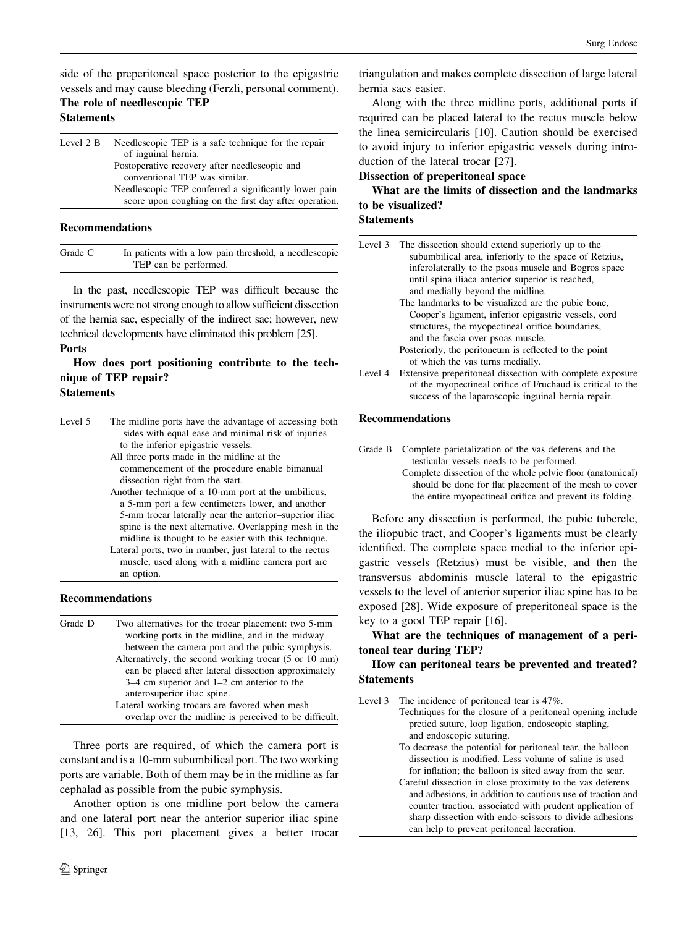side of the preperitoneal space posterior to the epigastric vessels and may cause bleeding (Ferzli, personal comment).

### The role of needlescopic TEP **Statements**

| Level 2 B | Needlescopic TEP is a safe technique for the repair<br>of inguinal hernia.     |
|-----------|--------------------------------------------------------------------------------|
|           | Postoperative recovery after needlescopic and<br>conventional TEP was similar. |
|           | Needlescopic TEP conferred a significantly lower pain                          |
|           | score upon coughing on the first day after operation.                          |

### Recommendations

| Grade C | In patients with a low pain threshold, a needlescopic |
|---------|-------------------------------------------------------|
|         | TEP can be performed.                                 |

In the past, needlescopic TEP was difficult because the instruments were not strong enough to allow sufficient dissection of the hernia sac, especially of the indirect sac; however, new technical developments have eliminated this problem [25]. Ports

# How does port positioning contribute to the technique of TEP repair?

## Statements

| Level 5 | The midline ports have the advantage of accessing both   |
|---------|----------------------------------------------------------|
|         | sides with equal ease and minimal risk of injuries       |
|         | to the inferior epigastric vessels.                      |
|         | All three ports made in the midline at the               |
|         | commencement of the procedure enable bimanual            |
|         | dissection right from the start.                         |
|         | Another technique of a 10-mm port at the umbilicus,      |
|         | a 5-mm port a few centimeters lower, and another         |
|         | 5-mm trocar laterally near the anterior-superior iliac   |
|         | spine is the next alternative. Overlapping mesh in the   |
|         | midline is thought to be easier with this technique.     |
|         | Lateral ports, two in number, just lateral to the rectus |
|         | muscle, used along with a midline camera port are        |
|         | an option.                                               |

## Recommendations

| Grade D | Two alternatives for the trocar placement: two 5-mm<br>working ports in the midline, and in the midway<br>between the camera port and the pubic symphysis.<br>Alternatively, the second working trocar (5 or 10 mm)<br>can be placed after lateral dissection approximately<br>$3-4$ cm superior and $1-2$ cm anterior to the<br>anterosuperior iliac spine.<br>Lateral working trocars are favored when mesh |
|---------|---------------------------------------------------------------------------------------------------------------------------------------------------------------------------------------------------------------------------------------------------------------------------------------------------------------------------------------------------------------------------------------------------------------|
|         | overlap over the midline is perceived to be difficult.                                                                                                                                                                                                                                                                                                                                                        |

Three ports are required, of which the camera port is constant and is a 10-mm subumbilical port. The two working ports are variable. Both of them may be in the midline as far cephalad as possible from the pubic symphysis.

Another option is one midline port below the camera and one lateral port near the anterior superior iliac spine [13, 26]. This port placement gives a better trocar

triangulation and makes complete dissection of large lateral hernia sacs easier.

Along with the three midline ports, additional ports if required can be placed lateral to the rectus muscle below the linea semicircularis [10]. Caution should be exercised to avoid injury to inferior epigastric vessels during introduction of the lateral trocar [27].

Dissection of preperitoneal space

# What are the limits of dissection and the landmarks to be visualized?

### **Statements**

| Level 3 The dissection should extend superiorly up to the         |
|-------------------------------------------------------------------|
| subumbilical area, inferiorly to the space of Retzius,            |
| inferolaterally to the psoas muscle and Bogros space              |
| until spina iliaca anterior superior is reached,                  |
| and medially beyond the midline.                                  |
| The landmarks to be visualized are the pubic bone,                |
| Cooper's ligament, inferior epigastric vessels, cord              |
| structures, the myopectineal orifice boundaries,                  |
| and the fascia over psoas muscle.                                 |
| Posteriorly, the peritoneum is reflected to the point             |
| of which the vas turns medially.                                  |
| Level 4 Extensive preperitoneal dissection with complete exposure |
| of the myopectineal orifice of Fruchaud is critical to the        |
| success of the laparoscopic inguinal hernia repair.               |

## Recommendations

| Grade B | Complete parietalization of the vas deferens and the       |
|---------|------------------------------------------------------------|
|         | testicular vessels needs to be performed.                  |
|         | Complete dissection of the whole pelvic floor (anatomical) |
|         | should be done for flat placement of the mesh to cover     |
|         | the entire myopectineal orifice and prevent its folding.   |
|         |                                                            |

Before any dissection is performed, the pubic tubercle, the iliopubic tract, and Cooper's ligaments must be clearly identified. The complete space medial to the inferior epigastric vessels (Retzius) must be visible, and then the transversus abdominis muscle lateral to the epigastric vessels to the level of anterior superior iliac spine has to be exposed [28]. Wide exposure of preperitoneal space is the key to a good TEP repair [16].

What are the techniques of management of a peritoneal tear during TEP?

# How can peritoneal tears be prevented and treated? **Statements**

| Level 3 | The incidence of peritoneal tear is $47\%$ .<br>Techniques for the closure of a peritoneal opening include<br>pretied suture, loop ligation, endoscopic stapling,<br>and endoscopic suturing.                                                                                                |
|---------|----------------------------------------------------------------------------------------------------------------------------------------------------------------------------------------------------------------------------------------------------------------------------------------------|
|         | To decrease the potential for peritoneal tear, the balloon<br>dissection is modified. Less volume of saline is used<br>for inflation; the balloon is sited away from the scar.                                                                                                               |
|         | Careful dissection in close proximity to the vas deferens<br>and adhesions, in addition to cautious use of traction and<br>counter traction, associated with prudent application of<br>sharp dissection with endo-scissors to divide adhesions<br>can help to prevent peritoneal laceration. |
|         |                                                                                                                                                                                                                                                                                              |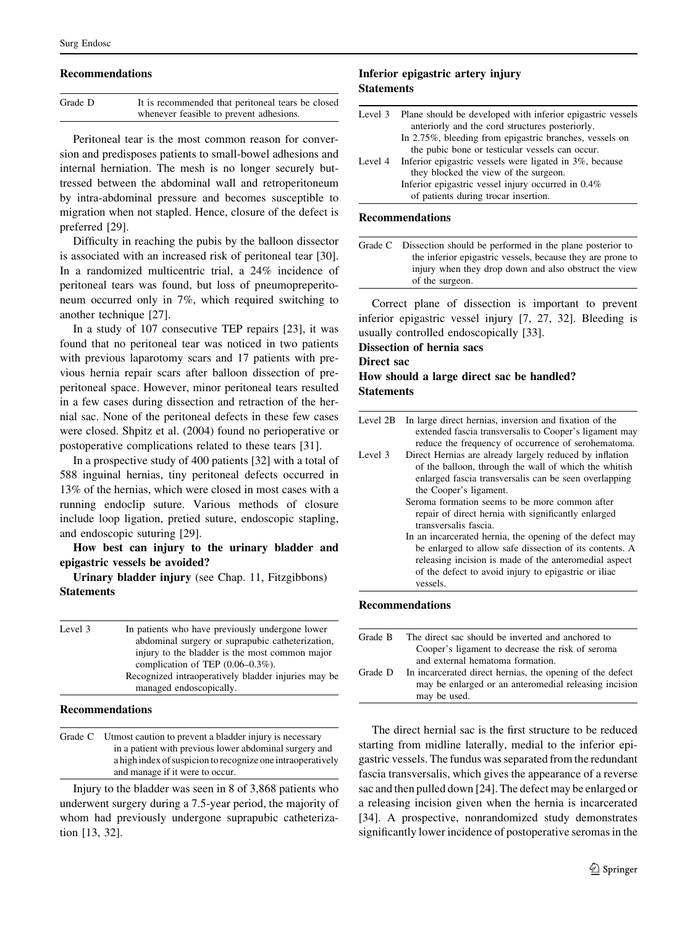### Recommendations

| Grade D | It is recommended that peritoneal tears be closed |
|---------|---------------------------------------------------|
|         | whenever feasible to prevent adhesions.           |

Peritoneal tear is the most common reason for conversion and predisposes patients to small-bowel adhesions and internal herniation. The mesh is no longer securely buttressed between the abdominal wall and retroperitoneum by intra-abdominal pressure and becomes susceptible to migration when not stapled. Hence, closure of the defect is preferred [29].

Difficulty in reaching the pubis by the balloon dissector is associated with an increased risk of peritoneal tear [30]. In a randomized multicentric trial, a 24% incidence of peritoneal tears was found, but loss of pneumopreperitoneum occurred only in 7%, which required switching to another technique [27].

In a study of 107 consecutive TEP repairs [23], it was found that no peritoneal tear was noticed in two patients with previous laparotomy scars and 17 patients with previous hernia repair scars after balloon dissection of preperitoneal space. However, minor peritoneal tears resulted in a few cases during dissection and retraction of the hernial sac. None of the peritoneal defects in these few cases were closed. Shpitz et al. (2004) found no perioperative or postoperative complications related to these tears [31].

In a prospective study of 400 patients [32] with a total of 588 inguinal hernias, tiny peritoneal defects occurred in 13% of the hernias, which were closed in most cases with a running endoclip suture. Various methods of closure include loop ligation, pretied suture, endoscopic stapling, and endoscopic suturing [29].

How best can injury to the urinary bladder and epigastric vessels be avoided?

Urinary bladder injury (see Chap. 11, Fitzgibbons) Statements

| Level 3 | In patients who have previously undergone lower<br>abdominal surgery or suprapubic catheterization,<br>injury to the bladder is the most common major<br>complication of TEP $(0.06-0.3\%)$ .<br>Recognized intraoperatively bladder injuries may be |
|---------|------------------------------------------------------------------------------------------------------------------------------------------------------------------------------------------------------------------------------------------------------|
|         | managed endoscopically.                                                                                                                                                                                                                              |
|         |                                                                                                                                                                                                                                                      |

### Recommendations

Grade C Utmost caution to prevent a bladder injury is necessary in a patient with previous lower abdominal surgery and a high index of suspicion to recognize one intraoperatively and manage if it were to occur.

Injury to the bladder was seen in 8 of 3,868 patients who underwent surgery during a 7.5-year period, the majority of whom had previously undergone suprapubic catheterization [13, 32].

## Inferior epigastric artery injury **Statements**

|         | Level 3 Plane should be developed with inferior epigastric vessels<br>anteriorly and the cord structures posteriorly. |
|---------|-----------------------------------------------------------------------------------------------------------------------|
|         | In 2.75%, bleeding from epigastric branches, vessels on                                                               |
|         | the pubic bone or testicular vessels can occur.                                                                       |
| Level 4 | Inferior epigastric vessels were ligated in 3%, because                                                               |
|         | they blocked the view of the surgeon.                                                                                 |
|         | Inferior epigastric vessel injury occurred in 0.4%                                                                    |
|         | of patients during trocar insertion.                                                                                  |

### Recommendations

|  | Grade C Dissection should be performed in the plane posterior to |
|--|------------------------------------------------------------------|
|  | the inferior epigastric vessels, because they are prone to       |
|  | injury when they drop down and also obstruct the view            |
|  | of the surgeon.                                                  |

Correct plane of dissection is important to prevent inferior epigastric vessel injury [7, 27, 32]. Bleeding is usually controlled endoscopically [33].

Dissection of hernia sacs

Direct sac

How should a large direct sac be handled? Statements

| Level 2B | In large direct hernias, inversion and fixation of the<br>extended fascia transversalis to Cooper's ligament may<br>reduce the frequency of occurrence of serohematoma.                                                                                                                                                                                                                                                                                                                                                                                                                   |
|----------|-------------------------------------------------------------------------------------------------------------------------------------------------------------------------------------------------------------------------------------------------------------------------------------------------------------------------------------------------------------------------------------------------------------------------------------------------------------------------------------------------------------------------------------------------------------------------------------------|
| Level 3  | Direct Hernias are already largely reduced by inflation<br>of the balloon, through the wall of which the whitish<br>enlarged fascia transversalis can be seen overlapping<br>the Cooper's ligament.<br>Seroma formation seems to be more common after<br>repair of direct hernia with significantly enlarged<br>transversalis fascia.<br>In an incarcerated hernia, the opening of the defect may<br>be enlarged to allow safe dissection of its contents. A<br>releasing incision is made of the anteromedial aspect<br>of the defect to avoid injury to epigastric or iliac<br>vessels. |

### Recommendations

| Grade B | The direct sac should be inverted and anchored to         |
|---------|-----------------------------------------------------------|
|         | Cooper's ligament to decrease the risk of seroma          |
|         | and external hematoma formation.                          |
| Grade D | In incarcerated direct hernias, the opening of the defect |
|         | may be enlarged or an anteromedial releasing incision     |
|         | may be used.                                              |

The direct hernial sac is the first structure to be reduced starting from midline laterally, medial to the inferior epigastric vessels. The fundus was separated from the redundant fascia transversalis, which gives the appearance of a reverse sac and then pulled down [24]. The defect may be enlarged or a releasing incision given when the hernia is incarcerated [34]. A prospective, nonrandomized study demonstrates significantly lower incidence of postoperative seromas in the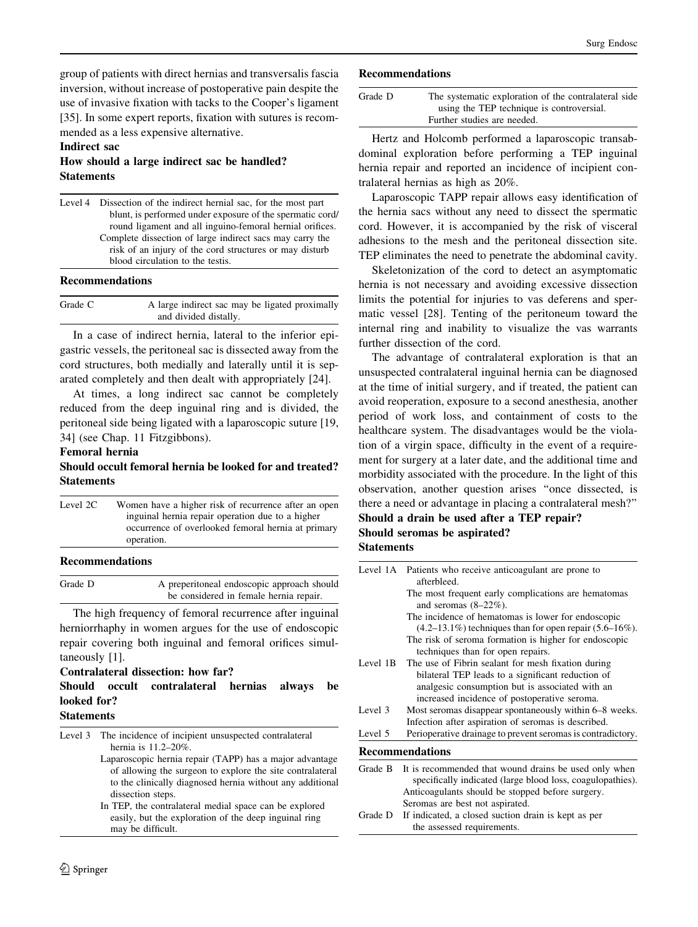group of patients with direct hernias and transversalis fascia inversion, without increase of postoperative pain despite the use of invasive fixation with tacks to the Cooper's ligament [35]. In some expert reports, fixation with sutures is recommended as a less expensive alternative.

### Indirect sac

## How should a large indirect sac be handled? **Statements**

Level 4 Dissection of the indirect hernial sac, for the most part blunt, is performed under exposure of the spermatic cord/ round ligament and all inguino-femoral hernial orifices. Complete dissection of large indirect sacs may carry the risk of an injury of the cord structures or may disturb blood circulation to the testis.

### Recommendations

| Grade C | A large indirect sac may be ligated proximally |
|---------|------------------------------------------------|
|         | and divided distally.                          |

In a case of indirect hernia, lateral to the inferior epigastric vessels, the peritoneal sac is dissected away from the cord structures, both medially and laterally until it is separated completely and then dealt with appropriately [24].

At times, a long indirect sac cannot be completely reduced from the deep inguinal ring and is divided, the peritoneal side being ligated with a laparoscopic suture [19, 34] (see Chap. 11 Fitzgibbons).

### Femoral hernia

## Should occult femoral hernia be looked for and treated? **Statements**

| Level 2C | Women have a higher risk of recurrence after an open<br>inguinal hernia repair operation due to a higher |
|----------|----------------------------------------------------------------------------------------------------------|
|          | occurrence of overlooked femoral hernia at primary<br>operation.                                         |

## Recommendations

| Grade D | A preperitoneal endoscopic approach should |
|---------|--------------------------------------------|
|         | be considered in female hernia repair.     |

The high frequency of femoral recurrence after inguinal herniorrhaphy in women argues for the use of endoscopic repair covering both inguinal and femoral orifices simultaneously [1].

### Contralateral dissection: how far?

# Should occult contralateral hernias always be looked for?

# Statements

- Level 3 The incidence of incipient unsuspected contralateral hernia is 11.2–20%.
	- Laparoscopic hernia repair (TAPP) has a major advantage of allowing the surgeon to explore the site contralateral to the clinically diagnosed hernia without any additional dissection steps.
	- In TEP, the contralateral medial space can be explored easily, but the exploration of the deep inguinal ring may be difficult.

### Recommendations

| Grade D | The systematic exploration of the contralateral side |
|---------|------------------------------------------------------|
|         | using the TEP technique is controversial.            |
|         | Further studies are needed.                          |

Hertz and Holcomb performed a laparoscopic transabdominal exploration before performing a TEP inguinal hernia repair and reported an incidence of incipient contralateral hernias as high as 20%.

Laparoscopic TAPP repair allows easy identification of the hernia sacs without any need to dissect the spermatic cord. However, it is accompanied by the risk of visceral adhesions to the mesh and the peritoneal dissection site. TEP eliminates the need to penetrate the abdominal cavity.

Skeletonization of the cord to detect an asymptomatic hernia is not necessary and avoiding excessive dissection limits the potential for injuries to vas deferens and spermatic vessel [28]. Tenting of the peritoneum toward the internal ring and inability to visualize the vas warrants further dissection of the cord.

The advantage of contralateral exploration is that an unsuspected contralateral inguinal hernia can be diagnosed at the time of initial surgery, and if treated, the patient can avoid reoperation, exposure to a second anesthesia, another period of work loss, and containment of costs to the healthcare system. The disadvantages would be the violation of a virgin space, difficulty in the event of a requirement for surgery at a later date, and the additional time and morbidity associated with the procedure. In the light of this observation, another question arises ''once dissected, is there a need or advantage in placing a contralateral mesh?''

## Should a drain be used after a TEP repair? Should seromas be aspirated? Statements

| Level 1A | Patients who receive anticoagulant are prone to<br>afterbleed.                                          |
|----------|---------------------------------------------------------------------------------------------------------|
|          | The most frequent early complications are hematomas<br>and seromas $(8-22\%)$ .                         |
|          | The incidence of hematomas is lower for endoscopic                                                      |
|          | $(4.2-13.1\%)$ techniques than for open repair $(5.6-16\%)$ .                                           |
|          | The risk of seroma formation is higher for endoscopic                                                   |
|          | techniques than for open repairs.                                                                       |
| Level 1B | The use of Fibrin sealant for mesh fixation during<br>bilateral TEP leads to a significant reduction of |
|          | analgesic consumption but is associated with an<br>increased incidence of postoperative seroma.         |
| Level 3  | Most seromas disappear spontaneously within 6–8 weeks.                                                  |
|          | Infection after aspiration of seromas is described.                                                     |
| Level 5  | Perioperative drainage to prevent seromas is contradictory.                                             |

### Recommendations

- Grade B It is recommended that wound drains be used only when specifically indicated (large blood loss, coagulopathies). Anticoagulants should be stopped before surgery. Seromas are best not aspirated.
- Grade D If indicated, a closed suction drain is kept as per the assessed requirements.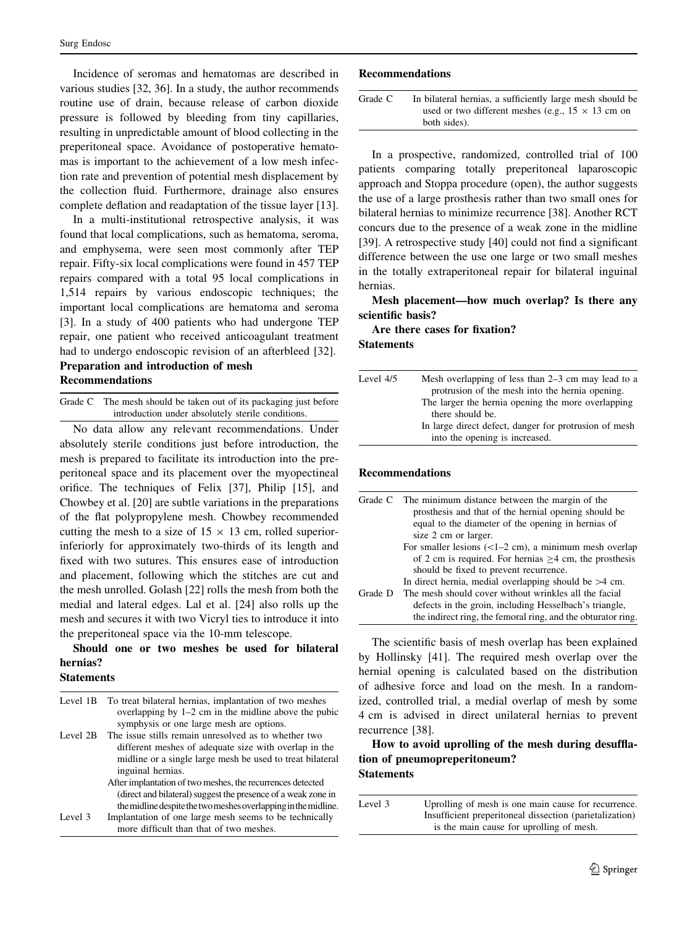Incidence of seromas and hematomas are described in various studies [32, 36]. In a study, the author recommends routine use of drain, because release of carbon dioxide pressure is followed by bleeding from tiny capillaries, resulting in unpredictable amount of blood collecting in the preperitoneal space. Avoidance of postoperative hematomas is important to the achievement of a low mesh infection rate and prevention of potential mesh displacement by the collection fluid. Furthermore, drainage also ensures complete deflation and readaptation of the tissue layer [13].

In a multi-institutional retrospective analysis, it was found that local complications, such as hematoma, seroma, and emphysema, were seen most commonly after TEP repair. Fifty-six local complications were found in 457 TEP repairs compared with a total 95 local complications in 1,514 repairs by various endoscopic techniques; the important local complications are hematoma and seroma [3]. In a study of 400 patients who had undergone TEP repair, one patient who received anticoagulant treatment had to undergo endoscopic revision of an afterbleed [32]. Preparation and introduction of mesh Recommendations

| Grade C | The mesh should be taken out of its packaging just before |
|---------|-----------------------------------------------------------|
|         | introduction under absolutely sterile conditions.         |

No data allow any relevant recommendations. Under absolutely sterile conditions just before introduction, the mesh is prepared to facilitate its introduction into the preperitoneal space and its placement over the myopectineal orifice. The techniques of Felix [37], Philip [15], and Chowbey et al. [20] are subtle variations in the preparations of the flat polypropylene mesh. Chowbey recommended cutting the mesh to a size of  $15 \times 13$  cm, rolled superiorinferiorly for approximately two-thirds of its length and fixed with two sutures. This ensures ease of introduction and placement, following which the stitches are cut and the mesh unrolled. Golash [22] rolls the mesh from both the medial and lateral edges. Lal et al. [24] also rolls up the mesh and secures it with two Vicryl ties to introduce it into the preperitoneal space via the 10-mm telescope.

## Should one or two meshes be used for bilateral hernias? **Statements**

| Level 1B | To treat bilateral hernias, implantation of two meshes         |
|----------|----------------------------------------------------------------|
|          | overlapping by $1-2$ cm in the midline above the pubic         |
|          | symphysis or one large mesh are options.                       |
| Level 2B | The issue stills remain unresolved as to whether two           |
|          | different meshes of adequate size with overlap in the          |
|          | midline or a single large mesh be used to treat bilateral      |
|          | inguinal hernias.                                              |
|          | After implantation of two meshes, the recurrences detected     |
|          | (direct and bilateral) suggest the presence of a weak zone in  |
|          | the midline despite the two meshes overlapping in the midline. |
| Level 3  | Implantation of one large mesh seems to be technically         |
|          | more difficult than that of two meshes.                        |

### Recommendations

| Grade C | In bilateral hernias, a sufficiently large mesh should be |
|---------|-----------------------------------------------------------|
|         | used or two different meshes (e.g., $15 \times 13$ cm on  |
|         | both sides).                                              |

In a prospective, randomized, controlled trial of 100 patients comparing totally preperitoneal laparoscopic approach and Stoppa procedure (open), the author suggests the use of a large prosthesis rather than two small ones for bilateral hernias to minimize recurrence [38]. Another RCT concurs due to the presence of a weak zone in the midline [39]. A retrospective study [40] could not find a significant difference between the use one large or two small meshes in the totally extraperitoneal repair for bilateral inguinal hernias.

Mesh placement—how much overlap? Is there any scientific basis?

Are there cases for fixation? **Statements** 

| Level 4/5 | Mesh overlapping of less than 2–3 cm may lead to a<br>protrusion of the mesh into the hernia opening. |
|-----------|-------------------------------------------------------------------------------------------------------|
|           | The larger the hernia opening the more overlapping                                                    |
|           | there should be.<br>In large direct defect, danger for protrusion of mesh                             |
|           | into the opening is increased.                                                                        |

### Recommendations

|         | Grade C The minimum distance between the margin of the<br>prosthesis and that of the hernial opening should be<br>equal to the diameter of the opening in hernias of |
|---------|----------------------------------------------------------------------------------------------------------------------------------------------------------------------|
|         | size 2 cm or larger.                                                                                                                                                 |
|         | For smaller lesions $(<1-2$ cm), a minimum mesh overlap                                                                                                              |
|         | of 2 cm is required. For hernias $\geq$ 4 cm, the prosthesis                                                                                                         |
|         | should be fixed to prevent recurrence.                                                                                                                               |
|         | In direct hermia, medial overlapping should be $>4$ cm.                                                                                                              |
| Grade D | The mesh should cover without wrinkles all the facial                                                                                                                |
|         | defects in the groin, including Hesselbach's triangle,                                                                                                               |
|         | the indirect ring, the femoral ring, and the obturator ring.                                                                                                         |

The scientific basis of mesh overlap has been explained by Hollinsky [41]. The required mesh overlap over the hernial opening is calculated based on the distribution of adhesive force and load on the mesh. In a randomized, controlled trial, a medial overlap of mesh by some 4 cm is advised in direct unilateral hernias to prevent recurrence [38].

How to avoid uprolling of the mesh during desufflation of pneumopreperitoneum? Statements

Level 3 Uprolling of mesh is one main cause for recurrence. Insufficient preperitoneal dissection (parietalization) is the main cause for uprolling of mesh.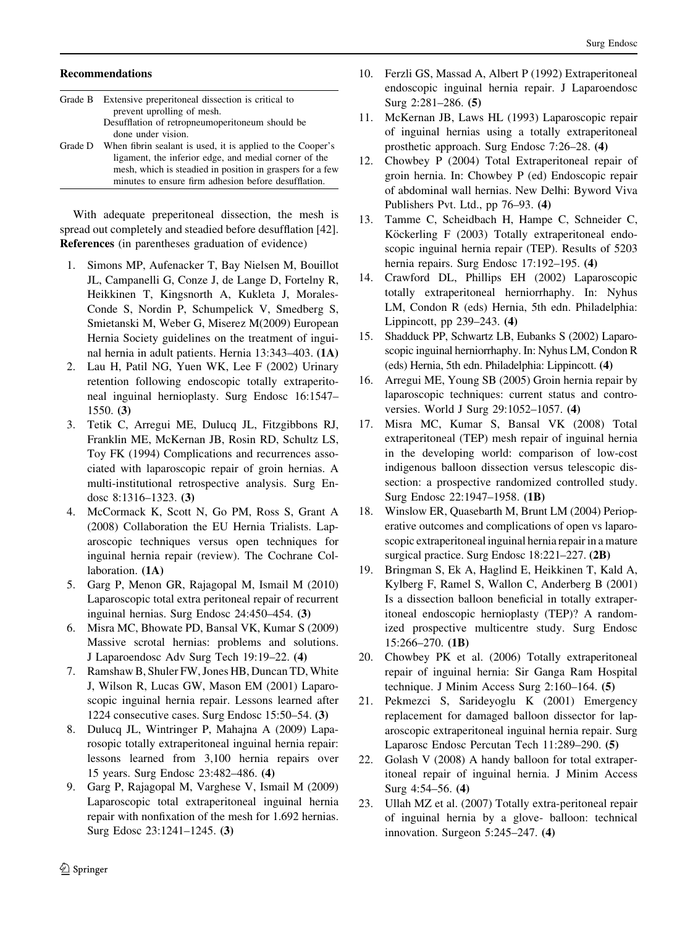## Recommendations

|  | Grade B Extensive preperitoneal dissection is critical to          |
|--|--------------------------------------------------------------------|
|  | prevent uprolling of mesh.                                         |
|  | Desufflation of retropneumoperitoneum should be                    |
|  | done under vision.                                                 |
|  | Grade D When fibrin sealant is used, it is applied to the Cooper's |
|  | ligament, the inferior edge, and medial corner of the              |
|  | mesh, which is steadied in position in graspers for a few          |
|  | minutes to ensure firm adhesion before desufflation.               |

With adequate preperitoneal dissection, the mesh is spread out completely and steadied before desufflation [42]. References (in parentheses graduation of evidence)

- 1. Simons MP, Aufenacker T, Bay Nielsen M, Bouillot JL, Campanelli G, Conze J, de Lange D, Fortelny R, Heikkinen T, Kingsnorth A, Kukleta J, Morales-Conde S, Nordin P, Schumpelick V, Smedberg S, Smietanski M, Weber G, Miserez M(2009) European Hernia Society guidelines on the treatment of inguinal hernia in adult patients. Hernia 13:343–403. (1A)
- 2. Lau H, Patil NG, Yuen WK, Lee F (2002) Urinary retention following endoscopic totally extraperitoneal inguinal hernioplasty. Surg Endosc 16:1547– 1550. (3)
- 3. Tetik C, Arregui ME, Dulucq JL, Fitzgibbons RJ, Franklin ME, McKernan JB, Rosin RD, Schultz LS, Toy FK (1994) Complications and recurrences associated with laparoscopic repair of groin hernias. A multi-institutional retrospective analysis. Surg Endosc 8:1316–1323. (3)
- 4. McCormack K, Scott N, Go PM, Ross S, Grant A (2008) Collaboration the EU Hernia Trialists. Laparoscopic techniques versus open techniques for inguinal hernia repair (review). The Cochrane Collaboration. (1A)
- 5. Garg P, Menon GR, Rajagopal M, Ismail M (2010) Laparoscopic total extra peritoneal repair of recurrent inguinal hernias. Surg Endosc 24:450–454. (3)
- 6. Misra MC, Bhowate PD, Bansal VK, Kumar S (2009) Massive scrotal hernias: problems and solutions. J Laparoendosc Adv Surg Tech 19:19–22. (4)
- 7. Ramshaw B, Shuler FW, Jones HB, Duncan TD, White J, Wilson R, Lucas GW, Mason EM (2001) Laparoscopic inguinal hernia repair. Lessons learned after 1224 consecutive cases. Surg Endosc 15:50–54. (3)
- 8. Dulucq JL, Wintringer P, Mahajna A (2009) Laparosopic totally extraperitoneal inguinal hernia repair: lessons learned from 3,100 hernia repairs over 15 years. Surg Endosc 23:482–486. (4)
- 9. Garg P, Rajagopal M, Varghese V, Ismail M (2009) Laparoscopic total extraperitoneal inguinal hernia repair with nonfixation of the mesh for 1.692 hernias. Surg Edosc 23:1241–1245. (3)
- 10. Ferzli GS, Massad A, Albert P (1992) Extraperitoneal endoscopic inguinal hernia repair. J Laparoendosc Surg 2:281–286. (5)
- 11. McKernan JB, Laws HL (1993) Laparoscopic repair of inguinal hernias using a totally extraperitoneal prosthetic approach. Surg Endosc 7:26–28. (4)
- 12. Chowbey P (2004) Total Extraperitoneal repair of groin hernia. In: Chowbey P (ed) Endoscopic repair of abdominal wall hernias. New Delhi: Byword Viva Publishers Pvt. Ltd., pp 76–93. (4)
- 13. Tamme C, Scheidbach H, Hampe C, Schneider C, Köckerling F (2003) Totally extraperitoneal endoscopic inguinal hernia repair (TEP). Results of 5203 hernia repairs. Surg Endosc 17:192-195. (4)
- 14. Crawford DL, Phillips EH (2002) Laparoscopic totally extraperitoneal herniorrhaphy. In: Nyhus LM, Condon R (eds) Hernia, 5th edn. Philadelphia: Lippincott, pp 239–243. (4)
- 15. Shadduck PP, Schwartz LB, Eubanks S (2002) Laparoscopic inguinal herniorrhaphy. In: Nyhus LM, Condon R (eds) Hernia, 5th edn. Philadelphia: Lippincott. (4)
- 16. Arregui ME, Young SB (2005) Groin hernia repair by laparoscopic techniques: current status and controversies. World J Surg 29:1052–1057. (4)
- 17. Misra MC, Kumar S, Bansal VK (2008) Total extraperitoneal (TEP) mesh repair of inguinal hernia in the developing world: comparison of low-cost indigenous balloon dissection versus telescopic dissection: a prospective randomized controlled study. Surg Endosc 22:1947–1958. (1B)
- 18. Winslow ER, Quasebarth M, Brunt LM (2004) Perioperative outcomes and complications of open vs laparoscopic extraperitoneal inguinal hernia repair in a mature surgical practice. Surg Endosc 18:221–227. (2B)
- 19. Bringman S, Ek A, Haglind E, Heikkinen T, Kald A, Kylberg F, Ramel S, Wallon C, Anderberg B (2001) Is a dissection balloon beneficial in totally extraperitoneal endoscopic hernioplasty (TEP)? A randomized prospective multicentre study. Surg Endosc 15:266–270. (1B)
- 20. Chowbey PK et al. (2006) Totally extraperitoneal repair of inguinal hernia: Sir Ganga Ram Hospital technique. J Minim Access Surg 2:160–164. (5)
- 21. Pekmezci S, Sarideyoglu K (2001) Emergency replacement for damaged balloon dissector for laparoscopic extraperitoneal inguinal hernia repair. Surg Laparosc Endosc Percutan Tech 11:289–290. (5)
- 22. Golash V (2008) A handy balloon for total extraperitoneal repair of inguinal hernia. J Minim Access Surg 4:54–56. (4)
- 23. Ullah MZ et al. (2007) Totally extra-peritoneal repair of inguinal hernia by a glove- balloon: technical innovation. Surgeon 5:245–247. (4)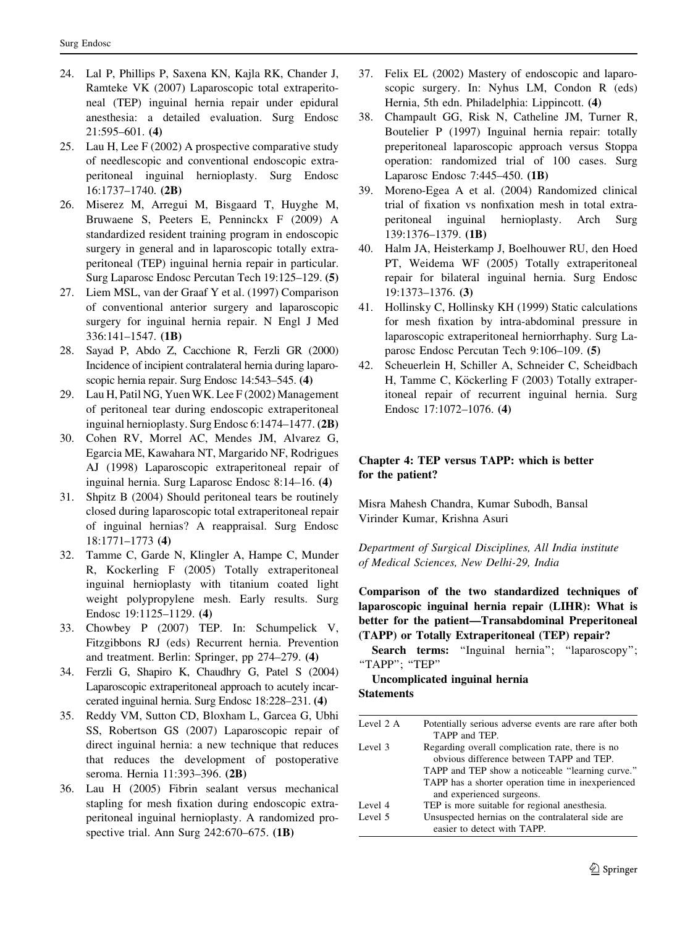- 24. Lal P, Phillips P, Saxena KN, Kajla RK, Chander J, Ramteke VK (2007) Laparoscopic total extraperitoneal (TEP) inguinal hernia repair under epidural anesthesia: a detailed evaluation. Surg Endosc 21:595–601. (4)
- 25. Lau H, Lee F (2002) A prospective comparative study of needlescopic and conventional endoscopic extraperitoneal inguinal hernioplasty. Surg Endosc 16:1737–1740. (2B)
- 26. Miserez M, Arregui M, Bisgaard T, Huyghe M, Bruwaene S, Peeters E, Penninckx F (2009) A standardized resident training program in endoscopic surgery in general and in laparoscopic totally extraperitoneal (TEP) inguinal hernia repair in particular. Surg Laparosc Endosc Percutan Tech 19:125–129. (5)
- 27. Liem MSL, van der Graaf Y et al. (1997) Comparison of conventional anterior surgery and laparoscopic surgery for inguinal hernia repair. N Engl J Med 336:141–1547. (1B)
- 28. Sayad P, Abdo Z, Cacchione R, Ferzli GR (2000) Incidence of incipient contralateral hernia during laparoscopic hernia repair. Surg Endosc 14:543–545. (4)
- 29. Lau H, Patil NG, Yuen WK. Lee F (2002) Management of peritoneal tear during endoscopic extraperitoneal inguinal hernioplasty. Surg Endosc 6:1474–1477. (2B)
- 30. Cohen RV, Morrel AC, Mendes JM, Alvarez G, Egarcia ME, Kawahara NT, Margarido NF, Rodrigues AJ (1998) Laparoscopic extraperitoneal repair of inguinal hernia. Surg Laparosc Endosc 8:14–16. (4)
- 31. Shpitz B (2004) Should peritoneal tears be routinely closed during laparoscopic total extraperitoneal repair of inguinal hernias? A reappraisal. Surg Endosc 18:1771–1773 (4)
- 32. Tamme C, Garde N, Klingler A, Hampe C, Munder R, Kockerling F (2005) Totally extraperitoneal inguinal hernioplasty with titanium coated light weight polypropylene mesh. Early results. Surg Endosc 19:1125–1129. (4)
- 33. Chowbey P (2007) TEP. In: Schumpelick V, Fitzgibbons RJ (eds) Recurrent hernia. Prevention and treatment. Berlin: Springer, pp 274–279. (4)
- 34. Ferzli G, Shapiro K, Chaudhry G, Patel S (2004) Laparoscopic extraperitoneal approach to acutely incarcerated inguinal hernia. Surg Endosc 18:228–231. (4)
- 35. Reddy VM, Sutton CD, Bloxham L, Garcea G, Ubhi SS, Robertson GS (2007) Laparoscopic repair of direct inguinal hernia: a new technique that reduces that reduces the development of postoperative seroma. Hernia 11:393–396. (2B)
- 36. Lau H (2005) Fibrin sealant versus mechanical stapling for mesh fixation during endoscopic extraperitoneal inguinal hernioplasty. A randomized prospective trial. Ann Surg 242:670–675. (1B)
- 37. Felix EL (2002) Mastery of endoscopic and laparoscopic surgery. In: Nyhus LM, Condon R (eds) Hernia, 5th edn. Philadelphia: Lippincott. (4)
- 38. Champault GG, Risk N, Catheline JM, Turner R, Boutelier P (1997) Inguinal hernia repair: totally preperitoneal laparoscopic approach versus Stoppa operation: randomized trial of 100 cases. Surg Laparosc Endosc 7:445–450. (1B)
- 39. Moreno-Egea A et al. (2004) Randomized clinical trial of fixation vs nonfixation mesh in total extraperitoneal inguinal hernioplasty. Arch Surg 139:1376–1379. (1B)
- 40. Halm JA, Heisterkamp J, Boelhouwer RU, den Hoed PT, Weidema WF (2005) Totally extraperitoneal repair for bilateral inguinal hernia. Surg Endosc 19:1373–1376. (3)
- 41. Hollinsky C, Hollinsky KH (1999) Static calculations for mesh fixation by intra-abdominal pressure in laparoscopic extraperitoneal herniorrhaphy. Surg Laparosc Endosc Percutan Tech 9:106–109. (5)
- 42. Scheuerlein H, Schiller A, Schneider C, Scheidbach H, Tamme C, Köckerling F (2003) Totally extraperitoneal repair of recurrent inguinal hernia. Surg Endosc 17:1072–1076. (4)

# Chapter 4: TEP versus TAPP: which is better for the patient?

Misra Mahesh Chandra, Kumar Subodh, Bansal Virinder Kumar, Krishna Asuri

Department of Surgical Disciplines, All India institute of Medical Sciences, New Delhi-29, India

Comparison of the two standardized techniques of laparoscopic inguinal hernia repair (LIHR): What is better for the patient—Transabdominal Preperitoneal (TAPP) or Totally Extraperitoneal (TEP) repair?

Search terms: "Inguinal hernia"; "laparoscopy"; "TAPP"; "TEP"

Uncomplicated inguinal hernia Statements

| Level 2 A | Potentially serious adverse events are rare after both<br>TAPP and TEP.                      |
|-----------|----------------------------------------------------------------------------------------------|
| Level 3   | Regarding overall complication rate, there is no<br>obvious difference between TAPP and TEP. |
|           | TAPP and TEP show a noticeable "learning curve."                                             |
|           | TAPP has a shorter operation time in inexperienced                                           |
|           | and experienced surgeons.                                                                    |
| Level 4   | TEP is more suitable for regional anesthesia.                                                |
| Level 5   | Unsuspected hernias on the contralateral side are                                            |
|           | easier to detect with TAPP.                                                                  |
|           |                                                                                              |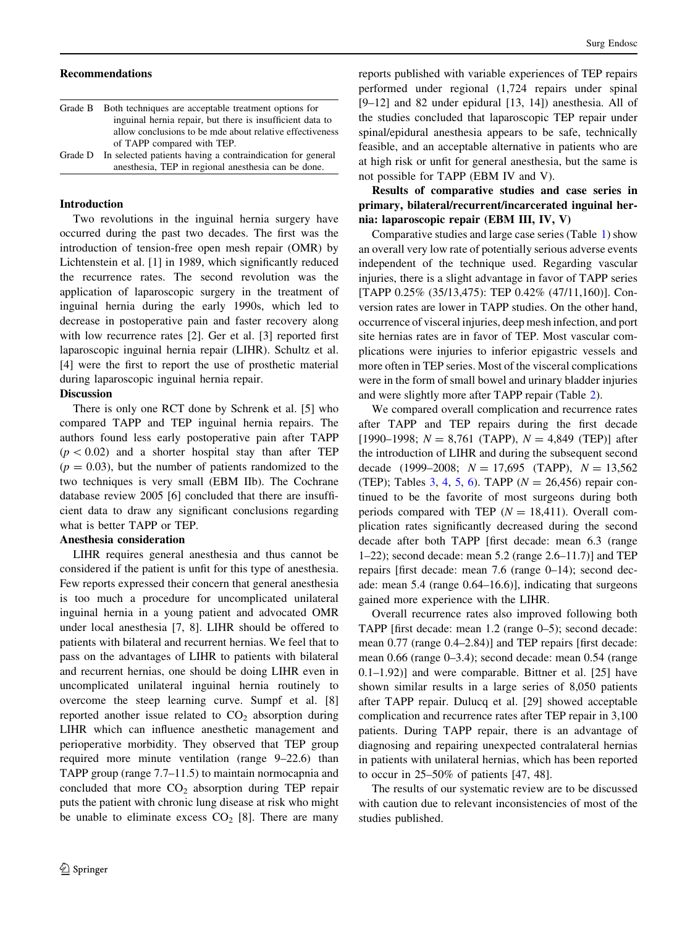### Recommendations

| Grade B Both techniques are acceptable treatment options for       |
|--------------------------------------------------------------------|
| inguinal hernia repair, but there is insufficient data to          |
| allow conclusions to be mde about relative effectiveness           |
| of TAPP compared with TEP.                                         |
| Grade D In selected patients having a contraindication for general |
| anesthesia, TEP in regional anesthesia can be done.                |

### Introduction

Two revolutions in the inguinal hernia surgery have occurred during the past two decades. The first was the introduction of tension-free open mesh repair (OMR) by Lichtenstein et al. [1] in 1989, which significantly reduced the recurrence rates. The second revolution was the application of laparoscopic surgery in the treatment of inguinal hernia during the early 1990s, which led to decrease in postoperative pain and faster recovery along with low recurrence rates [2]. Ger et al. [3] reported first laparoscopic inguinal hernia repair (LIHR). Schultz et al. [4] were the first to report the use of prosthetic material during laparoscopic inguinal hernia repair.

### Discussion

There is only one RCT done by Schrenk et al. [5] who compared TAPP and TEP inguinal hernia repairs. The authors found less early postoperative pain after TAPP  $(p < 0.02)$  and a shorter hospital stay than after TEP  $(p = 0.03)$ , but the number of patients randomized to the two techniques is very small (EBM IIb). The Cochrane database review 2005 [6] concluded that there are insufficient data to draw any significant conclusions regarding what is better TAPP or TEP.

### Anesthesia consideration

LIHR requires general anesthesia and thus cannot be considered if the patient is unfit for this type of anesthesia. Few reports expressed their concern that general anesthesia is too much a procedure for uncomplicated unilateral inguinal hernia in a young patient and advocated OMR under local anesthesia [7, 8]. LIHR should be offered to patients with bilateral and recurrent hernias. We feel that to pass on the advantages of LIHR to patients with bilateral and recurrent hernias, one should be doing LIHR even in uncomplicated unilateral inguinal hernia routinely to overcome the steep learning curve. Sumpf et al. [8] reported another issue related to  $CO<sub>2</sub>$  absorption during LIHR which can influence anesthetic management and perioperative morbidity. They observed that TEP group required more minute ventilation (range 9–22.6) than TAPP group (range 7.7–11.5) to maintain normocapnia and concluded that more  $CO<sub>2</sub>$  absorption during TEP repair puts the patient with chronic lung disease at risk who might be unable to eliminate excess  $CO<sub>2</sub>$  [8]. There are many reports published with variable experiences of TEP repairs performed under regional (1,724 repairs under spinal [9–12] and 82 under epidural [13, 14]) anesthesia. All of the studies concluded that laparoscopic TEP repair under spinal/epidural anesthesia appears to be safe, technically feasible, and an acceptable alternative in patients who are at high risk or unfit for general anesthesia, but the same is not possible for TAPP (EBM IV and V).

Results of comparative studies and case series in primary, bilateral/recurrent/incarcerated inguinal hernia: laparoscopic repair (EBM III, IV, V)

Comparative studies and large case series (Table [1\)](#page-26-0) show an overall very low rate of potentially serious adverse events independent of the technique used. Regarding vascular injuries, there is a slight advantage in favor of TAPP series [TAPP 0.25% (35/13,475): TEP 0.42% (47/11,160)]. Conversion rates are lower in TAPP studies. On the other hand, occurrence of visceral injuries, deep mesh infection, and port site hernias rates are in favor of TEP. Most vascular complications were injuries to inferior epigastric vessels and more often in TEP series. Most of the visceral complications were in the form of small bowel and urinary bladder injuries and were slightly more after TAPP repair (Table [2\)](#page-27-0).

We compared overall complication and recurrence rates after TAPP and TEP repairs during the first decade [1990–1998;  $N = 8,761$  (TAPP),  $N = 4,849$  (TEP)] after the introduction of LIHR and during the subsequent second decade (1999–2008;  $N = 17,695$  (TAPP),  $N = 13,562$ (TEP); Tables [3,](#page-27-0) [4,](#page-28-0) [5](#page-28-0), [6](#page-28-0)). TAPP ( $N = 26,456$ ) repair continued to be the favorite of most surgeons during both periods compared with TEP ( $N = 18,411$ ). Overall complication rates significantly decreased during the second decade after both TAPP [first decade: mean 6.3 (range 1–22); second decade: mean 5.2 (range 2.6–11.7)] and TEP repairs [first decade: mean 7.6 (range 0–14); second decade: mean 5.4 (range 0.64–16.6)], indicating that surgeons gained more experience with the LIHR.

Overall recurrence rates also improved following both TAPP [first decade: mean 1.2 (range 0–5); second decade: mean 0.77 (range 0.4–2.84)] and TEP repairs [first decade: mean 0.66 (range 0–3.4); second decade: mean 0.54 (range 0.1–1.92)] and were comparable. Bittner et al. [25] have shown similar results in a large series of 8,050 patients after TAPP repair. Dulucq et al. [29] showed acceptable complication and recurrence rates after TEP repair in 3,100 patients. During TAPP repair, there is an advantage of diagnosing and repairing unexpected contralateral hernias in patients with unilateral hernias, which has been reported to occur in 25–50% of patients [47, 48].

The results of our systematic review are to be discussed with caution due to relevant inconsistencies of most of the studies published.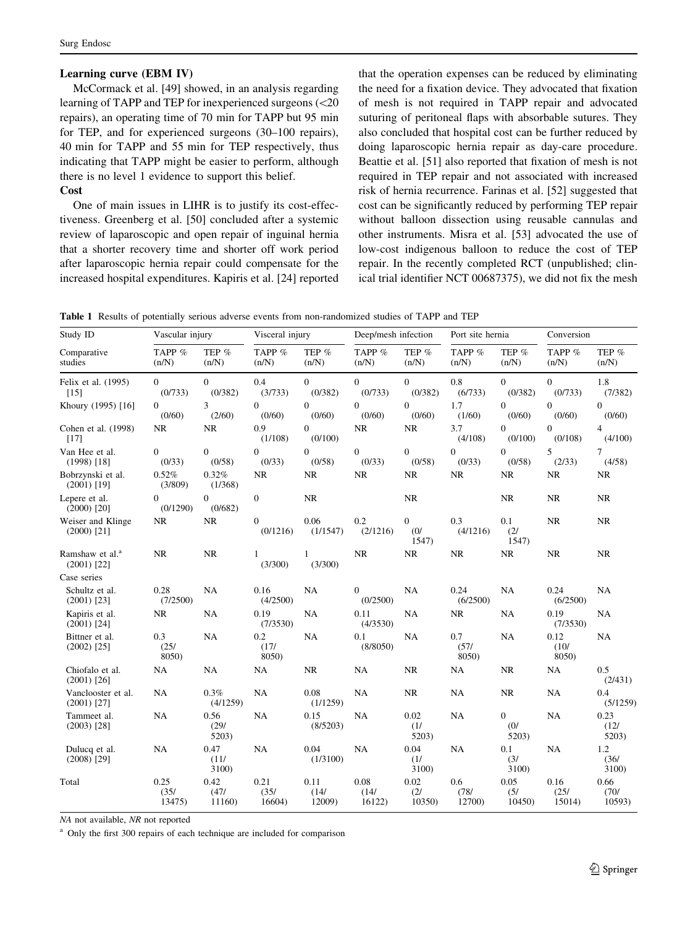## <span id="page-26-0"></span>Learning curve (EBM IV)

McCormack et al. [49] showed, in an analysis regarding learning of TAPP and TEP for inexperienced surgeons (<20) repairs), an operating time of 70 min for TAPP but 95 min for TEP, and for experienced surgeons (30–100 repairs), 40 min for TAPP and 55 min for TEP respectively, thus indicating that TAPP might be easier to perform, although there is no level 1 evidence to support this belief. Cost

One of main issues in LIHR is to justify its cost-effectiveness. Greenberg et al. [50] concluded after a systemic review of laparoscopic and open repair of inguinal hernia that a shorter recovery time and shorter off work period after laparoscopic hernia repair could compensate for the increased hospital expenditures. Kapiris et al. [24] reported that the operation expenses can be reduced by eliminating the need for a fixation device. They advocated that fixation of mesh is not required in TAPP repair and advocated suturing of peritoneal flaps with absorbable sutures. They also concluded that hospital cost can be further reduced by doing laparoscopic hernia repair as day-care procedure. Beattie et al. [51] also reported that fixation of mesh is not required in TEP repair and not associated with increased risk of hernia recurrence. Farinas et al. [52] suggested that cost can be significantly reduced by performing TEP repair without balloon dissection using reusable cannulas and other instruments. Misra et al. [53] advocated the use of low-cost indigenous balloon to reduce the cost of TEP repair. In the recently completed RCT (unpublished; clinical trial identifier NCT 00687375), we did not fix the mesh

Table 1 Results of potentially serious adverse events from non-randomized studies of TAPP and TEP

| Study ID                                     | Vascular injury          |                           | Visceral injury         |                           | Deep/mesh infection       |                                | Port site hernia      |                              | Conversion                |                           |  |
|----------------------------------------------|--------------------------|---------------------------|-------------------------|---------------------------|---------------------------|--------------------------------|-----------------------|------------------------------|---------------------------|---------------------------|--|
| Comparative<br>studies                       | TAPP %<br>(n/N)          | TEP %<br>(n/N)            | TAPP %<br>(n/N)         | TEP %<br>(n/N)            | TAPP %<br>(n/N)           | TEP %<br>(n/N)                 | TAPP %<br>(n/N)       | TEP %<br>(n/N)               | TAPP %<br>(n/N)           | TEP %<br>(n/N)            |  |
| Felix et al. (1995)<br>$[15]$                | $\mathbf{0}$<br>(0/733)  | $\overline{0}$<br>(0/382) | 0.4<br>(3/733)          | $\overline{0}$<br>(0/382) | $\overline{0}$<br>(0/733) | $\overline{0}$<br>(0/382)      | 0.8<br>(6/733)        | $\Omega$<br>(0/382)          | $\overline{0}$<br>(0/733) | 1.8<br>(7/382)            |  |
| Khoury (1995) [16]                           | $\mathbf{0}$<br>(0/60)   | 3<br>(2/60)               | $\Omega$<br>(0/60)      | $\theta$<br>(0/60)        | $\Omega$<br>(0/60)        | $\Omega$<br>(0/60)             | 1.7<br>(1/60)         | $\Omega$<br>(0/60)           | $\Omega$<br>(0/60)        | $\Omega$<br>(0/60)        |  |
| Cohen et al. (1998)<br>$[17]$                | NR                       | NR                        | 0.9<br>(1/108)          | $\mathbf{0}$<br>(0/100)   | NR                        | NR                             | 3.7<br>(4/108)        | $\mathbf{0}$<br>(0/100)      | $\mathbf{0}$<br>(0/108)   | $\overline{4}$<br>(4/100) |  |
| Van Hee et al.<br>$(1998)$ [18]              | $\Omega$<br>(0/33)       | $\Omega$<br>(0/58)        | $\Omega$<br>(0/33)      | $\Omega$<br>(0/58)        | $\overline{0}$<br>(0/33)  | $\Omega$<br>(0/58)             | $\Omega$<br>(0/33)    | $\Omega$<br>(0/58)           | 5<br>(2/33)               | $\tau$<br>(4/58)          |  |
| Bobrzynski et al.<br>$(2001)$ [19]           | 0.52%<br>(3/809)         | 0.32%<br>(1/368)          | <b>NR</b>               | NR                        | NR                        | NR                             | NR                    | <b>NR</b>                    | NR                        | NR.                       |  |
| Lepere et al.<br>$(2000)$ [20]               | $\mathbf{0}$<br>(0/1290) | $\overline{0}$<br>(0/682) | $\theta$                | <b>NR</b>                 |                           | <b>NR</b>                      |                       | <b>NR</b>                    | <b>NR</b>                 | NR.                       |  |
| Weiser and Klinge<br>$(2000)$ [21]           | NR                       | NR                        | $\Omega$<br>(0/1216)    | 0.06<br>(1/1547)          | 0.2<br>(2/1216)           | $\overline{0}$<br>(0)<br>1547) | 0.3<br>(4/1216)       | 0.1<br>(2)<br>1547)          | NR                        | <b>NR</b>                 |  |
| Ramshaw et al. <sup>a</sup><br>$(2001)$ [22] | <b>NR</b>                | NR                        | $\mathbf{1}$<br>(3/300) | $\mathbf{1}$<br>(3/300)   | NR.                       | NR                             | NR                    | <b>NR</b>                    | NR                        | NR.                       |  |
| Case series                                  |                          |                           |                         |                           |                           |                                |                       |                              |                           |                           |  |
| Schultz et al.<br>$(2001)$ [23]              | 0.28<br>(7/2500)         | NA                        | 0.16<br>(4/2500)        | NA                        | $\mathbf{0}$<br>(0/2500)  | NA                             | 0.24<br>(6/2500)      | NA                           | 0.24<br>(6/2500)          | NA                        |  |
| Kapiris et al.<br>$(2001)$ [24]              | NR                       | NA                        | 0.19<br>(7/3530)        | NA                        | 0.11<br>(4/3530)          | NA                             | NR                    | NA                           | 0.19<br>(7/3530)          | NA                        |  |
| Bittner et al.<br>$(2002)$ [25]              | 0.3<br>(25/<br>8050)     | NA                        | 0.2<br>(17/<br>8050)    | NA                        | 0.1<br>(8/8050)           | <b>NA</b>                      | 0.7<br>(57/<br>8050)  | NA                           | 0.12<br>(10/<br>8050)     | NA                        |  |
| Chiofalo et al.<br>$(2001)$ [26]             | NA                       | NA                        | NA                      | NR                        | NA                        | NR                             | NA                    | <b>NR</b>                    | NA                        | 0.5<br>(2/431)            |  |
| Vanclooster et al.<br>$(2001)$ [27]          | <b>NA</b>                | 0.3%<br>(4/1259)          | <b>NA</b>               | 0.08<br>(1/1259)          | <b>NA</b>                 | NR                             | NA                    | NR                           | NA                        | 0.4<br>(5/1259)           |  |
| Tammeet al.<br>$(2003)$ [28]                 | NA                       | 0.56<br>(29/<br>5203)     | NA                      | 0.15<br>(8/5203)          | NA                        | 0.02<br>(1/<br>5203)           | NA                    | $\mathbf{0}$<br>(0)<br>5203) | NA                        | 0.23<br>(12/<br>5203)     |  |
| Dulucq et al.<br>$(2008)$ [29]               | NA                       | 0.47<br>(11/<br>3100)     | NA                      | 0.04<br>(1/3100)          | NA                        | 0.04<br>(1/<br>3100)           | NA                    | 0.1<br>(3)<br>3100)          | NA                        | 1.2<br>(36/<br>3100)      |  |
| Total                                        | 0.25<br>(35/<br>13475)   | 0.42<br>(47/<br>11160)    | 0.21<br>(35/<br>16604)  | 0.11<br>(14)<br>12009)    | 0.08<br>(14/<br>16122     | 0.02<br>(2)<br>10350)          | 0.6<br>(78/<br>12700) | 0.05<br>(5/<br>10450)        | 0.16<br>(25/<br>15014)    | 0.66<br>(70/<br>10593)    |  |

NA not available, NR not reported

<sup>a</sup> Only the first 300 repairs of each technique are included for comparison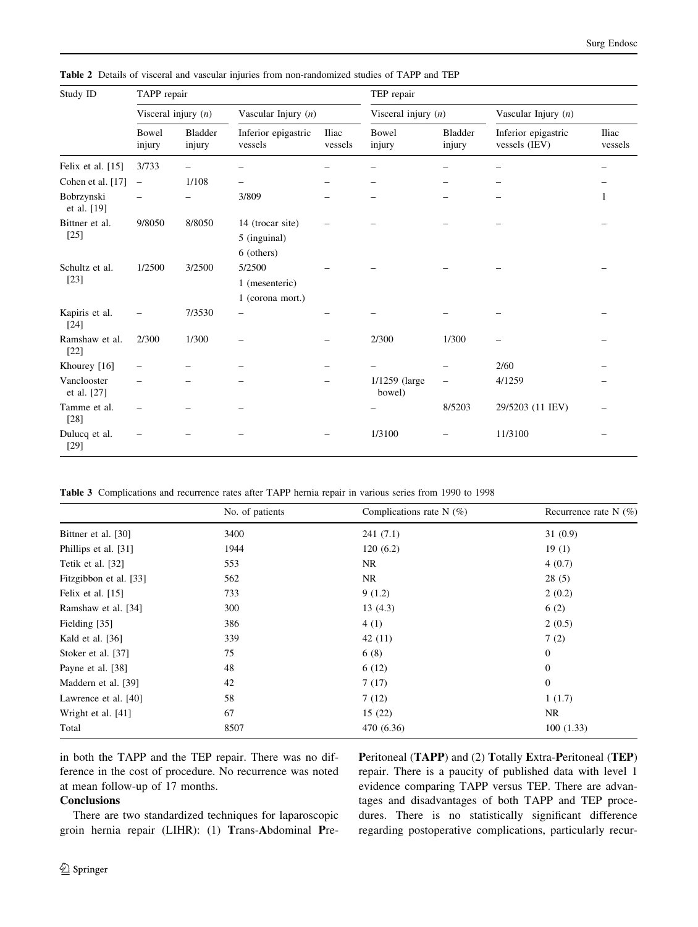| Study ID                   | TAPP repair              |                          |                                                |                         | TEP repair              |                   |                                      |                         |  |  |
|----------------------------|--------------------------|--------------------------|------------------------------------------------|-------------------------|-------------------------|-------------------|--------------------------------------|-------------------------|--|--|
|                            |                          | Visceral injury $(n)$    | Vascular Injury $(n)$                          |                         | Visceral injury $(n)$   |                   | Vascular Injury $(n)$                |                         |  |  |
|                            | Bowel<br>injury          | <b>Bladder</b><br>injury | Inferior epigastric<br>vessels                 | <b>Iliac</b><br>vessels | Bowel<br>injury         | Bladder<br>injury | Inferior epigastric<br>vessels (IEV) | <b>Iliac</b><br>vessels |  |  |
| Felix et al. [15]          | 3/733                    |                          | -                                              |                         |                         |                   |                                      |                         |  |  |
| Cohen et al. [17]          | $\qquad \qquad -$        | 1/108                    |                                                |                         |                         |                   |                                      |                         |  |  |
| Bobrzynski<br>et al. [19]  | $\overline{\phantom{0}}$ | $\overline{\phantom{0}}$ | 3/809                                          |                         |                         |                   |                                      | 1                       |  |  |
| Bittner et al.<br>$[25]$   | 9/8050                   | 8/8050                   | 14 (trocar site)<br>5 (inguinal)<br>6 (others) |                         |                         |                   |                                      |                         |  |  |
| Schultz et al.<br>$[23]$   | 1/2500                   | 3/2500                   | 5/2500<br>1 (mesenteric)<br>1 (corona mort.)   |                         |                         |                   |                                      |                         |  |  |
| Kapiris et al.<br>$[24]$   |                          | 7/3530                   |                                                |                         |                         |                   |                                      |                         |  |  |
| Ramshaw et al.<br>$[22]$   | 2/300                    | 1/300                    |                                                |                         | 2/300                   | 1/300             |                                      |                         |  |  |
| Khourey [16]               | $\qquad \qquad -$        |                          |                                                |                         |                         |                   | 2/60                                 |                         |  |  |
| Vanclooster<br>et al. [27] |                          |                          |                                                |                         | 1/1259 (large<br>bowel) | -                 | 4/1259                               |                         |  |  |
| Tamme et al.<br>$[28]$     | $\overline{\phantom{0}}$ |                          |                                                |                         |                         | 8/5203            | 29/5203 (11 IEV)                     |                         |  |  |
| Dulucq et al.<br>$[29]$    |                          |                          |                                                |                         | 1/3100                  |                   | 11/3100                              |                         |  |  |

<span id="page-27-0"></span>Table 2 Details of visceral and vascular injuries from non-randomized studies of TAPP and TEP

Table 3 Complications and recurrence rates after TAPP hernia repair in various series from 1990 to 1998

|                        | No. of patients | Complications rate $N(\%)$ | Recurrence rate $N(\%)$ |
|------------------------|-----------------|----------------------------|-------------------------|
| Bittner et al. [30]    | 3400            | 241(7.1)                   | 31(0.9)                 |
| Phillips et al. [31]   | 1944            | 120(6.2)                   | 19(1)                   |
| Tetik et al. [32]      | 553             | NR.                        | 4(0.7)                  |
| Fitzgibbon et al. [33] | 562             | NR.                        | 28(5)                   |
| Felix et al. [15]      | 733             | 9(1.2)                     | 2(0.2)                  |
| Ramshaw et al. [34]    | 300             | 13(4.3)                    | 6(2)                    |
| Fielding [35]          | 386             | 4(1)                       | 2(0.5)                  |
| Kald et al. [36]       | 339             | 42(11)                     | 7(2)                    |
| Stoker et al. [37]     | 75              | 6(8)                       | $\mathbf{0}$            |
| Payne et al. [38]      | 48              | 6(12)                      | $\mathbf{0}$            |
| Maddern et al. [39]    | 42              | 7(17)                      | $\mathbf{0}$            |
| Lawrence et al. [40]   | 58              | 7(12)                      | 1(1.7)                  |
| Wright et al. [41]     | 67              | 15(22)                     | NR.                     |
| Total                  | 8507            | 470 (6.36)                 | 100(1.33)               |
|                        |                 |                            |                         |

in both the TAPP and the TEP repair. There was no difference in the cost of procedure. No recurrence was noted at mean follow-up of 17 months.

# **Conclusions**

There are two standardized techniques for laparoscopic groin hernia repair (LIHR): (1) Trans-Abdominal PrePeritoneal (TAPP) and (2) Totally Extra-Peritoneal (TEP) repair. There is a paucity of published data with level 1 evidence comparing TAPP versus TEP. There are advantages and disadvantages of both TAPP and TEP procedures. There is no statistically significant difference regarding postoperative complications, particularly recur-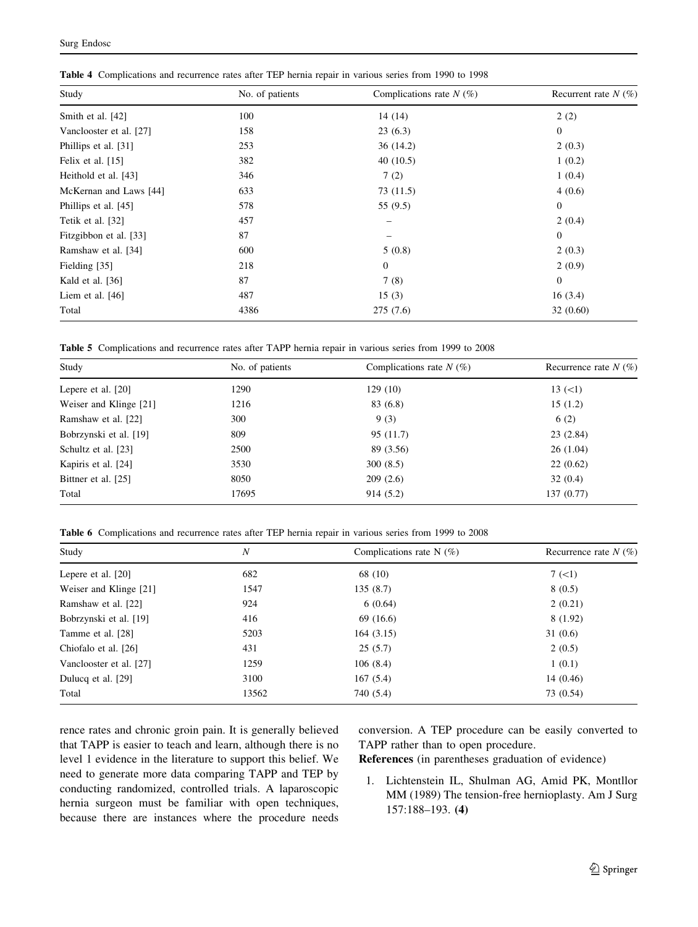<span id="page-28-0"></span>

|  | <b>Table 4</b> Complications and recurrence rates after TEP hernia repair in various series from 1990 to 1998 |  |  |  |  |  |  |  |  |  |  |  |
|--|---------------------------------------------------------------------------------------------------------------|--|--|--|--|--|--|--|--|--|--|--|
|--|---------------------------------------------------------------------------------------------------------------|--|--|--|--|--|--|--|--|--|--|--|

| Study                   | No. of patients | Complications rate $N(\%)$ | Recurrent rate $N(\%)$ |
|-------------------------|-----------------|----------------------------|------------------------|
| Smith et al. [42]       | 100             | 14(14)                     | 2(2)                   |
| Vanclooster et al. [27] | 158             | 23(6.3)                    | $\boldsymbol{0}$       |
| Phillips et al. [31]    | 253             | 36(14.2)                   | 2(0.3)                 |
| Felix et al. $[15]$     | 382             | 40(10.5)                   | 1(0.2)                 |
| Heithold et al. [43]    | 346             | 7(2)                       | 1(0.4)                 |
| McKernan and Laws [44]  | 633             | 73(11.5)                   | 4(0.6)                 |
| Phillips et al. [45]    | 578             | 55(9.5)                    | $\mathbf{0}$           |
| Tetik et al. [32]       | 457             |                            | 2(0.4)                 |
| Fitzgibbon et al. [33]  | 87              |                            | $\boldsymbol{0}$       |
| Ramshaw et al. [34]     | 600             | 5(0.8)                     | 2(0.3)                 |
| Fielding [35]           | 218             | $\boldsymbol{0}$           | 2(0.9)                 |
| Kald et al. [36]        | 87              | 7(8)                       | $\mathbf{0}$           |
| Liem et al. $[46]$      | 487             | 15(3)                      | 16(3.4)                |
| Total                   | 4386            | 275(7.6)                   | 32(0.60)               |

Table 5 Complications and recurrence rates after TAPP hernia repair in various series from 1999 to 2008

| Study                  | No. of patients | Complications rate $N(\%)$ | Recurrence rate $N(\%)$ |
|------------------------|-----------------|----------------------------|-------------------------|
| Lepere et al. $[20]$   | 1290            | 129(10)                    | $13 \; (<1)$            |
| Weiser and Klinge [21] | 1216            | 83 (6.8)                   | 15(1.2)                 |
| Ramshaw et al. [22]    | 300             | 9(3)                       | 6(2)                    |
| Bobrzynski et al. [19] | 809             | 95(11.7)                   | 23(2.84)                |
| Schultz et al. [23]    | 2500            | 89 (3.56)                  | 26(1.04)                |
| Kapiris et al. [24]    | 3530            | 300(8.5)                   | 22(0.62)                |
| Bittner et al. [25]    | 8050            | 209(2.6)                   | 32(0.4)                 |
| Total                  | 17695           | 914(5.2)                   | 137 (0.77)              |

Table 6 Complications and recurrence rates after TEP hernia repair in various series from 1999 to 2008

| Study                   | $\boldsymbol{N}$ | Complications rate $N(\%)$ | Recurrence rate $N(\%)$ |
|-------------------------|------------------|----------------------------|-------------------------|
| Lepere et al. $[20]$    | 682              | 68 (10)                    | $7 (-1)$                |
| Weiser and Klinge [21]  | 1547             | 135(8.7)                   | 8(0.5)                  |
| Ramshaw et al. [22]     | 924              | 6(0.64)                    | 2(0.21)                 |
| Bobrzynski et al. [19]  | 416              | 69 (16.6)                  | 8(1.92)                 |
| Tamme et al. [28]       | 5203             | 164(3.15)                  | 31(0.6)                 |
| Chiofalo et al. [26]    | 431              | 25(5.7)                    | 2(0.5)                  |
| Vanclooster et al. [27] | 1259             | 106(8.4)                   | 1(0.1)                  |
| Dulucq et al. [29]      | 3100             | 167(5.4)                   | 14(0.46)                |
| Total                   | 13562            | 740 (5.4)                  | 73 (0.54)               |

rence rates and chronic groin pain. It is generally believed that TAPP is easier to teach and learn, although there is no level 1 evidence in the literature to support this belief. We need to generate more data comparing TAPP and TEP by conducting randomized, controlled trials. A laparoscopic hernia surgeon must be familiar with open techniques, because there are instances where the procedure needs conversion. A TEP procedure can be easily converted to TAPP rather than to open procedure.

References (in parentheses graduation of evidence)

1. Lichtenstein IL, Shulman AG, Amid PK, Montllor MM (1989) The tension-free hernioplasty. Am J Surg 157:188–193. (4)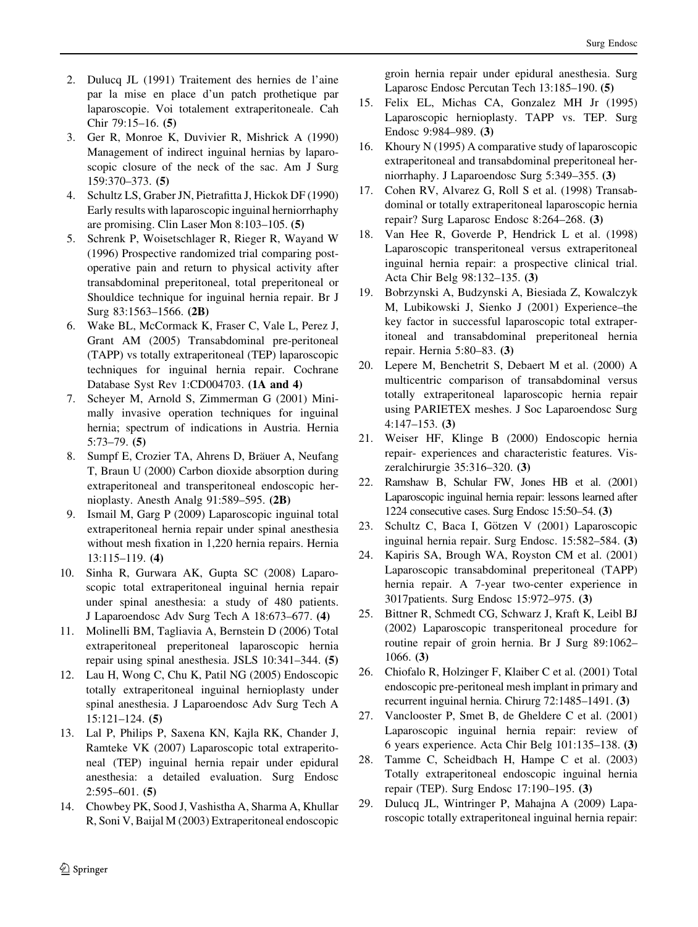- 2. Dulucq JL (1991) Traitement des hernies de l'aine par la mise en place d'un patch prothetique par laparoscopie. Voi totalement extraperitoneale. Cah Chir 79:15–16. (5)
- 3. Ger R, Monroe K, Duvivier R, Mishrick A (1990) Management of indirect inguinal hernias by laparoscopic closure of the neck of the sac. Am J Surg 159:370–373. (5)
- 4. Schultz LS, Graber JN, Pietrafitta J, Hickok DF (1990) Early results with laparoscopic inguinal herniorrhaphy are promising. Clin Laser Mon 8:103–105. (5)
- 5. Schrenk P, Woisetschlager R, Rieger R, Wayand W (1996) Prospective randomized trial comparing postoperative pain and return to physical activity after transabdominal preperitoneal, total preperitoneal or Shouldice technique for inguinal hernia repair. Br J Surg 83:1563–1566. (2B)
- 6. Wake BL, McCormack K, Fraser C, Vale L, Perez J, Grant AM (2005) Transabdominal pre-peritoneal (TAPP) vs totally extraperitoneal (TEP) laparoscopic techniques for inguinal hernia repair. Cochrane Database Syst Rev 1:CD004703. (1A and 4)
- 7. Scheyer M, Arnold S, Zimmerman G (2001) Minimally invasive operation techniques for inguinal hernia; spectrum of indications in Austria. Hernia 5:73–79. (5)
- 8. Sumpf E, Crozier TA, Ahrens D, Bräuer A, Neufang T, Braun U (2000) Carbon dioxide absorption during extraperitoneal and transperitoneal endoscopic hernioplasty. Anesth Analg 91:589–595. (2B)
- 9. Ismail M, Garg P (2009) Laparoscopic inguinal total extraperitoneal hernia repair under spinal anesthesia without mesh fixation in 1,220 hernia repairs. Hernia 13:115–119. (4)
- 10. Sinha R, Gurwara AK, Gupta SC (2008) Laparoscopic total extraperitoneal inguinal hernia repair under spinal anesthesia: a study of 480 patients. J Laparoendosc Adv Surg Tech A 18:673–677. (4)
- 11. Molinelli BM, Tagliavia A, Bernstein D (2006) Total extraperitoneal preperitoneal laparoscopic hernia repair using spinal anesthesia. JSLS 10:341–344. (5)
- 12. Lau H, Wong C, Chu K, Patil NG (2005) Endoscopic totally extraperitoneal inguinal hernioplasty under spinal anesthesia. J Laparoendosc Adv Surg Tech A 15:121–124. (5)
- 13. Lal P, Philips P, Saxena KN, Kajla RK, Chander J, Ramteke VK (2007) Laparoscopic total extraperitoneal (TEP) inguinal hernia repair under epidural anesthesia: a detailed evaluation. Surg Endosc 2:595–601. (5)
- 14. Chowbey PK, Sood J, Vashistha A, Sharma A, Khullar R, Soni V, Baijal M (2003) Extraperitoneal endoscopic

groin hernia repair under epidural anesthesia. Surg Laparosc Endosc Percutan Tech 13:185–190. (5)

- 15. Felix EL, Michas CA, Gonzalez MH Jr (1995) Laparoscopic hernioplasty. TAPP vs. TEP. Surg Endosc 9:984–989. (3)
- 16. Khoury N (1995) A comparative study of laparoscopic extraperitoneal and transabdominal preperitoneal herniorrhaphy. J Laparoendosc Surg 5:349–355. (3)
- 17. Cohen RV, Alvarez G, Roll S et al. (1998) Transabdominal or totally extraperitoneal laparoscopic hernia repair? Surg Laparosc Endosc 8:264–268. (3)
- 18. Van Hee R, Goverde P, Hendrick L et al. (1998) Laparoscopic transperitoneal versus extraperitoneal inguinal hernia repair: a prospective clinical trial. Acta Chir Belg 98:132–135. (3)
- 19. Bobrzynski A, Budzynski A, Biesiada Z, Kowalczyk M, Lubikowski J, Sienko J (2001) Experience–the key factor in successful laparoscopic total extraperitoneal and transabdominal preperitoneal hernia repair. Hernia 5:80–83. (3)
- 20. Lepere M, Benchetrit S, Debaert M et al. (2000) A multicentric comparison of transabdominal versus totally extraperitoneal laparoscopic hernia repair using PARIETEX meshes. J Soc Laparoendosc Surg 4:147–153. (3)
- 21. Weiser HF, Klinge B (2000) Endoscopic hernia repair- experiences and characteristic features. Viszeralchirurgie 35:316–320. (3)
- 22. Ramshaw B, Schular FW, Jones HB et al. (2001) Laparoscopic inguinal hernia repair: lessons learned after 1224 consecutive cases. Surg Endosc 15:50–54. (3)
- 23. Schultz C, Baca I, Götzen V (2001) Laparoscopic inguinal hernia repair. Surg Endosc. 15:582–584. (3)
- 24. Kapiris SA, Brough WA, Royston CM et al. (2001) Laparoscopic transabdominal preperitoneal (TAPP) hernia repair. A 7-year two-center experience in 3017patients. Surg Endosc 15:972–975. (3)
- 25. Bittner R, Schmedt CG, Schwarz J, Kraft K, Leibl BJ (2002) Laparoscopic transperitoneal procedure for routine repair of groin hernia. Br J Surg 89:1062– 1066. (3)
- 26. Chiofalo R, Holzinger F, Klaiber C et al. (2001) Total endoscopic pre-peritoneal mesh implant in primary and recurrent inguinal hernia. Chirurg 72:1485–1491. (3)
- 27. Vanclooster P, Smet B, de Gheldere C et al. (2001) Laparoscopic inguinal hernia repair: review of 6 years experience. Acta Chir Belg 101:135–138. (3)
- 28. Tamme C, Scheidbach H, Hampe C et al. (2003) Totally extraperitoneal endoscopic inguinal hernia repair (TEP). Surg Endosc 17:190–195. (3)
- 29. Dulucq JL, Wintringer P, Mahajna A (2009) Laparoscopic totally extraperitoneal inguinal hernia repair: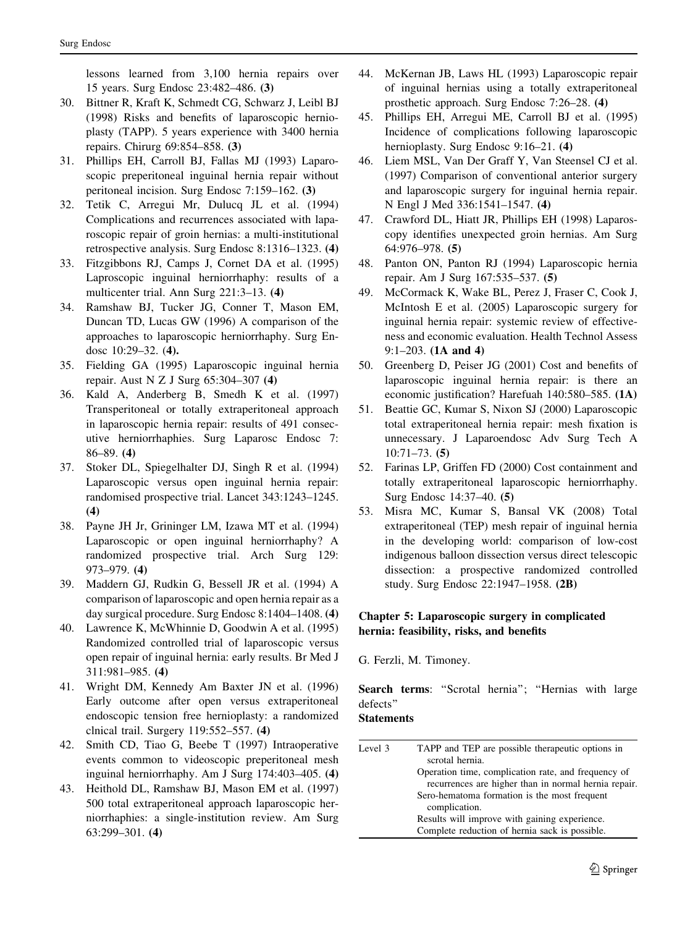lessons learned from 3,100 hernia repairs over 15 years. Surg Endosc 23:482–486. (3)

- 30. Bittner R, Kraft K, Schmedt CG, Schwarz J, Leibl BJ (1998) Risks and benefits of laparoscopic hernioplasty (TAPP). 5 years experience with 3400 hernia repairs. Chirurg 69:854–858. (3)
- 31. Phillips EH, Carroll BJ, Fallas MJ (1993) Laparoscopic preperitoneal inguinal hernia repair without peritoneal incision. Surg Endosc 7:159–162. (3)
- 32. Tetik C, Arregui Mr, Dulucq JL et al. (1994) Complications and recurrences associated with laparoscopic repair of groin hernias: a multi-institutional retrospective analysis. Surg Endosc 8:1316–1323. (4)
- 33. Fitzgibbons RJ, Camps J, Cornet DA et al. (1995) Laproscopic inguinal herniorrhaphy: results of a multicenter trial. Ann Surg 221:3–13. (4)
- 34. Ramshaw BJ, Tucker JG, Conner T, Mason EM, Duncan TD, Lucas GW (1996) A comparison of the approaches to laparoscopic herniorrhaphy. Surg Endosc 10:29–32. (4).
- 35. Fielding GA (1995) Laparoscopic inguinal hernia repair. Aust N Z J Surg 65:304–307 (4)
- 36. Kald A, Anderberg B, Smedh K et al. (1997) Transperitoneal or totally extraperitoneal approach in laparoscopic hernia repair: results of 491 consecutive herniorrhaphies. Surg Laparosc Endosc 7: 86–89. (4)
- 37. Stoker DL, Spiegelhalter DJ, Singh R et al. (1994) Laparoscopic versus open inguinal hernia repair: randomised prospective trial. Lancet 343:1243–1245. (4)
- 38. Payne JH Jr, Grininger LM, Izawa MT et al. (1994) Laparoscopic or open inguinal herniorrhaphy? A randomized prospective trial. Arch Surg 129: 973–979. (4)
- 39. Maddern GJ, Rudkin G, Bessell JR et al. (1994) A comparison of laparoscopic and open hernia repair as a day surgical procedure. Surg Endosc 8:1404–1408. (4)
- 40. Lawrence K, McWhinnie D, Goodwin A et al. (1995) Randomized controlled trial of laparoscopic versus open repair of inguinal hernia: early results. Br Med J 311:981–985. (4)
- 41. Wright DM, Kennedy Am Baxter JN et al. (1996) Early outcome after open versus extraperitoneal endoscopic tension free hernioplasty: a randomized clnical trail. Surgery 119:552–557. (4)
- 42. Smith CD, Tiao G, Beebe T (1997) Intraoperative events common to videoscopic preperitoneal mesh inguinal herniorrhaphy. Am J Surg 174:403–405. (4)
- 43. Heithold DL, Ramshaw BJ, Mason EM et al. (1997) 500 total extraperitoneal approach laparoscopic herniorrhaphies: a single-institution review. Am Surg 63:299–301. (4)
- 44. McKernan JB, Laws HL (1993) Laparoscopic repair of inguinal hernias using a totally extraperitoneal prosthetic approach. Surg Endosc 7:26–28. (4)
- 45. Phillips EH, Arregui ME, Carroll BJ et al. (1995) Incidence of complications following laparoscopic hernioplasty. Surg Endosc 9:16–21. (4)
- 46. Liem MSL, Van Der Graff Y, Van Steensel CJ et al. (1997) Comparison of conventional anterior surgery and laparoscopic surgery for inguinal hernia repair. N Engl J Med 336:1541–1547. (4)
- 47. Crawford DL, Hiatt JR, Phillips EH (1998) Laparoscopy identifies unexpected groin hernias. Am Surg 64:976–978. (5)
- 48. Panton ON, Panton RJ (1994) Laparoscopic hernia repair. Am J Surg 167:535–537. (5)
- 49. McCormack K, Wake BL, Perez J, Fraser C, Cook J, McIntosh E et al. (2005) Laparoscopic surgery for inguinal hernia repair: systemic review of effectiveness and economic evaluation. Health Technol Assess 9:1–203. (1A and 4)
- 50. Greenberg D, Peiser JG (2001) Cost and benefits of laparoscopic inguinal hernia repair: is there an economic justification? Harefuah 140:580–585. (1A)
- 51. Beattie GC, Kumar S, Nixon SJ (2000) Laparoscopic total extraperitoneal hernia repair: mesh fixation is unnecessary. J Laparoendosc Adv Surg Tech A 10:71–73. (5)
- 52. Farinas LP, Griffen FD (2000) Cost containment and totally extraperitoneal laparoscopic herniorrhaphy. Surg Endosc 14:37–40. (5)
- 53. Misra MC, Kumar S, Bansal VK (2008) Total extraperitoneal (TEP) mesh repair of inguinal hernia in the developing world: comparison of low-cost indigenous balloon dissection versus direct telescopic dissection: a prospective randomized controlled study. Surg Endosc 22:1947–1958. (2B)

# Chapter 5: Laparoscopic surgery in complicated hernia: feasibility, risks, and benefits

G. Ferzli, M. Timoney.

Search terms: "Scrotal hernia"; "Hernias with large defects''

## Statements

| Level 3 | TAPP and TEP are possible therapeutic options in<br>scrotal hernia.                                         |
|---------|-------------------------------------------------------------------------------------------------------------|
|         | Operation time, complication rate, and frequency of<br>recurrences are higher than in normal hernia repair. |
|         | Sero-hematoma formation is the most frequent<br>complication.                                               |
|         | Results will improve with gaining experience.<br>Complete reduction of hernia sack is possible.             |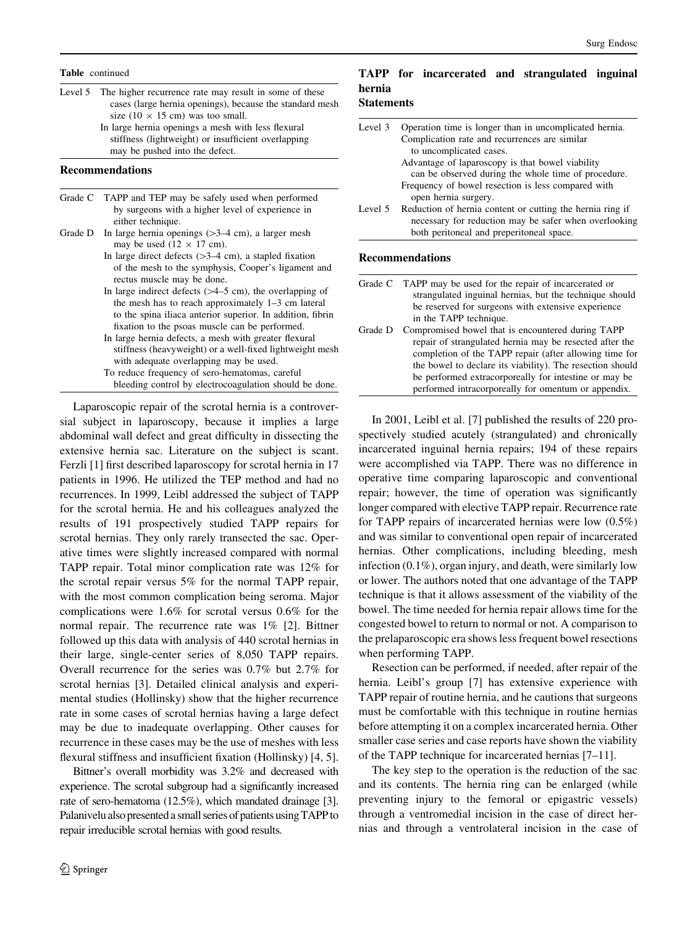Table continued

Level 5 The higher recurrence rate may result in some of these cases (large hernia openings), because the standard mesh size (10  $\times$  15 cm) was too small. In large hernia openings a mesh with less flexural stiffness (lightweight) or insufficient overlapping may be pushed into the defect.

### Recommendations

- Grade C TAPP and TEP may be safely used when performed by surgeons with a higher level of experience in either technique. Grade D In large hernia openings  $(>=3-4$  cm), a larger mesh
	- may be used  $(12 \times 17 \text{ cm})$ . In large direct defects  $(>=3-4$  cm), a stapled fixation of the mesh to the symphysis, Cooper's ligament and rectus muscle may be done.
		- In large indirect defects  $(>=4-5$  cm), the overlapping of the mesh has to reach approximately 1–3 cm lateral to the spina iliaca anterior superior. In addition, fibrin fixation to the psoas muscle can be performed.

| In large hernia defects, a mesh with greater flexural    |  |
|----------------------------------------------------------|--|
| stiffness (heavyweight) or a well-fixed lightweight mesh |  |
| with adequate overlapping may be used.                   |  |
| To reduce frequency of sero-hematomas, careful           |  |
| bleeding control by electrocoagulation should be done.   |  |

Laparoscopic repair of the scrotal hernia is a controversial subject in laparoscopy, because it implies a large abdominal wall defect and great difficulty in dissecting the extensive hernia sac. Literature on the subject is scant. Ferzli [1] first described laparoscopy for scrotal hernia in 17 patients in 1996. He utilized the TEP method and had no recurrences. In 1999, Leibl addressed the subject of TAPP for the scrotal hernia. He and his colleagues analyzed the results of 191 prospectively studied TAPP repairs for scrotal hernias. They only rarely transected the sac. Operative times were slightly increased compared with normal TAPP repair. Total minor complication rate was 12% for the scrotal repair versus 5% for the normal TAPP repair, with the most common complication being seroma. Major complications were 1.6% for scrotal versus 0.6% for the normal repair. The recurrence rate was 1% [2]. Bittner followed up this data with analysis of 440 scrotal hernias in their large, single-center series of 8,050 TAPP repairs. Overall recurrence for the series was 0.7% but 2.7% for scrotal hernias [3]. Detailed clinical analysis and experimental studies (Hollinsky) show that the higher recurrence rate in some cases of scrotal hernias having a large defect may be due to inadequate overlapping. Other causes for recurrence in these cases may be the use of meshes with less flexural stiffness and insufficient fixation (Hollinsky) [4, 5].

Bittner's overall morbidity was 3.2% and decreased with experience. The scrotal subgroup had a significantly increased rate of sero-hematoma (12.5%), which mandated drainage [3]. Palanivelu also presented a small series of patients using TAPP to repair irreducible scrotal hernias with good results.

## TAPP for incarcerated and strangulated inguinal hernia

|  | <b>Statements</b> |  |  |  |
|--|-------------------|--|--|--|
|  |                   |  |  |  |

| Operation time is longer than in uncomplicated hernia.                                                                                                         |
|----------------------------------------------------------------------------------------------------------------------------------------------------------------|
| Complication rate and recurrences are similar<br>to uncomplicated cases.                                                                                       |
| Advantage of laparoscopy is that bowel viability                                                                                                               |
| can be observed during the whole time of procedure.                                                                                                            |
| Frequency of bowel resection is less compared with<br>open hernia surgery.                                                                                     |
| Reduction of hernia content or cutting the hernia ring if<br>necessary for reduction may be safer when overlooking<br>both peritoneal and preperitoneal space. |
|                                                                                                                                                                |

### Recommendations

| Grade C TAPP may be used for the repair of incarcerated or |
|------------------------------------------------------------|
| strangulated inguinal hernias, but the technique should    |
| be reserved for surgeons with extensive experience         |
| in the TAPP technique.                                     |
| Compromised bowel that is encountered during TAPP          |
| repair of strangulated hernia may be resected after the    |
| completion of the TAPP repair (after allowing time for     |
| the bowel to declare its viability). The resection should  |
| be performed extracorporeally for intestine or may be      |
| performed intracorporeally for omentum or appendix.        |
|                                                            |

In 2001, Leibl et al. [7] published the results of 220 prospectively studied acutely (strangulated) and chronically incarcerated inguinal hernia repairs; 194 of these repairs were accomplished via TAPP. There was no difference in operative time comparing laparoscopic and conventional repair; however, the time of operation was significantly longer compared with elective TAPP repair. Recurrence rate for TAPP repairs of incarcerated hernias were low (0.5%) and was similar to conventional open repair of incarcerated hernias. Other complications, including bleeding, mesh infection (0.1%), organ injury, and death, were similarly low or lower. The authors noted that one advantage of the TAPP technique is that it allows assessment of the viability of the bowel. The time needed for hernia repair allows time for the congested bowel to return to normal or not. A comparison to the prelaparoscopic era shows less frequent bowel resections when performing TAPP.

Resection can be performed, if needed, after repair of the hernia. Leibl's group [7] has extensive experience with TAPP repair of routine hernia, and he cautions that surgeons must be comfortable with this technique in routine hernias before attempting it on a complex incarcerated hernia. Other smaller case series and case reports have shown the viability of the TAPP technique for incarcerated hernias [7–11].

The key step to the operation is the reduction of the sac and its contents. The hernia ring can be enlarged (while preventing injury to the femoral or epigastric vessels) through a ventromedial incision in the case of direct hernias and through a ventrolateral incision in the case of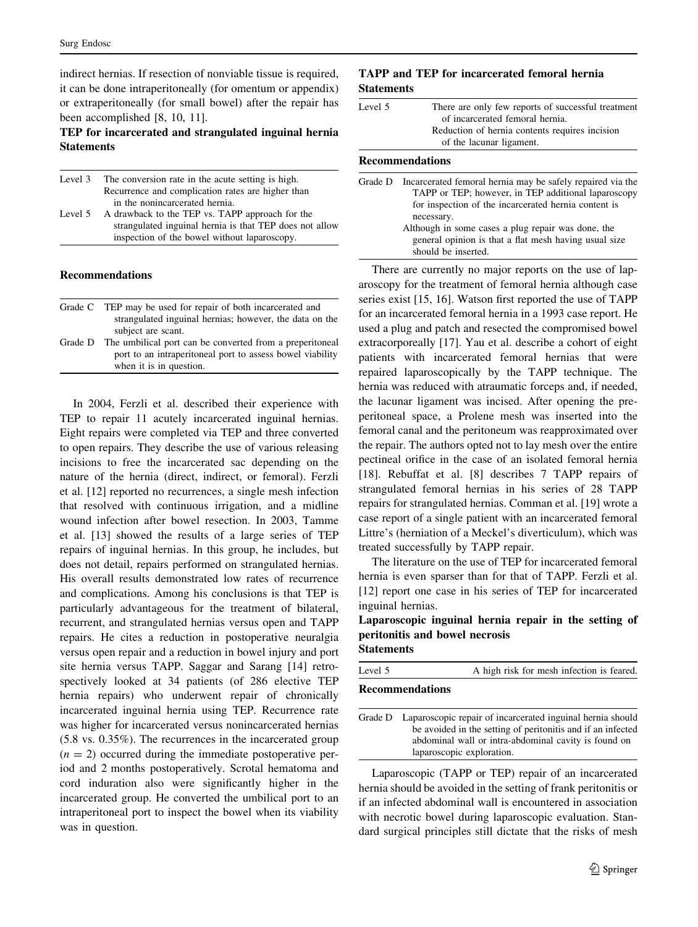indirect hernias. If resection of nonviable tissue is required. it can be done intraperitoneally (for omentum or appendix) or extraperitoneally (for small bowel) after the repair has been accomplished [8, 10, 11].

## TEP for incarcerated and strangulated inguinal hernia **Statements**

| Level 3 | The conversion rate in the acute setting is high.       |
|---------|---------------------------------------------------------|
|         | Recurrence and complication rates are higher than       |
|         | in the nonincarcerated hernia.                          |
| Level 5 | A drawback to the TEP vs. TAPP approach for the         |
|         | strangulated inguinal hernia is that TEP does not allow |
|         | inspection of the bowel without laparoscopy.            |

### Recommendations

|         | Grade C TEP may be used for repair of both incarcerated and |
|---------|-------------------------------------------------------------|
|         | strangulated inguinal hernias; however, the data on the     |
|         | subject are scant.                                          |
| Grade D | The umbilical port can be converted from a preperitoneal    |
|         | port to an intraperitoneal port to assess bowel viability   |
|         | when it is in question.                                     |

In 2004, Ferzli et al. described their experience with TEP to repair 11 acutely incarcerated inguinal hernias. Eight repairs were completed via TEP and three converted to open repairs. They describe the use of various releasing incisions to free the incarcerated sac depending on the nature of the hernia (direct, indirect, or femoral). Ferzli et al. [12] reported no recurrences, a single mesh infection that resolved with continuous irrigation, and a midline wound infection after bowel resection. In 2003, Tamme et al. [13] showed the results of a large series of TEP repairs of inguinal hernias. In this group, he includes, but does not detail, repairs performed on strangulated hernias. His overall results demonstrated low rates of recurrence and complications. Among his conclusions is that TEP is particularly advantageous for the treatment of bilateral, recurrent, and strangulated hernias versus open and TAPP repairs. He cites a reduction in postoperative neuralgia versus open repair and a reduction in bowel injury and port site hernia versus TAPP. Saggar and Sarang [14] retrospectively looked at 34 patients (of 286 elective TEP hernia repairs) who underwent repair of chronically incarcerated inguinal hernia using TEP. Recurrence rate was higher for incarcerated versus nonincarcerated hernias (5.8 vs. 0.35%). The recurrences in the incarcerated group  $(n = 2)$  occurred during the immediate postoperative period and 2 months postoperatively. Scrotal hematoma and cord induration also were significantly higher in the incarcerated group. He converted the umbilical port to an intraperitoneal port to inspect the bowel when its viability was in question.

## TAPP and TEP for incarcerated femoral hernia **Statements**

| Level 5                       | There are only few reports of successful treatment |
|-------------------------------|----------------------------------------------------|
|                               | of incarcerated femoral hernia.                    |
|                               |                                                    |
|                               | Reduction of hernia contents requires incision     |
|                               | of the lacunar ligament.                           |
| $\mathbf{R}$ and $\mathbf{R}$ |                                                    |

### Recommendations

| Grade D Incarcerated femoral hernia may be safely repaired via the |
|--------------------------------------------------------------------|
| TAPP or TEP; however, in TEP additional laparoscopy                |
| for inspection of the incarcerated hernia content is               |
| necessary.                                                         |
| Although in some cases a plug repair was done, the                 |
| general opinion is that a flat mesh having usual size              |
| should be inserted.                                                |

There are currently no major reports on the use of laparoscopy for the treatment of femoral hernia although case series exist [15, 16]. Watson first reported the use of TAPP for an incarcerated femoral hernia in a 1993 case report. He used a plug and patch and resected the compromised bowel extracorporeally [17]. Yau et al. describe a cohort of eight patients with incarcerated femoral hernias that were repaired laparoscopically by the TAPP technique. The hernia was reduced with atraumatic forceps and, if needed, the lacunar ligament was incised. After opening the preperitoneal space, a Prolene mesh was inserted into the femoral canal and the peritoneum was reapproximated over the repair. The authors opted not to lay mesh over the entire pectineal orifice in the case of an isolated femoral hernia [18]. Rebuffat et al. [8] describes 7 TAPP repairs of strangulated femoral hernias in his series of 28 TAPP repairs for strangulated hernias. Comman et al. [19] wrote a case report of a single patient with an incarcerated femoral Littre's (herniation of a Meckel's diverticulum), which was treated successfully by TAPP repair.

The literature on the use of TEP for incarcerated femoral hernia is even sparser than for that of TAPP. Ferzli et al. [12] report one case in his series of TEP for incarcerated inguinal hernias.

## Laparoscopic inguinal hernia repair in the setting of peritonitis and bowel necrosis **Statements**

| Level 5 | A high risk for mesh infection is feared.                                                                                                                                                                      |
|---------|----------------------------------------------------------------------------------------------------------------------------------------------------------------------------------------------------------------|
|         | <b>Recommendations</b>                                                                                                                                                                                         |
| Grade D | Laparoscopic repair of incarcerated inguinal hernia should<br>be avoided in the setting of peritonitis and if an infected<br>abdominal wall or intra-abdominal cavity is found on<br>laparoscopic exploration. |

Laparoscopic (TAPP or TEP) repair of an incarcerated hernia should be avoided in the setting of frank peritonitis or if an infected abdominal wall is encountered in association with necrotic bowel during laparoscopic evaluation. Standard surgical principles still dictate that the risks of mesh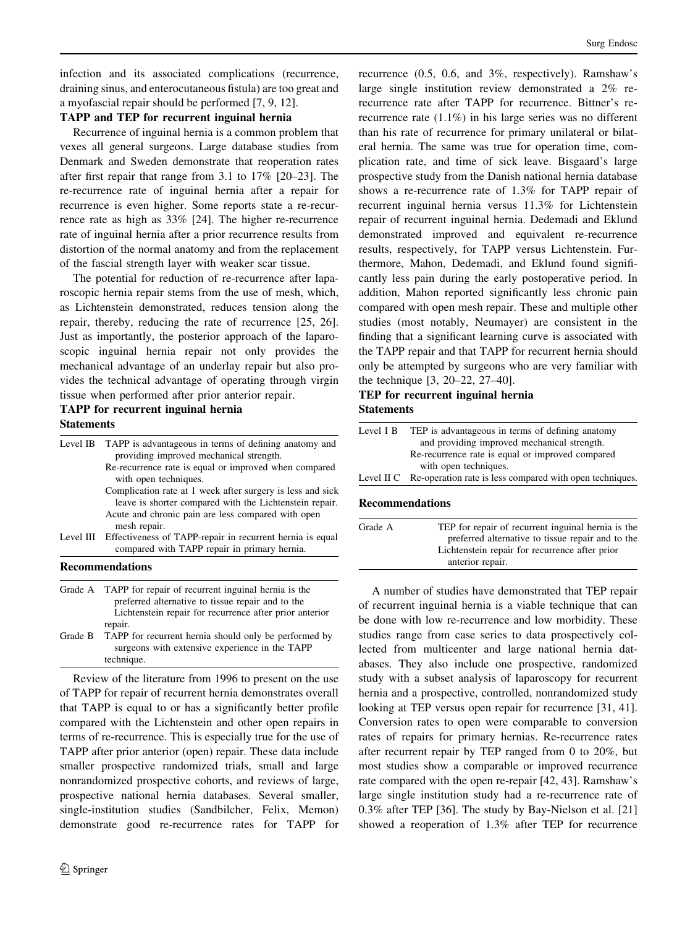infection and its associated complications (recurrence, draining sinus, and enterocutaneous fistula) are too great and a myofascial repair should be performed [7, 9, 12].

### TAPP and TEP for recurrent inguinal hernia

Recurrence of inguinal hernia is a common problem that vexes all general surgeons. Large database studies from Denmark and Sweden demonstrate that reoperation rates after first repair that range from 3.1 to 17% [20–23]. The re-recurrence rate of inguinal hernia after a repair for recurrence is even higher. Some reports state a re-recurrence rate as high as 33% [24]. The higher re-recurrence rate of inguinal hernia after a prior recurrence results from distortion of the normal anatomy and from the replacement of the fascial strength layer with weaker scar tissue.

The potential for reduction of re-recurrence after laparoscopic hernia repair stems from the use of mesh, which, as Lichtenstein demonstrated, reduces tension along the repair, thereby, reducing the rate of recurrence [25, 26]. Just as importantly, the posterior approach of the laparoscopic inguinal hernia repair not only provides the mechanical advantage of an underlay repair but also provides the technical advantage of operating through virgin tissue when performed after prior anterior repair.

# TAPP for recurrent inguinal hernia

technique.

| Statements |
|------------|
|            |

| TAPP is advantageous in terms of defining anatomy and<br>providing improved mechanical strength.                                                                            |
|-----------------------------------------------------------------------------------------------------------------------------------------------------------------------------|
| Re-recurrence rate is equal or improved when compared<br>with open techniques.                                                                                              |
| Complication rate at 1 week after surgery is less and sick<br>leave is shorter compared with the Lichtenstein repair.<br>Acute and chronic pain are less compared with open |
| mesh repair.                                                                                                                                                                |
| Level III Effectiveness of TAPP-repair in recurrent hernia is equal<br>compared with TAPP repair in primary hernia.                                                         |
| <b>Recommendations</b>                                                                                                                                                      |
|                                                                                                                                                                             |

| Grade A TAPP for repair of recurrent inguinal hernia is the   |
|---------------------------------------------------------------|
| preferred alternative to tissue repair and to the             |
| Lichtenstein repair for recurrence after prior anterior       |
| repair.                                                       |
| Grade B TAPP for recurrent hernia should only be performed by |
| surgeons with extensive experience in the TAPP                |

Review of the literature from 1996 to present on the use of TAPP for repair of recurrent hernia demonstrates overall that TAPP is equal to or has a significantly better profile compared with the Lichtenstein and other open repairs in terms of re-recurrence. This is especially true for the use of TAPP after prior anterior (open) repair. These data include smaller prospective randomized trials, small and large nonrandomized prospective cohorts, and reviews of large, prospective national hernia databases. Several smaller, single-institution studies (Sandbilcher, Felix, Memon) demonstrate good re-recurrence rates for TAPP for

recurrence (0.5, 0.6, and 3%, respectively). Ramshaw's large single institution review demonstrated a 2% rerecurrence rate after TAPP for recurrence. Bittner's rerecurrence rate (1.1%) in his large series was no different than his rate of recurrence for primary unilateral or bilateral hernia. The same was true for operation time, complication rate, and time of sick leave. Bisgaard's large prospective study from the Danish national hernia database shows a re-recurrence rate of 1.3% for TAPP repair of recurrent inguinal hernia versus 11.3% for Lichtenstein repair of recurrent inguinal hernia. Dedemadi and Eklund demonstrated improved and equivalent re-recurrence results, respectively, for TAPP versus Lichtenstein. Furthermore, Mahon, Dedemadi, and Eklund found significantly less pain during the early postoperative period. In addition, Mahon reported significantly less chronic pain compared with open mesh repair. These and multiple other studies (most notably, Neumayer) are consistent in the finding that a significant learning curve is associated with the TAPP repair and that TAPP for recurrent hernia should only be attempted by surgeons who are very familiar with the technique [3, 20–22, 27–40].

### TEP for recurrent inguinal hernia **Statements**

| Level I B | TEP is advantageous in terms of defining anatomy                    |
|-----------|---------------------------------------------------------------------|
|           | and providing improved mechanical strength.                         |
|           | Re-recurrence rate is equal or improved compared                    |
|           | with open techniques.                                               |
|           | Level II C Re-operation rate is less compared with open techniques. |
|           |                                                                     |
|           |                                                                     |

## Recommendations

| Grade A | TEP for repair of recurrent inguinal hernia is the |
|---------|----------------------------------------------------|
|         | preferred alternative to tissue repair and to the  |
|         | Lichtenstein repair for recurrence after prior     |
|         | anterior repair.                                   |
|         |                                                    |

A number of studies have demonstrated that TEP repair of recurrent inguinal hernia is a viable technique that can be done with low re-recurrence and low morbidity. These studies range from case series to data prospectively collected from multicenter and large national hernia databases. They also include one prospective, randomized study with a subset analysis of laparoscopy for recurrent hernia and a prospective, controlled, nonrandomized study looking at TEP versus open repair for recurrence [31, 41]. Conversion rates to open were comparable to conversion rates of repairs for primary hernias. Re-recurrence rates after recurrent repair by TEP ranged from 0 to 20%, but most studies show a comparable or improved recurrence rate compared with the open re-repair [42, 43]. Ramshaw's large single institution study had a re-recurrence rate of 0.3% after TEP [36]. The study by Bay-Nielson et al. [21] showed a reoperation of 1.3% after TEP for recurrence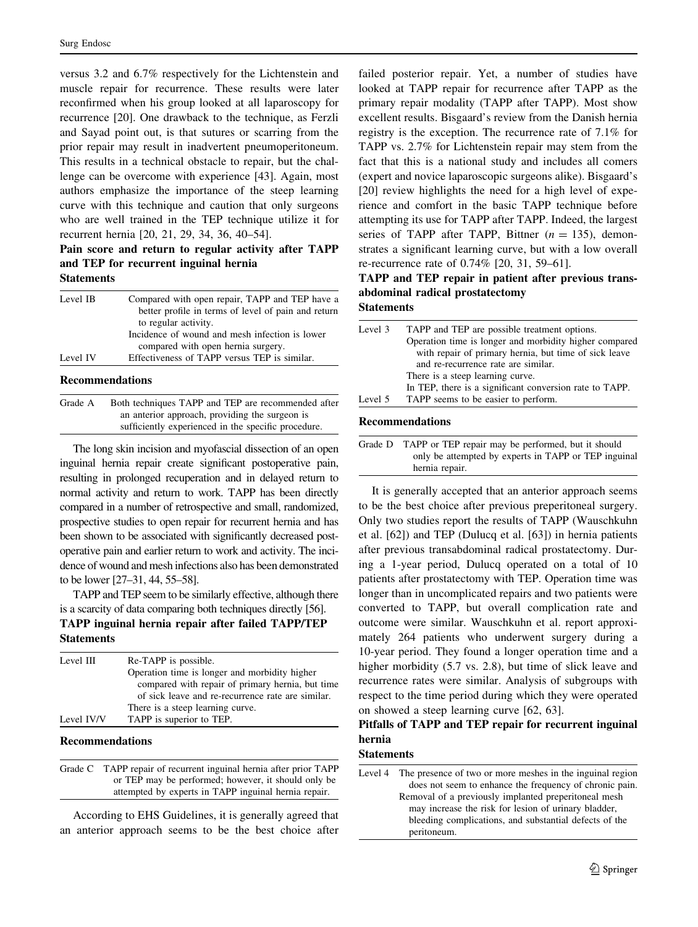versus 3.2 and 6.7% respectively for the Lichtenstein and muscle repair for recurrence. These results were later reconfirmed when his group looked at all laparoscopy for recurrence [20]. One drawback to the technique, as Ferzli and Sayad point out, is that sutures or scarring from the prior repair may result in inadvertent pneumoperitoneum. This results in a technical obstacle to repair, but the challenge can be overcome with experience [43]. Again, most authors emphasize the importance of the steep learning curve with this technique and caution that only surgeons who are well trained in the TEP technique utilize it for recurrent hernia [20, 21, 29, 34, 36, 40–54].

## Pain score and return to regular activity after TAPP and TEP for recurrent inguinal hernia **Statements**

| Level IB | Compared with open repair, TAPP and TEP have a      |
|----------|-----------------------------------------------------|
|          | better profile in terms of level of pain and return |
|          | to regular activity.                                |
|          | Incidence of wound and mesh infection is lower      |
|          | compared with open hernia surgery.                  |
| Level IV | Effectiveness of TAPP versus TEP is similar.        |
|          |                                                     |

## Recommendations

| Grade A | Both techniques TAPP and TEP are recommended after  |
|---------|-----------------------------------------------------|
|         | an anterior approach, providing the surgeon is      |
|         | sufficiently experienced in the specific procedure. |

The long skin incision and myofascial dissection of an open inguinal hernia repair create significant postoperative pain, resulting in prolonged recuperation and in delayed return to normal activity and return to work. TAPP has been directly compared in a number of retrospective and small, randomized, prospective studies to open repair for recurrent hernia and has been shown to be associated with significantly decreased postoperative pain and earlier return to work and activity. The incidence of wound and mesh infections also has been demonstrated to be lower [27–31, 44, 55–58].

TAPP and TEP seem to be similarly effective, although there is a scarcity of data comparing both techniques directly [56]. TAPP inguinal hernia repair after failed TAPP/TEP Statements

| Level III  | Re-TAPP is possible.                              |
|------------|---------------------------------------------------|
|            | Operation time is longer and morbidity higher     |
|            | compared with repair of primary hernia, but time  |
|            | of sick leave and re-recurrence rate are similar. |
|            | There is a steep learning curve.                  |
| Level IV/V | TAPP is superior to TEP.                          |

### Recommendations

Grade C TAPP repair of recurrent inguinal hernia after prior TAPP or TEP may be performed; however, it should only be attempted by experts in TAPP inguinal hernia repair.

According to EHS Guidelines, it is generally agreed that an anterior approach seems to be the best choice after

failed posterior repair. Yet, a number of studies have looked at TAPP repair for recurrence after TAPP as the primary repair modality (TAPP after TAPP). Most show excellent results. Bisgaard's review from the Danish hernia registry is the exception. The recurrence rate of 7.1% for TAPP vs. 2.7% for Lichtenstein repair may stem from the fact that this is a national study and includes all comers (expert and novice laparoscopic surgeons alike). Bisgaard's [20] review highlights the need for a high level of experience and comfort in the basic TAPP technique before attempting its use for TAPP after TAPP. Indeed, the largest series of TAPP after TAPP, Bittner  $(n = 135)$ , demonstrates a significant learning curve, but with a low overall re-recurrence rate of 0.74% [20, 31, 59–61].

## TAPP and TEP repair in patient after previous transabdominal radical prostatectomy Statements

| Level 3 | TAPP and TEP are possible treatment options.                                                                    |
|---------|-----------------------------------------------------------------------------------------------------------------|
|         | Operation time is longer and morbidity higher compared<br>with repair of primary hernia, but time of sick leave |
|         | and re-recurrence rate are similar.                                                                             |
|         | There is a steep learning curve.                                                                                |
|         | In TEP, there is a significant conversion rate to TAPP.                                                         |
| Level 5 | TAPP seems to be easier to perform.                                                                             |

### Recommendations

| Grade D TAPP or TEP repair may be performed, but it should |
|------------------------------------------------------------|
| only be attempted by experts in TAPP or TEP inguinal       |
| hernia repair.                                             |

It is generally accepted that an anterior approach seems to be the best choice after previous preperitoneal surgery. Only two studies report the results of TAPP (Wauschkuhn et al. [62]) and TEP (Dulucq et al. [63]) in hernia patients after previous transabdominal radical prostatectomy. During a 1-year period, Dulucq operated on a total of 10 patients after prostatectomy with TEP. Operation time was longer than in uncomplicated repairs and two patients were converted to TAPP, but overall complication rate and outcome were similar. Wauschkuhn et al. report approximately 264 patients who underwent surgery during a 10-year period. They found a longer operation time and a higher morbidity (5.7 vs. 2.8), but time of slick leave and recurrence rates were similar. Analysis of subgroups with respect to the time period during which they were operated on showed a steep learning curve [62, 63].

# Pitfalls of TAPP and TEP repair for recurrent inguinal hernia

## **Statements**

| Level 4 The presence of two or more meshes in the inguinal region |
|-------------------------------------------------------------------|
| does not seem to enhance the frequency of chronic pain.           |
| Removal of a previously implanted preperitoneal mesh              |
| may increase the risk for lesion of urinary bladder,              |
| bleeding complications, and substantial defects of the            |
| peritoneum.                                                       |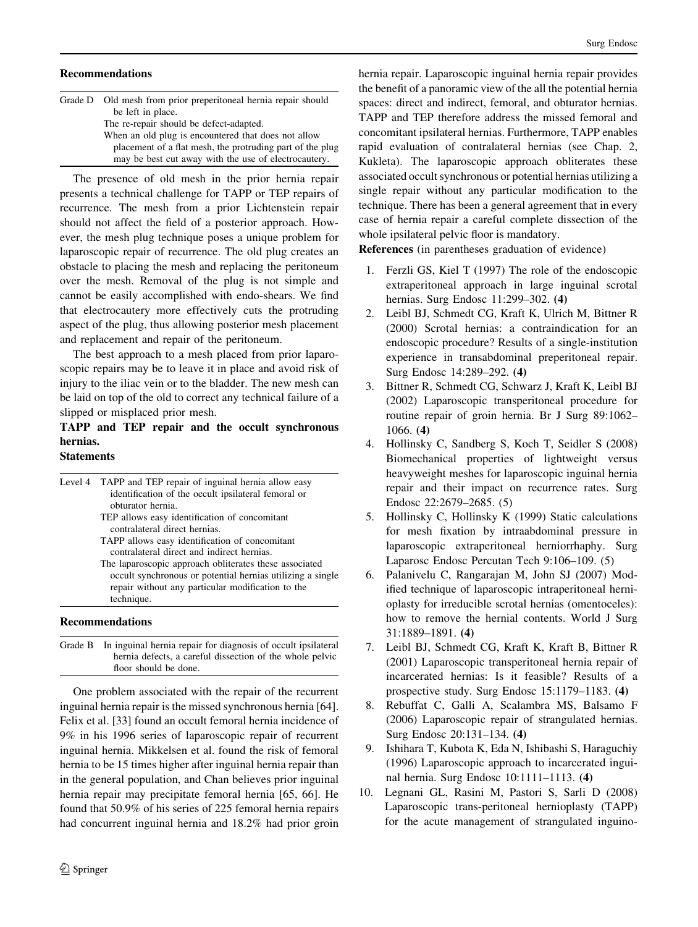## Recommendations

| Grade D Old mesh from prior preperitoneal hernia repair should |
|----------------------------------------------------------------|
| be left in place.                                              |
| The re-repair should be defect-adapted.                        |
| When an old plug is encountered that does not allow            |
| placement of a flat mesh, the protruding part of the plug      |
| may be best cut away with the use of electrocautery.           |
|                                                                |

The presence of old mesh in the prior hernia repair presents a technical challenge for TAPP or TEP repairs of recurrence. The mesh from a prior Lichtenstein repair should not affect the field of a posterior approach. However, the mesh plug technique poses a unique problem for laparoscopic repair of recurrence. The old plug creates an obstacle to placing the mesh and replacing the peritoneum over the mesh. Removal of the plug is not simple and cannot be easily accomplished with endo-shears. We find that electrocautery more effectively cuts the protruding aspect of the plug, thus allowing posterior mesh placement and replacement and repair of the peritoneum.

The best approach to a mesh placed from prior laparoscopic repairs may be to leave it in place and avoid risk of injury to the iliac vein or to the bladder. The new mesh can be laid on top of the old to correct any technical failure of a slipped or misplaced prior mesh.

## TAPP and TEP repair and the occult synchronous hernias. **Statements**

## Recommendations Level 4 TAPP and TEP repair of inguinal hernia allow easy identification of the occult ipsilateral femoral or obturator hernia. TEP allows easy identification of concomitant contralateral direct hernias. TAPP allows easy identification of concomitant contralateral direct and indirect hernias. The laparoscopic approach obliterates these associated occult synchronous or potential hernias utilizing a single repair without any particular modification to the technique.

| Grade B | In inguinal hernia repair for diagnosis of occult ipsilateral |
|---------|---------------------------------------------------------------|
|         | hernia defects, a careful dissection of the whole pelvic      |
|         | floor should be done.                                         |

One problem associated with the repair of the recurrent inguinal hernia repair is the missed synchronous hernia [64]. Felix et al. [33] found an occult femoral hernia incidence of 9% in his 1996 series of laparoscopic repair of recurrent inguinal hernia. Mikkelsen et al. found the risk of femoral hernia to be 15 times higher after inguinal hernia repair than in the general population, and Chan believes prior inguinal hernia repair may precipitate femoral hernia [65, 66]. He found that 50.9% of his series of 225 femoral hernia repairs had concurrent inguinal hernia and 18.2% had prior groin hernia repair. Laparoscopic inguinal hernia repair provides the benefit of a panoramic view of the all the potential hernia spaces: direct and indirect, femoral, and obturator hernias. TAPP and TEP therefore address the missed femoral and concomitant ipsilateral hernias. Furthermore, TAPP enables rapid evaluation of contralateral hernias (see Chap. 2, Kukleta). The laparoscopic approach obliterates these associated occult synchronous or potential hernias utilizing a single repair without any particular modification to the technique. There has been a general agreement that in every case of hernia repair a careful complete dissection of the whole ipsilateral pelvic floor is mandatory.

References (in parentheses graduation of evidence)

- 1. Ferzli GS, Kiel T (1997) The role of the endoscopic extraperitoneal approach in large inguinal scrotal hernias. Surg Endosc 11:299–302. (4)
- 2. Leibl BJ, Schmedt CG, Kraft K, Ulrich M, Bittner R (2000) Scrotal hernias: a contraindication for an endoscopic procedure? Results of a single-institution experience in transabdominal preperitoneal repair. Surg Endosc 14:289–292. (4)
- 3. Bittner R, Schmedt CG, Schwarz J, Kraft K, Leibl BJ (2002) Laparoscopic transperitoneal procedure for routine repair of groin hernia. Br J Surg 89:1062– 1066. (4)
- 4. Hollinsky C, Sandberg S, Koch T, Seidler S (2008) Biomechanical properties of lightweight versus heavyweight meshes for laparoscopic inguinal hernia repair and their impact on recurrence rates. Surg Endosc 22:2679–2685. (5)
- 5. Hollinsky C, Hollinsky K (1999) Static calculations for mesh fixation by intraabdominal pressure in laparoscopic extraperitoneal herniorrhaphy. Surg Laparosc Endosc Percutan Tech 9:106–109. (5)
- 6. Palanivelu C, Rangarajan M, John SJ (2007) Modified technique of laparoscopic intraperitoneal hernioplasty for irreducible scrotal hernias (omentoceles): how to remove the hernial contents. World J Surg 31:1889–1891. (4)
- 7. Leibl BJ, Schmedt CG, Kraft K, Kraft B, Bittner R (2001) Laparoscopic transperitoneal hernia repair of incarcerated hernias: Is it feasible? Results of a prospective study. Surg Endosc 15:1179–1183. (4)
- 8. Rebuffat C, Galli A, Scalambra MS, Balsamo F (2006) Laparoscopic repair of strangulated hernias. Surg Endosc 20:131–134. (4)
- 9. Ishihara T, Kubota K, Eda N, Ishibashi S, Haraguchiy (1996) Laparoscopic approach to incarcerated inguinal hernia. Surg Endosc 10:1111–1113. (4)
- 10. Legnani GL, Rasini M, Pastori S, Sarli D (2008) Laparoscopic trans-peritoneal hernioplasty (TAPP) for the acute management of strangulated inguino-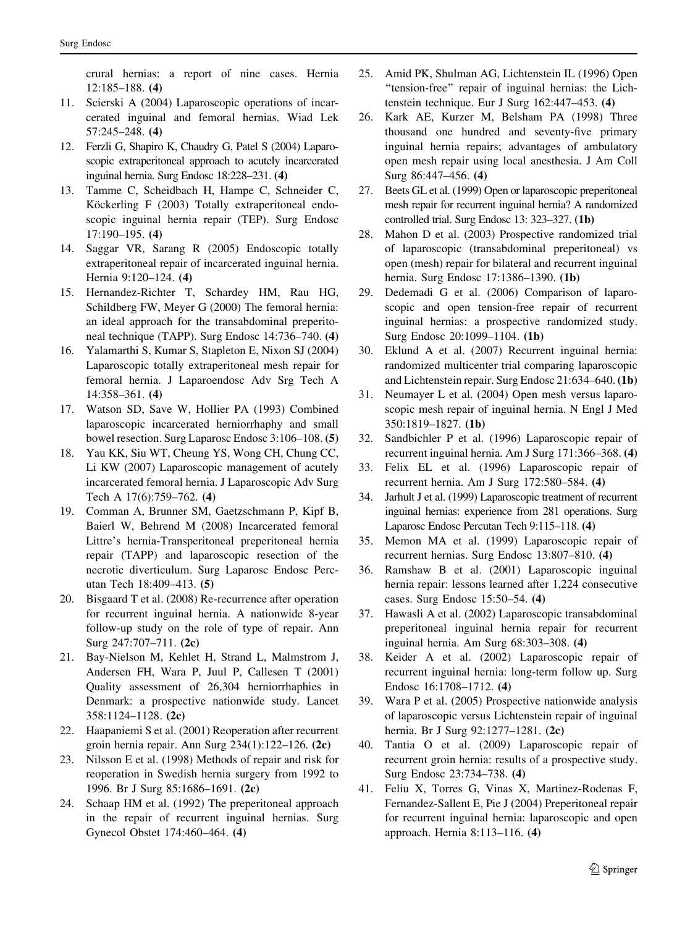crural hernias: a report of nine cases. Hernia 12:185–188. (4)

- 11. Scierski A (2004) Laparoscopic operations of incarcerated inguinal and femoral hernias. Wiad Lek 57:245–248. (4)
- 12. Ferzli G, Shapiro K, Chaudry G, Patel S (2004) Laparoscopic extraperitoneal approach to acutely incarcerated inguinal hernia. Surg Endosc 18:228–231. (4)
- 13. Tamme C, Scheidbach H, Hampe C, Schneider C, Köckerling F (2003) Totally extraperitoneal endoscopic inguinal hernia repair (TEP). Surg Endosc 17:190–195. (4)
- 14. Saggar VR, Sarang R (2005) Endoscopic totally extraperitoneal repair of incarcerated inguinal hernia. Hernia 9:120–124. (4)
- 15. Hernandez-Richter T, Schardey HM, Rau HG, Schildberg FW, Meyer G (2000) The femoral hernia: an ideal approach for the transabdominal preperitoneal technique (TAPP). Surg Endosc 14:736–740. (4)
- 16. Yalamarthi S, Kumar S, Stapleton E, Nixon SJ (2004) Laparoscopic totally extraperitoneal mesh repair for femoral hernia. J Laparoendosc Adv Srg Tech A 14:358–361. (4)
- 17. Watson SD, Save W, Hollier PA (1993) Combined laparoscopic incarcerated herniorrhaphy and small bowel resection. Surg Laparosc Endosc 3:106–108. (5)
- 18. Yau KK, Siu WT, Cheung YS, Wong CH, Chung CC, Li KW (2007) Laparoscopic management of acutely incarcerated femoral hernia. J Laparoscopic Adv Surg Tech A 17(6):759–762. (4)
- 19. Comman A, Brunner SM, Gaetzschmann P, Kipf B, Baierl W, Behrend M (2008) Incarcerated femoral Littre's hernia-Transperitoneal preperitoneal hernia repair (TAPP) and laparoscopic resection of the necrotic diverticulum. Surg Laparosc Endosc Percutan Tech 18:409–413. (5)
- 20. Bisgaard T et al. (2008) Re-recurrence after operation for recurrent inguinal hernia. A nationwide 8-year follow-up study on the role of type of repair. Ann Surg 247:707–711. (2c)
- 21. Bay-Nielson M, Kehlet H, Strand L, Malmstrom J, Andersen FH, Wara P, Juul P, Callesen T (2001) Quality assessment of 26,304 herniorrhaphies in Denmark: a prospective nationwide study. Lancet 358:1124–1128. (2c)
- 22. Haapaniemi S et al. (2001) Reoperation after recurrent groin hernia repair. Ann Surg  $234(1):122-126$ . (2c)
- 23. Nilsson E et al. (1998) Methods of repair and risk for reoperation in Swedish hernia surgery from 1992 to 1996. Br J Surg 85:1686–1691. (2c)
- 24. Schaap HM et al. (1992) The preperitoneal approach in the repair of recurrent inguinal hernias. Surg Gynecol Obstet 174:460–464. (4)
- 25. Amid PK, Shulman AG, Lichtenstein IL (1996) Open "tension-free" repair of inguinal hernias: the Lichtenstein technique. Eur J Surg 162:447–453. (4)
- 26. Kark AE, Kurzer M, Belsham PA (1998) Three thousand one hundred and seventy-five primary inguinal hernia repairs; advantages of ambulatory open mesh repair using local anesthesia. J Am Coll Surg 86:447–456. (4)
- 27. Beets GL et al. (1999) Open or laparoscopic preperitoneal mesh repair for recurrent inguinal hernia? A randomized controlled trial. Surg Endosc 13: 323–327. (1b)
- 28. Mahon D et al. (2003) Prospective randomized trial of laparoscopic (transabdominal preperitoneal) vs open (mesh) repair for bilateral and recurrent inguinal hernia. Surg Endosc 17:1386–1390. (1b)
- 29. Dedemadi G et al. (2006) Comparison of laparoscopic and open tension-free repair of recurrent inguinal hernias: a prospective randomized study. Surg Endosc 20:1099–1104. (1b)
- 30. Eklund A et al. (2007) Recurrent inguinal hernia: randomized multicenter trial comparing laparoscopic and Lichtenstein repair. Surg Endosc 21:634–640. (1b)
- 31. Neumayer L et al. (2004) Open mesh versus laparoscopic mesh repair of inguinal hernia. N Engl J Med 350:1819–1827. (1b)
- 32. Sandbichler P et al. (1996) Laparoscopic repair of recurrent inguinal hernia. Am J Surg 171:366–368. (4)
- 33. Felix EL et al. (1996) Laparoscopic repair of recurrent hernia. Am J Surg 172:580–584. (4)
- 34. Jarhult J et al. (1999) Laparoscopic treatment of recurrent inguinal hernias: experience from 281 operations. Surg Laparosc Endosc Percutan Tech 9:115–118. (4)
- 35. Memon MA et al. (1999) Laparoscopic repair of recurrent hernias. Surg Endosc 13:807–810. (4)
- 36. Ramshaw B et al. (2001) Laparoscopic inguinal hernia repair: lessons learned after 1,224 consecutive cases. Surg Endosc 15:50–54. (4)
- 37. Hawasli A et al. (2002) Laparoscopic transabdominal preperitoneal inguinal hernia repair for recurrent inguinal hernia. Am Surg 68:303–308. (4)
- 38. Keider A et al. (2002) Laparoscopic repair of recurrent inguinal hernia: long-term follow up. Surg Endosc 16:1708–1712. (4)
- 39. Wara P et al. (2005) Prospective nationwide analysis of laparoscopic versus Lichtenstein repair of inguinal hernia. Br J Surg 92:1277–1281. (2c)
- 40. Tantia O et al. (2009) Laparoscopic repair of recurrent groin hernia: results of a prospective study. Surg Endosc 23:734–738. (4)
- 41. Feliu X, Torres G, Vinas X, Martinez-Rodenas F, Fernandez-Sallent E, Pie J (2004) Preperitoneal repair for recurrent inguinal hernia: laparoscopic and open approach. Hernia 8:113–116. (4)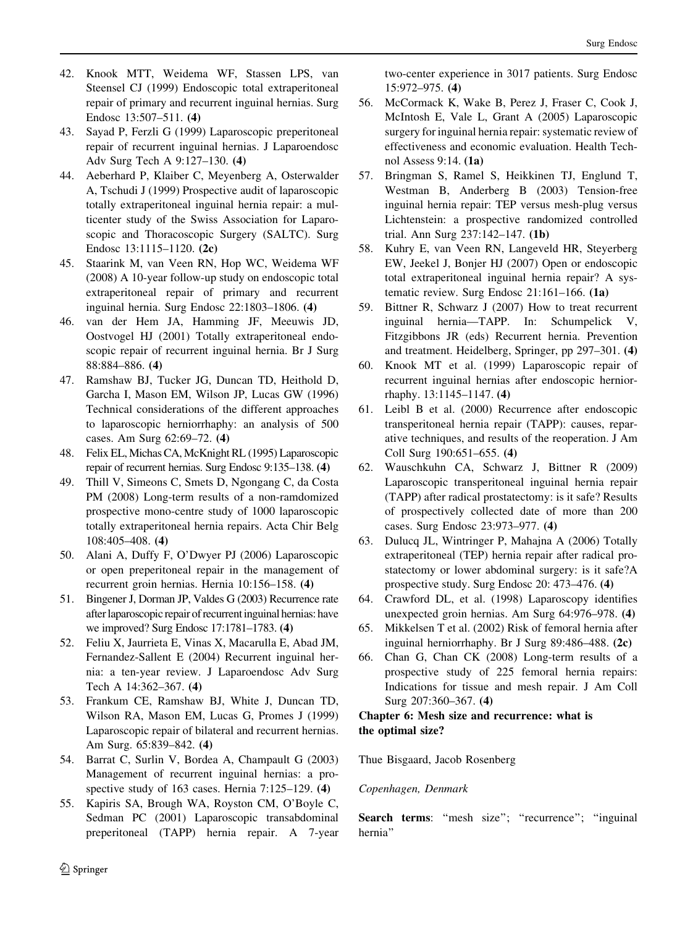- 42. Knook MTT, Weidema WF, Stassen LPS, van Steensel CJ (1999) Endoscopic total extraperitoneal repair of primary and recurrent inguinal hernias. Surg Endosc 13:507–511. (4)
- 43. Sayad P, Ferzli G (1999) Laparoscopic preperitoneal repair of recurrent inguinal hernias. J Laparoendosc Adv Surg Tech A 9:127–130. (4)
- 44. Aeberhard P, Klaiber C, Meyenberg A, Osterwalder A, Tschudi J (1999) Prospective audit of laparoscopic totally extraperitoneal inguinal hernia repair: a multicenter study of the Swiss Association for Laparoscopic and Thoracoscopic Surgery (SALTC). Surg Endosc 13:1115–1120. (2c)
- 45. Staarink M, van Veen RN, Hop WC, Weidema WF (2008) A 10-year follow-up study on endoscopic total extraperitoneal repair of primary and recurrent inguinal hernia. Surg Endosc 22:1803–1806. (4)
- 46. van der Hem JA, Hamming JF, Meeuwis JD, Oostvogel HJ (2001) Totally extraperitoneal endoscopic repair of recurrent inguinal hernia. Br J Surg 88:884–886. (4)
- 47. Ramshaw BJ, Tucker JG, Duncan TD, Heithold D, Garcha I, Mason EM, Wilson JP, Lucas GW (1996) Technical considerations of the different approaches to laparoscopic herniorrhaphy: an analysis of 500 cases. Am Surg 62:69–72. (4)
- 48. Felix EL, Michas CA, McKnight RL (1995) Laparoscopic repair of recurrent hernias. Surg Endosc 9:135–138. (4)
- 49. Thill V, Simeons C, Smets D, Ngongang C, da Costa PM (2008) Long-term results of a non-ramdomized prospective mono-centre study of 1000 laparoscopic totally extraperitoneal hernia repairs. Acta Chir Belg 108:405–408. (4)
- 50. Alani A, Duffy F, O'Dwyer PJ (2006) Laparoscopic or open preperitoneal repair in the management of recurrent groin hernias. Hernia 10:156–158. (4)
- 51. Bingener J, Dorman JP, Valdes G (2003) Recurrence rate after laparoscopic repair of recurrent inguinal hernias: have we improved? Surg Endosc 17:1781–1783. (4)
- 52. Feliu X, Jaurrieta E, Vinas X, Macarulla E, Abad JM, Fernandez-Sallent E (2004) Recurrent inguinal hernia: a ten-year review. J Laparoendosc Adv Surg Tech A 14:362–367. (4)
- 53. Frankum CE, Ramshaw BJ, White J, Duncan TD, Wilson RA, Mason EM, Lucas G, Promes J (1999) Laparoscopic repair of bilateral and recurrent hernias. Am Surg. 65:839–842. (4)
- 54. Barrat C, Surlin V, Bordea A, Champault G (2003) Management of recurrent inguinal hernias: a prospective study of 163 cases. Hernia 7:125–129. (4)
- 55. Kapiris SA, Brough WA, Royston CM, O'Boyle C, Sedman PC (2001) Laparoscopic transabdominal preperitoneal (TAPP) hernia repair. A 7-year

two-center experience in 3017 patients. Surg Endosc 15:972–975. (4)

- 56. McCormack K, Wake B, Perez J, Fraser C, Cook J, McIntosh E, Vale L, Grant A (2005) Laparoscopic surgery for inguinal hernia repair: systematic review of effectiveness and economic evaluation. Health Technol Assess 9:14. (1a)
- 57. Bringman S, Ramel S, Heikkinen TJ, Englund T, Westman B, Anderberg B (2003) Tension-free inguinal hernia repair: TEP versus mesh-plug versus Lichtenstein: a prospective randomized controlled trial. Ann Surg 237:142–147. (1b)
- 58. Kuhry E, van Veen RN, Langeveld HR, Steyerberg EW, Jeekel J, Bonjer HJ (2007) Open or endoscopic total extraperitoneal inguinal hernia repair? A systematic review. Surg Endosc 21:161–166. (1a)
- 59. Bittner R, Schwarz J (2007) How to treat recurrent inguinal hernia—TAPP. In: Schumpelick V, Fitzgibbons JR (eds) Recurrent hernia. Prevention and treatment. Heidelberg, Springer, pp 297–301. (4)
- 60. Knook MT et al. (1999) Laparoscopic repair of recurrent inguinal hernias after endoscopic herniorrhaphy. 13:1145–1147. (4)
- 61. Leibl B et al. (2000) Recurrence after endoscopic transperitoneal hernia repair (TAPP): causes, reparative techniques, and results of the reoperation. J Am Coll Surg 190:651–655. (4)
- 62. Wauschkuhn CA, Schwarz J, Bittner R (2009) Laparoscopic transperitoneal inguinal hernia repair (TAPP) after radical prostatectomy: is it safe? Results of prospectively collected date of more than 200 cases. Surg Endosc 23:973–977. (4)
- 63. Dulucq JL, Wintringer P, Mahajna A (2006) Totally extraperitoneal (TEP) hernia repair after radical prostatectomy or lower abdominal surgery: is it safe?A prospective study. Surg Endosc 20: 473–476. (4)
- 64. Crawford DL, et al. (1998) Laparoscopy identifies unexpected groin hernias. Am Surg 64:976–978. (4)
- 65. Mikkelsen T et al. (2002) Risk of femoral hernia after inguinal herniorrhaphy. Br J Surg 89:486–488. (2c)
- 66. Chan G, Chan CK (2008) Long-term results of a prospective study of 225 femoral hernia repairs: Indications for tissue and mesh repair. J Am Coll Surg 207:360–367. (4)

# Chapter 6: Mesh size and recurrence: what is the optimal size?

Thue Bisgaard, Jacob Rosenberg

# Copenhagen, Denmark

Search terms: "mesh size"; "recurrence"; "inguinal hernia''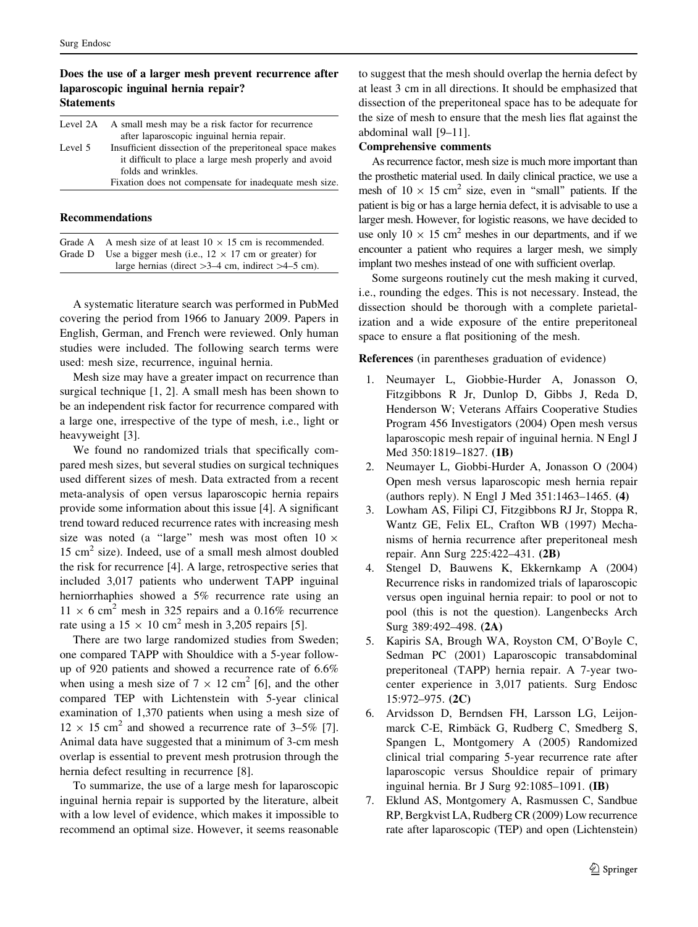## Does the use of a larger mesh prevent recurrence after laparoscopic inguinal hernia repair? Statements

| Level 2A | A small mesh may be a risk factor for recurrence         |
|----------|----------------------------------------------------------|
|          | after laparoscopic inguinal hernia repair.               |
| Level 5  | Insufficient dissection of the preperitoneal space makes |
|          | it difficult to place a large mesh properly and avoid    |
|          | folds and wrinkles.                                      |
|          | Fixation does not compensate for inadequate mesh size.   |

### Recommendations

| Grade A A mesh size of at least $10 \times 15$ cm is recommended.  |
|--------------------------------------------------------------------|
| Grade D Use a bigger mesh (i.e., $12 \times 17$ cm or greater) for |
| large hernias (direct $>3-4$ cm, indirect $>4-5$ cm).              |

A systematic literature search was performed in PubMed covering the period from 1966 to January 2009. Papers in English, German, and French were reviewed. Only human studies were included. The following search terms were used: mesh size, recurrence, inguinal hernia.

Mesh size may have a greater impact on recurrence than surgical technique [1, 2]. A small mesh has been shown to be an independent risk factor for recurrence compared with a large one, irrespective of the type of mesh, i.e., light or heavyweight [3].

We found no randomized trials that specifically compared mesh sizes, but several studies on surgical techniques used different sizes of mesh. Data extracted from a recent meta-analysis of open versus laparoscopic hernia repairs provide some information about this issue [4]. A significant trend toward reduced recurrence rates with increasing mesh size was noted (a "large" mesh was most often  $10 \times$  $15 \text{ cm}^2$  size). Indeed, use of a small mesh almost doubled the risk for recurrence [4]. A large, retrospective series that included 3,017 patients who underwent TAPP inguinal herniorrhaphies showed a 5% recurrence rate using an  $11 \times 6$  cm<sup>2</sup> mesh in 325 repairs and a 0.16% recurrence rate using a  $15 \times 10 \text{ cm}^2$  mesh in 3,205 repairs [5].

There are two large randomized studies from Sweden; one compared TAPP with Shouldice with a 5-year followup of 920 patients and showed a recurrence rate of 6.6% when using a mesh size of  $7 \times 12$  cm<sup>2</sup> [6], and the other compared TEP with Lichtenstein with 5-year clinical examination of 1,370 patients when using a mesh size of  $12 \times 15$  cm<sup>2</sup> and showed a recurrence rate of 3–5% [7]. Animal data have suggested that a minimum of 3-cm mesh overlap is essential to prevent mesh protrusion through the hernia defect resulting in recurrence [8].

To summarize, the use of a large mesh for laparoscopic inguinal hernia repair is supported by the literature, albeit with a low level of evidence, which makes it impossible to recommend an optimal size. However, it seems reasonable to suggest that the mesh should overlap the hernia defect by at least 3 cm in all directions. It should be emphasized that dissection of the preperitoneal space has to be adequate for the size of mesh to ensure that the mesh lies flat against the abdominal wall [9–11].

## Comprehensive comments

As recurrence factor, mesh size is much more important than the prosthetic material used. In daily clinical practice, we use a mesh of  $10 \times 15$  cm<sup>2</sup> size, even in "small" patients. If the patient is big or has a large hernia defect, it is advisable to use a larger mesh. However, for logistic reasons, we have decided to use only  $10 \times 15$  cm<sup>2</sup> meshes in our departments, and if we encounter a patient who requires a larger mesh, we simply implant two meshes instead of one with sufficient overlap.

Some surgeons routinely cut the mesh making it curved, i.e., rounding the edges. This is not necessary. Instead, the dissection should be thorough with a complete parietalization and a wide exposure of the entire preperitoneal space to ensure a flat positioning of the mesh.

References (in parentheses graduation of evidence)

- 1. Neumayer L, Giobbie-Hurder A, Jonasson O, Fitzgibbons R Jr, Dunlop D, Gibbs J, Reda D, Henderson W; Veterans Affairs Cooperative Studies Program 456 Investigators (2004) Open mesh versus laparoscopic mesh repair of inguinal hernia. N Engl J Med 350:1819–1827. (1B)
- 2. Neumayer L, Giobbi-Hurder A, Jonasson O (2004) Open mesh versus laparoscopic mesh hernia repair (authors reply). N Engl J Med 351:1463–1465. (4)
- 3. Lowham AS, Filipi CJ, Fitzgibbons RJ Jr, Stoppa R, Wantz GE, Felix EL, Crafton WB (1997) Mechanisms of hernia recurrence after preperitoneal mesh repair. Ann Surg 225:422–431. (2B)
- 4. Stengel D, Bauwens K, Ekkernkamp A (2004) Recurrence risks in randomized trials of laparoscopic versus open inguinal hernia repair: to pool or not to pool (this is not the question). Langenbecks Arch Surg 389:492–498. (2A)
- 5. Kapiris SA, Brough WA, Royston CM, O'Boyle C, Sedman PC (2001) Laparoscopic transabdominal preperitoneal (TAPP) hernia repair. A 7-year twocenter experience in 3,017 patients. Surg Endosc 15:972–975. (2C)
- 6. Arvidsson D, Berndsen FH, Larsson LG, Leijonmarck C-E, Rimbäck G, Rudberg C, Smedberg S, Spangen L, Montgomery A (2005) Randomized clinical trial comparing 5-year recurrence rate after laparoscopic versus Shouldice repair of primary inguinal hernia. Br J Surg 92:1085–1091. (IB)
- 7. Eklund AS, Montgomery A, Rasmussen C, Sandbue RP, Bergkvist LA, Rudberg CR (2009) Low recurrence rate after laparoscopic (TEP) and open (Lichtenstein)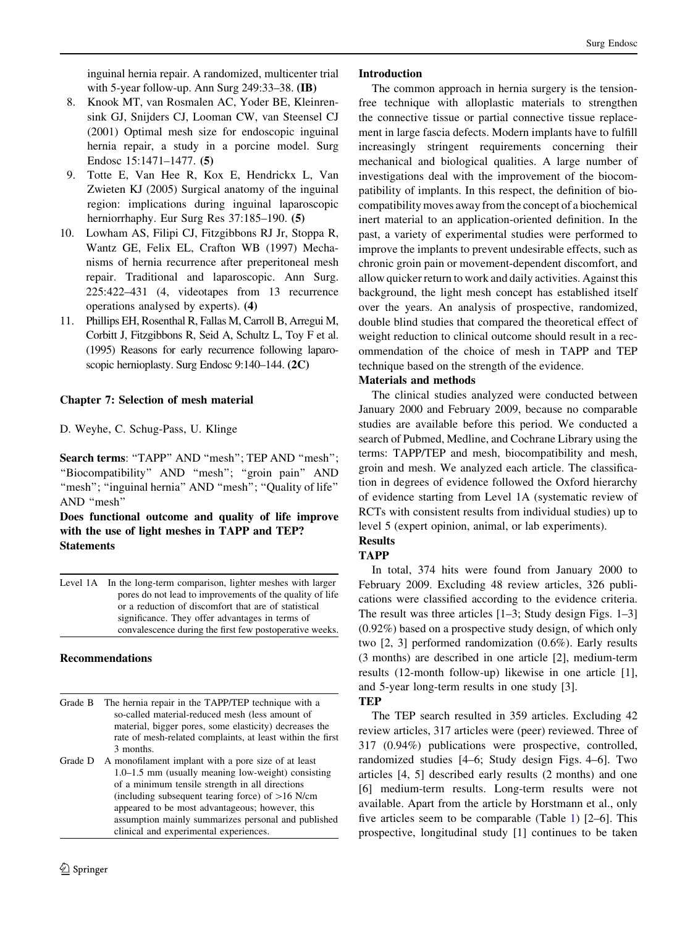inguinal hernia repair. A randomized, multicenter trial with 5-year follow-up. Ann Surg 249:33–38. (IB)

- 8. Knook MT, van Rosmalen AC, Yoder BE, Kleinrensink GJ, Snijders CJ, Looman CW, van Steensel CJ (2001) Optimal mesh size for endoscopic inguinal hernia repair, a study in a porcine model. Surg Endosc 15:1471–1477. (5)
- 9. Totte E, Van Hee R, Kox E, Hendrickx L, Van Zwieten KJ (2005) Surgical anatomy of the inguinal region: implications during inguinal laparoscopic herniorrhaphy. Eur Surg Res 37:185–190. (5)
- 10. Lowham AS, Filipi CJ, Fitzgibbons RJ Jr, Stoppa R, Wantz GE, Felix EL, Crafton WB (1997) Mechanisms of hernia recurrence after preperitoneal mesh repair. Traditional and laparoscopic. Ann Surg. 225:422–431 (4, videotapes from 13 recurrence operations analysed by experts). (4)
- 11. Phillips EH, Rosenthal R, Fallas M, Carroll B, Arregui M, Corbitt J, Fitzgibbons R, Seid A, Schultz L, Toy F et al. (1995) Reasons for early recurrence following laparoscopic hernioplasty. Surg Endosc 9:140–144. (2C)

# Chapter 7: Selection of mesh material

D. Weyhe, C. Schug-Pass, U. Klinge

Search terms: "TAPP" AND "mesh"; TEP AND "mesh"; ''Biocompatibility'' AND ''mesh''; ''groin pain'' AND "mesh"; "inguinal hernia" AND "mesh"; "Quality of life" AND ''mesh''

Does functional outcome and quality of life improve with the use of light meshes in TAPP and TEP? Statements

Level 1A In the long-term comparison, lighter meshes with larger pores do not lead to improvements of the quality of life or a reduction of discomfort that are of statistical significance. They offer advantages in terms of convalescence during the first few postoperative weeks.

## Recommendations

- Grade B The hernia repair in the TAPP/TEP technique with a so-called material-reduced mesh (less amount of material, bigger pores, some elasticity) decreases the rate of mesh-related complaints, at least within the first 3 months.
- Grade D A monofilament implant with a pore size of at least 1.0–1.5 mm (usually meaning low-weight) consisting of a minimum tensile strength in all directions (including subsequent tearing force) of  $>16$  N/cm appeared to be most advantageous; however, this assumption mainly summarizes personal and published clinical and experimental experiences.

### Introduction

The common approach in hernia surgery is the tensionfree technique with alloplastic materials to strengthen the connective tissue or partial connective tissue replacement in large fascia defects. Modern implants have to fulfill increasingly stringent requirements concerning their mechanical and biological qualities. A large number of investigations deal with the improvement of the biocompatibility of implants. In this respect, the definition of biocompatibility moves away from the concept of a biochemical inert material to an application-oriented definition. In the past, a variety of experimental studies were performed to improve the implants to prevent undesirable effects, such as chronic groin pain or movement-dependent discomfort, and allow quicker return to work and daily activities. Against this background, the light mesh concept has established itself over the years. An analysis of prospective, randomized, double blind studies that compared the theoretical effect of weight reduction to clinical outcome should result in a recommendation of the choice of mesh in TAPP and TEP technique based on the strength of the evidence.

## Materials and methods

The clinical studies analyzed were conducted between January 2000 and February 2009, because no comparable studies are available before this period. We conducted a search of Pubmed, Medline, and Cochrane Library using the terms: TAPP/TEP and mesh, biocompatibility and mesh, groin and mesh. We analyzed each article. The classification in degrees of evidence followed the Oxford hierarchy of evidence starting from Level 1A (systematic review of RCTs with consistent results from individual studies) up to level 5 (expert opinion, animal, or lab experiments). Results

# TAPP

In total, 374 hits were found from January 2000 to February 2009. Excluding 48 review articles, 326 publications were classified according to the evidence criteria. The result was three articles [1–3; Study design Figs. 1–3] (0.92%) based on a prospective study design, of which only two [2, 3] performed randomization (0.6%). Early results (3 months) are described in one article [2], medium-term results (12-month follow-up) likewise in one article [1], and 5-year long-term results in one study [3].

## TEP

The TEP search resulted in 359 articles. Excluding 42 review articles, 317 articles were (peer) reviewed. Three of 317 (0.94%) publications were prospective, controlled, randomized studies [4–6; Study design Figs. 4–6]. Two articles [4, 5] described early results (2 months) and one [6] medium-term results. Long-term results were not available. Apart from the article by Horstmann et al., only five articles seem to be comparable (Table [1\)](#page-40-0) [2–6]. This prospective, longitudinal study [1] continues to be taken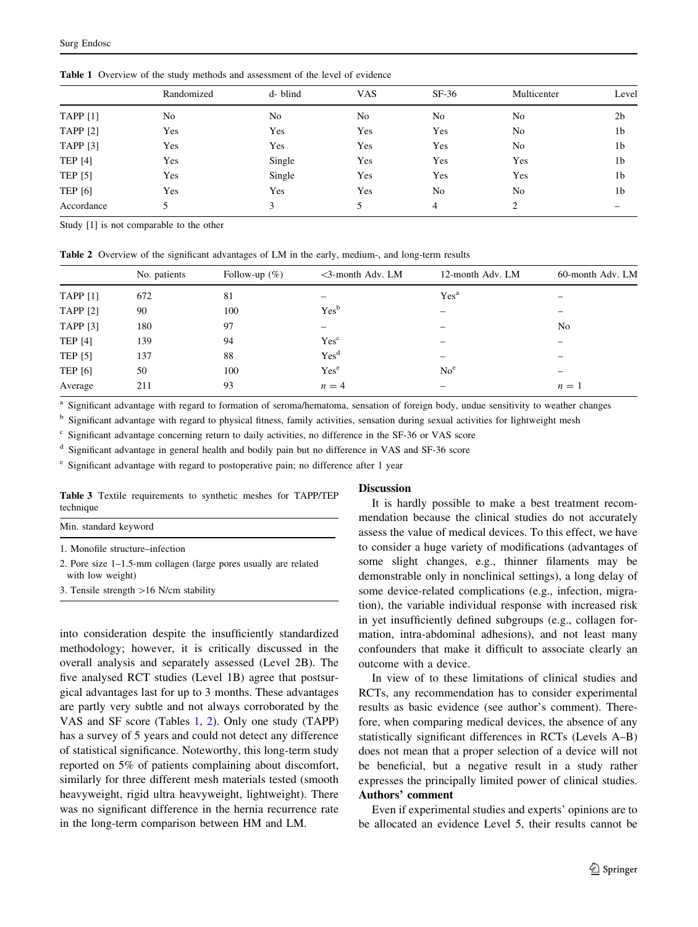|                     | Randomized | d- blind | <b>VAS</b> | $SF-36$ | Multicenter | Level          |
|---------------------|------------|----------|------------|---------|-------------|----------------|
| TAPP <sub>[1]</sub> | No         | No       | No         | No      | No          | 2 <sub>b</sub> |
| <b>TAPP [2]</b>     | Yes        | Yes      | Yes        | Yes     | No          | 1 <sub>b</sub> |
| <b>TAPP</b> [3]     | Yes        | Yes      | Yes        | Yes     | No          | 1 <sub>b</sub> |
| <b>TEP</b> [4]      | Yes        | Single   | Yes        | Yes     | Yes         | 1 <sub>b</sub> |
| <b>TEP [5]</b>      | Yes        | Single   | Yes        | Yes     | Yes         | 1 <sub>b</sub> |
| <b>TEP</b> [6]      | Yes        | Yes      | Yes        | No      | No          | 1 <sub>b</sub> |
| Accordance          | 5.         | 3        |            | 4       | 2           |                |
|                     |            |          |            |         |             |                |

<span id="page-40-0"></span>Table 1 Overview of the study methods and assessment of the level of evidence

Study [1] is not comparable to the other

Table 2 Overview of the significant advantages of LM in the early, medium-, and long-term results

|                 | No. patients | Follow-up $(\%)$ | $<$ 3-month Adv. LM | 12-month Adv. LM         | 60-month Adv. LM |
|-----------------|--------------|------------------|---------------------|--------------------------|------------------|
| <b>TAPP</b> [1] | 672          | 81               |                     | Yes <sup>a</sup>         |                  |
| <b>TAPP [2]</b> | 90           | 100              | Yes <sup>b</sup>    | -                        |                  |
| <b>TAPP [3]</b> | 180          | 97               | -                   | $\overline{\phantom{0}}$ | No               |
| <b>TEP</b> [4]  | 139          | 94               | Yes <sup>c</sup>    |                          |                  |
| <b>TEP [5]</b>  | 137          | 88               | Yes <sup>d</sup>    | -                        | -                |
| <b>TEP</b> [6]  | 50           | 100              | Yes <sup>e</sup>    | No <sup>e</sup>          |                  |
| Average         | 211          | 93               | $n=4$               | $\overline{\phantom{0}}$ | $n=1$            |

<sup>a</sup> Significant advantage with regard to formation of seroma/hematoma, sensation of foreign body, undue sensitivity to weather changes

<sup>b</sup> Significant advantage with regard to physical fitness, family activities, sensation during sexual activities for lightweight mesh

<sup>c</sup> Significant advantage concerning return to daily activities, no difference in the SF-36 or VAS score

<sup>d</sup> Significant advantage in general health and bodily pain but no difference in VAS and SF-36 score

<sup>e</sup> Significant advantage with regard to postoperative pain; no difference after 1 year

Table 3 Textile requirements to synthetic meshes for TAPP/TEP technique

| Min. standard keyword |  |
|-----------------------|--|
|                       |  |

1. Monofile structure–infection

2. Pore size 1–1.5-mm collagen (large pores usually are related with low weight)

3. Tensile strength  $>16$  N/cm stability

into consideration despite the insufficiently standardized methodology; however, it is critically discussed in the overall analysis and separately assessed (Level 2B). The five analysed RCT studies (Level 1B) agree that postsurgical advantages last for up to 3 months. These advantages are partly very subtle and not always corroborated by the VAS and SF score (Tables 1, 2). Only one study (TAPP) has a survey of 5 years and could not detect any difference of statistical significance. Noteworthy, this long-term study reported on 5% of patients complaining about discomfort, similarly for three different mesh materials tested (smooth heavyweight, rigid ultra heavyweight, lightweight). There was no significant difference in the hernia recurrence rate in the long-term comparison between HM and LM.

#### **Discussion**

It is hardly possible to make a best treatment recommendation because the clinical studies do not accurately assess the value of medical devices. To this effect, we have to consider a huge variety of modifications (advantages of some slight changes, e.g., thinner filaments may be demonstrable only in nonclinical settings), a long delay of some device-related complications (e.g., infection, migration), the variable individual response with increased risk in yet insufficiently defined subgroups (e.g., collagen formation, intra-abdominal adhesions), and not least many confounders that make it difficult to associate clearly an outcome with a device.

In view of to these limitations of clinical studies and RCTs, any recommendation has to consider experimental results as basic evidence (see author's comment). Therefore, when comparing medical devices, the absence of any statistically significant differences in RCTs (Levels A–B) does not mean that a proper selection of a device will not be beneficial, but a negative result in a study rather expresses the principally limited power of clinical studies. Authors' comment

Even if experimental studies and experts' opinions are to be allocated an evidence Level 5, their results cannot be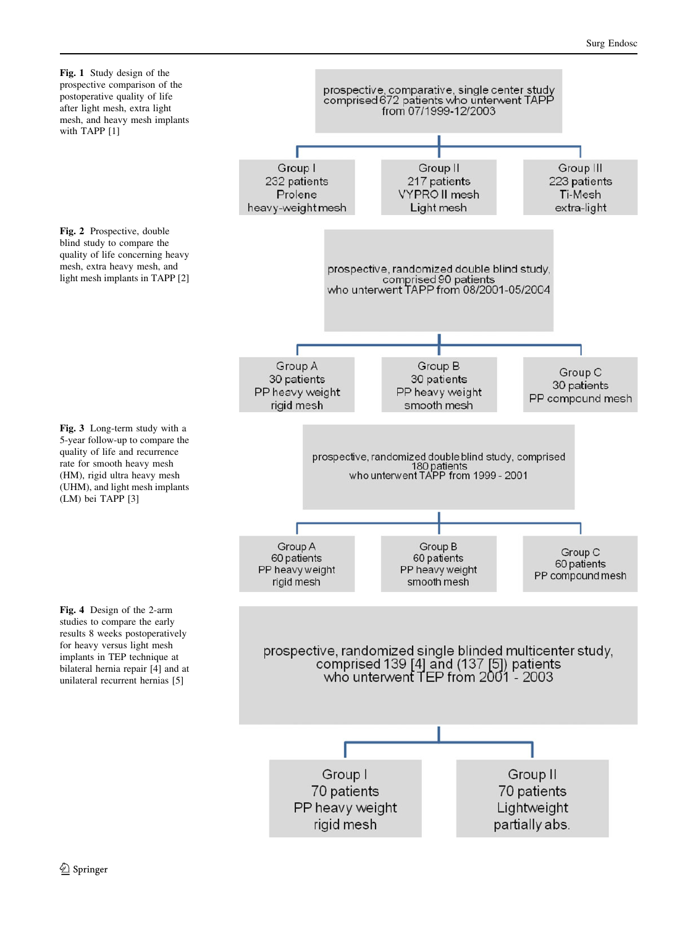<span id="page-41-0"></span>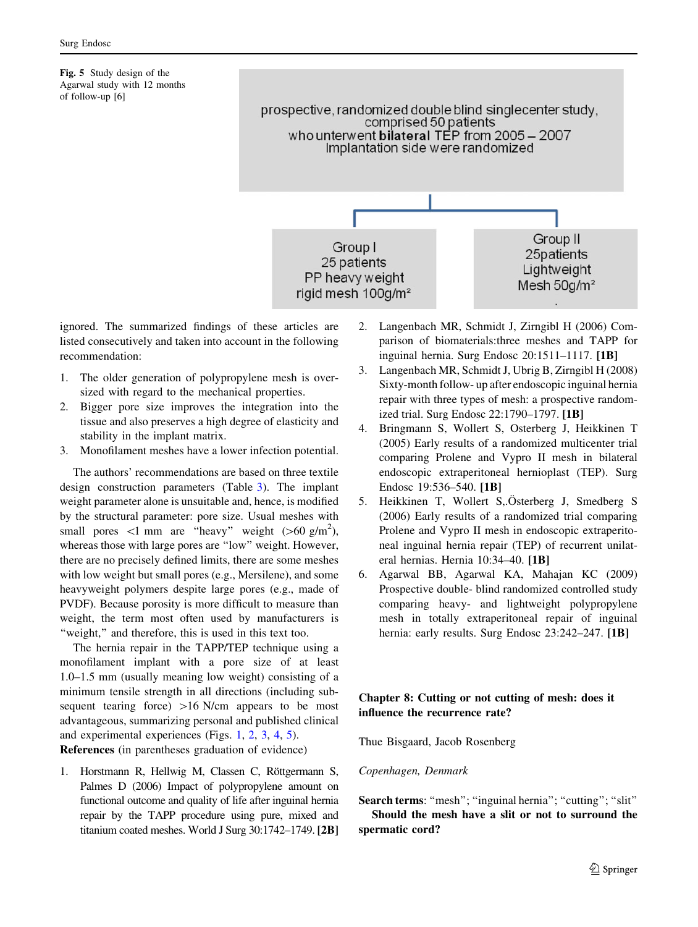Fig. 5 Study design of the Agarwal study with 12 months of follow-up [6]



ignored. The summarized findings of these articles are listed consecutively and taken into account in the following recommendation:

- 1. The older generation of polypropylene mesh is oversized with regard to the mechanical properties.
- 2. Bigger pore size improves the integration into the tissue and also preserves a high degree of elasticity and stability in the implant matrix.
- 3. Monofilament meshes have a lower infection potential.

The authors' recommendations are based on three textile design construction parameters (Table [3](#page-40-0)). The implant weight parameter alone is unsuitable and, hence, is modified by the structural parameter: pore size. Usual meshes with small pores <1 mm are "heavy" weight  $(>60 \text{ g/m}^2)$ , whereas those with large pores are ''low'' weight. However, there are no precisely defined limits, there are some meshes with low weight but small pores (e.g., Mersilene), and some heavyweight polymers despite large pores (e.g., made of PVDF). Because porosity is more difficult to measure than weight, the term most often used by manufacturers is "weight," and therefore, this is used in this text too.

The hernia repair in the TAPP/TEP technique using a monofilament implant with a pore size of at least 1.0–1.5 mm (usually meaning low weight) consisting of a minimum tensile strength in all directions (including subsequent tearing force)  $>16$  N/cm appears to be most advantageous, summarizing personal and published clinical and experimental experiences (Figs. [1](#page-41-0), [2](#page-41-0), [3](#page-41-0), [4,](#page-41-0) 5). References (in parentheses graduation of evidence)

1. Horstmann R, Hellwig M, Classen C, Röttgermann S, Palmes D (2006) Impact of polypropylene amount on functional outcome and quality of life after inguinal hernia repair by the TAPP procedure using pure, mixed and titanium coated meshes. World J Surg 30:1742–1749. [2B]

- 2. Langenbach MR, Schmidt J, Zirngibl H (2006) Comparison of biomaterials:three meshes and TAPP for inguinal hernia. Surg Endosc 20:1511–1117. [1B]
- 3. Langenbach MR, Schmidt J, Ubrig B, Zirngibl H (2008) Sixty-month follow- up after endoscopic inguinal hernia repair with three types of mesh: a prospective randomized trial. Surg Endosc 22:1790–1797. [1B]
- 4. Bringmann S, Wollert S, Osterberg J, Heikkinen T (2005) Early results of a randomized multicenter trial comparing Prolene and Vypro II mesh in bilateral endoscopic extraperitoneal hernioplast (TEP). Surg Endosc 19:536–540. [1B]
- 5. Heikkinen T, Wollert S, Österberg J, Smedberg S (2006) Early results of a randomized trial comparing Prolene and Vypro II mesh in endoscopic extraperitoneal inguinal hernia repair (TEP) of recurrent unilateral hernias. Hernia 10:34–40. [1B]
- 6. Agarwal BB, Agarwal KA, Mahajan KC (2009) Prospective double- blind randomized controlled study comparing heavy- and lightweight polypropylene mesh in totally extraperitoneal repair of inguinal hernia: early results. Surg Endosc 23:242-247. [1B]

# Chapter 8: Cutting or not cutting of mesh: does it influence the recurrence rate?

Thue Bisgaard, Jacob Rosenberg

# Copenhagen, Denmark

Search terms: "mesh"; "inguinal hernia"; "cutting"; "slit"

Should the mesh have a slit or not to surround the spermatic cord?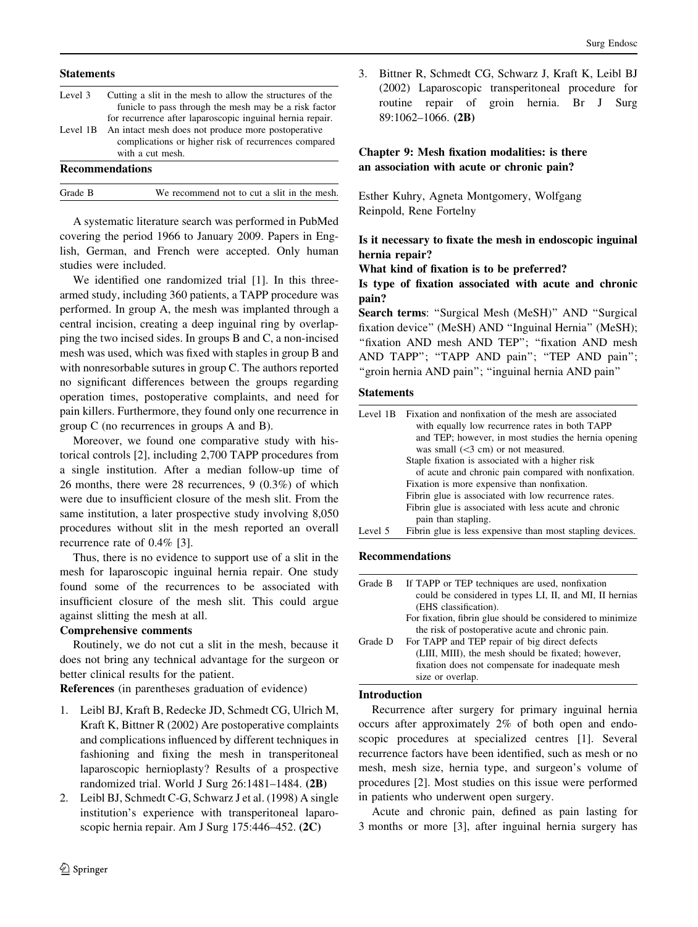| <b>Statements</b> |                                                                                                                                                                                 |  |  |  |
|-------------------|---------------------------------------------------------------------------------------------------------------------------------------------------------------------------------|--|--|--|
| Level 3           | Cutting a slit in the mesh to allow the structures of the<br>funicle to pass through the mesh may be a risk factor<br>for recurrence after laparoscopic inguinal hernia repair. |  |  |  |
| Level 1B          | An intact mesh does not produce more postoperative<br>complications or higher risk of recurrences compared<br>with a cut mesh.                                                  |  |  |  |
|                   | <b>Recommendations</b>                                                                                                                                                          |  |  |  |

| Grade B<br>We recommend not to cut a slit in the mesh. |  |
|--------------------------------------------------------|--|
|--------------------------------------------------------|--|

A systematic literature search was performed in PubMed covering the period 1966 to January 2009. Papers in English, German, and French were accepted. Only human studies were included.

We identified one randomized trial [1]. In this threearmed study, including 360 patients, a TAPP procedure was performed. In group A, the mesh was implanted through a central incision, creating a deep inguinal ring by overlapping the two incised sides. In groups B and C, a non-incised mesh was used, which was fixed with staples in group B and with nonresorbable sutures in group C. The authors reported no significant differences between the groups regarding operation times, postoperative complaints, and need for pain killers. Furthermore, they found only one recurrence in group C (no recurrences in groups A and B).

Moreover, we found one comparative study with historical controls [2], including 2,700 TAPP procedures from a single institution. After a median follow-up time of 26 months, there were 28 recurrences, 9 (0.3%) of which were due to insufficient closure of the mesh slit. From the same institution, a later prospective study involving 8,050 procedures without slit in the mesh reported an overall recurrence rate of 0.4% [3].

Thus, there is no evidence to support use of a slit in the mesh for laparoscopic inguinal hernia repair. One study found some of the recurrences to be associated with insufficient closure of the mesh slit. This could argue against slitting the mesh at all.

# Comprehensive comments

Routinely, we do not cut a slit in the mesh, because it does not bring any technical advantage for the surgeon or better clinical results for the patient.

References (in parentheses graduation of evidence)

- 1. Leibl BJ, Kraft B, Redecke JD, Schmedt CG, Ulrich M, Kraft K, Bittner R (2002) Are postoperative complaints and complications influenced by different techniques in fashioning and fixing the mesh in transperitoneal laparoscopic hernioplasty? Results of a prospective randomized trial. World J Surg 26:1481–1484. (2B)
- 2. Leibl BJ, Schmedt C-G, Schwarz J et al. (1998) A single institution's experience with transperitoneal laparoscopic hernia repair. Am J Surg 175:446–452. (2C)

3. Bittner R, Schmedt CG, Schwarz J, Kraft K, Leibl BJ (2002) Laparoscopic transperitoneal procedure for routine repair of groin hernia. Br J Surg 89:1062–1066. (2B)

# Chapter 9: Mesh fixation modalities: is there an association with acute or chronic pain?

Esther Kuhry, Agneta Montgomery, Wolfgang Reinpold, Rene Fortelny

Is it necessary to fixate the mesh in endoscopic inguinal hernia repair?

What kind of fixation is to be preferred?

Is type of fixation associated with acute and chronic pain?

Search terms: ''Surgical Mesh (MeSH)'' AND ''Surgical fixation device'' (MeSH) AND ''Inguinal Hernia'' (MeSH); ''fixation AND mesh AND TEP''; ''fixation AND mesh AND TAPP"; "TAPP AND pain"; "TEP AND pain"; ''groin hernia AND pain''; ''inguinal hernia AND pain''

## **Statements**

| Level 1B | Fixation and nonfixation of the mesh are associated<br>with equally low recurrence rates in both TAPP |
|----------|-------------------------------------------------------------------------------------------------------|
|          | and TEP; however, in most studies the hernia opening                                                  |
|          | was small $(3 \text{ cm})$ or not measured.                                                           |
|          | Staple fixation is associated with a higher risk                                                      |
|          | of acute and chronic pain compared with nonfixation.                                                  |
|          | Fixation is more expensive than nonfixation.                                                          |
|          | Fibrin glue is associated with low recurrence rates.                                                  |
|          | Fibrin glue is associated with less acute and chronic                                                 |
|          | pain than stapling.                                                                                   |
| Level 5  | Fibrin glue is less expensive than most stapling devices.                                             |

# Recommendations

| Grade B | If TAPP or TEP techniques are used, nonfixation<br>could be considered in types LI, II, and MI, II hernias<br>(EHS classification). |
|---------|-------------------------------------------------------------------------------------------------------------------------------------|
|         | For fixation, fibrin glue should be considered to minimize                                                                          |
|         | the risk of postoperative acute and chronic pain.                                                                                   |
| Grade D | For TAPP and TEP repair of big direct defects                                                                                       |
|         | (LIII, MIII), the mesh should be fixated; however,                                                                                  |
|         | fixation does not compensate for inadequate mesh                                                                                    |
|         | size or overlap.                                                                                                                    |
|         |                                                                                                                                     |

## Introduction

Recurrence after surgery for primary inguinal hernia occurs after approximately 2% of both open and endoscopic procedures at specialized centres [1]. Several recurrence factors have been identified, such as mesh or no mesh, mesh size, hernia type, and surgeon's volume of procedures [2]. Most studies on this issue were performed in patients who underwent open surgery.

Acute and chronic pain, defined as pain lasting for 3 months or more [3], after inguinal hernia surgery has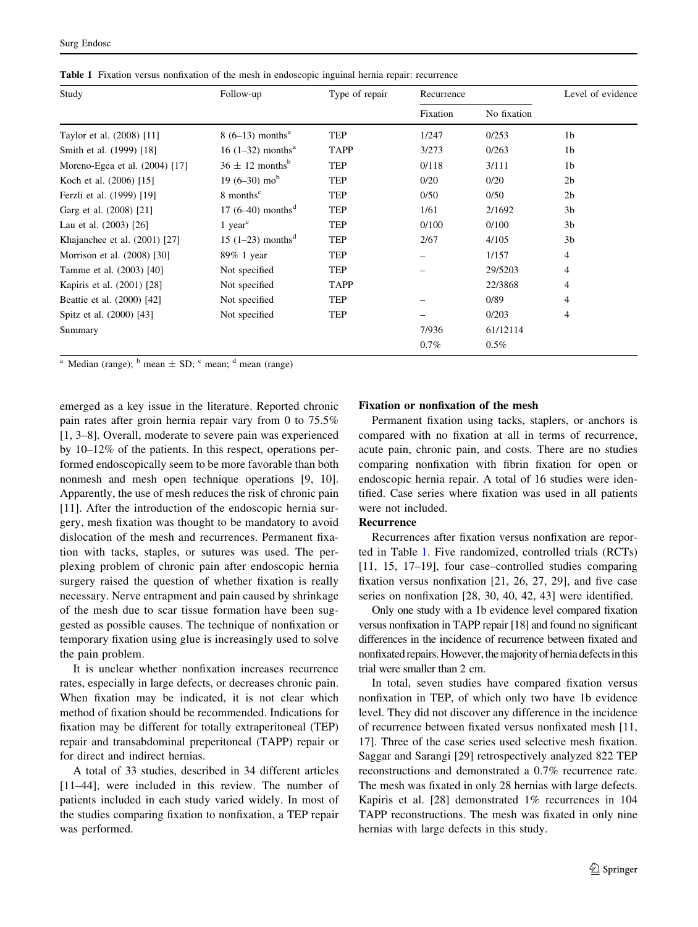| Study                           | Follow-up                       | Type of repair | Recurrence |             | Level of evidence |  |
|---------------------------------|---------------------------------|----------------|------------|-------------|-------------------|--|
|                                 |                                 |                | Fixation   | No fixation |                   |  |
| Taylor et al. (2008) [11]       | $8(6-13)$ months <sup>a</sup>   | TEP            | 1/247      | 0/253       | 1 <sub>b</sub>    |  |
| Smith et al. (1999) [18]        | 16 $(1-32)$ months <sup>a</sup> | <b>TAPP</b>    | 3/273      | 0/263       | 1 <sub>b</sub>    |  |
| Moreno-Egea et al. (2004) [17]  | $36 \pm 12$ months <sup>b</sup> | TEP            | 0/118      | 3/111       | 1 <sub>b</sub>    |  |
| Koch et al. (2006) [15]         | $19(6-30)$ mo <sup>b</sup>      | TEP            | 0/20       | 0/20        | 2 <sub>b</sub>    |  |
| Ferzli et al. (1999) [19]       | 8 months <sup>c</sup>           | TEP            | 0/50       | 0/50        | 2 <sub>b</sub>    |  |
| Garg et al. (2008) [21]         | 17 $(6-40)$ months <sup>d</sup> | TEP            | 1/61       | 2/1692      | 3 <sub>b</sub>    |  |
| Lau et al. (2003) [26]          | $1$ year <sup>c</sup>           | TEP            | 0/100      | 0/100       | 3 <sub>b</sub>    |  |
| Khajanchee et al. $(2001)$ [27] | 15 $(1-23)$ months <sup>d</sup> | TEP            | 2/67       | 4/105       | 3 <sub>b</sub>    |  |
| Morrison et al. (2008) [30]     | 89% 1 year                      | TEP            |            | 1/157       | 4                 |  |
| Tamme et al. (2003) [40]        | Not specified                   | TEP            |            | 29/5203     | 4                 |  |
| Kapiris et al. (2001) [28]      | Not specified                   | <b>TAPP</b>    |            | 22/3868     | 4                 |  |
| Beattie et al. (2000) [42]      | Not specified                   | TEP            |            | 0/89        | 4                 |  |
| Spitz et al. (2000) [43]        | Not specified                   | TEP            |            | 0/203       | 4                 |  |
| Summary                         |                                 |                | 7/936      | 61/12114    |                   |  |
|                                 |                                 |                | 0.7%       | $0.5\%$     |                   |  |

Table 1 Fixation versus nonfixation of the mesh in endoscopic inguinal hernia repair: recurrence

<sup>a</sup> Median (range); <sup>b</sup> mean  $\pm$  SD; <sup>c</sup> mean; <sup>d</sup> mean (range)

emerged as a key issue in the literature. Reported chronic pain rates after groin hernia repair vary from 0 to 75.5% [1, 3–8]. Overall, moderate to severe pain was experienced by 10–12% of the patients. In this respect, operations performed endoscopically seem to be more favorable than both nonmesh and mesh open technique operations [9, 10]. Apparently, the use of mesh reduces the risk of chronic pain [11]. After the introduction of the endoscopic hernia surgery, mesh fixation was thought to be mandatory to avoid dislocation of the mesh and recurrences. Permanent fixation with tacks, staples, or sutures was used. The perplexing problem of chronic pain after endoscopic hernia surgery raised the question of whether fixation is really necessary. Nerve entrapment and pain caused by shrinkage of the mesh due to scar tissue formation have been suggested as possible causes. The technique of nonfixation or temporary fixation using glue is increasingly used to solve the pain problem.

It is unclear whether nonfixation increases recurrence rates, especially in large defects, or decreases chronic pain. When fixation may be indicated, it is not clear which method of fixation should be recommended. Indications for fixation may be different for totally extraperitoneal (TEP) repair and transabdominal preperitoneal (TAPP) repair or for direct and indirect hernias.

A total of 33 studies, described in 34 different articles [11–44], were included in this review. The number of patients included in each study varied widely. In most of the studies comparing fixation to nonfixation, a TEP repair was performed.

### Fixation or nonfixation of the mesh

Permanent fixation using tacks, staplers, or anchors is compared with no fixation at all in terms of recurrence, acute pain, chronic pain, and costs. There are no studies comparing nonfixation with fibrin fixation for open or endoscopic hernia repair. A total of 16 studies were identified. Case series where fixation was used in all patients were not included.

## Recurrence

Recurrences after fixation versus nonfixation are reported in Table 1. Five randomized, controlled trials (RCTs) [11, 15, 17–19], four case–controlled studies comparing fixation versus nonfixation [21, 26, 27, 29], and five case series on nonfixation [28, 30, 40, 42, 43] were identified.

Only one study with a 1b evidence level compared fixation versus nonfixation in TAPP repair [18] and found no significant differences in the incidence of recurrence between fixated and nonfixated repairs. However, the majority of hernia defects in this trial were smaller than 2 cm.

In total, seven studies have compared fixation versus nonfixation in TEP, of which only two have 1b evidence level. They did not discover any difference in the incidence of recurrence between fixated versus nonfixated mesh [11, 17]. Three of the case series used selective mesh fixation. Saggar and Sarangi [29] retrospectively analyzed 822 TEP reconstructions and demonstrated a 0.7% recurrence rate. The mesh was fixated in only 28 hernias with large defects. Kapiris et al. [28] demonstrated 1% recurrences in 104 TAPP reconstructions. The mesh was fixated in only nine hernias with large defects in this study.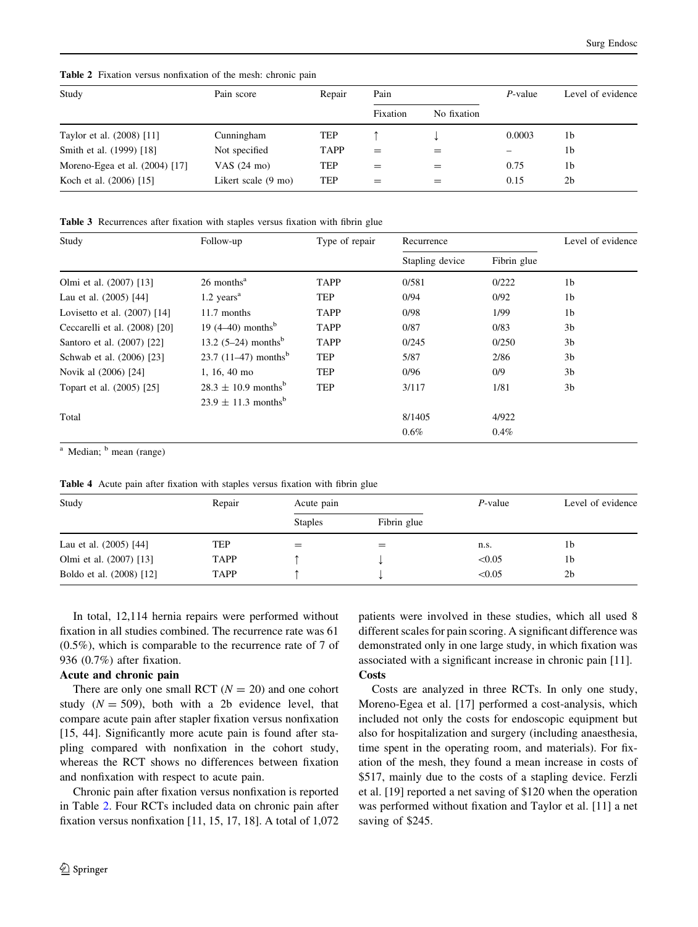| Study                          | Pain score            | Repair      | Pain     |             | $P$ -value | Level of evidence |
|--------------------------------|-----------------------|-------------|----------|-------------|------------|-------------------|
|                                |                       |             | Fixation | No fixation |            |                   |
| Taylor et al. (2008) [11]      | Cunningham            | TEP         |          |             | 0.0003     | 1b                |
| Smith et al. (1999) [18]       | Not specified         | <b>TAPP</b> | $=$      | $=$         |            | 1b                |
| Moreno-Egea et al. (2004) [17] | VAS $(24 \text{ mo})$ | <b>TEP</b>  | $=$      | $=$         | 0.75       | 1 <sub>b</sub>    |
| Koch et al. (2006) [15]        | Likert scale (9 mo)   | <b>TEP</b>  | $=$      | $=$         | 0.15       | 2 <sub>b</sub>    |
|                                |                       |             |          |             |            |                   |

<span id="page-45-0"></span>Table 2 Fixation versus nonfixation of the mesh: chronic pain

Table 3 Recurrences after fixation with staples versus fixation with fibrin glue

| Study                          | Follow-up                           | Type of repair | Recurrence      |             | Level of evidence |
|--------------------------------|-------------------------------------|----------------|-----------------|-------------|-------------------|
|                                |                                     |                | Stapling device | Fibrin glue |                   |
| Olmi et al. (2007) [13]        | $26$ months <sup>a</sup>            | <b>TAPP</b>    | 0/581           | 0/222       | 1 <sub>b</sub>    |
| Lau et al. (2005) [44]         | $1.2$ years <sup>a</sup>            | TEP            | 0/94            | 0/92        | 1 <sub>b</sub>    |
| Lovisetto et al. $(2007)$ [14] | 11.7 months                         | <b>TAPP</b>    | 0/98            | 1/99        | 1 <sub>b</sub>    |
| Ceccarelli et al. (2008) [20]  | 19 (4–40) months <sup>b</sup>       | <b>TAPP</b>    | 0/87            | 0/83        | 3 <sub>b</sub>    |
| Santoro et al. (2007) [22]     | 13.2 $(5-24)$ months <sup>b</sup>   | <b>TAPP</b>    | 0/245           | 0/250       | 3 <sub>b</sub>    |
| Schwab et al. (2006) [23]      | 23.7 $(11-47)$ months <sup>b</sup>  | <b>TEP</b>     | 5/87            | 2/86        | 3 <sub>b</sub>    |
| Novik al (2006) [24]           | 1, 16, 40 mo                        | TEP            | 0/96            | 0/9         | 3 <sub>b</sub>    |
| Topart et al. (2005) [25]      | $28.3 \pm 10.9$ months <sup>b</sup> | <b>TEP</b>     | 3/117           | 1/81        | 3 <sub>b</sub>    |
|                                | $23.9 \pm 11.3$ months <sup>b</sup> |                |                 |             |                   |
| Total                          |                                     |                | 8/1405          | 4/922       |                   |
|                                |                                     |                | $0.6\%$         | $0.4\%$     |                   |

 $a$  Median;  $b$  mean (range)

Table 4 Acute pain after fixation with staples versus fixation with fibrin glue

| Study                    | Repair      | Acute pain     |             | $P$ -value | Level of evidence |
|--------------------------|-------------|----------------|-------------|------------|-------------------|
|                          |             | <b>Staples</b> | Fibrin glue |            |                   |
| Lau et al. (2005) [44]   | <b>TEP</b>  |                |             | n.s.       | 1b                |
| Olmi et al. (2007) [13]  | <b>TAPP</b> |                |             | < 0.05     | 1b                |
| Boldo et al. (2008) [12] | <b>TAPP</b> |                |             | < 0.05     | 2 <sub>b</sub>    |

In total, 12,114 hernia repairs were performed without fixation in all studies combined. The recurrence rate was 61 (0.5%), which is comparable to the recurrence rate of 7 of 936 (0.7%) after fixation.

## Acute and chronic pain

There are only one small RCT  $(N = 20)$  and one cohort study  $(N = 509)$ , both with a 2b evidence level, that compare acute pain after stapler fixation versus nonfixation [15, 44]. Significantly more acute pain is found after stapling compared with nonfixation in the cohort study, whereas the RCT shows no differences between fixation and nonfixation with respect to acute pain.

Chronic pain after fixation versus nonfixation is reported in Table 2. Four RCTs included data on chronic pain after fixation versus nonfixation [11, 15, 17, 18]. A total of 1,072 patients were involved in these studies, which all used 8 different scales for pain scoring. A significant difference was demonstrated only in one large study, in which fixation was associated with a significant increase in chronic pain [11]. **Costs** 

Costs are analyzed in three RCTs. In only one study, Moreno-Egea et al. [17] performed a cost-analysis, which included not only the costs for endoscopic equipment but also for hospitalization and surgery (including anaesthesia, time spent in the operating room, and materials). For fixation of the mesh, they found a mean increase in costs of \$517, mainly due to the costs of a stapling device. Ferzli et al. [19] reported a net saving of \$120 when the operation was performed without fixation and Taylor et al. [11] a net saving of \$245.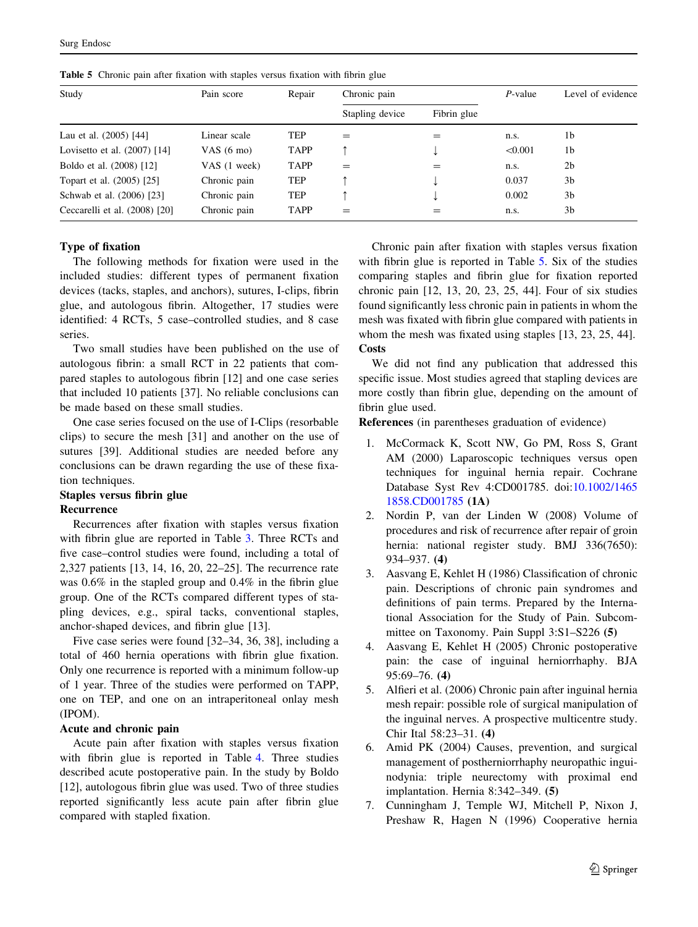| Study                          | Pain score           | Repair      | Chronic pain    |             | $P$ -value | Level of evidence |
|--------------------------------|----------------------|-------------|-----------------|-------------|------------|-------------------|
|                                |                      |             | Stapling device | Fibrin glue |            |                   |
| Lau et al. (2005) [44]         | Linear scale         | <b>TEP</b>  |                 | $=$         | n.s.       | 1b                |
| Lovisetto et al. $(2007)$ [14] | VAS $(6 \text{ mo})$ | <b>TAPP</b> |                 |             | < 0.001    | 1 <sub>b</sub>    |
| Boldo et al. (2008) [12]       | VAS (1 week)         | <b>TAPP</b> | $=$             | $=$         | n.s.       | 2 <sub>b</sub>    |
| Topart et al. (2005) [25]      | Chronic pain         | <b>TEP</b>  |                 |             | 0.037      | 3 <sub>b</sub>    |
| Schwab et al. (2006) [23]      | Chronic pain         | <b>TEP</b>  |                 |             | 0.002      | 3 <sub>b</sub>    |
| Ceccarelli et al. (2008) [20]  | Chronic pain         | <b>TAPP</b> | $=$             | $=$         | n.s.       | 3 <sub>b</sub>    |

Table 5 Chronic pain after fixation with staples versus fixation with fibrin glue

### Type of fixation

The following methods for fixation were used in the included studies: different types of permanent fixation devices (tacks, staples, and anchors), sutures, I-clips, fibrin glue, and autologous fibrin. Altogether, 17 studies were identified: 4 RCTs, 5 case–controlled studies, and 8 case series.

Two small studies have been published on the use of autologous fibrin: a small RCT in 22 patients that compared staples to autologous fibrin [12] and one case series that included 10 patients [37]. No reliable conclusions can be made based on these small studies.

One case series focused on the use of I-Clips (resorbable clips) to secure the mesh [31] and another on the use of sutures [39]. Additional studies are needed before any conclusions can be drawn regarding the use of these fixation techniques.

## Staples versus fibrin glue Recurrence

Recurrences after fixation with staples versus fixation with fibrin glue are reported in Table [3](#page-45-0). Three RCTs and five case–control studies were found, including a total of 2,327 patients [13, 14, 16, 20, 22–25]. The recurrence rate was 0.6% in the stapled group and 0.4% in the fibrin glue group. One of the RCTs compared different types of stapling devices, e.g., spiral tacks, conventional staples, anchor-shaped devices, and fibrin glue [13].

Five case series were found [32–34, 36, 38], including a total of 460 hernia operations with fibrin glue fixation. Only one recurrence is reported with a minimum follow-up of 1 year. Three of the studies were performed on TAPP, one on TEP, and one on an intraperitoneal onlay mesh (IPOM).

## Acute and chronic pain

Acute pain after fixation with staples versus fixation with fibrin glue is reported in Table [4](#page-45-0). Three studies described acute postoperative pain. In the study by Boldo [12], autologous fibrin glue was used. Two of three studies reported significantly less acute pain after fibrin glue compared with stapled fixation.

Chronic pain after fixation with staples versus fixation with fibrin glue is reported in Table 5. Six of the studies comparing staples and fibrin glue for fixation reported chronic pain [12, 13, 20, 23, 25, 44]. Four of six studies found significantly less chronic pain in patients in whom the mesh was fixated with fibrin glue compared with patients in whom the mesh was fixated using staples [13, 23, 25, 44]. **Costs** 

We did not find any publication that addressed this specific issue. Most studies agreed that stapling devices are more costly than fibrin glue, depending on the amount of fibrin glue used.

References (in parentheses graduation of evidence)

- 1. McCormack K, Scott NW, Go PM, Ross S, Grant AM (2000) Laparoscopic techniques versus open techniques for inguinal hernia repair. Cochrane Database Syst Rev 4:CD001785. doi[:10.1002/1465](http://dx.doi.org/10.1002/14651858.CD001785) [1858.CD001785](http://dx.doi.org/10.1002/14651858.CD001785) (1A)
- 2. Nordin P, van der Linden W (2008) Volume of procedures and risk of recurrence after repair of groin hernia: national register study. BMJ 336(7650): 934–937. (4)
- 3. Aasvang E, Kehlet H (1986) Classification of chronic pain. Descriptions of chronic pain syndromes and definitions of pain terms. Prepared by the International Association for the Study of Pain. Subcommittee on Taxonomy. Pain Suppl 3:S1–S226 (5)
- 4. Aasvang E, Kehlet H (2005) Chronic postoperative pain: the case of inguinal herniorrhaphy. BJA 95:69–76. (4)
- 5. Alfieri et al. (2006) Chronic pain after inguinal hernia mesh repair: possible role of surgical manipulation of the inguinal nerves. A prospective multicentre study. Chir Ital 58:23–31. (4)
- 6. Amid PK (2004) Causes, prevention, and surgical management of postherniorrhaphy neuropathic inguinodynia: triple neurectomy with proximal end implantation. Hernia 8:342–349. (5)
- 7. Cunningham J, Temple WJ, Mitchell P, Nixon J, Preshaw R, Hagen N (1996) Cooperative hernia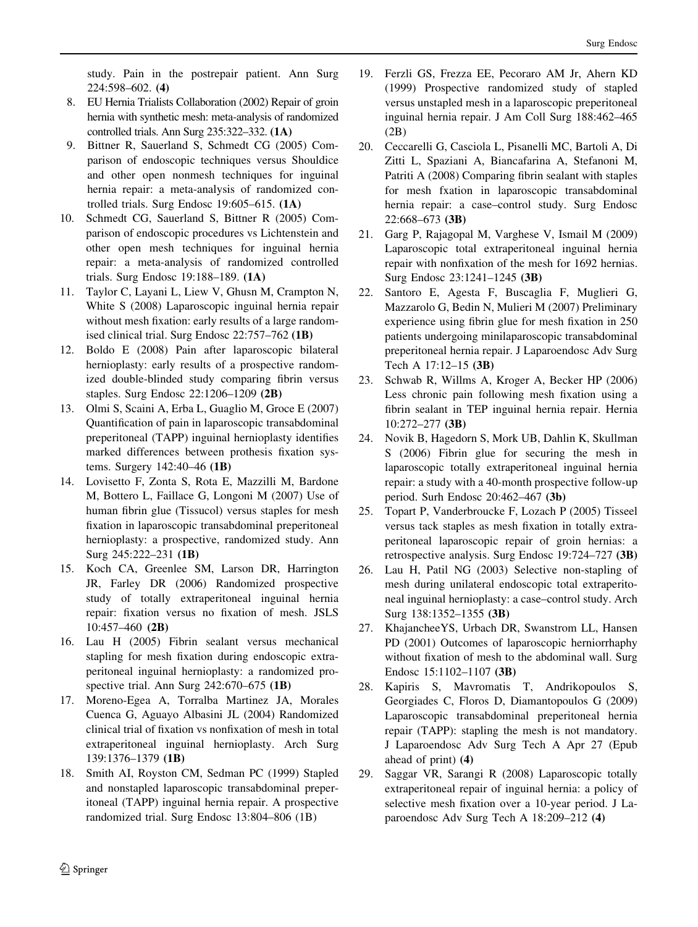study. Pain in the postrepair patient. Ann Surg 224:598–602. (4)

- 8. EU Hernia Trialists Collaboration (2002) Repair of groin hernia with synthetic mesh: meta-analysis of randomized controlled trials. Ann Surg 235:322–332. (1A)
- 9. Bittner R, Sauerland S, Schmedt CG (2005) Comparison of endoscopic techniques versus Shouldice and other open nonmesh techniques for inguinal hernia repair: a meta-analysis of randomized controlled trials. Surg Endosc 19:605–615. (1A)
- 10. Schmedt CG, Sauerland S, Bittner R (2005) Comparison of endoscopic procedures vs Lichtenstein and other open mesh techniques for inguinal hernia repair: a meta-analysis of randomized controlled trials. Surg Endosc 19:188–189. (1A)
- 11. Taylor C, Layani L, Liew V, Ghusn M, Crampton N, White S (2008) Laparoscopic inguinal hernia repair without mesh fixation: early results of a large randomised clinical trial. Surg Endosc 22:757–762 (1B)
- 12. Boldo E (2008) Pain after laparoscopic bilateral hernioplasty: early results of a prospective randomized double-blinded study comparing fibrin versus staples. Surg Endosc 22:1206–1209 (2B)
- 13. Olmi S, Scaini A, Erba L, Guaglio M, Groce E (2007) Quantification of pain in laparoscopic transabdominal preperitoneal (TAPP) inguinal hernioplasty identifies marked differences between prothesis fixation systems. Surgery 142:40–46 (1B)
- 14. Lovisetto F, Zonta S, Rota E, Mazzilli M, Bardone M, Bottero L, Faillace G, Longoni M (2007) Use of human fibrin glue (Tissucol) versus staples for mesh fixation in laparoscopic transabdominal preperitoneal hernioplasty: a prospective, randomized study. Ann Surg 245:222–231 (1B)
- 15. Koch CA, Greenlee SM, Larson DR, Harrington JR, Farley DR (2006) Randomized prospective study of totally extraperitoneal inguinal hernia repair: fixation versus no fixation of mesh. JSLS 10:457–460 (2B)
- 16. Lau H (2005) Fibrin sealant versus mechanical stapling for mesh fixation during endoscopic extraperitoneal inguinal hernioplasty: a randomized prospective trial. Ann Surg 242:670–675 (1B)
- 17. Moreno-Egea A, Torralba Martinez JA, Morales Cuenca G, Aguayo Albasini JL (2004) Randomized clinical trial of fixation vs nonfixation of mesh in total extraperitoneal inguinal hernioplasty. Arch Surg 139:1376–1379 (1B)
- 18. Smith AI, Royston CM, Sedman PC (1999) Stapled and nonstapled laparoscopic transabdominal preperitoneal (TAPP) inguinal hernia repair. A prospective randomized trial. Surg Endosc 13:804–806 (1B)
- 19. Ferzli GS, Frezza EE, Pecoraro AM Jr, Ahern KD (1999) Prospective randomized study of stapled versus unstapled mesh in a laparoscopic preperitoneal inguinal hernia repair. J Am Coll Surg 188:462–465 (2B)
- 20. Ceccarelli G, Casciola L, Pisanelli MC, Bartoli A, Di Zitti L, Spaziani A, Biancafarina A, Stefanoni M, Patriti A (2008) Comparing fibrin sealant with staples for mesh fxation in laparoscopic transabdominal hernia repair: a case–control study. Surg Endosc 22:668–673 (3B)
- 21. Garg P, Rajagopal M, Varghese V, Ismail M (2009) Laparoscopic total extraperitoneal inguinal hernia repair with nonfixation of the mesh for 1692 hernias. Surg Endosc 23:1241–1245 (3B)
- 22. Santoro E, Agesta F, Buscaglia F, Muglieri G, Mazzarolo G, Bedin N, Mulieri M (2007) Preliminary experience using fibrin glue for mesh fixation in 250 patients undergoing minilaparoscopic transabdominal preperitoneal hernia repair. J Laparoendosc Adv Surg Tech A 17:12–15 (3B)
- 23. Schwab R, Willms A, Kroger A, Becker HP (2006) Less chronic pain following mesh fixation using a fibrin sealant in TEP inguinal hernia repair. Hernia 10:272–277 (3B)
- 24. Novik B, Hagedorn S, Mork UB, Dahlin K, Skullman S (2006) Fibrin glue for securing the mesh in laparoscopic totally extraperitoneal inguinal hernia repair: a study with a 40-month prospective follow-up period. Surh Endosc 20:462–467 (3b)
- 25. Topart P, Vanderbroucke F, Lozach P (2005) Tisseel versus tack staples as mesh fixation in totally extraperitoneal laparoscopic repair of groin hernias: a retrospective analysis. Surg Endosc 19:724–727 (3B)
- 26. Lau H, Patil NG (2003) Selective non-stapling of mesh during unilateral endoscopic total extraperitoneal inguinal hernioplasty: a case–control study. Arch Surg 138:1352–1355 (3B)
- 27. KhajancheeYS, Urbach DR, Swanstrom LL, Hansen PD (2001) Outcomes of laparoscopic herniorrhaphy without fixation of mesh to the abdominal wall. Surg Endosc 15:1102–1107 (3B)
- 28. Kapiris S, Mavromatis T, Andrikopoulos S, Georgiades C, Floros D, Diamantopoulos G (2009) Laparoscopic transabdominal preperitoneal hernia repair (TAPP): stapling the mesh is not mandatory. J Laparoendosc Adv Surg Tech A Apr 27 (Epub ahead of print) (4)
- 29. Saggar VR, Sarangi R (2008) Laparoscopic totally extraperitoneal repair of inguinal hernia: a policy of selective mesh fixation over a 10-year period. J Laparoendosc Adv Surg Tech A 18:209–212 (4)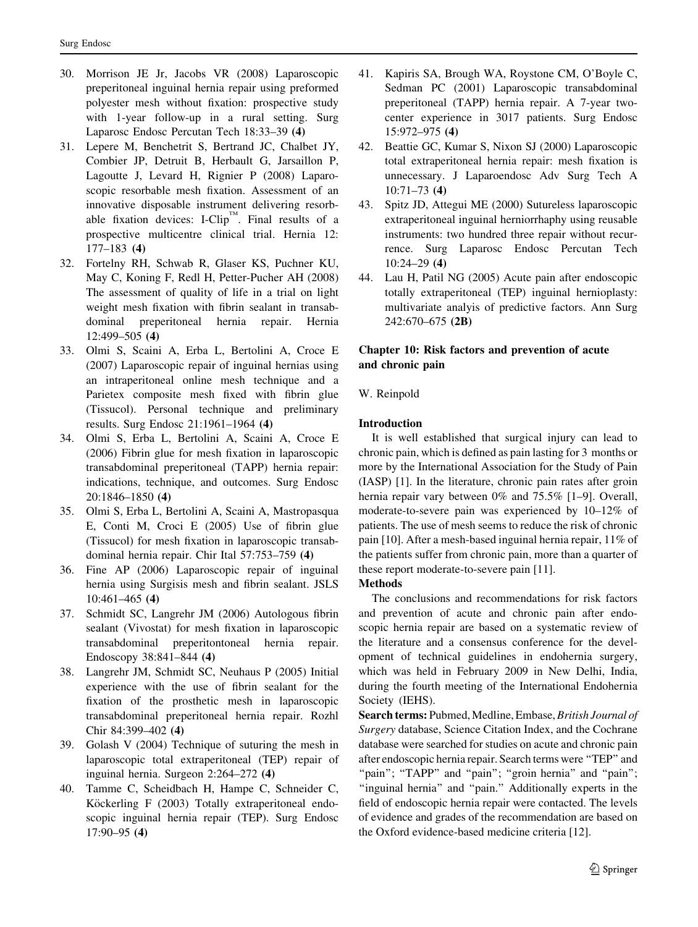- 30. Morrison JE Jr, Jacobs VR (2008) Laparoscopic preperitoneal inguinal hernia repair using preformed polyester mesh without fixation: prospective study with 1-year follow-up in a rural setting. Surg Laparosc Endosc Percutan Tech 18:33–39 (4)
- 31. Lepere M, Benchetrit S, Bertrand JC, Chalbet JY, Combier JP, Detruit B, Herbault G, Jarsaillon P, Lagoutte J, Levard H, Rignier P (2008) Laparoscopic resorbable mesh fixation. Assessment of an innovative disposable instrument delivering resorbable fixation devices: I-Clip<sup>M</sup>. Final results of a prospective multicentre clinical trial. Hernia 12: 177–183 (4)
- 32. Fortelny RH, Schwab R, Glaser KS, Puchner KU, May C, Koning F, Redl H, Petter-Pucher AH (2008) The assessment of quality of life in a trial on light weight mesh fixation with fibrin sealant in transabdominal preperitoneal hernia repair. Hernia 12:499–505 (4)
- 33. Olmi S, Scaini A, Erba L, Bertolini A, Croce E (2007) Laparoscopic repair of inguinal hernias using an intraperitoneal online mesh technique and a Parietex composite mesh fixed with fibrin glue (Tissucol). Personal technique and preliminary results. Surg Endosc 21:1961–1964 (4)
- 34. Olmi S, Erba L, Bertolini A, Scaini A, Croce E (2006) Fibrin glue for mesh fixation in laparoscopic transabdominal preperitoneal (TAPP) hernia repair: indications, technique, and outcomes. Surg Endosc 20:1846–1850 (4)
- 35. Olmi S, Erba L, Bertolini A, Scaini A, Mastropasqua E, Conti M, Croci E (2005) Use of fibrin glue (Tissucol) for mesh fixation in laparoscopic transabdominal hernia repair. Chir Ital 57:753–759 (4)
- 36. Fine AP (2006) Laparoscopic repair of inguinal hernia using Surgisis mesh and fibrin sealant. JSLS 10:461–465 (4)
- 37. Schmidt SC, Langrehr JM (2006) Autologous fibrin sealant (Vivostat) for mesh fixation in laparoscopic transabdominal preperitontoneal hernia repair. Endoscopy 38:841–844 (4)
- 38. Langrehr JM, Schmidt SC, Neuhaus P (2005) Initial experience with the use of fibrin sealant for the fixation of the prosthetic mesh in laparoscopic transabdominal preperitoneal hernia repair. Rozhl Chir 84:399–402 (4)
- 39. Golash V (2004) Technique of suturing the mesh in laparoscopic total extraperitoneal (TEP) repair of inguinal hernia. Surgeon 2:264–272 (4)
- 40. Tamme C, Scheidbach H, Hampe C, Schneider C, Köckerling F (2003) Totally extraperitoneal endoscopic inguinal hernia repair (TEP). Surg Endosc 17:90–95 (4)
- 41. Kapiris SA, Brough WA, Roystone CM, O'Boyle C, Sedman PC (2001) Laparoscopic transabdominal preperitoneal (TAPP) hernia repair. A 7-year twocenter experience in 3017 patients. Surg Endosc 15:972–975 (4)
- 42. Beattie GC, Kumar S, Nixon SJ (2000) Laparoscopic total extraperitoneal hernia repair: mesh fixation is unnecessary. J Laparoendosc Adv Surg Tech A 10:71–73 (4)
- 43. Spitz JD, Attegui ME (2000) Sutureless laparoscopic extraperitoneal inguinal herniorrhaphy using reusable instruments: two hundred three repair without recurrence. Surg Laparosc Endosc Percutan Tech 10:24–29 (4)
- 44. Lau H, Patil NG (2005) Acute pain after endoscopic totally extraperitoneal (TEP) inguinal hernioplasty: multivariate analyis of predictive factors. Ann Surg 242:670–675 (2B)

# Chapter 10: Risk factors and prevention of acute and chronic pain

W. Reinpold

# Introduction

It is well established that surgical injury can lead to chronic pain, which is defined as pain lasting for 3 months or more by the International Association for the Study of Pain (IASP) [1]. In the literature, chronic pain rates after groin hernia repair vary between 0% and 75.5% [1–9]. Overall, moderate-to-severe pain was experienced by 10–12% of patients. The use of mesh seems to reduce the risk of chronic pain [10]. After a mesh-based inguinal hernia repair, 11% of the patients suffer from chronic pain, more than a quarter of these report moderate-to-severe pain [11].

Methods

The conclusions and recommendations for risk factors and prevention of acute and chronic pain after endoscopic hernia repair are based on a systematic review of the literature and a consensus conference for the development of technical guidelines in endohernia surgery, which was held in February 2009 in New Delhi, India, during the fourth meeting of the International Endohernia Society (IEHS).

Search terms: Pubmed, Medline, Embase, British Journal of Surgery database, Science Citation Index, and the Cochrane database were searched for studies on acute and chronic pain after endoscopic hernia repair. Search terms were ''TEP'' and "pain"; "TAPP" and "pain"; "groin hernia" and "pain"; ''inguinal hernia'' and ''pain.'' Additionally experts in the field of endoscopic hernia repair were contacted. The levels of evidence and grades of the recommendation are based on the Oxford evidence-based medicine criteria [12].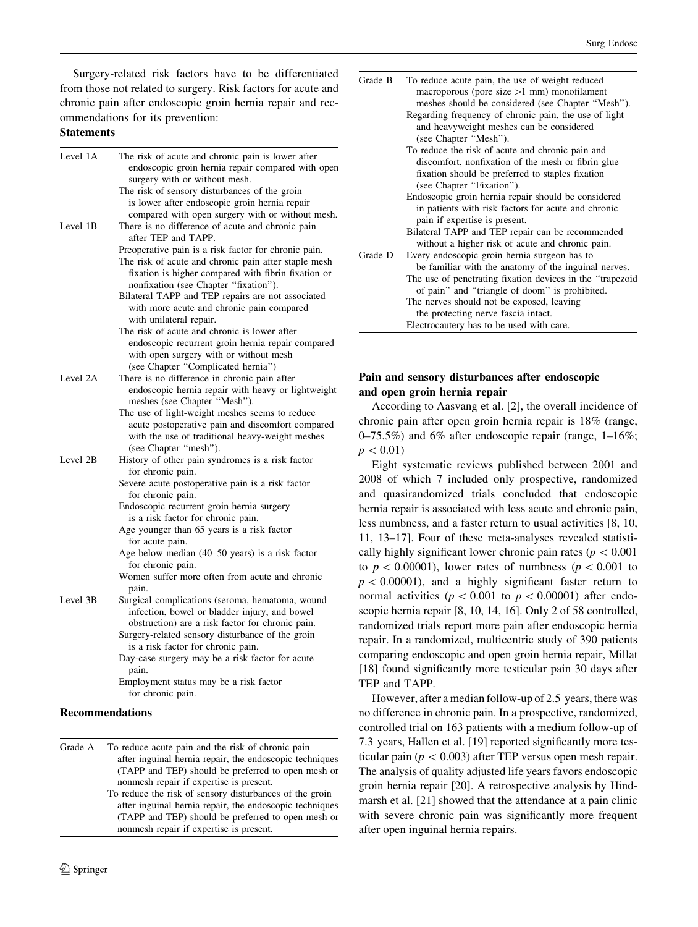Surgery-related risk factors have to be differentiated from those not related to surgery. Risk factors for acute and chronic pain after endoscopic groin hernia repair and recommendations for its prevention:

## **Statements**

| Level 1A | The risk of acute and chronic pain is lower after<br>endoscopic groin hernia repair compared with open |
|----------|--------------------------------------------------------------------------------------------------------|
|          | surgery with or without mesh.                                                                          |
|          | The risk of sensory disturbances of the groin                                                          |
|          | is lower after endoscopic groin hernia repair                                                          |
|          | compared with open surgery with or without mesh.                                                       |
| Level 1B | There is no difference of acute and chronic pain<br>after TEP and TAPP.                                |
|          | Preoperative pain is a risk factor for chronic pain.                                                   |
|          | The risk of acute and chronic pain after staple mesh                                                   |
|          | fixation is higher compared with fibrin fixation or<br>nonfixation (see Chapter "fixation").           |
|          | Bilateral TAPP and TEP repairs are not associated                                                      |
|          | with more acute and chronic pain compared<br>with unilateral repair.                                   |
|          |                                                                                                        |
|          | The risk of acute and chronic is lower after                                                           |
|          | endoscopic recurrent groin hernia repair compared                                                      |
|          | with open surgery with or without mesh                                                                 |
|          | (see Chapter "Complicated hernia")                                                                     |
| Level 2A | There is no difference in chronic pain after                                                           |
|          | endoscopic hernia repair with heavy or lightweight                                                     |
|          | meshes (see Chapter "Mesh").                                                                           |
|          | The use of light-weight meshes seems to reduce                                                         |
|          | acute postoperative pain and discomfort compared                                                       |
|          | with the use of traditional heavy-weight meshes                                                        |
|          | (see Chapter "mesh").                                                                                  |
| Level 2B | History of other pain syndromes is a risk factor<br>for chronic pain.                                  |
|          | Severe acute postoperative pain is a risk factor                                                       |
|          | for chronic pain.                                                                                      |
|          | Endoscopic recurrent groin hernia surgery                                                              |
|          | is a risk factor for chronic pain.                                                                     |
|          | Age younger than 65 years is a risk factor                                                             |
|          | for acute pain.                                                                                        |
|          | Age below median (40–50 years) is a risk factor<br>for chronic pain.                                   |
|          | Women suffer more often from acute and chronic<br>pain.                                                |
| Level 3B | Surgical complications (seroma, hematoma, wound                                                        |
|          | infection, bowel or bladder injury, and bowel                                                          |
|          | obstruction) are a risk factor for chronic pain.                                                       |
|          | Surgery-related sensory disturbance of the groin                                                       |
|          | is a risk factor for chronic pain.                                                                     |
|          | Day-case surgery may be a risk factor for acute                                                        |
|          | pain.                                                                                                  |
|          | Employment status may be a risk factor                                                                 |
|          |                                                                                                        |

Recommendations

Grade A To reduce acute pain and the risk of chronic pain after inguinal hernia repair, the endoscopic techniques (TAPP and TEP) should be preferred to open mesh or nonmesh repair if expertise is present.

for chronic pain.

To reduce the risk of sensory disturbances of the groin after inguinal hernia repair, the endoscopic techniques (TAPP and TEP) should be preferred to open mesh or nonmesh repair if expertise is present.

| Grade B | To reduce acute pain, the use of weight reduced<br>macroporous (pore size $>1$ mm) monofilament<br>meshes should be considered (see Chapter "Mesh"). |
|---------|------------------------------------------------------------------------------------------------------------------------------------------------------|
|         | Regarding frequency of chronic pain, the use of light<br>and heavyweight meshes can be considered                                                    |
|         | (see Chapter "Mesh").                                                                                                                                |
|         | To reduce the risk of acute and chronic pain and                                                                                                     |
|         | discomfort, nonfixation of the mesh or fibrin glue                                                                                                   |
|         | fixation should be preferred to staples fixation                                                                                                     |
|         | (see Chapter "Fixation").                                                                                                                            |
|         | Endoscopic groin hernia repair should be considered                                                                                                  |
|         | in patients with risk factors for acute and chronic                                                                                                  |
|         | pain if expertise is present.                                                                                                                        |
|         | Bilateral TAPP and TEP repair can be recommended                                                                                                     |
|         | without a higher risk of acute and chronic pain.                                                                                                     |
| Grade D | Every endoscopic groin hernia surgeon has to                                                                                                         |
|         | be familiar with the anatomy of the inguinal nerves.                                                                                                 |
|         | The use of penetrating fixation devices in the "trapezoid"                                                                                           |
|         | of pain" and "triangle of doom" is prohibited.                                                                                                       |
|         | The nerves should not be exposed, leaving                                                                                                            |

## Pain and sensory disturbances after endoscopic and open groin hernia repair

the protecting nerve fascia intact. Electrocautery has to be used with care.

According to Aasvang et al. [2], the overall incidence of chronic pain after open groin hernia repair is 18% (range, 0–75.5%) and 6% after endoscopic repair (range, 1–16%;  $p < 0.01$ 

Eight systematic reviews published between 2001 and 2008 of which 7 included only prospective, randomized and quasirandomized trials concluded that endoscopic hernia repair is associated with less acute and chronic pain, less numbness, and a faster return to usual activities [8, 10, 11, 13–17]. Four of these meta-analyses revealed statistically highly significant lower chronic pain rates ( $p<0.001$ to  $p\lt 0.00001$ ), lower rates of numbness ( $p\lt 0.001$  to  $p < 0.00001$ ), and a highly significant faster return to normal activities ( $p<0.001$  to  $p<0.00001$ ) after endoscopic hernia repair [8, 10, 14, 16]. Only 2 of 58 controlled, randomized trials report more pain after endoscopic hernia repair. In a randomized, multicentric study of 390 patients comparing endoscopic and open groin hernia repair, Millat [18] found significantly more testicular pain 30 days after TEP and TAPP.

However, after a median follow-up of 2.5 years, there was no difference in chronic pain. In a prospective, randomized, controlled trial on 163 patients with a medium follow-up of 7.3 years, Hallen et al. [19] reported significantly more testicular pain ( $p<0.003$ ) after TEP versus open mesh repair. The analysis of quality adjusted life years favors endoscopic groin hernia repair [20]. A retrospective analysis by Hindmarsh et al. [21] showed that the attendance at a pain clinic with severe chronic pain was significantly more frequent after open inguinal hernia repairs.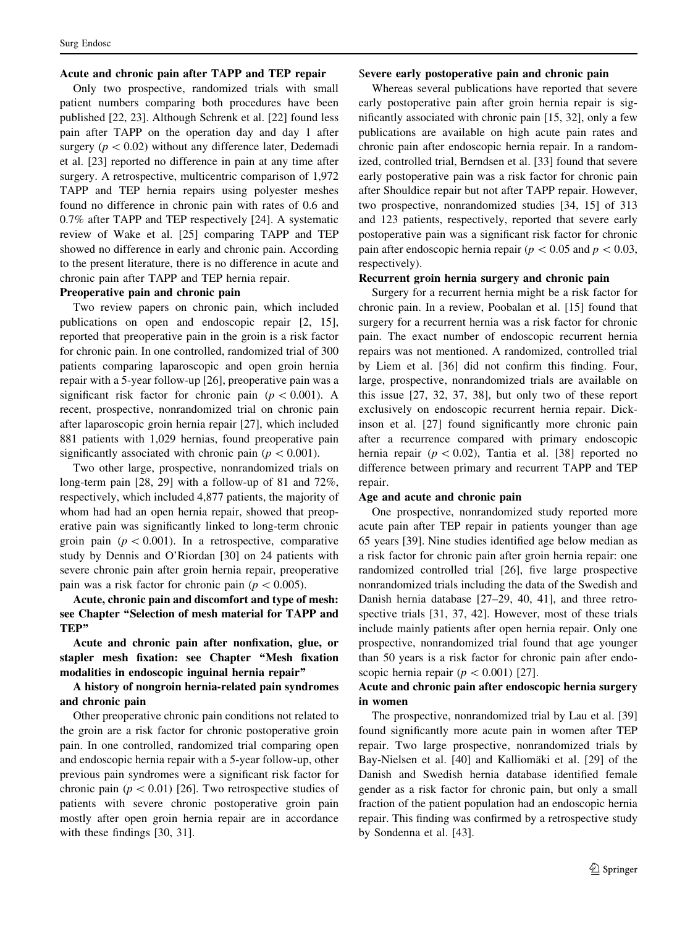### Acute and chronic pain after TAPP and TEP repair

Only two prospective, randomized trials with small patient numbers comparing both procedures have been published [22, 23]. Although Schrenk et al. [22] found less pain after TAPP on the operation day and day 1 after surgery ( $p < 0.02$ ) without any difference later, Dedemadi et al. [23] reported no difference in pain at any time after surgery. A retrospective, multicentric comparison of 1,972 TAPP and TEP hernia repairs using polyester meshes found no difference in chronic pain with rates of 0.6 and 0.7% after TAPP and TEP respectively [24]. A systematic review of Wake et al. [25] comparing TAPP and TEP showed no difference in early and chronic pain. According to the present literature, there is no difference in acute and chronic pain after TAPP and TEP hernia repair.

## Preoperative pain and chronic pain

Two review papers on chronic pain, which included publications on open and endoscopic repair [2, 15], reported that preoperative pain in the groin is a risk factor for chronic pain. In one controlled, randomized trial of 300 patients comparing laparoscopic and open groin hernia repair with a 5-year follow-up [26], preoperative pain was a significant risk factor for chronic pain ( $p \lt 0.001$ ). A recent, prospective, nonrandomized trial on chronic pain after laparoscopic groin hernia repair [27], which included 881 patients with 1,029 hernias, found preoperative pain significantly associated with chronic pain ( $p<0.001$ ).

Two other large, prospective, nonrandomized trials on long-term pain [28, 29] with a follow-up of 81 and 72%, respectively, which included 4,877 patients, the majority of whom had had an open hernia repair, showed that preoperative pain was significantly linked to long-term chronic groin pain  $(p < 0.001)$ . In a retrospective, comparative study by Dennis and O'Riordan [30] on 24 patients with severe chronic pain after groin hernia repair, preoperative pain was a risk factor for chronic pain ( $p < 0.005$ ).

Acute, chronic pain and discomfort and type of mesh: see Chapter ''Selection of mesh material for TAPP and TEP''

Acute and chronic pain after nonfixation, glue, or stapler mesh fixation: see Chapter ''Mesh fixation modalities in endoscopic inguinal hernia repair''

A history of nongroin hernia-related pain syndromes and chronic pain

Other preoperative chronic pain conditions not related to the groin are a risk factor for chronic postoperative groin pain. In one controlled, randomized trial comparing open and endoscopic hernia repair with a 5-year follow-up, other previous pain syndromes were a significant risk factor for chronic pain ( $p < 0.01$ ) [26]. Two retrospective studies of patients with severe chronic postoperative groin pain mostly after open groin hernia repair are in accordance with these findings [30, 31].

### Severe early postoperative pain and chronic pain

Whereas several publications have reported that severe early postoperative pain after groin hernia repair is significantly associated with chronic pain [15, 32], only a few publications are available on high acute pain rates and chronic pain after endoscopic hernia repair. In a randomized, controlled trial, Berndsen et al. [33] found that severe early postoperative pain was a risk factor for chronic pain after Shouldice repair but not after TAPP repair. However, two prospective, nonrandomized studies [34, 15] of 313 and 123 patients, respectively, reported that severe early postoperative pain was a significant risk factor for chronic pain after endoscopic hernia repair ( $p<0.05$  and  $p<0.03$ , respectively).

### Recurrent groin hernia surgery and chronic pain

Surgery for a recurrent hernia might be a risk factor for chronic pain. In a review, Poobalan et al. [15] found that surgery for a recurrent hernia was a risk factor for chronic pain. The exact number of endoscopic recurrent hernia repairs was not mentioned. A randomized, controlled trial by Liem et al. [36] did not confirm this finding. Four, large, prospective, nonrandomized trials are available on this issue [27, 32, 37, 38], but only two of these report exclusively on endoscopic recurrent hernia repair. Dickinson et al. [27] found significantly more chronic pain after a recurrence compared with primary endoscopic hernia repair ( $p < 0.02$ ), Tantia et al. [38] reported no difference between primary and recurrent TAPP and TEP repair.

### Age and acute and chronic pain

One prospective, nonrandomized study reported more acute pain after TEP repair in patients younger than age 65 years [39]. Nine studies identified age below median as a risk factor for chronic pain after groin hernia repair: one randomized controlled trial [26], five large prospective nonrandomized trials including the data of the Swedish and Danish hernia database [27–29, 40, 41], and three retrospective trials [31, 37, 42]. However, most of these trials include mainly patients after open hernia repair. Only one prospective, nonrandomized trial found that age younger than 50 years is a risk factor for chronic pain after endoscopic hernia repair  $(p < 0.001)$  [27].

## Acute and chronic pain after endoscopic hernia surgery in women

The prospective, nonrandomized trial by Lau et al. [39] found significantly more acute pain in women after TEP repair. Two large prospective, nonrandomized trials by Bay-Nielsen et al. [40] and Kalliomäki et al. [29] of the Danish and Swedish hernia database identified female gender as a risk factor for chronic pain, but only a small fraction of the patient population had an endoscopic hernia repair. This finding was confirmed by a retrospective study by Sondenna et al. [43].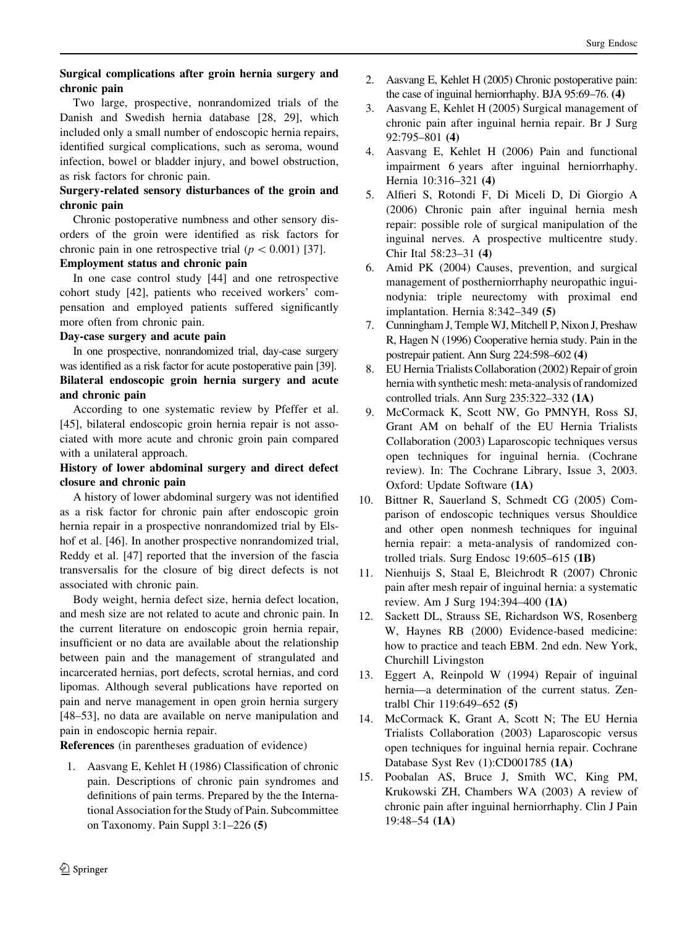# Surgical complications after groin hernia surgery and chronic pain

Two large, prospective, nonrandomized trials of the Danish and Swedish hernia database [28, 29], which included only a small number of endoscopic hernia repairs, identified surgical complications, such as seroma, wound infection, bowel or bladder injury, and bowel obstruction, as risk factors for chronic pain.

# Surgery-related sensory disturbances of the groin and chronic pain

Chronic postoperative numbness and other sensory disorders of the groin were identified as risk factors for chronic pain in one retrospective trial ( $p < 0.001$ ) [37].

## Employment status and chronic pain

In one case control study [44] and one retrospective cohort study [42], patients who received workers' compensation and employed patients suffered significantly more often from chronic pain.

## Day-case surgery and acute pain

In one prospective, nonrandomized trial, day-case surgery was identified as a risk factor for acute postoperative pain [39]. Bilateral endoscopic groin hernia surgery and acute and chronic pain

According to one systematic review by Pfeffer et al. [45], bilateral endoscopic groin hernia repair is not associated with more acute and chronic groin pain compared with a unilateral approach.

# History of lower abdominal surgery and direct defect closure and chronic pain

A history of lower abdominal surgery was not identified as a risk factor for chronic pain after endoscopic groin hernia repair in a prospective nonrandomized trial by Elshof et al. [46]. In another prospective nonrandomized trial, Reddy et al. [47] reported that the inversion of the fascia transversalis for the closure of big direct defects is not associated with chronic pain.

Body weight, hernia defect size, hernia defect location, and mesh size are not related to acute and chronic pain. In the current literature on endoscopic groin hernia repair, insufficient or no data are available about the relationship between pain and the management of strangulated and incarcerated hernias, port defects, scrotal hernias, and cord lipomas. Although several publications have reported on pain and nerve management in open groin hernia surgery [48–53], no data are available on nerve manipulation and pain in endoscopic hernia repair.

References (in parentheses graduation of evidence)

1. Aasvang E, Kehlet H (1986) Classification of chronic pain. Descriptions of chronic pain syndromes and definitions of pain terms. Prepared by the the International Association for the Study of Pain. Subcommittee on Taxonomy. Pain Suppl 3:1–226 (5)

- 2. Aasvang E, Kehlet H (2005) Chronic postoperative pain: the case of inguinal herniorrhaphy. BJA 95:69–76. (4)
- 3. Aasvang E, Kehlet H (2005) Surgical management of chronic pain after inguinal hernia repair. Br J Surg 92:795–801 (4)
- 4. Aasvang E, Kehlet H (2006) Pain and functional impairment 6 years after inguinal herniorrhaphy. Hernia 10:316–321 (4)
- 5. Alfieri S, Rotondi F, Di Miceli D, Di Giorgio A (2006) Chronic pain after inguinal hernia mesh repair: possible role of surgical manipulation of the inguinal nerves. A prospective multicentre study. Chir Ital 58:23–31 (4)
- 6. Amid PK (2004) Causes, prevention, and surgical management of postherniorrhaphy neuropathic inguinodynia: triple neurectomy with proximal end implantation. Hernia 8:342–349 (5)
- 7. Cunningham J, Temple WJ, Mitchell P, Nixon J, Preshaw R, Hagen N (1996) Cooperative hernia study. Pain in the postrepair patient. Ann Surg 224:598–602 (4)
- 8. EU Hernia Trialists Collaboration (2002) Repair of groin hernia with synthetic mesh: meta-analysis of randomized controlled trials. Ann Surg 235:322–332 (1A)
- 9. McCormack K, Scott NW, Go PMNYH, Ross SJ, Grant AM on behalf of the EU Hernia Trialists Collaboration (2003) Laparoscopic techniques versus open techniques for inguinal hernia. (Cochrane review). In: The Cochrane Library, Issue 3, 2003. Oxford: Update Software (1A)
- 10. Bittner R, Sauerland S, Schmedt CG (2005) Comparison of endoscopic techniques versus Shouldice and other open nonmesh techniques for inguinal hernia repair: a meta-analysis of randomized controlled trials. Surg Endosc 19:605–615 (1B)
- 11. Nienhuijs S, Staal E, Bleichrodt R (2007) Chronic pain after mesh repair of inguinal hernia: a systematic review. Am J Surg 194:394–400 (1A)
- 12. Sackett DL, Strauss SE, Richardson WS, Rosenberg W, Haynes RB (2000) Evidence-based medicine: how to practice and teach EBM. 2nd edn. New York, Churchill Livingston
- 13. Eggert A, Reinpold W (1994) Repair of inguinal hernia—a determination of the current status. Zentralbl Chir 119:649–652 (5)
- 14. McCormack K, Grant A, Scott N; The EU Hernia Trialists Collaboration (2003) Laparoscopic versus open techniques for inguinal hernia repair. Cochrane Database Syst Rev (1):CD001785 (1A)
- 15. Poobalan AS, Bruce J, Smith WC, King PM, Krukowski ZH, Chambers WA (2003) A review of chronic pain after inguinal herniorrhaphy. Clin J Pain 19:48–54 (1A)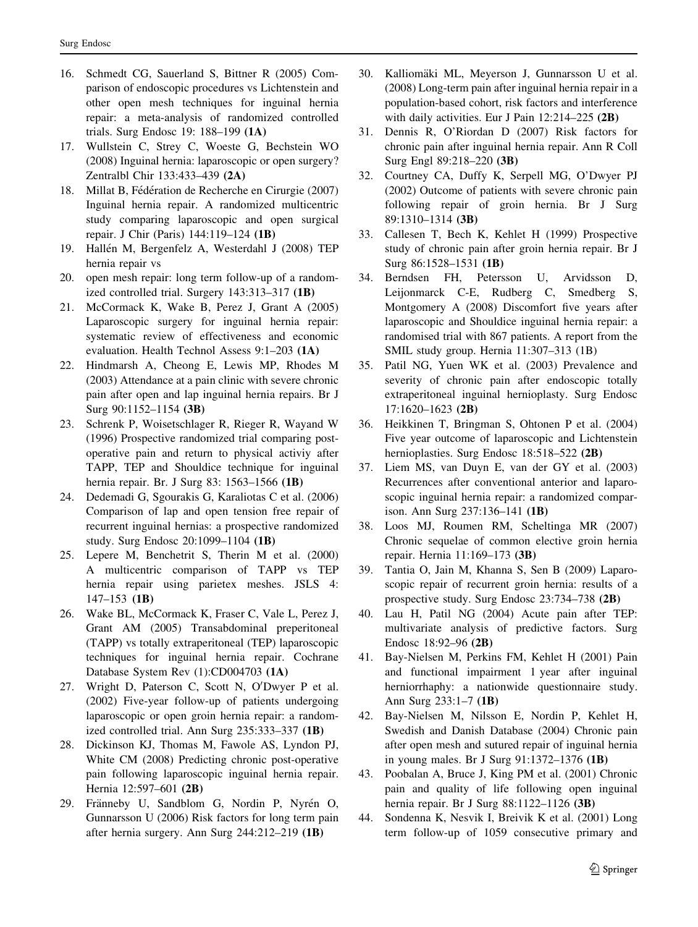- 16. Schmedt CG, Sauerland S, Bittner R (2005) Comparison of endoscopic procedures vs Lichtenstein and other open mesh techniques for inguinal hernia repair: a meta-analysis of randomized controlled trials. Surg Endosc 19: 188–199 (1A)
- 17. Wullstein C, Strey C, Woeste G, Bechstein WO (2008) Inguinal hernia: laparoscopic or open surgery? Zentralbl Chir 133:433–439 (2A)
- 18. Millat B, Fédération de Recherche en Cirurgie (2007) Inguinal hernia repair. A randomized multicentric study comparing laparoscopic and open surgical repair. J Chir (Paris) 144:119–124 (1B)
- 19. Hallén M, Bergenfelz A, Westerdahl J (2008) TEP hernia repair vs
- 20. open mesh repair: long term follow-up of a randomized controlled trial. Surgery 143:313–317 (1B)
- 21. McCormack K, Wake B, Perez J, Grant A (2005) Laparoscopic surgery for inguinal hernia repair: systematic review of effectiveness and economic evaluation. Health Technol Assess 9:1–203 (1A)
- 22. Hindmarsh A, Cheong E, Lewis MP, Rhodes M (2003) Attendance at a pain clinic with severe chronic pain after open and lap inguinal hernia repairs. Br J Surg 90:1152–1154 (3B)
- 23. Schrenk P, Woisetschlager R, Rieger R, Wayand W (1996) Prospective randomized trial comparing postoperative pain and return to physical activiy after TAPP, TEP and Shouldice technique for inguinal hernia repair. Br. J Surg 83: 1563–1566 (1B)
- 24. Dedemadi G, Sgourakis G, Karaliotas C et al. (2006) Comparison of lap and open tension free repair of recurrent inguinal hernias: a prospective randomized study. Surg Endosc 20:1099–1104 (1B)
- 25. Lepere M, Benchetrit S, Therin M et al. (2000) A multicentric comparison of TAPP vs TEP hernia repair using parietex meshes. JSLS 4: 147–153 (1B)
- 26. Wake BL, McCormack K, Fraser C, Vale L, Perez J, Grant AM (2005) Transabdominal preperitoneal (TAPP) vs totally extraperitoneal (TEP) laparoscopic techniques for inguinal hernia repair. Cochrane Database System Rev (1):CD004703 (1A)
- 27. Wright D, Paterson C, Scott N, O'Dwyer P et al. (2002) Five-year follow-up of patients undergoing laparoscopic or open groin hernia repair: a randomized controlled trial. Ann Surg 235:333–337 (1B)
- 28. Dickinson KJ, Thomas M, Fawole AS, Lyndon PJ, White CM (2008) Predicting chronic post-operative pain following laparoscopic inguinal hernia repair. Hernia 12:597–601 (2B)
- 29. Fränneby U, Sandblom G, Nordin P, Nyrén O, Gunnarsson U (2006) Risk factors for long term pain after hernia surgery. Ann Surg 244:212–219 (1B)
- 30. Kalliomäki ML, Meyerson J, Gunnarsson U et al. (2008) Long-term pain after inguinal hernia repair in a population-based cohort, risk factors and interference with daily activities. Eur J Pain 12:214–225 (2B)
- 31. Dennis R, O'Riordan D (2007) Risk factors for chronic pain after inguinal hernia repair. Ann R Coll Surg Engl 89:218–220 (3B)
- 32. Courtney CA, Duffy K, Serpell MG, O'Dwyer PJ (2002) Outcome of patients with severe chronic pain following repair of groin hernia. Br J Surg 89:1310–1314 (3B)
- 33. Callesen T, Bech K, Kehlet H (1999) Prospective study of chronic pain after groin hernia repair. Br J Surg 86:1528–1531 (1B)
- 34. Berndsen FH, Petersson U, Arvidsson D, Leijonmarck C-E, Rudberg C, Smedberg S, Montgomery A (2008) Discomfort five years after laparoscopic and Shouldice inguinal hernia repair: a randomised trial with 867 patients. A report from the SMIL study group. Hernia 11:307–313 (1B)
- 35. Patil NG, Yuen WK et al. (2003) Prevalence and severity of chronic pain after endoscopic totally extraperitoneal inguinal hernioplasty. Surg Endosc 17:1620–1623 (2B)
- 36. Heikkinen T, Bringman S, Ohtonen P et al. (2004) Five year outcome of laparoscopic and Lichtenstein hernioplasties. Surg Endosc 18:518–522 (2B)
- 37. Liem MS, van Duyn E, van der GY et al. (2003) Recurrences after conventional anterior and laparoscopic inguinal hernia repair: a randomized comparison. Ann Surg 237:136–141 (1B)
- 38. Loos MJ, Roumen RM, Scheltinga MR (2007) Chronic sequelae of common elective groin hernia repair. Hernia 11:169–173 (3B)
- 39. Tantia O, Jain M, Khanna S, Sen B (2009) Laparoscopic repair of recurrent groin hernia: results of a prospective study. Surg Endosc 23:734–738 (2B)
- 40. Lau H, Patil NG (2004) Acute pain after TEP: multivariate analysis of predictive factors. Surg Endosc 18:92–96 (2B)
- 41. Bay-Nielsen M, Perkins FM, Kehlet H (2001) Pain and functional impairment 1 year after inguinal herniorrhaphy: a nationwide questionnaire study. Ann Surg 233:1–7 (1B)
- 42. Bay-Nielsen M, Nilsson E, Nordin P, Kehlet H, Swedish and Danish Database (2004) Chronic pain after open mesh and sutured repair of inguinal hernia in young males. Br J Surg 91:1372–1376 (1B)
- 43. Poobalan A, Bruce J, King PM et al. (2001) Chronic pain and quality of life following open inguinal hernia repair. Br J Surg 88:1122–1126 (3B)
- 44. Sondenna K, Nesvik I, Breivik K et al. (2001) Long term follow-up of 1059 consecutive primary and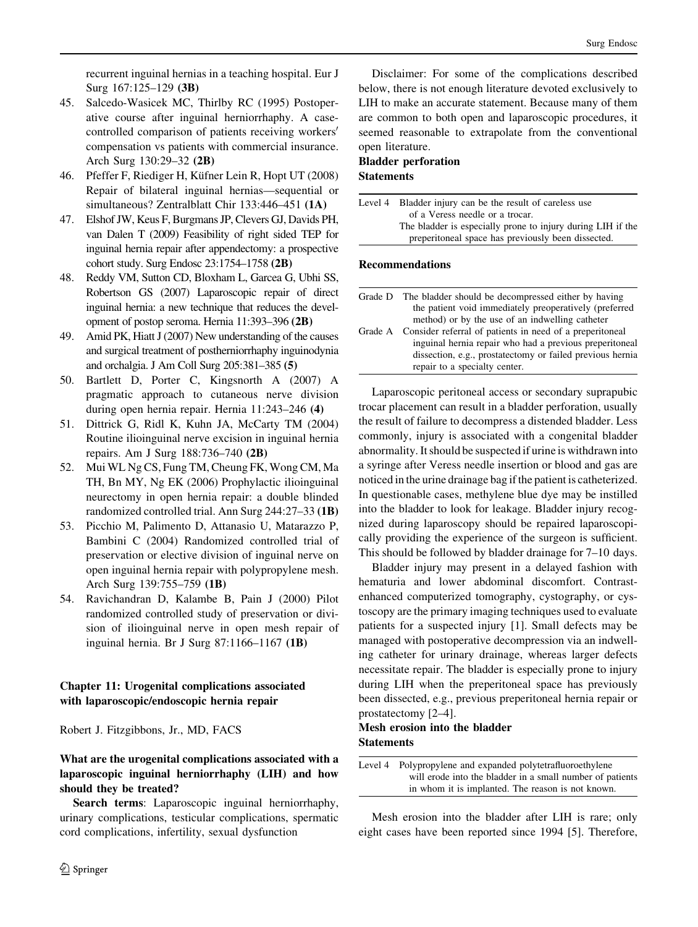recurrent inguinal hernias in a teaching hospital. Eur J Surg 167:125–129 (3B)

- 45. Salcedo-Wasicek MC, Thirlby RC (1995) Postoperative course after inguinal herniorrhaphy. A casecontrolled comparison of patients receiving workers' compensation vs patients with commercial insurance. Arch Surg 130:29–32 (2B)
- 46. Pfeffer F, Riediger H, Küfner Lein R, Hopt UT (2008) Repair of bilateral inguinal hernias—sequential or simultaneous? Zentralblatt Chir 133:446–451 (1A)
- 47. Elshof JW, Keus F, Burgmans JP, Clevers GJ, Davids PH, van Dalen T (2009) Feasibility of right sided TEP for inguinal hernia repair after appendectomy: a prospective cohort study. Surg Endosc 23:1754–1758 (2B)
- 48. Reddy VM, Sutton CD, Bloxham L, Garcea G, Ubhi SS, Robertson GS (2007) Laparoscopic repair of direct inguinal hernia: a new technique that reduces the development of postop seroma. Hernia 11:393–396 (2B)
- 49. Amid PK, Hiatt J (2007) New understanding of the causes and surgical treatment of postherniorrhaphy inguinodynia and orchalgia. J Am Coll Surg 205:381–385 (5)
- 50. Bartlett D, Porter C, Kingsnorth A (2007) A pragmatic approach to cutaneous nerve division during open hernia repair. Hernia 11:243–246 (4)
- 51. Dittrick G, Ridl K, Kuhn JA, McCarty TM (2004) Routine ilioinguinal nerve excision in inguinal hernia repairs. Am J Surg 188:736–740 (2B)
- 52. Mui WL Ng CS, Fung TM, Cheung FK, Wong CM, Ma TH, Bn MY, Ng EK (2006) Prophylactic ilioinguinal neurectomy in open hernia repair: a double blinded randomized controlled trial. Ann Surg 244:27–33 (1B)
- 53. Picchio M, Palimento D, Attanasio U, Matarazzo P, Bambini C (2004) Randomized controlled trial of preservation or elective division of inguinal nerve on open inguinal hernia repair with polypropylene mesh. Arch Surg 139:755–759 (1B)
- 54. Ravichandran D, Kalambe B, Pain J (2000) Pilot randomized controlled study of preservation or division of ilioinguinal nerve in open mesh repair of inguinal hernia. Br J Surg 87:1166–1167 (1B)

# Chapter 11: Urogenital complications associated with laparoscopic/endoscopic hernia repair

Robert J. Fitzgibbons, Jr., MD, FACS

# What are the urogenital complications associated with a laparoscopic inguinal herniorrhaphy (LIH) and how should they be treated?

Search terms: Laparoscopic inguinal herniorrhaphy, urinary complications, testicular complications, spermatic cord complications, infertility, sexual dysfunction

Disclaimer: For some of the complications described below, there is not enough literature devoted exclusively to LIH to make an accurate statement. Because many of them are common to both open and laparoscopic procedures, it seemed reasonable to extrapolate from the conventional open literature.

## Bladder perforation Statements

| Level 4 | Bladder injury can be the result of careless use            |
|---------|-------------------------------------------------------------|
|         | of a Veress needle or a trocar.                             |
|         | The bladder is especially prone to injury during LIH if the |
|         | preperitoneal space has previously been dissected.          |

## Recommendations

| Grade D | The bladder should be decompressed either by having       |
|---------|-----------------------------------------------------------|
|         | the patient void immediately preoperatively (preferred    |
|         | method) or by the use of an indwelling catheter           |
| Grade A | Consider referral of patients in need of a preperitoneal  |
|         | inguinal hernia repair who had a previous preperitoneal   |
|         | dissection, e.g., prostatectomy or failed previous hernia |
|         | repair to a specialty center.                             |
|         |                                                           |

Laparoscopic peritoneal access or secondary suprapubic trocar placement can result in a bladder perforation, usually the result of failure to decompress a distended bladder. Less commonly, injury is associated with a congenital bladder abnormality. It should be suspected if urine is withdrawn into a syringe after Veress needle insertion or blood and gas are noticed in the urine drainage bag if the patient is catheterized. In questionable cases, methylene blue dye may be instilled into the bladder to look for leakage. Bladder injury recognized during laparoscopy should be repaired laparoscopically providing the experience of the surgeon is sufficient. This should be followed by bladder drainage for 7–10 days.

Bladder injury may present in a delayed fashion with hematuria and lower abdominal discomfort. Contrastenhanced computerized tomography, cystography, or cystoscopy are the primary imaging techniques used to evaluate patients for a suspected injury [1]. Small defects may be managed with postoperative decompression via an indwelling catheter for urinary drainage, whereas larger defects necessitate repair. The bladder is especially prone to injury during LIH when the preperitoneal space has previously been dissected, e.g., previous preperitoneal hernia repair or prostatectomy [2–4].

## Mesh erosion into the bladder **Statements**

Level 4 Polypropylene and expanded polytetrafluoroethylene will erode into the bladder in a small number of patients in whom it is implanted. The reason is not known.

Mesh erosion into the bladder after LIH is rare; only eight cases have been reported since 1994 [5]. Therefore,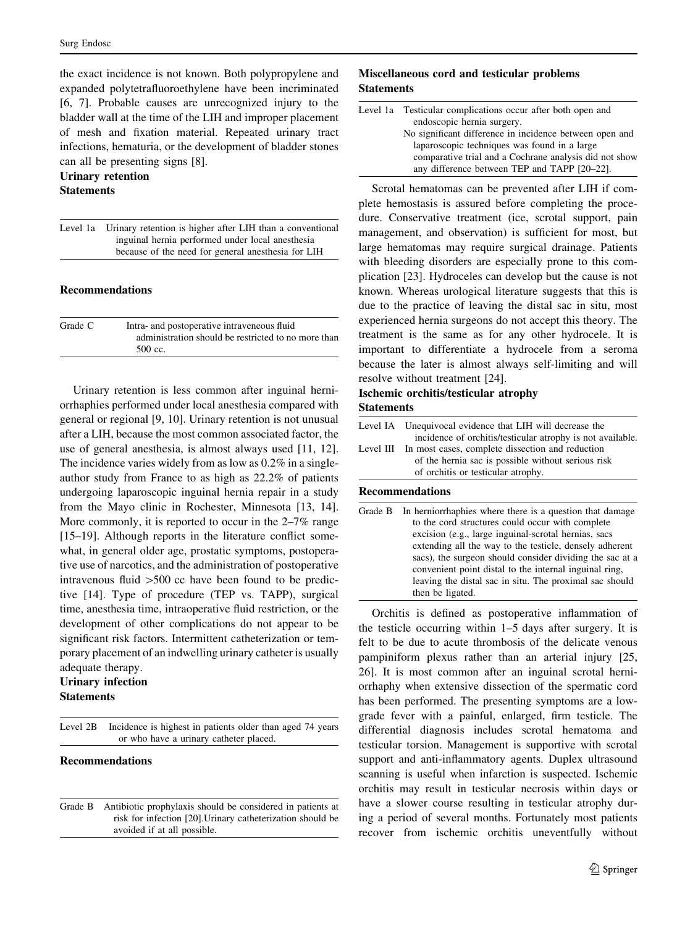the exact incidence is not known. Both polypropylene and expanded polytetrafluoroethylene have been incriminated [6, 7]. Probable causes are unrecognized injury to the bladder wall at the time of the LIH and improper placement of mesh and fixation material. Repeated urinary tract infections, hematuria, or the development of bladder stones can all be presenting signs [8].

# Urinary retention Statements

| Level 1a Urinary retention is higher after LIH than a conventional |
|--------------------------------------------------------------------|
| inguinal hernia performed under local anesthesia                   |
| because of the need for general anesthesia for LIH                 |
|                                                                    |

## Recommendations

| Grade C | Intra- and postoperative intraveneous fluid         |
|---------|-----------------------------------------------------|
|         | administration should be restricted to no more than |
|         | 500 cc.                                             |

Urinary retention is less common after inguinal herniorrhaphies performed under local anesthesia compared with general or regional [9, 10]. Urinary retention is not unusual after a LIH, because the most common associated factor, the use of general anesthesia, is almost always used [11, 12]. The incidence varies widely from as low as 0.2% in a singleauthor study from France to as high as 22.2% of patients undergoing laparoscopic inguinal hernia repair in a study from the Mayo clinic in Rochester, Minnesota [13, 14]. More commonly, it is reported to occur in the 2–7% range [15–19]. Although reports in the literature conflict somewhat, in general older age, prostatic symptoms, postoperative use of narcotics, and the administration of postoperative intravenous fluid  $>500$  cc have been found to be predictive [14]. Type of procedure (TEP vs. TAPP), surgical time, anesthesia time, intraoperative fluid restriction, or the development of other complications do not appear to be significant risk factors. Intermittent catheterization or temporary placement of an indwelling urinary catheter is usually adequate therapy.

# Urinary infection **Statements**

Level 2B Incidence is highest in patients older than aged 74 years or who have a urinary catheter placed.

## Recommendations

Grade B Antibiotic prophylaxis should be considered in patients at risk for infection [20].Urinary catheterization should be avoided if at all possible.

## Miscellaneous cord and testicular problems **Statements**

| Level 1a Testicular complications occur after both open and<br>endoscopic hernia surgery.                                                                         |
|-------------------------------------------------------------------------------------------------------------------------------------------------------------------|
| No significant difference in incidence between open and<br>laparoscopic techniques was found in a large<br>comparative trial and a Cochrane analysis did not show |
| any difference between TEP and TAPP [20-22].                                                                                                                      |

Scrotal hematomas can be prevented after LIH if complete hemostasis is assured before completing the procedure. Conservative treatment (ice, scrotal support, pain management, and observation) is sufficient for most, but large hematomas may require surgical drainage. Patients with bleeding disorders are especially prone to this complication [23]. Hydroceles can develop but the cause is not known. Whereas urological literature suggests that this is due to the practice of leaving the distal sac in situ, most experienced hernia surgeons do not accept this theory. The treatment is the same as for any other hydrocele. It is important to differentiate a hydrocele from a seroma because the later is almost always self-limiting and will resolve without treatment [24].

### Ischemic orchitis/testicular atrophy **Statements**

| Level IA Unequivocal evidence that LIH will decrease the   |
|------------------------------------------------------------|
| incidence of orchitis/testicular atrophy is not available. |
| Level III In most cases, complete dissection and reduction |
| of the hernia sac is possible without serious risk         |
| of orchitis or testicular atrophy.                         |
|                                                            |

## Recommendations

| Grade B | In herniorrhaphies where there is a question that damage<br>to the cord structures could occur with complete<br>excision (e.g., large inguinal-scrotal hernias, sacs<br>extending all the way to the testicle, densely adherent<br>sacs), the surgeon should consider dividing the sac at a<br>convenient point distal to the internal inguinal ring,<br>leaving the distal sac in situ. The proximal sac should<br>then be ligated. |
|---------|--------------------------------------------------------------------------------------------------------------------------------------------------------------------------------------------------------------------------------------------------------------------------------------------------------------------------------------------------------------------------------------------------------------------------------------|
|---------|--------------------------------------------------------------------------------------------------------------------------------------------------------------------------------------------------------------------------------------------------------------------------------------------------------------------------------------------------------------------------------------------------------------------------------------|

Orchitis is defined as postoperative inflammation of the testicle occurring within 1–5 days after surgery. It is felt to be due to acute thrombosis of the delicate venous pampiniform plexus rather than an arterial injury [25, 26]. It is most common after an inguinal scrotal herniorrhaphy when extensive dissection of the spermatic cord has been performed. The presenting symptoms are a lowgrade fever with a painful, enlarged, firm testicle. The differential diagnosis includes scrotal hematoma and testicular torsion. Management is supportive with scrotal support and anti-inflammatory agents. Duplex ultrasound scanning is useful when infarction is suspected. Ischemic orchitis may result in testicular necrosis within days or have a slower course resulting in testicular atrophy during a period of several months. Fortunately most patients recover from ischemic orchitis uneventfully without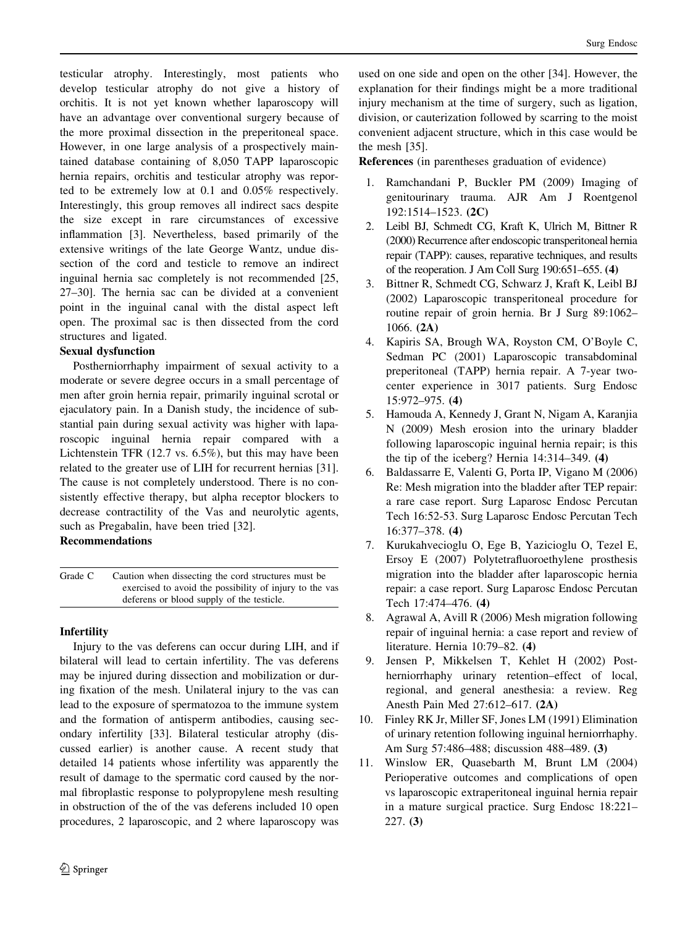testicular atrophy. Interestingly, most patients who develop testicular atrophy do not give a history of orchitis. It is not yet known whether laparoscopy will have an advantage over conventional surgery because of the more proximal dissection in the preperitoneal space. However, in one large analysis of a prospectively maintained database containing of 8,050 TAPP laparoscopic hernia repairs, orchitis and testicular atrophy was reported to be extremely low at 0.1 and 0.05% respectively. Interestingly, this group removes all indirect sacs despite the size except in rare circumstances of excessive inflammation [3]. Nevertheless, based primarily of the extensive writings of the late George Wantz, undue dissection of the cord and testicle to remove an indirect inguinal hernia sac completely is not recommended [25, 27–30]. The hernia sac can be divided at a convenient point in the inguinal canal with the distal aspect left open. The proximal sac is then dissected from the cord

## structures and ligated. Sexual dysfunction

Postherniorrhaphy impairment of sexual activity to a moderate or severe degree occurs in a small percentage of men after groin hernia repair, primarily inguinal scrotal or ejaculatory pain. In a Danish study, the incidence of substantial pain during sexual activity was higher with laparoscopic inguinal hernia repair compared with a Lichtenstein TFR (12.7 vs. 6.5%), but this may have been related to the greater use of LIH for recurrent hernias [31]. The cause is not completely understood. There is no consistently effective therapy, but alpha receptor blockers to decrease contractility of the Vas and neurolytic agents, such as Pregabalin, have been tried [32].

## Recommendations

Grade C Caution when dissecting the cord structures must be exercised to avoid the possibility of injury to the vas deferens or blood supply of the testicle.

## Infertility

Injury to the vas deferens can occur during LIH, and if bilateral will lead to certain infertility. The vas deferens may be injured during dissection and mobilization or during fixation of the mesh. Unilateral injury to the vas can lead to the exposure of spermatozoa to the immune system and the formation of antisperm antibodies, causing secondary infertility [33]. Bilateral testicular atrophy (discussed earlier) is another cause. A recent study that detailed 14 patients whose infertility was apparently the result of damage to the spermatic cord caused by the normal fibroplastic response to polypropylene mesh resulting in obstruction of the of the vas deferens included 10 open procedures, 2 laparoscopic, and 2 where laparoscopy was

used on one side and open on the other [34]. However, the explanation for their findings might be a more traditional injury mechanism at the time of surgery, such as ligation, division, or cauterization followed by scarring to the moist convenient adjacent structure, which in this case would be the mesh [35].

References (in parentheses graduation of evidence)

- 1. Ramchandani P, Buckler PM (2009) Imaging of genitourinary trauma. AJR Am J Roentgenol 192:1514–1523. (2C)
- 2. Leibl BJ, Schmedt CG, Kraft K, Ulrich M, Bittner R (2000) Recurrence after endoscopic transperitoneal hernia repair (TAPP): causes, reparative techniques, and results of the reoperation. J Am Coll Surg 190:651–655. (4)
- 3. Bittner R, Schmedt CG, Schwarz J, Kraft K, Leibl BJ (2002) Laparoscopic transperitoneal procedure for routine repair of groin hernia. Br J Surg 89:1062– 1066. (2A)
- 4. Kapiris SA, Brough WA, Royston CM, O'Boyle C, Sedman PC (2001) Laparoscopic transabdominal preperitoneal (TAPP) hernia repair. A 7-year twocenter experience in 3017 patients. Surg Endosc 15:972–975. (4)
- 5. Hamouda A, Kennedy J, Grant N, Nigam A, Karanjia N (2009) Mesh erosion into the urinary bladder following laparoscopic inguinal hernia repair; is this the tip of the iceberg? Hernia 14:314–349. (4)
- 6. Baldassarre E, Valenti G, Porta IP, Vigano M (2006) Re: Mesh migration into the bladder after TEP repair: a rare case report. Surg Laparosc Endosc Percutan Tech 16:52-53. Surg Laparosc Endosc Percutan Tech 16:377–378. (4)
- 7. Kurukahvecioglu O, Ege B, Yazicioglu O, Tezel E, Ersoy E (2007) Polytetrafluoroethylene prosthesis migration into the bladder after laparoscopic hernia repair: a case report. Surg Laparosc Endosc Percutan Tech 17:474–476. (4)
- 8. Agrawal A, Avill R (2006) Mesh migration following repair of inguinal hernia: a case report and review of literature. Hernia 10:79–82. (4)
- 9. Jensen P, Mikkelsen T, Kehlet H (2002) Postherniorrhaphy urinary retention–effect of local, regional, and general anesthesia: a review. Reg Anesth Pain Med 27:612–617. (2A)
- 10. Finley RK Jr, Miller SF, Jones LM (1991) Elimination of urinary retention following inguinal herniorrhaphy. Am Surg 57:486–488; discussion 488–489. (3)
- 11. Winslow ER, Quasebarth M, Brunt LM (2004) Perioperative outcomes and complications of open vs laparoscopic extraperitoneal inguinal hernia repair in a mature surgical practice. Surg Endosc 18:221– 227. (3)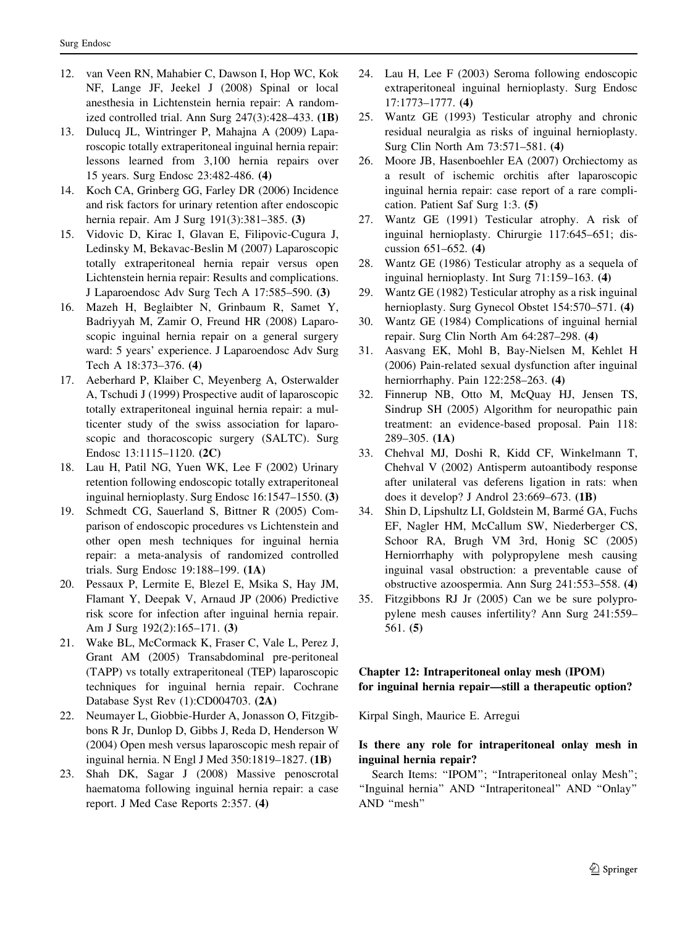- 12. van Veen RN, Mahabier C, Dawson I, Hop WC, Kok NF, Lange JF, Jeekel J (2008) Spinal or local anesthesia in Lichtenstein hernia repair: A randomized controlled trial. Ann Surg 247(3):428–433. (1B)
- 13. Dulucq JL, Wintringer P, Mahajna A (2009) Laparoscopic totally extraperitoneal inguinal hernia repair: lessons learned from 3,100 hernia repairs over 15 years. Surg Endosc 23:482-486. (4)
- 14. Koch CA, Grinberg GG, Farley DR (2006) Incidence and risk factors for urinary retention after endoscopic hernia repair. Am J Surg 191(3):381–385. (3)
- 15. Vidovic D, Kirac I, Glavan E, Filipovic-Cugura J, Ledinsky M, Bekavac-Beslin M (2007) Laparoscopic totally extraperitoneal hernia repair versus open Lichtenstein hernia repair: Results and complications. J Laparoendosc Adv Surg Tech A 17:585–590. (3)
- 16. Mazeh H, Beglaibter N, Grinbaum R, Samet Y, Badriyyah M, Zamir O, Freund HR (2008) Laparoscopic inguinal hernia repair on a general surgery ward: 5 years' experience. J Laparoendosc Adv Surg Tech A 18:373–376. (4)
- 17. Aeberhard P, Klaiber C, Meyenberg A, Osterwalder A, Tschudi J (1999) Prospective audit of laparoscopic totally extraperitoneal inguinal hernia repair: a multicenter study of the swiss association for laparoscopic and thoracoscopic surgery (SALTC). Surg Endosc 13:1115–1120. (2C)
- 18. Lau H, Patil NG, Yuen WK, Lee F (2002) Urinary retention following endoscopic totally extraperitoneal inguinal hernioplasty. Surg Endosc 16:1547–1550. (3)
- 19. Schmedt CG, Sauerland S, Bittner R (2005) Comparison of endoscopic procedures vs Lichtenstein and other open mesh techniques for inguinal hernia repair: a meta-analysis of randomized controlled trials. Surg Endosc 19:188–199. (1A)
- 20. Pessaux P, Lermite E, Blezel E, Msika S, Hay JM, Flamant Y, Deepak V, Arnaud JP (2006) Predictive risk score for infection after inguinal hernia repair. Am J Surg 192(2):165–171. (3)
- 21. Wake BL, McCormack K, Fraser C, Vale L, Perez J, Grant AM (2005) Transabdominal pre-peritoneal (TAPP) vs totally extraperitoneal (TEP) laparoscopic techniques for inguinal hernia repair. Cochrane Database Syst Rev (1):CD004703. (2A)
- 22. Neumayer L, Giobbie-Hurder A, Jonasson O, Fitzgibbons R Jr, Dunlop D, Gibbs J, Reda D, Henderson W (2004) Open mesh versus laparoscopic mesh repair of inguinal hernia. N Engl J Med 350:1819–1827. (1B)
- 23. Shah DK, Sagar J (2008) Massive penoscrotal haematoma following inguinal hernia repair: a case report. J Med Case Reports 2:357. (4)
- 24. Lau H, Lee F (2003) Seroma following endoscopic extraperitoneal inguinal hernioplasty. Surg Endosc 17:1773–1777. (4)
- 25. Wantz GE (1993) Testicular atrophy and chronic residual neuralgia as risks of inguinal hernioplasty. Surg Clin North Am 73:571–581. (4)
- 26. Moore JB, Hasenboehler EA (2007) Orchiectomy as a result of ischemic orchitis after laparoscopic inguinal hernia repair: case report of a rare complication. Patient Saf Surg 1:3. (5)
- 27. Wantz GE (1991) Testicular atrophy. A risk of inguinal hernioplasty. Chirurgie 117:645–651; discussion 651–652. (4)
- 28. Wantz GE (1986) Testicular atrophy as a sequela of inguinal hernioplasty. Int Surg 71:159–163. (4)
- 29. Wantz GE (1982) Testicular atrophy as a risk inguinal hernioplasty. Surg Gynecol Obstet 154:570–571. (4)
- 30. Wantz GE (1984) Complications of inguinal hernial repair. Surg Clin North Am 64:287–298. (4)
- 31. Aasvang EK, Mohl B, Bay-Nielsen M, Kehlet H (2006) Pain-related sexual dysfunction after inguinal herniorrhaphy. Pain 122:258–263. (4)
- 32. Finnerup NB, Otto M, McQuay HJ, Jensen TS, Sindrup SH (2005) Algorithm for neuropathic pain treatment: an evidence-based proposal. Pain 118: 289–305. (1A)
- 33. Chehval MJ, Doshi R, Kidd CF, Winkelmann T, Chehval V (2002) Antisperm autoantibody response after unilateral vas deferens ligation in rats: when does it develop? J Androl 23:669–673. (1B)
- 34. Shin D, Lipshultz LI, Goldstein M, Barmé GA, Fuchs EF, Nagler HM, McCallum SW, Niederberger CS, Schoor RA, Brugh VM 3rd, Honig SC (2005) Herniorrhaphy with polypropylene mesh causing inguinal vasal obstruction: a preventable cause of obstructive azoospermia. Ann Surg 241:553–558. (4)
- 35. Fitzgibbons RJ Jr (2005) Can we be sure polypropylene mesh causes infertility? Ann Surg 241:559– 561. (5)

# Chapter 12: Intraperitoneal onlay mesh (IPOM) for inguinal hernia repair—still a therapeutic option?

Kirpal Singh, Maurice E. Arregui

# Is there any role for intraperitoneal onlay mesh in inguinal hernia repair?

Search Items: "IPOM"; "Intraperitoneal onlay Mesh"; ''Inguinal hernia'' AND ''Intraperitoneal'' AND ''Onlay'' AND ''mesh''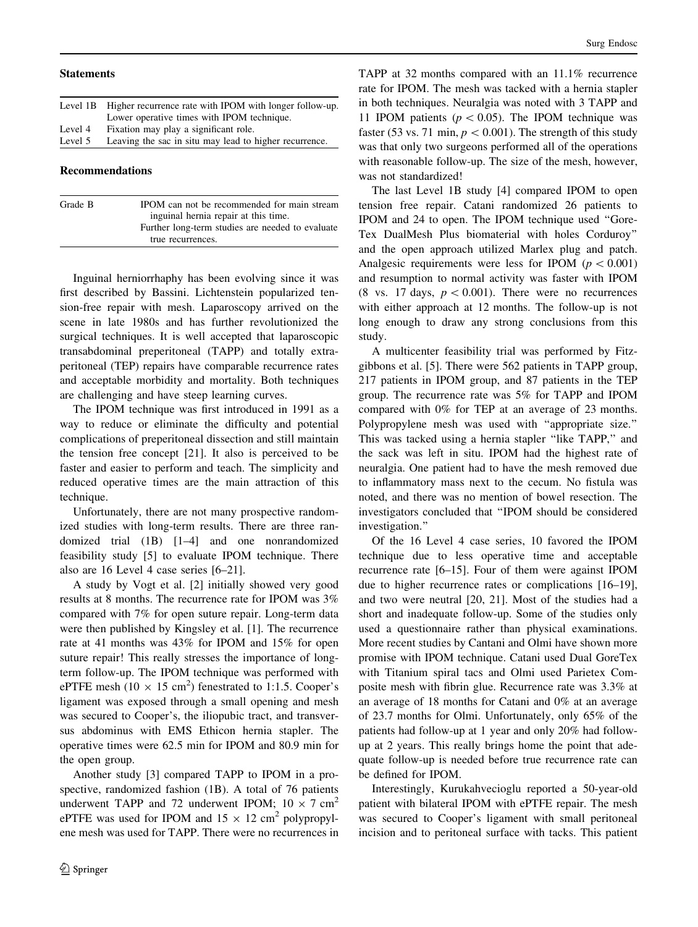### **Statements**

| Level 1B | Higher recurrence rate with IPOM with longer follow-up. |
|----------|---------------------------------------------------------|
|          | Lower operative times with IPOM technique.              |
| Level 4  | Fixation may play a significant role.                   |
| Level 5  | Leaving the sac in situ may lead to higher recurrence.  |
|          |                                                         |

Recommendations

| Grade B | IPOM can not be recommended for main stream      |
|---------|--------------------------------------------------|
|         | inguinal hernia repair at this time.             |
|         | Further long-term studies are needed to evaluate |
|         | true recurrences.                                |

Inguinal herniorrhaphy has been evolving since it was first described by Bassini. Lichtenstein popularized tension-free repair with mesh. Laparoscopy arrived on the scene in late 1980s and has further revolutionized the surgical techniques. It is well accepted that laparoscopic transabdominal preperitoneal (TAPP) and totally extraperitoneal (TEP) repairs have comparable recurrence rates and acceptable morbidity and mortality. Both techniques are challenging and have steep learning curves.

The IPOM technique was first introduced in 1991 as a way to reduce or eliminate the difficulty and potential complications of preperitoneal dissection and still maintain the tension free concept [21]. It also is perceived to be faster and easier to perform and teach. The simplicity and reduced operative times are the main attraction of this technique.

Unfortunately, there are not many prospective randomized studies with long-term results. There are three randomized trial (1B) [1–4] and one nonrandomized feasibility study [5] to evaluate IPOM technique. There also are 16 Level 4 case series [6–21].

A study by Vogt et al. [2] initially showed very good results at 8 months. The recurrence rate for IPOM was 3% compared with 7% for open suture repair. Long-term data were then published by Kingsley et al. [1]. The recurrence rate at 41 months was 43% for IPOM and 15% for open suture repair! This really stresses the importance of longterm follow-up. The IPOM technique was performed with ePTFE mesh ( $10 \times 15$  cm<sup>2</sup>) fenestrated to 1:1.5. Cooper's ligament was exposed through a small opening and mesh was secured to Cooper's, the iliopubic tract, and transversus abdominus with EMS Ethicon hernia stapler. The operative times were 62.5 min for IPOM and 80.9 min for the open group.

Another study [3] compared TAPP to IPOM in a prospective, randomized fashion (1B). A total of 76 patients underwent TAPP and 72 underwent IPOM;  $10 \times 7$  cm<sup>2</sup> ePTFE was used for IPOM and  $15 \times 12$  cm<sup>2</sup> polypropylene mesh was used for TAPP. There were no recurrences in

TAPP at 32 months compared with an 11.1% recurrence rate for IPOM. The mesh was tacked with a hernia stapler in both techniques. Neuralgia was noted with 3 TAPP and 11 IPOM patients ( $p < 0.05$ ). The IPOM technique was faster (53 vs. 71 min,  $p < 0.001$ ). The strength of this study was that only two surgeons performed all of the operations with reasonable follow-up. The size of the mesh, however, was not standardized!

The last Level 1B study [4] compared IPOM to open tension free repair. Catani randomized 26 patients to IPOM and 24 to open. The IPOM technique used ''Gore-Tex DualMesh Plus biomaterial with holes Corduroy'' and the open approach utilized Marlex plug and patch. Analgesic requirements were less for IPOM ( $p < 0.001$ ) and resumption to normal activity was faster with IPOM (8 vs. 17 days,  $p < 0.001$ ). There were no recurrences with either approach at 12 months. The follow-up is not long enough to draw any strong conclusions from this study.

A multicenter feasibility trial was performed by Fitzgibbons et al. [5]. There were 562 patients in TAPP group, 217 patients in IPOM group, and 87 patients in the TEP group. The recurrence rate was 5% for TAPP and IPOM compared with 0% for TEP at an average of 23 months. Polypropylene mesh was used with ''appropriate size.'' This was tacked using a hernia stapler "like TAPP," and the sack was left in situ. IPOM had the highest rate of neuralgia. One patient had to have the mesh removed due to inflammatory mass next to the cecum. No fistula was noted, and there was no mention of bowel resection. The investigators concluded that ''IPOM should be considered investigation.''

Of the 16 Level 4 case series, 10 favored the IPOM technique due to less operative time and acceptable recurrence rate [6–15]. Four of them were against IPOM due to higher recurrence rates or complications [16–19], and two were neutral [20, 21]. Most of the studies had a short and inadequate follow-up. Some of the studies only used a questionnaire rather than physical examinations. More recent studies by Cantani and Olmi have shown more promise with IPOM technique. Catani used Dual GoreTex with Titanium spiral tacs and Olmi used Parietex Composite mesh with fibrin glue. Recurrence rate was 3.3% at an average of 18 months for Catani and 0% at an average of 23.7 months for Olmi. Unfortunately, only 65% of the patients had follow-up at 1 year and only 20% had followup at 2 years. This really brings home the point that adequate follow-up is needed before true recurrence rate can be defined for IPOM.

Interestingly, Kurukahvecioglu reported a 50-year-old patient with bilateral IPOM with ePTFE repair. The mesh was secured to Cooper's ligament with small peritoneal incision and to peritoneal surface with tacks. This patient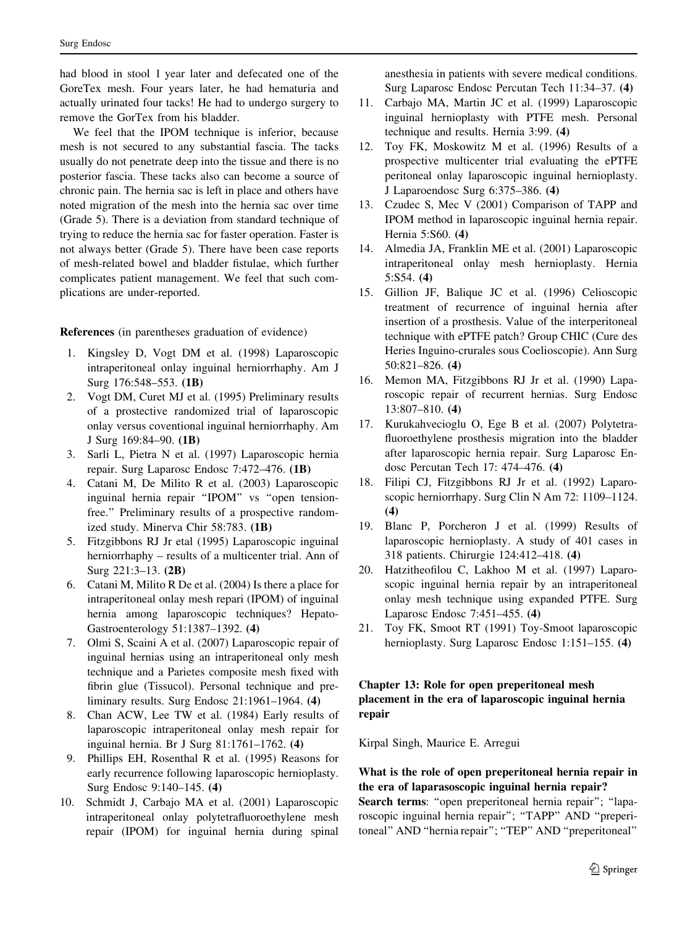had blood in stool 1 year later and defecated one of the GoreTex mesh. Four years later, he had hematuria and actually urinated four tacks! He had to undergo surgery to remove the GorTex from his bladder.

We feel that the IPOM technique is inferior, because mesh is not secured to any substantial fascia. The tacks usually do not penetrate deep into the tissue and there is no posterior fascia. These tacks also can become a source of chronic pain. The hernia sac is left in place and others have noted migration of the mesh into the hernia sac over time (Grade 5). There is a deviation from standard technique of trying to reduce the hernia sac for faster operation. Faster is not always better (Grade 5). There have been case reports of mesh-related bowel and bladder fistulae, which further complicates patient management. We feel that such complications are under-reported.

References (in parentheses graduation of evidence)

- 1. Kingsley D, Vogt DM et al. (1998) Laparoscopic intraperitoneal onlay inguinal herniorrhaphy. Am J Surg 176:548–553. (1B)
- 2. Vogt DM, Curet MJ et al. (1995) Preliminary results of a prostective randomized trial of laparoscopic onlay versus coventional inguinal herniorrhaphy. Am J Surg 169:84–90. (1B)
- 3. Sarli L, Pietra N et al. (1997) Laparoscopic hernia repair. Surg Laparosc Endosc 7:472–476. (1B)
- 4. Catani M, De Milito R et al. (2003) Laparoscopic inguinal hernia repair ''IPOM'' vs ''open tensionfree.'' Preliminary results of a prospective randomized study. Minerva Chir 58:783. (1B)
- 5. Fitzgibbons RJ Jr etal (1995) Laparoscopic inguinal herniorrhaphy – results of a multicenter trial. Ann of Surg 221:3–13. (2B)
- 6. Catani M, Milito R De et al. (2004) Is there a place for intraperitoneal onlay mesh repari (IPOM) of inguinal hernia among laparoscopic techniques? Hepato-Gastroenterology 51:1387–1392. (4)
- 7. Olmi S, Scaini A et al. (2007) Laparoscopic repair of inguinal hernias using an intraperitoneal only mesh technique and a Parietes composite mesh fixed with fibrin glue (Tissucol). Personal technique and preliminary results. Surg Endosc 21:1961–1964. (4)
- 8. Chan ACW, Lee TW et al. (1984) Early results of laparoscopic intraperitoneal onlay mesh repair for inguinal hernia. Br J Surg 81:1761–1762. (4)
- 9. Phillips EH, Rosenthal R et al. (1995) Reasons for early recurrence following laparoscopic hernioplasty. Surg Endosc 9:140–145. (4)
- 10. Schmidt J, Carbajo MA et al. (2001) Laparoscopic intraperitoneal onlay polytetrafluoroethylene mesh repair (IPOM) for inguinal hernia during spinal

anesthesia in patients with severe medical conditions. Surg Laparosc Endosc Percutan Tech 11:34–37. (4)

- 11. Carbajo MA, Martin JC et al. (1999) Laparoscopic inguinal hernioplasty with PTFE mesh. Personal technique and results. Hernia 3:99. (4)
- 12. Toy FK, Moskowitz M et al. (1996) Results of a prospective multicenter trial evaluating the ePTFE peritoneal onlay laparoscopic inguinal hernioplasty. J Laparoendosc Surg 6:375–386. (4)
- 13. Czudec S, Mec V (2001) Comparison of TAPP and IPOM method in laparoscopic inguinal hernia repair. Hernia 5:S60. (4)
- 14. Almedia JA, Franklin ME et al. (2001) Laparoscopic intraperitoneal onlay mesh hernioplasty. Hernia 5:S54. (4)
- 15. Gillion JF, Balique JC et al. (1996) Celioscopic treatment of recurrence of inguinal hernia after insertion of a prosthesis. Value of the interperitoneal technique with ePTFE patch? Group CHIC (Cure des Heries Inguino-crurales sous Coelioscopie). Ann Surg 50:821–826. (4)
- 16. Memon MA, Fitzgibbons RJ Jr et al. (1990) Laparoscopic repair of recurrent hernias. Surg Endosc 13:807–810. (4)
- 17. Kurukahvecioglu O, Ege B et al. (2007) Polytetrafluoroethylene prosthesis migration into the bladder after laparoscopic hernia repair. Surg Laparosc Endosc Percutan Tech 17: 474–476. (4)
- 18. Filipi CJ, Fitzgibbons RJ Jr et al. (1992) Laparoscopic herniorrhapy. Surg Clin N Am 72: 1109–1124. (4)
- 19. Blanc P, Porcheron J et al. (1999) Results of laparoscopic hernioplasty. A study of 401 cases in 318 patients. Chirurgie 124:412–418. (4)
- 20. Hatzitheofilou C, Lakhoo M et al. (1997) Laparoscopic inguinal hernia repair by an intraperitoneal onlay mesh technique using expanded PTFE. Surg Laparosc Endosc 7:451–455. (4)
- 21. Toy FK, Smoot RT (1991) Toy-Smoot laparoscopic hernioplasty. Surg Laparosc Endosc 1:151–155. (4)

# Chapter 13: Role for open preperitoneal mesh placement in the era of laparoscopic inguinal hernia repair

Kirpal Singh, Maurice E. Arregui

# What is the role of open preperitoneal hernia repair in the era of laparasoscopic inguinal hernia repair?

Search terms: "open preperitoneal hernia repair"; "laparoscopic inguinal hernia repair''; ''TAPP'' AND ''preperitoneal'' AND ''hernia repair''; ''TEP'' AND ''preperitoneal''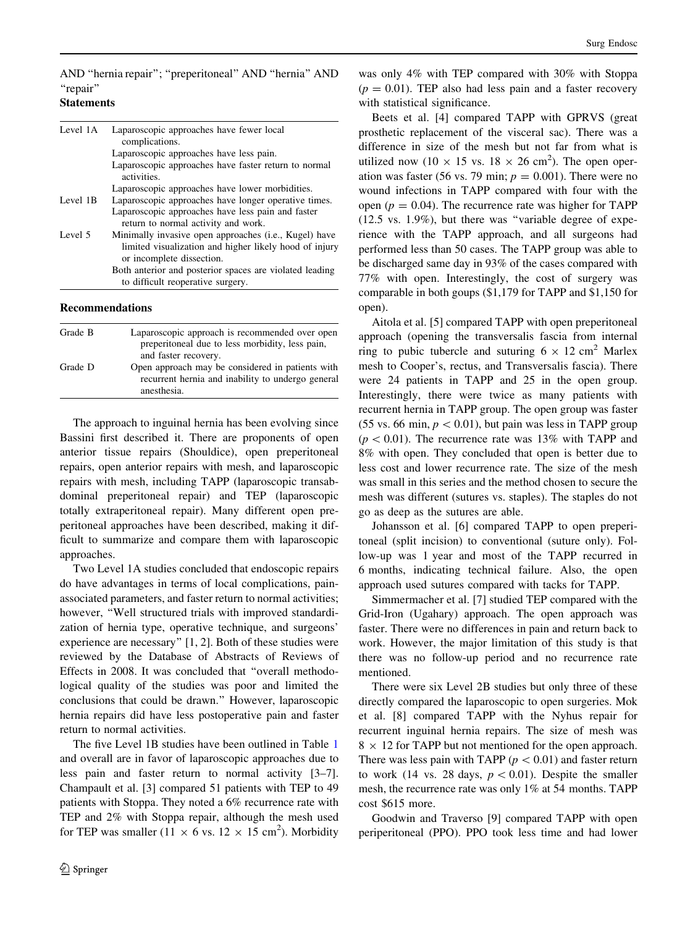AND ''hernia repair''; ''preperitoneal'' AND ''hernia'' AND "repair"

# Statements

| Level 1A | Laparoscopic approaches have fewer local<br>complications.                               |
|----------|------------------------------------------------------------------------------------------|
|          | Laparoscopic approaches have less pain.                                                  |
|          | Laparoscopic approaches have faster return to normal<br>activities.                      |
|          | Laparoscopic approaches have lower morbidities.                                          |
| Level 1B | Laparoscopic approaches have longer operative times.                                     |
|          | Laparoscopic approaches have less pain and faster<br>return to normal activity and work. |
| Level 5  | Minimally invasive open approaches ( <i>i.e.</i> , Kugel) have                           |
|          | limited visualization and higher likely hood of injury<br>or incomplete dissection.      |
|          | Both anterior and posterior spaces are violated leading                                  |
|          | to difficult reoperative surgery.                                                        |

### Recommendations

| Grade B | Laparoscopic approach is recommended over open<br>preperitoneal due to less morbidity, less pain,<br>and faster recovery. |
|---------|---------------------------------------------------------------------------------------------------------------------------|
| Grade D | Open approach may be considered in patients with<br>recurrent hernia and inability to undergo general<br>anesthesia.      |

The approach to inguinal hernia has been evolving since Bassini first described it. There are proponents of open anterior tissue repairs (Shouldice), open preperitoneal repairs, open anterior repairs with mesh, and laparoscopic repairs with mesh, including TAPP (laparoscopic transabdominal preperitoneal repair) and TEP (laparoscopic totally extraperitoneal repair). Many different open preperitoneal approaches have been described, making it difficult to summarize and compare them with laparoscopic approaches.

Two Level 1A studies concluded that endoscopic repairs do have advantages in terms of local complications, painassociated parameters, and faster return to normal activities; however, ''Well structured trials with improved standardization of hernia type, operative technique, and surgeons' experience are necessary'' [1, 2]. Both of these studies were reviewed by the Database of Abstracts of Reviews of Effects in 2008. It was concluded that ''overall methodological quality of the studies was poor and limited the conclusions that could be drawn.'' However, laparoscopic hernia repairs did have less postoperative pain and faster return to normal activities.

The five Level 1B studies have been outlined in Table [1](#page-60-0) and overall are in favor of laparoscopic approaches due to less pain and faster return to normal activity [3–7]. Champault et al. [3] compared 51 patients with TEP to 49 patients with Stoppa. They noted a 6% recurrence rate with TEP and 2% with Stoppa repair, although the mesh used for TEP was smaller (11  $\times$  6 vs. 12  $\times$  15 cm<sup>2</sup>). Morbidity

was only 4% with TEP compared with 30% with Stoppa  $(p = 0.01)$ . TEP also had less pain and a faster recovery with statistical significance.

Beets et al. [4] compared TAPP with GPRVS (great prosthetic replacement of the visceral sac). There was a difference in size of the mesh but not far from what is utilized now (10  $\times$  15 vs. 18  $\times$  26 cm<sup>2</sup>). The open operation was faster (56 vs. 79 min;  $p = 0.001$ ). There were no wound infections in TAPP compared with four with the open ( $p = 0.04$ ). The recurrence rate was higher for TAPP  $(12.5 \text{ vs. } 1.9\%)$ , but there was "variable degree of experience with the TAPP approach, and all surgeons had performed less than 50 cases. The TAPP group was able to be discharged same day in 93% of the cases compared with 77% with open. Interestingly, the cost of surgery was comparable in both goups (\$1,179 for TAPP and \$1,150 for open).

Aitola et al. [5] compared TAPP with open preperitoneal approach (opening the transversalis fascia from internal ring to pubic tubercle and suturing  $6 \times 12$  cm<sup>2</sup> Marlex mesh to Cooper's, rectus, and Transversalis fascia). There were 24 patients in TAPP and 25 in the open group. Interestingly, there were twice as many patients with recurrent hernia in TAPP group. The open group was faster (55 vs. 66 min,  $p < 0.01$ ), but pain was less in TAPP group  $(p<0.01)$ . The recurrence rate was 13% with TAPP and 8% with open. They concluded that open is better due to less cost and lower recurrence rate. The size of the mesh was small in this series and the method chosen to secure the mesh was different (sutures vs. staples). The staples do not go as deep as the sutures are able.

Johansson et al. [6] compared TAPP to open preperitoneal (split incision) to conventional (suture only). Follow-up was 1 year and most of the TAPP recurred in 6 months, indicating technical failure. Also, the open approach used sutures compared with tacks for TAPP.

Simmermacher et al. [7] studied TEP compared with the Grid-Iron (Ugahary) approach. The open approach was faster. There were no differences in pain and return back to work. However, the major limitation of this study is that there was no follow-up period and no recurrence rate mentioned.

There were six Level 2B studies but only three of these directly compared the laparoscopic to open surgeries. Mok et al. [8] compared TAPP with the Nyhus repair for recurrent inguinal hernia repairs. The size of mesh was  $8 \times 12$  for TAPP but not mentioned for the open approach. There was less pain with TAPP ( $p < 0.01$ ) and faster return to work (14 vs. 28 days,  $p < 0.01$ ). Despite the smaller mesh, the recurrence rate was only 1% at 54 months. TAPP cost \$615 more.

Goodwin and Traverso [9] compared TAPP with open periperitoneal (PPO). PPO took less time and had lower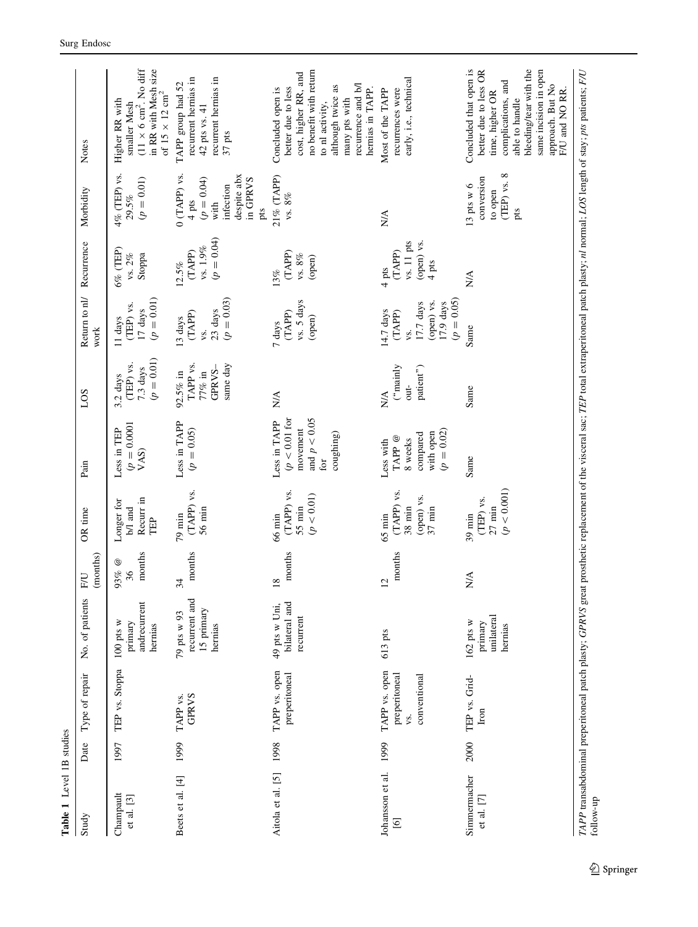<span id="page-60-0"></span>

| many pts with<br>Higher RR with<br>able to handle<br>to nl activity,<br>smaller Mesh<br>42 pts vs. 41<br>$37~\mathrm{pts}$<br>(TEP) vs. 8<br>4% (TEP) vs.<br>21% (TAPP)<br>$0$ (TAPP) vs.<br>despite abx<br>conversion<br>$(p = 0.01)$<br>$(p = 0.04)$<br>in GPRVS<br>$13$ pts w 6<br>infection<br>to open<br>vs. $8\%$<br>$29.5\%$<br>$4 \text{ pts}$<br>with<br>pts<br>pts<br>$\stackrel{\triangle}{\scriptstyle\sim}$<br>$(40.0 = q)$<br>(open) vs.<br>vs. 11 pts<br>vs. 1.9%<br>5% (TEP)<br>(TAPP)<br>(TAPP)<br>(TAPP)<br>vs. 2%<br>Stoppa<br>vs. $8\%$<br>(open)<br>$4 \text{ pts}$<br>$12.5\%$<br>$4 \text{ pts}$<br>13%<br><b>N/A</b><br>$(p = 0.01)$<br>$(p = 0.03)$<br>$(p = 0.05)$<br>vs. 5 days<br>(open) vs.<br>$17.9 \text{ days}$<br>17.7 days<br>(TEP) vs.<br>17 days<br>23 days<br>14.7 days<br>(TAPP)<br>(TAPP)<br>(TAPP)<br>13 days<br>(open)<br>11 days<br>7 days<br>Same<br>vs.<br>vs.<br>$(p = 0.01)$<br>same day<br>(TEP) vs.<br>TAPP <sub>vs.</sub><br>GPRVS-<br>('mainly<br>7.3 days<br>patient")<br>77% in<br>$92.5\%$ in<br>3.2 days<br>$out-$<br>Same<br>N/A<br>N/A<br>$(p < 0.01$ for<br>and $p < 0.05$<br>Less in TAPP<br>Less in TAPP<br>$(p = 0.0001$<br>Less in TEP<br>movement<br>$(p = 0.05)$<br>$(p = 0.02)$<br>compared<br>with open<br>$\operatorname{coughing}$<br>TAPP $\omega$<br>8 weeks<br>Less with<br>VAS)<br>Same<br>for<br>(p < 0.001)<br>(TAPP) vs.<br>(TAPP) vs.<br>(TAPP) vs.<br>(p < 0.01)<br>(open) vs.<br>Recurr in<br>$(TEP)$ vs.<br>Longer for<br>$55$ min<br>$27 \ \mathrm{min}$<br>$38$ min<br>b/l and<br>$37\,\mathrm{min}$<br>$56 \text{ min}$<br>79 min<br>$65 \text{ min}$<br>39 min<br>66 min<br>TEP<br>months<br>months<br>months<br>months<br>93% @<br>36<br><b>N/A</b><br>$\overline{18}$<br>34<br>$\overline{c}$<br>recurrent and<br>andrecurrent<br>bilateral and<br>49 pts w Uni,<br>15 primary<br>79 pts w 93<br>unilateral<br>recurrent<br>$162$ pts w<br>$100$ pts w<br>primary<br>primary<br>hemias<br>hemias<br>hemias<br>613 pts<br>TEP vs. Stoppa<br>TAPP vs. open<br>TAPP vs. open<br>preperitoneal<br>preperitoneal<br>TEP vs. Grid-<br>conventional<br><b>GPRVS</b><br>TAPP <sub>vs.</sub><br>Iron<br>γś.<br>2000<br>1997<br>1999<br>1998<br>1999<br>Johansson et al.<br>Aitola et al. [5]<br>Simmermacher<br>Beets et al. [4]<br>Champault<br>et al. [3]<br>et al. $[7]$<br>$\overline{6}$ | Study | Date | Type of repair | No. of patients | (months)<br>EVU | OR time | Pain | <b>LOS</b> | Return to nl/<br>work | Recurrence | Morbidity | Notes                                                                                                                                                                             |
|--------------------------------------------------------------------------------------------------------------------------------------------------------------------------------------------------------------------------------------------------------------------------------------------------------------------------------------------------------------------------------------------------------------------------------------------------------------------------------------------------------------------------------------------------------------------------------------------------------------------------------------------------------------------------------------------------------------------------------------------------------------------------------------------------------------------------------------------------------------------------------------------------------------------------------------------------------------------------------------------------------------------------------------------------------------------------------------------------------------------------------------------------------------------------------------------------------------------------------------------------------------------------------------------------------------------------------------------------------------------------------------------------------------------------------------------------------------------------------------------------------------------------------------------------------------------------------------------------------------------------------------------------------------------------------------------------------------------------------------------------------------------------------------------------------------------------------------------------------------------------------------------------------------------------------------------------------------------------------------------------------------------------------------------------------------------------------------------------------------------------------------------------------------------------------------------------------------------------------------------------------------------------------------------------------------------------------------------------------------------------|-------|------|----------------|-----------------|-----------------|---------|------|------------|-----------------------|------------|-----------|-----------------------------------------------------------------------------------------------------------------------------------------------------------------------------------|
|                                                                                                                                                                                                                                                                                                                                                                                                                                                                                                                                                                                                                                                                                                                                                                                                                                                                                                                                                                                                                                                                                                                                                                                                                                                                                                                                                                                                                                                                                                                                                                                                                                                                                                                                                                                                                                                                                                                                                                                                                                                                                                                                                                                                                                                                                                                                                                          |       |      |                |                 |                 |         |      |            |                       |            |           | $(11 \times 6 \text{ cm}^2)$ . No diff<br>in RR with Mesh size<br>of 15 $\times$ 12 cm <sup>2</sup>                                                                               |
|                                                                                                                                                                                                                                                                                                                                                                                                                                                                                                                                                                                                                                                                                                                                                                                                                                                                                                                                                                                                                                                                                                                                                                                                                                                                                                                                                                                                                                                                                                                                                                                                                                                                                                                                                                                                                                                                                                                                                                                                                                                                                                                                                                                                                                                                                                                                                                          |       |      |                |                 |                 |         |      |            |                       |            |           | recurrent hernias in<br>recurrent hernias in<br>TAPP group had 52                                                                                                                 |
|                                                                                                                                                                                                                                                                                                                                                                                                                                                                                                                                                                                                                                                                                                                                                                                                                                                                                                                                                                                                                                                                                                                                                                                                                                                                                                                                                                                                                                                                                                                                                                                                                                                                                                                                                                                                                                                                                                                                                                                                                                                                                                                                                                                                                                                                                                                                                                          |       |      |                |                 |                 |         |      |            |                       |            |           | no benefit with return<br>cost, higher RR, and<br>recurrence and b/l<br>although twice as<br>better due to less<br>hernias in TAPP.<br>Concluded open is                          |
|                                                                                                                                                                                                                                                                                                                                                                                                                                                                                                                                                                                                                                                                                                                                                                                                                                                                                                                                                                                                                                                                                                                                                                                                                                                                                                                                                                                                                                                                                                                                                                                                                                                                                                                                                                                                                                                                                                                                                                                                                                                                                                                                                                                                                                                                                                                                                                          |       |      |                |                 |                 |         |      |            |                       |            |           | early, i.e., technical<br>Most of the TAPP<br>recurrences were                                                                                                                    |
|                                                                                                                                                                                                                                                                                                                                                                                                                                                                                                                                                                                                                                                                                                                                                                                                                                                                                                                                                                                                                                                                                                                                                                                                                                                                                                                                                                                                                                                                                                                                                                                                                                                                                                                                                                                                                                                                                                                                                                                                                                                                                                                                                                                                                                                                                                                                                                          |       |      |                |                 |                 |         |      |            |                       |            |           | Concluded that open is<br>bleeding/tear with the<br>same incision in open<br>better due to less OR<br>complications, and<br>approach. But No<br>F/U and NO RR.<br>time, higher OR |

Table 1 Level 1B studies

Table 1 Level 1B studies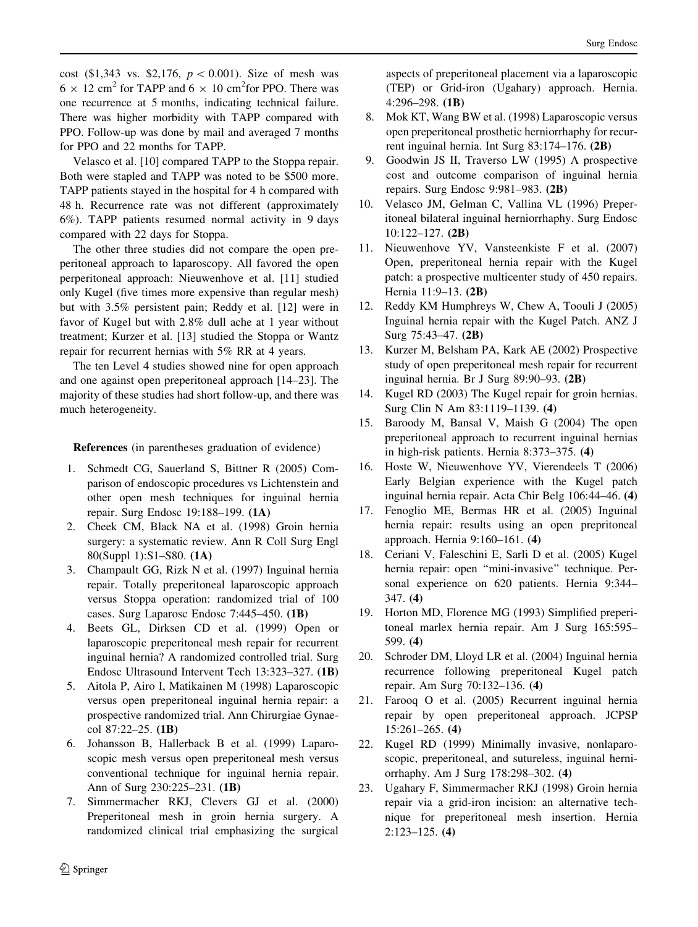cost (\$1,343 vs. \$2,176,  $p < 0.001$ ). Size of mesh was  $6 \times 12$  cm<sup>2</sup> for TAPP and  $6 \times 10$  cm<sup>2</sup> for PPO. There was one recurrence at 5 months, indicating technical failure. There was higher morbidity with TAPP compared with PPO. Follow-up was done by mail and averaged 7 months for PPO and 22 months for TAPP.

Velasco et al. [10] compared TAPP to the Stoppa repair. Both were stapled and TAPP was noted to be \$500 more. TAPP patients stayed in the hospital for 4 h compared with 48 h. Recurrence rate was not different (approximately 6%). TAPP patients resumed normal activity in 9 days compared with 22 days for Stoppa.

The other three studies did not compare the open preperitoneal approach to laparoscopy. All favored the open perperitoneal approach: Nieuwenhove et al. [11] studied only Kugel (five times more expensive than regular mesh) but with 3.5% persistent pain; Reddy et al. [12] were in favor of Kugel but with 2.8% dull ache at 1 year without treatment; Kurzer et al. [13] studied the Stoppa or Wantz repair for recurrent hernias with 5% RR at 4 years.

The ten Level 4 studies showed nine for open approach and one against open preperitoneal approach [14–23]. The majority of these studies had short follow-up, and there was much heterogeneity.

References (in parentheses graduation of evidence)

- 1. Schmedt CG, Sauerland S, Bittner R (2005) Comparison of endoscopic procedures vs Lichtenstein and other open mesh techniques for inguinal hernia repair. Surg Endosc 19:188–199. (1A)
- 2. Cheek CM, Black NA et al. (1998) Groin hernia surgery: a systematic review. Ann R Coll Surg Engl 80(Suppl 1):S1–S80. (1A)
- 3. Champault GG, Rizk N et al. (1997) Inguinal hernia repair. Totally preperitoneal laparoscopic approach versus Stoppa operation: randomized trial of 100 cases. Surg Laparosc Endosc 7:445–450. (1B)
- 4. Beets GL, Dirksen CD et al. (1999) Open or laparoscopic preperitoneal mesh repair for recurrent inguinal hernia? A randomized controlled trial. Surg Endosc Ultrasound Intervent Tech 13:323–327. (1B)
- 5. Aitola P, Airo I, Matikainen M (1998) Laparoscopic versus open preperitoneal inguinal hernia repair: a prospective randomized trial. Ann Chirurgiae Gynaecol 87:22–25. (1B)
- 6. Johansson B, Hallerback B et al. (1999) Laparoscopic mesh versus open preperitoneal mesh versus conventional technique for inguinal hernia repair. Ann of Surg 230:225–231. (1B)
- 7. Simmermacher RKJ, Clevers GJ et al. (2000) Preperitoneal mesh in groin hernia surgery. A randomized clinical trial emphasizing the surgical

aspects of preperitoneal placement via a laparoscopic (TEP) or Grid-iron (Ugahary) approach. Hernia. 4:296–298. (1B)

- 8. Mok KT, Wang BW et al. (1998) Laparoscopic versus open preperitoneal prosthetic herniorrhaphy for recurrent inguinal hernia. Int Surg 83:174–176. (2B)
- 9. Goodwin JS II, Traverso LW (1995) A prospective cost and outcome comparison of inguinal hernia repairs. Surg Endosc 9:981–983. (2B)
- 10. Velasco JM, Gelman C, Vallina VL (1996) Preperitoneal bilateral inguinal herniorrhaphy. Surg Endosc 10:122–127. (2B)
- 11. Nieuwenhove YV, Vansteenkiste F et al. (2007) Open, preperitoneal hernia repair with the Kugel patch: a prospective multicenter study of 450 repairs. Hernia 11:9–13. (2B)
- 12. Reddy KM Humphreys W, Chew A, Toouli J (2005) Inguinal hernia repair with the Kugel Patch. ANZ J Surg 75:43–47. (2B)
- 13. Kurzer M, Belsham PA, Kark AE (2002) Prospective study of open preperitoneal mesh repair for recurrent inguinal hernia. Br J Surg 89:90–93. (2B)
- 14. Kugel RD (2003) The Kugel repair for groin hernias. Surg Clin N Am 83:1119–1139. (4)
- 15. Baroody M, Bansal V, Maish G (2004) The open preperitoneal approach to recurrent inguinal hernias in high-risk patients. Hernia 8:373–375. (4)
- 16. Hoste W, Nieuwenhove YV, Vierendeels T (2006) Early Belgian experience with the Kugel patch inguinal hernia repair. Acta Chir Belg 106:44–46. (4)
- 17. Fenoglio ME, Bermas HR et al. (2005) Inguinal hernia repair: results using an open prepritoneal approach. Hernia 9:160–161. (4)
- 18. Ceriani V, Faleschini E, Sarli D et al. (2005) Kugel hernia repair: open ''mini-invasive'' technique. Personal experience on 620 patients. Hernia 9:344– 347. (4)
- 19. Horton MD, Florence MG (1993) Simplified preperitoneal marlex hernia repair. Am J Surg 165:595– 599. (4)
- 20. Schroder DM, Lloyd LR et al. (2004) Inguinal hernia recurrence following preperitoneal Kugel patch repair. Am Surg 70:132–136. (4)
- 21. Farooq O et al. (2005) Recurrent inguinal hernia repair by open preperitoneal approach. JCPSP 15:261–265. (4)
- 22. Kugel RD (1999) Minimally invasive, nonlaparoscopic, preperitoneal, and sutureless, inguinal herniorrhaphy. Am J Surg 178:298–302. (4)
- 23. Ugahary F, Simmermacher RKJ (1998) Groin hernia repair via a grid-iron incision: an alternative technique for preperitoneal mesh insertion. Hernia 2:123–125. (4)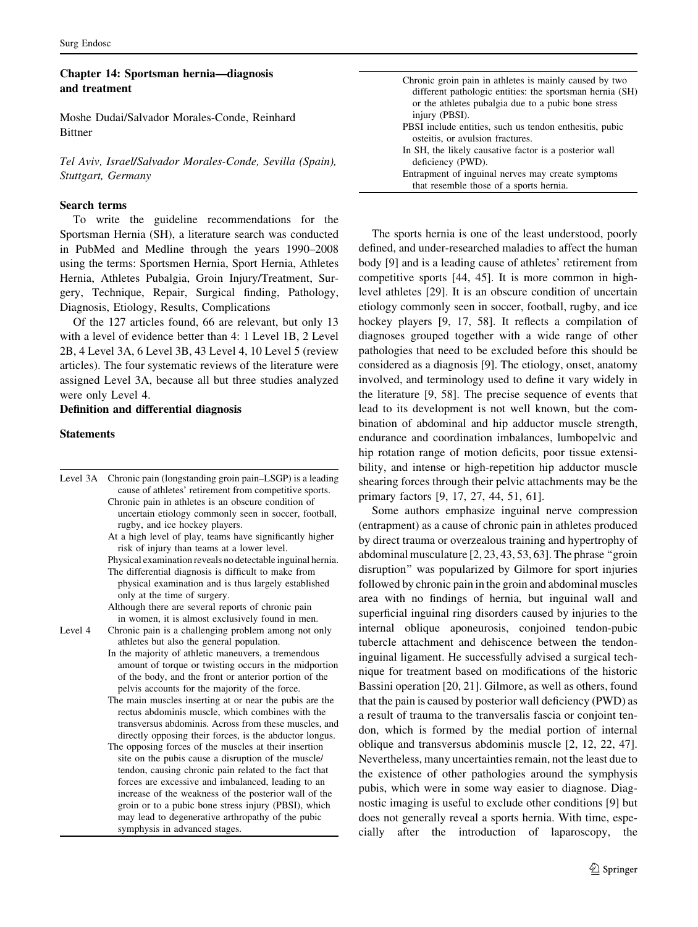# Chapter 14: Sportsman hernia—diagnosis and treatment

Moshe Dudai/Salvador Morales-Conde, Reinhard Bittner

Tel Aviv, Israel/Salvador Morales-Conde, Sevilla (Spain), Stuttgart, Germany

## Search terms

To write the guideline recommendations for the Sportsman Hernia (SH), a literature search was conducted in PubMed and Medline through the years 1990–2008 using the terms: Sportsmen Hernia, Sport Hernia, Athletes Hernia, Athletes Pubalgia, Groin Injury/Treatment, Surgery, Technique, Repair, Surgical finding, Pathology, Diagnosis, Etiology, Results, Complications

Of the 127 articles found, 66 are relevant, but only 13 with a level of evidence better than 4: 1 Level 1B, 2 Level 2B, 4 Level 3A, 6 Level 3B, 43 Level 4, 10 Level 5 (review articles). The four systematic reviews of the literature were assigned Level 3A, because all but three studies analyzed were only Level 4.

## Definition and differential diagnosis

## **Statements**

Level 3A Chronic pain (longstanding groin pain–LSGP) is a leading cause of athletes' retirement from competitive sports. Chronic pain in athletes is an obscure condition of uncertain etiology commonly seen in soccer, football, rugby, and ice hockey players. At a high level of play, teams have significantly higher risk of injury than teams at a lower level. Physical examination reveals no detectable inguinal hernia. The differential diagnosis is difficult to make from physical examination and is thus largely established only at the time of surgery. Although there are several reports of chronic pain in women, it is almost exclusively found in men. Level 4 Chronic pain is a challenging problem among not only athletes but also the general population. In the majority of athletic maneuvers, a tremendous amount of torque or twisting occurs in the midportion of the body, and the front or anterior portion of the pelvis accounts for the majority of the force. The main muscles inserting at or near the pubis are the rectus abdominis muscle, which combines with the transversus abdominis. Across from these muscles, and directly opposing their forces, is the abductor longus. The opposing forces of the muscles at their insertion site on the pubis cause a disruption of the muscle/ tendon, causing chronic pain related to the fact that forces are excessive and imbalanced, leading to an increase of the weakness of the posterior wall of the groin or to a pubic bone stress injury (PBSI), which may lead to degenerative arthropathy of the pubic symphysis in advanced stages.

| Chronic groin pain in athletes is mainly caused by two<br>different pathologic entities: the sportsman hernia (SH) |
|--------------------------------------------------------------------------------------------------------------------|
| or the athletes pubalgia due to a pubic bone stress                                                                |
| injury (PBSI).                                                                                                     |
| PBSI include entities, such us tendon enthesitis, pubic<br>osteitis, or avulsion fractures.                        |
| In SH, the likely causative factor is a posterior wall                                                             |
| deficiency (PWD).                                                                                                  |
| Entrapment of inguinal nerves may create symptoms                                                                  |
| that resemble those of a sports hernia.                                                                            |
|                                                                                                                    |

The sports hernia is one of the least understood, poorly defined, and under-researched maladies to affect the human body [9] and is a leading cause of athletes' retirement from competitive sports [44, 45]. It is more common in highlevel athletes [29]. It is an obscure condition of uncertain etiology commonly seen in soccer, football, rugby, and ice hockey players [9, 17, 58]. It reflects a compilation of diagnoses grouped together with a wide range of other pathologies that need to be excluded before this should be considered as a diagnosis [9]. The etiology, onset, anatomy involved, and terminology used to define it vary widely in the literature [9, 58]. The precise sequence of events that lead to its development is not well known, but the combination of abdominal and hip adductor muscle strength, endurance and coordination imbalances, lumbopelvic and hip rotation range of motion deficits, poor tissue extensibility, and intense or high-repetition hip adductor muscle shearing forces through their pelvic attachments may be the primary factors [9, 17, 27, 44, 51, 61].

Some authors emphasize inguinal nerve compression (entrapment) as a cause of chronic pain in athletes produced by direct trauma or overzealous training and hypertrophy of abdominal musculature [2, 23, 43, 53, 63]. The phrase ''groin disruption'' was popularized by Gilmore for sport injuries followed by chronic pain in the groin and abdominal muscles area with no findings of hernia, but inguinal wall and superficial inguinal ring disorders caused by injuries to the internal oblique aponeurosis, conjoined tendon-pubic tubercle attachment and dehiscence between the tendoninguinal ligament. He successfully advised a surgical technique for treatment based on modifications of the historic Bassini operation [20, 21]. Gilmore, as well as others, found that the pain is caused by posterior wall deficiency (PWD) as a result of trauma to the tranversalis fascia or conjoint tendon, which is formed by the medial portion of internal oblique and transversus abdominis muscle [2, 12, 22, 47]. Nevertheless, many uncertainties remain, not the least due to the existence of other pathologies around the symphysis pubis, which were in some way easier to diagnose. Diagnostic imaging is useful to exclude other conditions [9] but does not generally reveal a sports hernia. With time, especially after the introduction of laparoscopy, the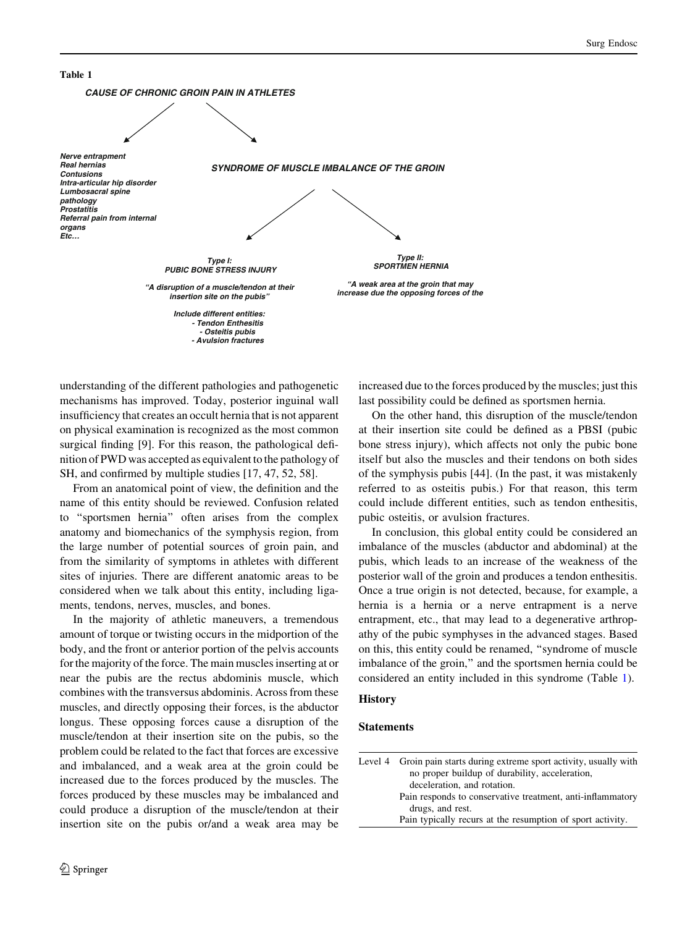

understanding of the different pathologies and pathogenetic mechanisms has improved. Today, posterior inguinal wall insufficiency that creates an occult hernia that is not apparent on physical examination is recognized as the most common surgical finding [9]. For this reason, the pathological definition of PWD was accepted as equivalent to the pathology of SH, and confirmed by multiple studies [17, 47, 52, 58].

From an anatomical point of view, the definition and the name of this entity should be reviewed. Confusion related to ''sportsmen hernia'' often arises from the complex anatomy and biomechanics of the symphysis region, from the large number of potential sources of groin pain, and from the similarity of symptoms in athletes with different sites of injuries. There are different anatomic areas to be considered when we talk about this entity, including ligaments, tendons, nerves, muscles, and bones.

In the majority of athletic maneuvers, a tremendous amount of torque or twisting occurs in the midportion of the body, and the front or anterior portion of the pelvis accounts for the majority of the force. The main muscles inserting at or near the pubis are the rectus abdominis muscle, which combines with the transversus abdominis. Across from these muscles, and directly opposing their forces, is the abductor longus. These opposing forces cause a disruption of the muscle/tendon at their insertion site on the pubis, so the problem could be related to the fact that forces are excessive and imbalanced, and a weak area at the groin could be increased due to the forces produced by the muscles. The forces produced by these muscles may be imbalanced and could produce a disruption of the muscle/tendon at their insertion site on the pubis or/and a weak area may be

increased due to the forces produced by the muscles; just this last possibility could be defined as sportsmen hernia.

On the other hand, this disruption of the muscle/tendon at their insertion site could be defined as a PBSI (pubic bone stress injury), which affects not only the pubic bone itself but also the muscles and their tendons on both sides of the symphysis pubis [44]. (In the past, it was mistakenly referred to as osteitis pubis.) For that reason, this term could include different entities, such as tendon enthesitis, pubic osteitis, or avulsion fractures.

In conclusion, this global entity could be considered an imbalance of the muscles (abductor and abdominal) at the pubis, which leads to an increase of the weakness of the posterior wall of the groin and produces a tendon enthesitis. Once a true origin is not detected, because, for example, a hernia is a hernia or a nerve entrapment is a nerve entrapment, etc., that may lead to a degenerative arthropathy of the pubic symphyses in the advanced stages. Based on this, this entity could be renamed, ''syndrome of muscle imbalance of the groin,'' and the sportsmen hernia could be considered an entity included in this syndrome (Table 1).

### **History**

### **Statements**

| Level 4 Groin pain starts during extreme sport activity, usually with<br>no proper buildup of durability, acceleration, |
|-------------------------------------------------------------------------------------------------------------------------|
| deceleration, and rotation.                                                                                             |
| Pain responds to conservative treatment, anti-inflammatory                                                              |
| drugs, and rest.                                                                                                        |
| Pain typically recurs at the resumption of sport activity.                                                              |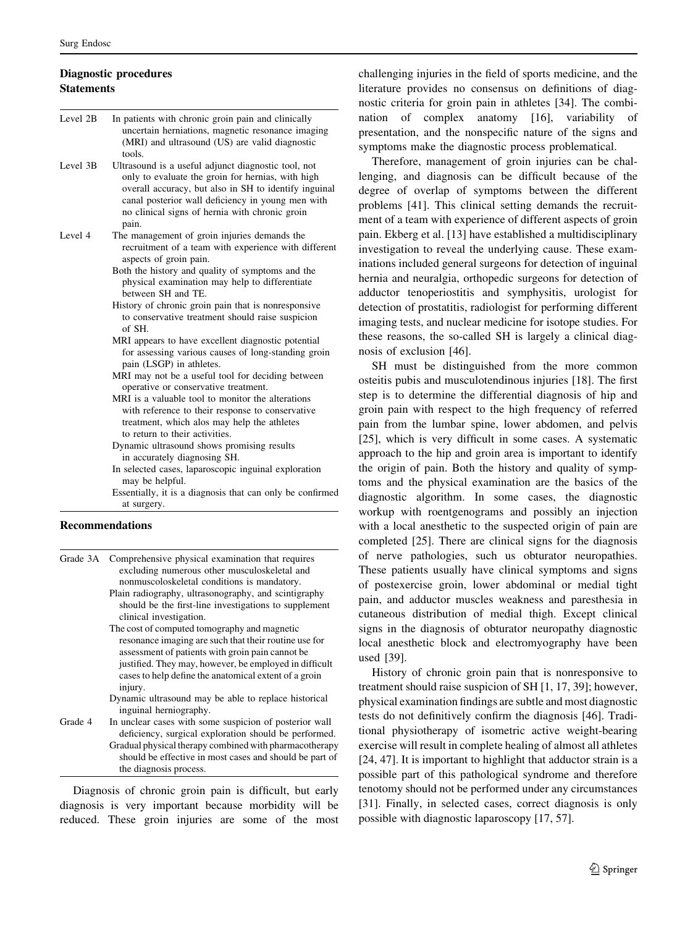# Diagnostic procedures Statements

| Level 2B | In patients with chronic groin pain and clinically<br>uncertain herniations, magnetic resonance imaging<br>(MRI) and ultrasound (US) are valid diagnostic                                                                                                                                                                                                                                                                 | $\mathbf n$<br>F<br>S                      |
|----------|---------------------------------------------------------------------------------------------------------------------------------------------------------------------------------------------------------------------------------------------------------------------------------------------------------------------------------------------------------------------------------------------------------------------------|--------------------------------------------|
| Level 3B | tools.<br>Ultrasound is a useful adjunct diagnostic tool, not<br>only to evaluate the groin for hernias, with high<br>overall accuracy, but also in SH to identify inguinal<br>canal posterior wall deficiency in young men with<br>no clinical signs of hernia with chronic groin<br>pain.                                                                                                                               | 1<br>d<br>p<br>n                           |
| Level 4  | The management of groin injuries demands the<br>recruitment of a team with experience with different<br>aspects of groin pain.                                                                                                                                                                                                                                                                                            | p<br>$\mathbf{i}$<br>$\mathbf{i}$          |
|          | Both the history and quality of symptoms and the<br>physical examination may help to differentiate<br>between SH and TE.                                                                                                                                                                                                                                                                                                  | h<br>a                                     |
|          | History of chronic groin pain that is nonresponsive<br>to conservative treatment should raise suspicion<br>of SH.                                                                                                                                                                                                                                                                                                         | d<br>$\mathbf{i}$                          |
|          | MRI appears to have excellent diagnostic potential<br>for assessing various causes of long-standing groin<br>pain (LSGP) in athletes.                                                                                                                                                                                                                                                                                     | t.<br>n                                    |
|          | MRI may not be a useful tool for deciding between<br>operative or conservative treatment.<br>MRI is a valuable tool to monitor the alterations<br>with reference to their response to conservative<br>treatment, which alos may help the athletes<br>to return to their activities.<br>Dynamic ultrasound shows promising results<br>in accurately diagnosing SH.<br>In selected cases, laparoscopic inguinal exploration | $\mathsf{C}$<br>S<br>g<br>p<br>ľ<br>a<br>t |
|          | may be helpful.<br>Essentially, it is a diagnosis that can only be confirmed<br>at surgery.                                                                                                                                                                                                                                                                                                                               | t<br>d                                     |
|          | <b>Recommendations</b>                                                                                                                                                                                                                                                                                                                                                                                                    | V<br>V                                     |

Grade 3A Comprehensive physical examination that requires excluding numerous other musculoskeletal and nonmuscoloskeletal conditions is mandatory. Plain radiography, ultrasonography, and scintigraphy

should be the first-line investigations to supplement clinical investigation.

- The cost of computed tomography and magnetic resonance imaging are such that their routine use for assessment of patients with groin pain cannot be justified. They may, however, be employed in difficult cases to help define the anatomical extent of a groin injury.
- Dynamic ultrasound may be able to replace historical inguinal herniography.
- Grade 4 In unclear cases with some suspicion of posterior wall deficiency, surgical exploration should be performed. Gradual physical therapy combined with pharmacotherapy should be effective in most cases and should be part of the diagnosis process.

Diagnosis of chronic groin pain is difficult, but early diagnosis is very important because morbidity will be reduced. These groin injuries are some of the most challenging injuries in the field of sports medicine, and the literature provides no consensus on definitions of diagnostic criteria for groin pain in athletes [34]. The combination of complex anatomy [16], variability of presentation, and the nonspecific nature of the signs and symptoms make the diagnostic process problematical.

Therefore, management of groin injuries can be challenging, and diagnosis can be difficult because of the degree of overlap of symptoms between the different problems [41]. This clinical setting demands the recruitment of a team with experience of different aspects of groin pain. Ekberg et al. [13] have established a multidisciplinary nvestigation to reveal the underlying cause. These examnations included general surgeons for detection of inguinal hernia and neuralgia, orthopedic surgeons for detection of adductor tenoperiostitis and symphysitis, urologist for detection of prostatitis, radiologist for performing different maging tests, and nuclear medicine for isotope studies. For hese reasons, the so-called SH is largely a clinical diagnosis of exclusion [46].

SH must be distinguished from the more common osteitis pubis and musculotendinous injuries [18]. The first step is to determine the differential diagnosis of hip and groin pain with respect to the high frequency of referred pain from the lumbar spine, lower abdomen, and pelvis [25], which is very difficult in some cases. A systematic approach to the hip and groin area is important to identify he origin of pain. Both the history and quality of sympoms and the physical examination are the basics of the diagnostic algorithm. In some cases, the diagnostic workup with roentgenograms and possibly an injection with a local anesthetic to the suspected origin of pain are completed [25]. There are clinical signs for the diagnosis of nerve pathologies, such us obturator neuropathies. These patients usually have clinical symptoms and signs of postexercise groin, lower abdominal or medial tight pain, and adductor muscles weakness and paresthesia in cutaneous distribution of medial thigh. Except clinical signs in the diagnosis of obturator neuropathy diagnostic local anesthetic block and electromyography have been used [39].

History of chronic groin pain that is nonresponsive to treatment should raise suspicion of SH [1, 17, 39]; however, physical examination findings are subtle and most diagnostic tests do not definitively confirm the diagnosis [46]. Traditional physiotherapy of isometric active weight-bearing exercise will result in complete healing of almost all athletes [24, 47]. It is important to highlight that adductor strain is a possible part of this pathological syndrome and therefore tenotomy should not be performed under any circumstances [31]. Finally, in selected cases, correct diagnosis is only possible with diagnostic laparoscopy [17, 57].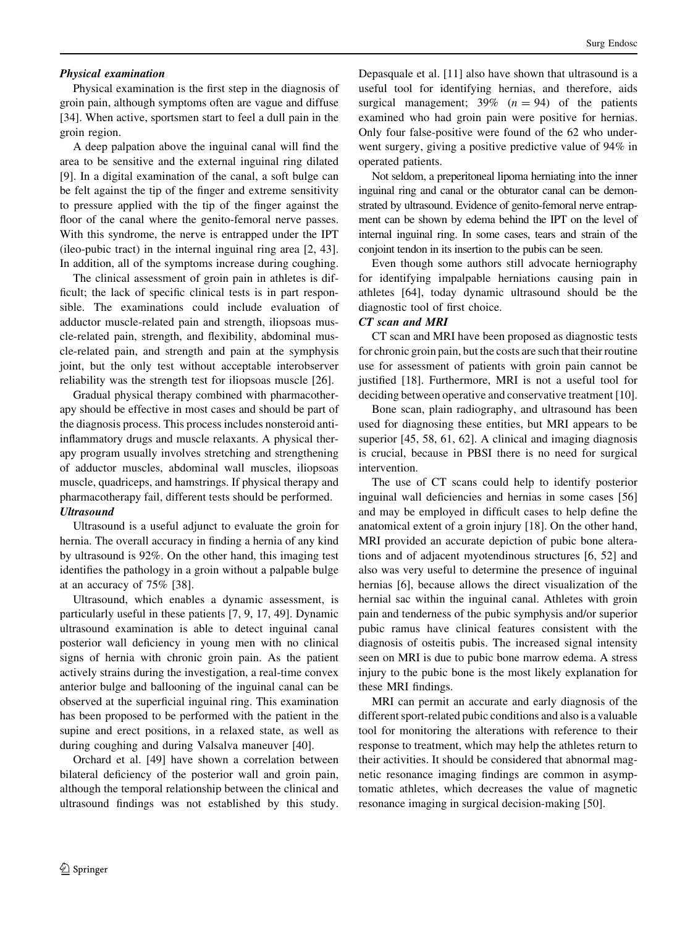# Physical examination

Physical examination is the first step in the diagnosis of groin pain, although symptoms often are vague and diffuse [34]. When active, sportsmen start to feel a dull pain in the groin region.

A deep palpation above the inguinal canal will find the area to be sensitive and the external inguinal ring dilated [9]. In a digital examination of the canal, a soft bulge can be felt against the tip of the finger and extreme sensitivity to pressure applied with the tip of the finger against the floor of the canal where the genito-femoral nerve passes. With this syndrome, the nerve is entrapped under the IPT (ileo-pubic tract) in the internal inguinal ring area [2, 43]. In addition, all of the symptoms increase during coughing.

The clinical assessment of groin pain in athletes is difficult; the lack of specific clinical tests is in part responsible. The examinations could include evaluation of adductor muscle-related pain and strength, iliopsoas muscle-related pain, strength, and flexibility, abdominal muscle-related pain, and strength and pain at the symphysis joint, but the only test without acceptable interobserver reliability was the strength test for iliopsoas muscle [26].

Gradual physical therapy combined with pharmacotherapy should be effective in most cases and should be part of the diagnosis process. This process includes nonsteroid antiinflammatory drugs and muscle relaxants. A physical therapy program usually involves stretching and strengthening of adductor muscles, abdominal wall muscles, iliopsoas muscle, quadriceps, and hamstrings. If physical therapy and pharmacotherapy fail, different tests should be performed.

### Ultrasound

Ultrasound is a useful adjunct to evaluate the groin for hernia. The overall accuracy in finding a hernia of any kind by ultrasound is 92%. On the other hand, this imaging test identifies the pathology in a groin without a palpable bulge at an accuracy of 75% [38].

Ultrasound, which enables a dynamic assessment, is particularly useful in these patients [7, 9, 17, 49]. Dynamic ultrasound examination is able to detect inguinal canal posterior wall deficiency in young men with no clinical signs of hernia with chronic groin pain. As the patient actively strains during the investigation, a real-time convex anterior bulge and ballooning of the inguinal canal can be observed at the superficial inguinal ring. This examination has been proposed to be performed with the patient in the supine and erect positions, in a relaxed state, as well as during coughing and during Valsalva maneuver [40].

Orchard et al. [49] have shown a correlation between bilateral deficiency of the posterior wall and groin pain, although the temporal relationship between the clinical and ultrasound findings was not established by this study.

Depasquale et al. [11] also have shown that ultrasound is a useful tool for identifying hernias, and therefore, aids surgical management;  $39\%$   $(n = 94)$  of the patients examined who had groin pain were positive for hernias. Only four false-positive were found of the 62 who underwent surgery, giving a positive predictive value of 94% in operated patients.

Not seldom, a preperitoneal lipoma herniating into the inner inguinal ring and canal or the obturator canal can be demonstrated by ultrasound. Evidence of genito-femoral nerve entrapment can be shown by edema behind the IPT on the level of internal inguinal ring. In some cases, tears and strain of the conjoint tendon in its insertion to the pubis can be seen.

Even though some authors still advocate herniography for identifying impalpable herniations causing pain in athletes [64], today dynamic ultrasound should be the diagnostic tool of first choice.

## CT scan and MRI

CT scan and MRI have been proposed as diagnostic tests for chronic groin pain, but the costs are such that their routine use for assessment of patients with groin pain cannot be justified [18]. Furthermore, MRI is not a useful tool for deciding between operative and conservative treatment [10].

Bone scan, plain radiography, and ultrasound has been used for diagnosing these entities, but MRI appears to be superior [45, 58, 61, 62]. A clinical and imaging diagnosis is crucial, because in PBSI there is no need for surgical intervention.

The use of CT scans could help to identify posterior inguinal wall deficiencies and hernias in some cases [56] and may be employed in difficult cases to help define the anatomical extent of a groin injury [18]. On the other hand, MRI provided an accurate depiction of pubic bone alterations and of adjacent myotendinous structures [6, 52] and also was very useful to determine the presence of inguinal hernias [6], because allows the direct visualization of the hernial sac within the inguinal canal. Athletes with groin pain and tenderness of the pubic symphysis and/or superior pubic ramus have clinical features consistent with the diagnosis of osteitis pubis. The increased signal intensity seen on MRI is due to pubic bone marrow edema. A stress injury to the pubic bone is the most likely explanation for these MRI findings.

MRI can permit an accurate and early diagnosis of the different sport-related pubic conditions and also is a valuable tool for monitoring the alterations with reference to their response to treatment, which may help the athletes return to their activities. It should be considered that abnormal magnetic resonance imaging findings are common in asymptomatic athletes, which decreases the value of magnetic resonance imaging in surgical decision-making [50].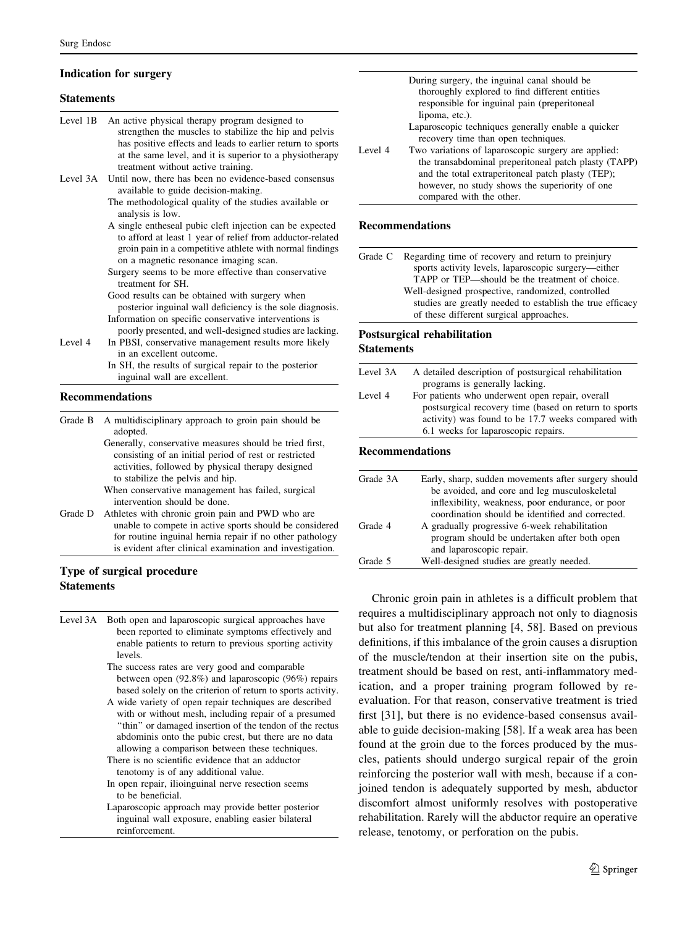## Indication for surgery

### **Statements**

| Level 1B | An active physical therapy program designed to<br>strengthen the muscles to stabilize the hip and pelvis<br>has positive effects and leads to earlier return to sports                                                     |
|----------|----------------------------------------------------------------------------------------------------------------------------------------------------------------------------------------------------------------------------|
|          | at the same level, and it is superior to a physiotherapy<br>treatment without active training.                                                                                                                             |
| Level 3A | Until now, there has been no evidence-based consensus<br>available to guide decision-making.                                                                                                                               |
|          | The methodological quality of the studies available or<br>analysis is low.                                                                                                                                                 |
|          | A single entheseal pubic cleft injection can be expected<br>to afford at least 1 year of relief from adductor-related<br>groin pain in a competitive athlete with normal findings<br>on a magnetic resonance imaging scan. |
|          | Surgery seems to be more effective than conservative<br>treatment for SH.                                                                                                                                                  |
|          | Good results can be obtained with surgery when<br>posterior inguinal wall deficiency is the sole diagnosis.                                                                                                                |
|          | Information on specific conservative interventions is<br>poorly presented, and well-designed studies are lacking.                                                                                                          |

Level 4 In PBSI, conservative management results more likely in an excellent outcome. In SH, the results of surgical repair to the posterior inguinal wall are excellent.

### Recommendations

| Grade B A multidisciplinary approach to groin pain should be |  |
|--------------------------------------------------------------|--|
| adopted.                                                     |  |
| Generally, conservative measures should be tried first,      |  |
|                                                              |  |

consisting of an initial period of rest or restricted activities, followed by physical therapy designed to stabilize the pelvis and hip.

- When conservative management has failed, surgical intervention should be done.
- Grade D Athletes with chronic groin pain and PWD who are unable to compete in active sports should be considered for routine inguinal hernia repair if no other pathology is evident after clinical examination and investigation.

# Type of surgical procedure **Statements**

- Level 3A Both open and laparoscopic surgical approaches have been reported to eliminate symptoms effectively and enable patients to return to previous sporting activity levels.
	- The success rates are very good and comparable between open (92.8%) and laparoscopic (96%) repairs based solely on the criterion of return to sports activity.
	- A wide variety of open repair techniques are described with or without mesh, including repair of a presumed ''thin'' or damaged insertion of the tendon of the rectus abdominis onto the pubic crest, but there are no data allowing a comparison between these techniques.
	- There is no scientific evidence that an adductor tenotomy is of any additional value.
	- In open repair, ilioinguinal nerve resection seems to be beneficial.
	- Laparoscopic approach may provide better posterior inguinal wall exposure, enabling easier bilateral reinforcement.

| During surgery, the inguinal canal should be       |  |
|----------------------------------------------------|--|
| thoroughly explored to find different entities     |  |
| responsible for inguinal pain (preperitoneal       |  |
| lipoma, etc.).                                     |  |
| Laparoscopic techniques generally enable a quicker |  |
| recovery time than open techniques.                |  |

Level 4 Two variations of laparoscopic surgery are applied: the transabdominal preperitoneal patch plasty (TAPP) and the total extraperitoneal patch plasty (TEP); however, no study shows the superiority of one compared with the other.

### Recommendations

|  | Grade C Regarding time of recovery and return to preinjury                                            |
|--|-------------------------------------------------------------------------------------------------------|
|  | sports activity levels, laparoscopic surgery—either<br>TAPP or TEP—should be the treatment of choice. |
|  | Well-designed prospective, randomized, controlled                                                     |
|  | studies are greatly needed to establish the true efficacy                                             |
|  | of these different surgical approaches.                                                               |

### Postsurgical rehabilitation Statements

# Recommendations Level 3A A detailed description of postsurgical rehabilitation programs is generally lacking. Level 4 For patients who underwent open repair, overall postsurgical recovery time (based on return to sports activity) was found to be 17.7 weeks compared with 6.1 weeks for laparoscopic repairs.

| Grade 3A | Early, sharp, sudden movements after surgery should<br>be avoided, and core and leg musculoskeletal<br>inflexibility, weakness, poor endurance, or poor |
|----------|---------------------------------------------------------------------------------------------------------------------------------------------------------|
| Grade 4  | coordination should be identified and corrected.<br>A gradually progressive 6-week rehabilitation<br>program should be undertaken after both open       |
| Grade 5  | and laparoscopic repair.<br>Well-designed studies are greatly needed.                                                                                   |

Chronic groin pain in athletes is a difficult problem that requires a multidisciplinary approach not only to diagnosis but also for treatment planning [4, 58]. Based on previous definitions, if this imbalance of the groin causes a disruption of the muscle/tendon at their insertion site on the pubis, treatment should be based on rest, anti-inflammatory medication, and a proper training program followed by reevaluation. For that reason, conservative treatment is tried first [31], but there is no evidence-based consensus available to guide decision-making [58]. If a weak area has been found at the groin due to the forces produced by the muscles, patients should undergo surgical repair of the groin reinforcing the posterior wall with mesh, because if a conjoined tendon is adequately supported by mesh, abductor discomfort almost uniformly resolves with postoperative rehabilitation. Rarely will the abductor require an operative release, tenotomy, or perforation on the pubis.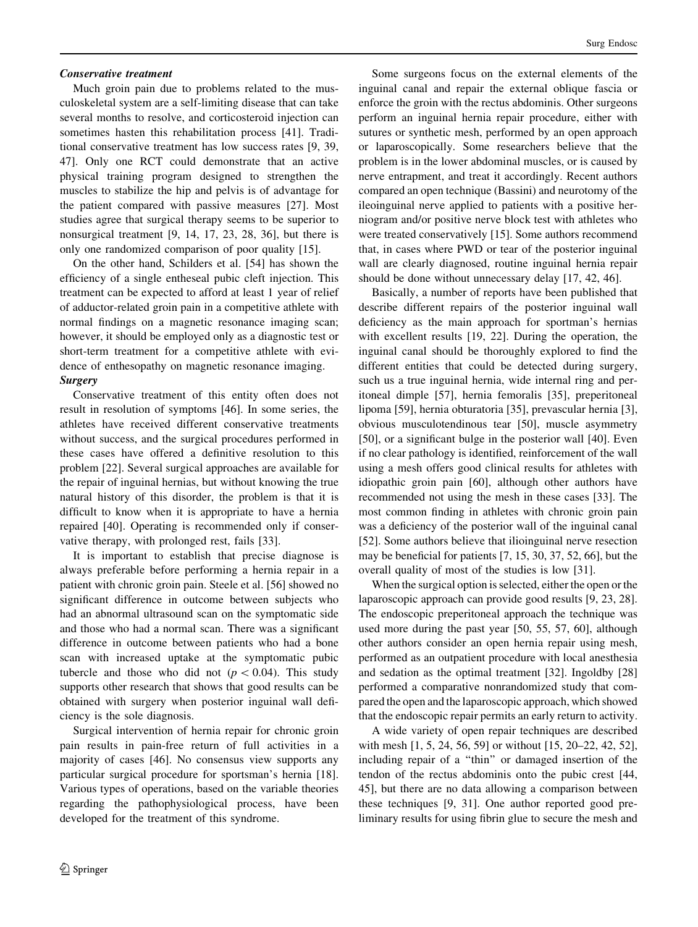### Conservative treatment

Much groin pain due to problems related to the musculoskeletal system are a self-limiting disease that can take several months to resolve, and corticosteroid injection can sometimes hasten this rehabilitation process [41]. Traditional conservative treatment has low success rates [9, 39, 47]. Only one RCT could demonstrate that an active physical training program designed to strengthen the muscles to stabilize the hip and pelvis is of advantage for the patient compared with passive measures [27]. Most studies agree that surgical therapy seems to be superior to nonsurgical treatment [9, 14, 17, 23, 28, 36], but there is only one randomized comparison of poor quality [15].

On the other hand, Schilders et al. [54] has shown the efficiency of a single entheseal pubic cleft injection. This treatment can be expected to afford at least 1 year of relief of adductor-related groin pain in a competitive athlete with normal findings on a magnetic resonance imaging scan; however, it should be employed only as a diagnostic test or short-term treatment for a competitive athlete with evidence of enthesopathy on magnetic resonance imaging. Surgery

Conservative treatment of this entity often does not result in resolution of symptoms [46]. In some series, the athletes have received different conservative treatments without success, and the surgical procedures performed in these cases have offered a definitive resolution to this problem [22]. Several surgical approaches are available for the repair of inguinal hernias, but without knowing the true natural history of this disorder, the problem is that it is difficult to know when it is appropriate to have a hernia repaired [40]. Operating is recommended only if conservative therapy, with prolonged rest, fails [33].

It is important to establish that precise diagnose is always preferable before performing a hernia repair in a patient with chronic groin pain. Steele et al. [56] showed no significant difference in outcome between subjects who had an abnormal ultrasound scan on the symptomatic side and those who had a normal scan. There was a significant difference in outcome between patients who had a bone scan with increased uptake at the symptomatic pubic tubercle and those who did not ( $p < 0.04$ ). This study supports other research that shows that good results can be obtained with surgery when posterior inguinal wall deficiency is the sole diagnosis.

Surgical intervention of hernia repair for chronic groin pain results in pain-free return of full activities in a majority of cases [46]. No consensus view supports any particular surgical procedure for sportsman's hernia [18]. Various types of operations, based on the variable theories regarding the pathophysiological process, have been developed for the treatment of this syndrome.

Some surgeons focus on the external elements of the inguinal canal and repair the external oblique fascia or enforce the groin with the rectus abdominis. Other surgeons perform an inguinal hernia repair procedure, either with sutures or synthetic mesh, performed by an open approach or laparoscopically. Some researchers believe that the problem is in the lower abdominal muscles, or is caused by nerve entrapment, and treat it accordingly. Recent authors compared an open technique (Bassini) and neurotomy of the ileoinguinal nerve applied to patients with a positive herniogram and/or positive nerve block test with athletes who were treated conservatively [15]. Some authors recommend that, in cases where PWD or tear of the posterior inguinal wall are clearly diagnosed, routine inguinal hernia repair should be done without unnecessary delay [17, 42, 46].

Basically, a number of reports have been published that describe different repairs of the posterior inguinal wall deficiency as the main approach for sportman's hernias with excellent results [19, 22]. During the operation, the inguinal canal should be thoroughly explored to find the different entities that could be detected during surgery, such us a true inguinal hernia, wide internal ring and peritoneal dimple [57], hernia femoralis [35], preperitoneal lipoma [59], hernia obturatoria [35], prevascular hernia [3], obvious musculotendinous tear [50], muscle asymmetry [50], or a significant bulge in the posterior wall [40]. Even if no clear pathology is identified, reinforcement of the wall using a mesh offers good clinical results for athletes with idiopathic groin pain [60], although other authors have recommended not using the mesh in these cases [33]. The most common finding in athletes with chronic groin pain was a deficiency of the posterior wall of the inguinal canal [52]. Some authors believe that ilioinguinal nerve resection may be beneficial for patients [7, 15, 30, 37, 52, 66], but the overall quality of most of the studies is low [31].

When the surgical option is selected, either the open or the laparoscopic approach can provide good results [9, 23, 28]. The endoscopic preperitoneal approach the technique was used more during the past year [50, 55, 57, 60], although other authors consider an open hernia repair using mesh, performed as an outpatient procedure with local anesthesia and sedation as the optimal treatment [32]. Ingoldby [28] performed a comparative nonrandomized study that compared the open and the laparoscopic approach, which showed that the endoscopic repair permits an early return to activity.

A wide variety of open repair techniques are described with mesh [1, 5, 24, 56, 59] or without [15, 20–22, 42, 52], including repair of a ''thin'' or damaged insertion of the tendon of the rectus abdominis onto the pubic crest [44, 45], but there are no data allowing a comparison between these techniques [9, 31]. One author reported good preliminary results for using fibrin glue to secure the mesh and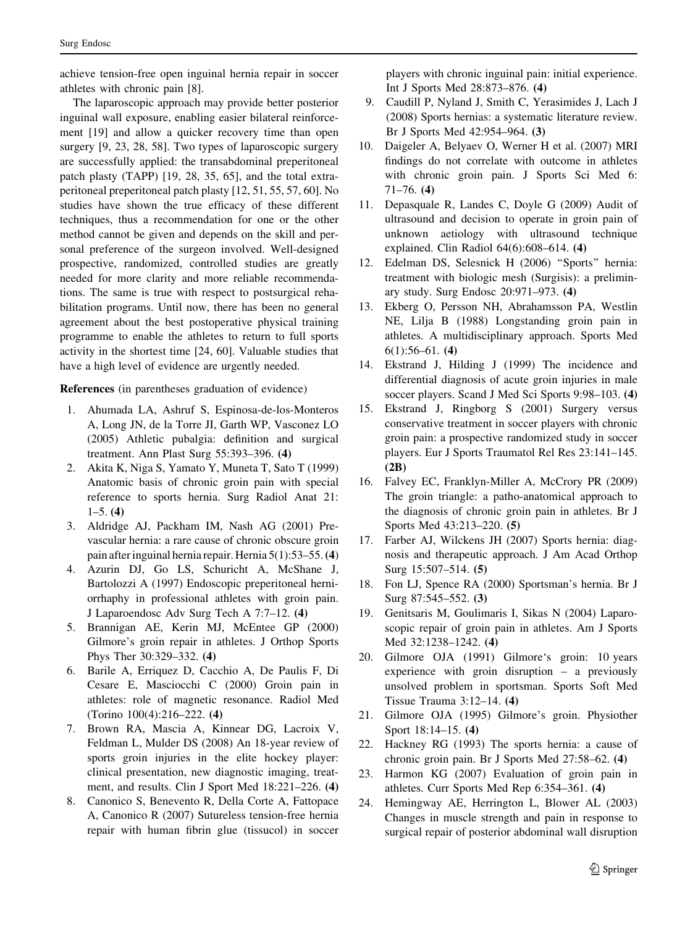achieve tension-free open inguinal hernia repair in soccer athletes with chronic pain [8].

The laparoscopic approach may provide better posterior inguinal wall exposure, enabling easier bilateral reinforcement [19] and allow a quicker recovery time than open surgery [9, 23, 28, 58]. Two types of laparoscopic surgery are successfully applied: the transabdominal preperitoneal patch plasty (TAPP) [19, 28, 35, 65], and the total extraperitoneal preperitoneal patch plasty [12, 51, 55, 57, 60]. No studies have shown the true efficacy of these different techniques, thus a recommendation for one or the other method cannot be given and depends on the skill and personal preference of the surgeon involved. Well-designed prospective, randomized, controlled studies are greatly needed for more clarity and more reliable recommendations. The same is true with respect to postsurgical rehabilitation programs. Until now, there has been no general agreement about the best postoperative physical training programme to enable the athletes to return to full sports activity in the shortest time [24, 60]. Valuable studies that have a high level of evidence are urgently needed.

References (in parentheses graduation of evidence)

- 1. Ahumada LA, Ashruf S, Espinosa-de-los-Monteros A, Long JN, de la Torre JI, Garth WP, Vasconez LO (2005) Athletic pubalgia: definition and surgical treatment. Ann Plast Surg 55:393–396. (4)
- 2. Akita K, Niga S, Yamato Y, Muneta T, Sato T (1999) Anatomic basis of chronic groin pain with special reference to sports hernia. Surg Radiol Anat 21:  $1-5. (4)$
- 3. Aldridge AJ, Packham IM, Nash AG (2001) Prevascular hernia: a rare cause of chronic obscure groin pain after inguinal hernia repair. Hernia 5(1):53–55.(4)
- 4. Azurin DJ, Go LS, Schuricht A, McShane J, Bartolozzi A (1997) Endoscopic preperitoneal herniorrhaphy in professional athletes with groin pain. J Laparoendosc Adv Surg Tech A 7:7–12. (4)
- 5. Brannigan AE, Kerin MJ, McEntee GP (2000) Gilmore's groin repair in athletes. J Orthop Sports Phys Ther 30:329–332. (4)
- 6. Barile A, Erriquez D, Cacchio A, De Paulis F, Di Cesare E, Masciocchi C (2000) Groin pain in athletes: role of magnetic resonance. Radiol Med (Torino 100(4):216–222. (4)
- 7. Brown RA, Mascia A, Kinnear DG, Lacroix V, Feldman L, Mulder DS (2008) An 18-year review of sports groin injuries in the elite hockey player: clinical presentation, new diagnostic imaging, treatment, and results. Clin J Sport Med 18:221–226. (4)
- 8. Canonico S, Benevento R, Della Corte A, Fattopace A, Canonico R (2007) Sutureless tension-free hernia repair with human fibrin glue (tissucol) in soccer

players with chronic inguinal pain: initial experience. Int J Sports Med 28:873–876. (4)

- 9. Caudill P, Nyland J, Smith C, Yerasimides J, Lach J (2008) Sports hernias: a systematic literature review. Br J Sports Med 42:954–964. (3)
- 10. Daigeler A, Belyaev O, Werner H et al. (2007) MRI findings do not correlate with outcome in athletes with chronic groin pain. J Sports Sci Med 6: 71–76. (4)
- 11. Depasquale R, Landes C, Doyle G (2009) Audit of ultrasound and decision to operate in groin pain of unknown aetiology with ultrasound technique explained. Clin Radiol 64(6):608–614. (4)
- 12. Edelman DS, Selesnick H (2006) ''Sports'' hernia: treatment with biologic mesh (Surgisis): a preliminary study. Surg Endosc 20:971–973. (4)
- 13. Ekberg O, Persson NH, Abrahamsson PA, Westlin NE, Lilja B (1988) Longstanding groin pain in athletes. A multidisciplinary approach. Sports Med 6(1):56–61. (4)
- 14. Ekstrand J, Hilding J (1999) The incidence and differential diagnosis of acute groin injuries in male soccer players. Scand J Med Sci Sports 9:98–103. (4)
- 15. Ekstrand J, Ringborg S (2001) Surgery versus conservative treatment in soccer players with chronic groin pain: a prospective randomized study in soccer players. Eur J Sports Traumatol Rel Res 23:141–145. (2B)
- 16. Falvey EC, Franklyn-Miller A, McCrory PR (2009) The groin triangle: a patho-anatomical approach to the diagnosis of chronic groin pain in athletes. Br J Sports Med 43:213–220. (5)
- 17. Farber AJ, Wilckens JH (2007) Sports hernia: diagnosis and therapeutic approach. J Am Acad Orthop Surg 15:507–514. (5)
- 18. Fon LJ, Spence RA (2000) Sportsman's hernia. Br J Surg 87:545–552. (3)
- 19. Genitsaris M, Goulimaris I, Sikas N (2004) Laparoscopic repair of groin pain in athletes. Am J Sports Med 32:1238–1242. (4)
- 20. Gilmore OJA (1991) Gilmore's groin: 10 years experience with groin disruption – a previously unsolved problem in sportsman. Sports Soft Med Tissue Trauma 3:12–14. (4)
- 21. Gilmore OJA (1995) Gilmore's groin. Physiother Sport 18:14–15. (4)
- 22. Hackney RG (1993) The sports hernia: a cause of chronic groin pain. Br J Sports Med 27:58–62. (4)
- 23. Harmon KG (2007) Evaluation of groin pain in athletes. Curr Sports Med Rep 6:354–361. (4)
- 24. Hemingway AE, Herrington L, Blower AL (2003) Changes in muscle strength and pain in response to surgical repair of posterior abdominal wall disruption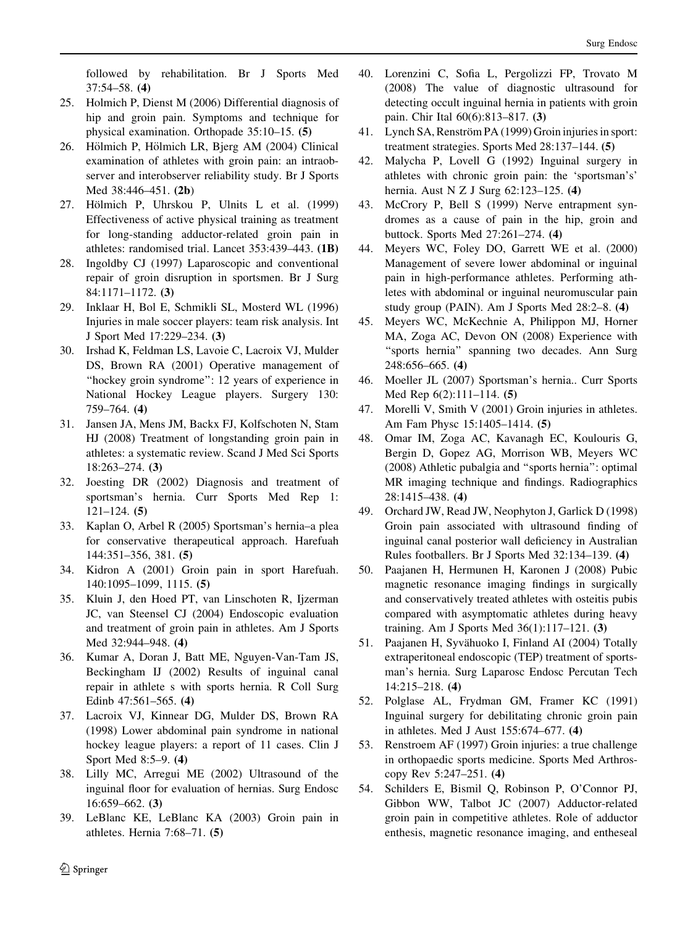followed by rehabilitation. Br J Sports Med 37:54–58. (4)

- 25. Holmich P, Dienst M (2006) Differential diagnosis of hip and groin pain. Symptoms and technique for physical examination. Orthopade 35:10–15. (5)
- 26. Hölmich P, Hölmich LR, Bjerg AM (2004) Clinical examination of athletes with groin pain: an intraobserver and interobserver reliability study. Br J Sports Med 38:446–451. (2b)
- 27. Hölmich P, Uhrskou P, Ulnits L et al. (1999) Effectiveness of active physical training as treatment for long-standing adductor-related groin pain in athletes: randomised trial. Lancet 353:439–443. (1B)
- 28. Ingoldby CJ (1997) Laparoscopic and conventional repair of groin disruption in sportsmen. Br J Surg 84:1171–1172. (3)
- 29. Inklaar H, Bol E, Schmikli SL, Mosterd WL (1996) Injuries in male soccer players: team risk analysis. Int J Sport Med 17:229–234. (3)
- 30. Irshad K, Feldman LS, Lavoie C, Lacroix VJ, Mulder DS, Brown RA (2001) Operative management of "hockey groin syndrome": 12 years of experience in National Hockey League players. Surgery 130: 759–764. (4)
- 31. Jansen JA, Mens JM, Backx FJ, Kolfschoten N, Stam HJ (2008) Treatment of longstanding groin pain in athletes: a systematic review. Scand J Med Sci Sports 18:263–274. (3)
- 32. Joesting DR (2002) Diagnosis and treatment of sportsman's hernia. Curr Sports Med Rep 1: 121–124. (5)
- 33. Kaplan O, Arbel R (2005) Sportsman's hernia–a plea for conservative therapeutical approach. Harefuah 144:351–356, 381. (5)
- 34. Kidron A (2001) Groin pain in sport Harefuah. 140:1095–1099, 1115. (5)
- 35. Kluin J, den Hoed PT, van Linschoten R, Ijzerman JC, van Steensel CJ (2004) Endoscopic evaluation and treatment of groin pain in athletes. Am J Sports Med 32:944–948. (4)
- 36. Kumar A, Doran J, Batt ME, Nguyen-Van-Tam JS, Beckingham IJ (2002) Results of inguinal canal repair in athlete s with sports hernia. R Coll Surg Edinb 47:561–565. (4)
- 37. Lacroix VJ, Kinnear DG, Mulder DS, Brown RA (1998) Lower abdominal pain syndrome in national hockey league players: a report of 11 cases. Clin J Sport Med 8:5–9. (4)
- 38. Lilly MC, Arregui ME (2002) Ultrasound of the inguinal floor for evaluation of hernias. Surg Endosc 16:659–662. (3)
- 39. LeBlanc KE, LeBlanc KA (2003) Groin pain in athletes. Hernia 7:68–71. (5)
- 40. Lorenzini C, Sofia L, Pergolizzi FP, Trovato M (2008) The value of diagnostic ultrasound for detecting occult inguinal hernia in patients with groin pain. Chir Ital 60(6):813–817. (3)
- 41. Lynch SA, Renström PA (1999) Groin injuries in sport: treatment strategies. Sports Med 28:137–144. (5)
- 42. Malycha P, Lovell G (1992) Inguinal surgery in athletes with chronic groin pain: the 'sportsman's' hernia. Aust N Z J Surg 62:123–125. (4)
- 43. McCrory P, Bell S (1999) Nerve entrapment syndromes as a cause of pain in the hip, groin and buttock. Sports Med 27:261–274. (4)
- 44. Meyers WC, Foley DO, Garrett WE et al. (2000) Management of severe lower abdominal or inguinal pain in high-performance athletes. Performing athletes with abdominal or inguinal neuromuscular pain study group (PAIN). Am J Sports Med 28:2–8. (4)
- 45. Meyers WC, McKechnie A, Philippon MJ, Horner MA, Zoga AC, Devon ON (2008) Experience with ''sports hernia'' spanning two decades. Ann Surg 248:656–665. (4)
- 46. Moeller JL (2007) Sportsman's hernia.. Curr Sports Med Rep 6(2):111–114. (5)
- 47. Morelli V, Smith V (2001) Groin injuries in athletes. Am Fam Physc 15:1405–1414. (5)
- 48. Omar IM, Zoga AC, Kavanagh EC, Koulouris G, Bergin D, Gopez AG, Morrison WB, Meyers WC (2008) Athletic pubalgia and ''sports hernia'': optimal MR imaging technique and findings. Radiographics 28:1415–438. (4)
- 49. Orchard JW, Read JW, Neophyton J, Garlick D (1998) Groin pain associated with ultrasound finding of inguinal canal posterior wall deficiency in Australian Rules footballers. Br J Sports Med 32:134–139. (4)
- 50. Paajanen H, Hermunen H, Karonen J (2008) Pubic magnetic resonance imaging findings in surgically and conservatively treated athletes with osteitis pubis compared with asymptomatic athletes during heavy training. Am J Sports Med 36(1):117–121. (3)
- 51. Paajanen H, Syvähuoko I, Finland AI (2004) Totally extraperitoneal endoscopic (TEP) treatment of sportsman's hernia. Surg Laparosc Endosc Percutan Tech 14:215–218. (4)
- 52. Polglase AL, Frydman GM, Framer KC (1991) Inguinal surgery for debilitating chronic groin pain in athletes. Med J Aust 155:674–677. (4)
- 53. Renstroem AF (1997) Groin injuries: a true challenge in orthopaedic sports medicine. Sports Med Arthroscopy Rev 5:247–251. (4)
- 54. Schilders E, Bismil Q, Robinson P, O'Connor PJ, Gibbon WW, Talbot JC (2007) Adductor-related groin pain in competitive athletes. Role of adductor enthesis, magnetic resonance imaging, and entheseal